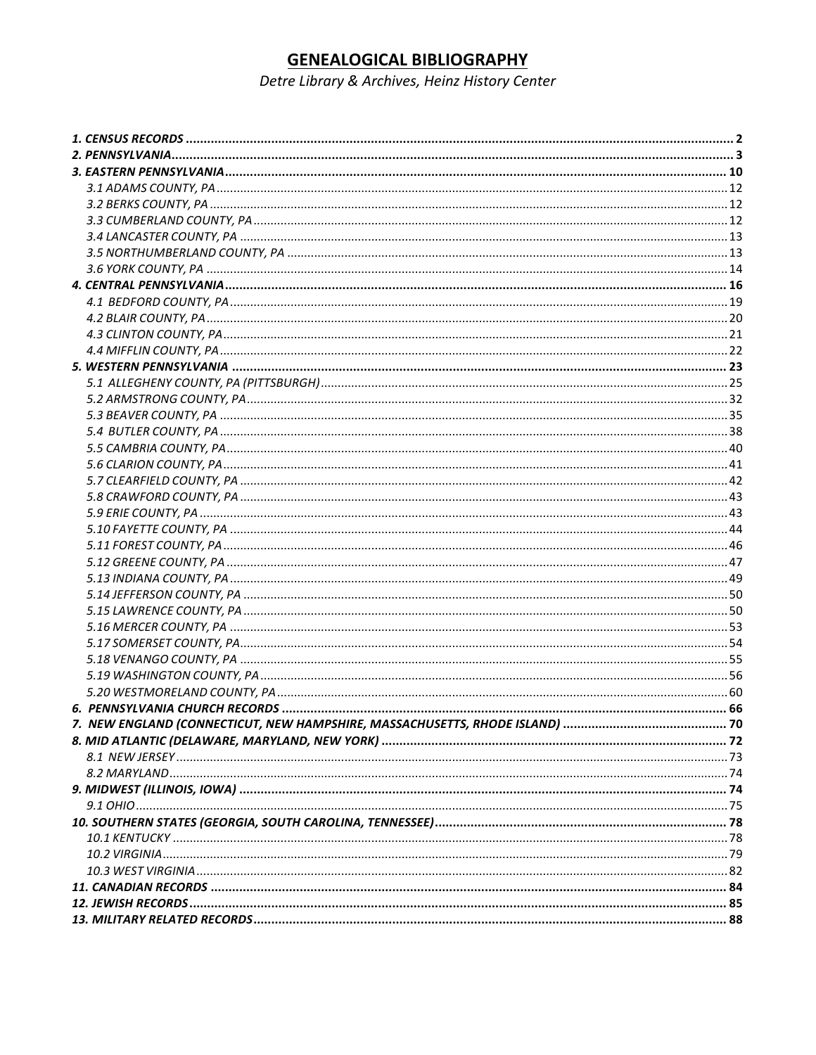# **GENEALOGICAL BIBLIOGRAPHY**

Detre Library & Archives, Heinz History Center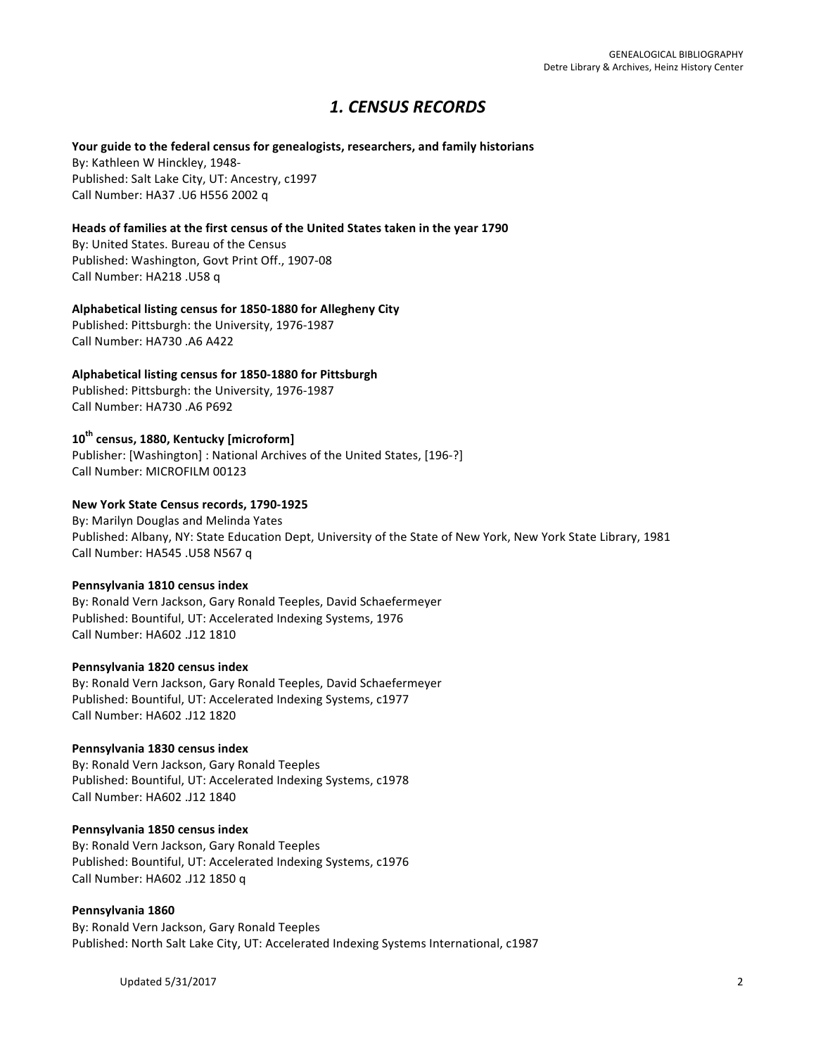# *1. CENSUS RECORDS*

### Your guide to the federal census for genealogists, researchers, and family historians

By: Kathleen W Hinckley, 1948-Published: Salt Lake City, UT: Ancestry, c1997 Call Number: HA37 .U6 H556 2002 q

# Heads of families at the first census of the United States taken in the year 1790

By: United States. Bureau of the Census Published: Washington, Govt Print Off., 1907-08 Call Number: HA218 .U58 q

### Alphabetical listing census for 1850-1880 for Allegheny City

Published: Pittsburgh: the University, 1976-1987 Call Number: HA730 .A6 A422

# **Alphabetical listing census for 1850-1880 for Pittsburgh**

Published: Pittsburgh: the University, 1976-1987 Call Number: HA730 .A6 P692

# **10th census, 1880, Kentucky [microform]**

Publisher: [Washington] : National Archives of the United States, [196-?] Call Number: MICROFILM 00123

# **New York State Census records, 1790-1925**

By: Marilyn Douglas and Melinda Yates Published: Albany, NY: State Education Dept, University of the State of New York, New York State Library, 1981 Call Number: HA545 .U58 N567 q

# Pennsylvania 1810 census index

By: Ronald Vern Jackson, Gary Ronald Teeples, David Schaefermeyer Published: Bountiful, UT: Accelerated Indexing Systems, 1976 Call Number: HA602 .J12 1810

# Pennsylvania 1820 census index

By: Ronald Vern Jackson, Gary Ronald Teeples, David Schaefermeyer Published: Bountiful, UT: Accelerated Indexing Systems, c1977 Call Number: HA602 .J12 1820

# **Pennsylvania 1830 census index**

By: Ronald Vern Jackson, Gary Ronald Teeples Published: Bountiful, UT: Accelerated Indexing Systems, c1978 Call Number: HA602 .J12 1840

# Pennsylvania 1850 census index

By: Ronald Vern Jackson, Gary Ronald Teeples Published: Bountiful, UT: Accelerated Indexing Systems, c1976 Call Number: HA602 .J12 1850 q

# **Pennsylvania 1860**

By: Ronald Vern Jackson, Gary Ronald Teeples Published: North Salt Lake City, UT: Accelerated Indexing Systems International, c1987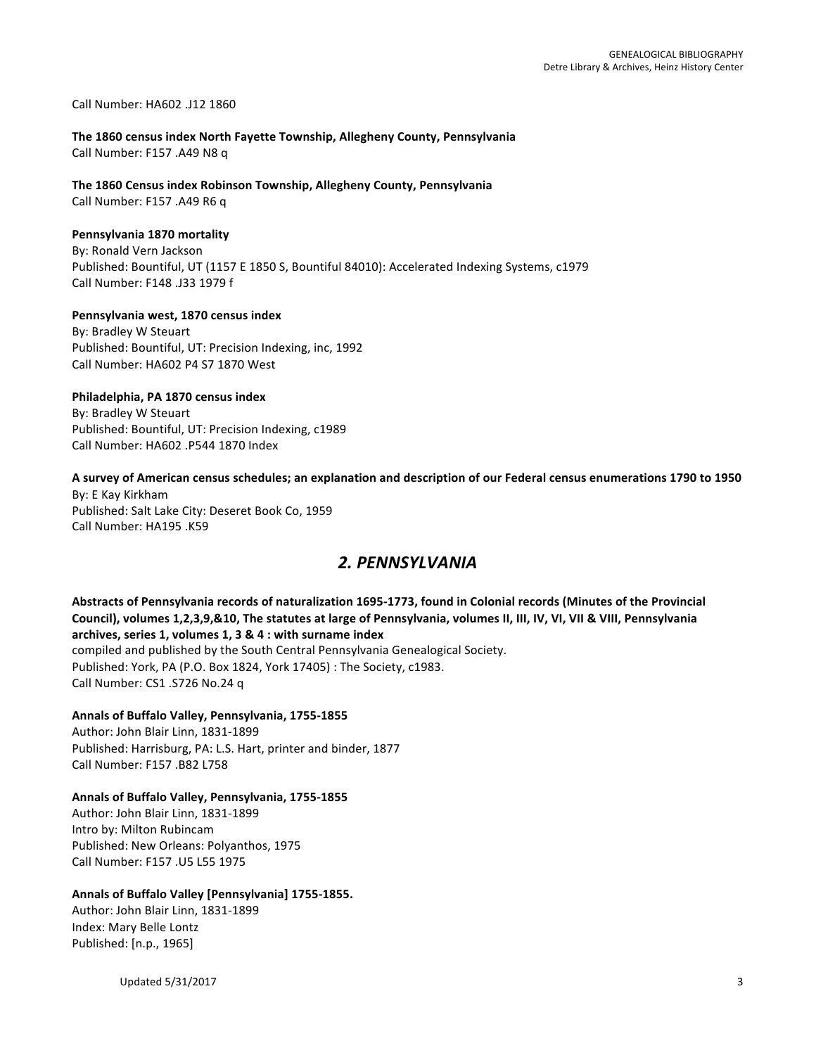Call Number: HA602 .J12 1860

### **The 1860 census index North Fayette Township, Allegheny County, Pennsylvania** Call Number: F157 .A49 N8 q

# The 1860 Census index Robinson Township, Allegheny County, Pennsylvania

Call Number: F157 .A49 R6 q

### **Pennsylvania 1870 mortality**

By: Ronald Vern Jackson Published: Bountiful, UT (1157 E 1850 S, Bountiful 84010): Accelerated Indexing Systems, c1979 Call Number: F148 .J33 1979 f

# Pennsylvania west, 1870 census index

By: Bradley W Steuart Published: Bountiful, UT: Precision Indexing, inc, 1992 Call Number: HA602 P4 S7 1870 West

# **Philadelphia, PA 1870 census index**

By: Bradley W Steuart Published: Bountiful, UT: Precision Indexing, c1989 Call Number: HA602 .P544 1870 Index

# A survey of American census schedules; an explanation and description of our Federal census enumerations 1790 to 1950

By: E Kay Kirkham Published: Salt Lake City: Deseret Book Co, 1959 Call Number: HA195 .K59

# *2. PENNSYLVANIA*

Abstracts of Pennsylvania records of naturalization 1695-1773, found in Colonial records (Minutes of the Provincial Council), volumes 1,2,3,9,&10, The statutes at large of Pennsylvania, volumes II, III, IV, VI, VII & VIII, Pennsylvania archives, series 1, volumes 1, 3 & 4 : with surname index compiled and published by the South Central Pennsylvania Genealogical Society. Published: York, PA (P.O. Box 1824, York 17405) : The Society, c1983.

Call Number: CS1 .S726 No.24 q

# **Annals of Buffalo Valley, Pennsylvania, 1755-1855**

Author: John Blair Linn, 1831-1899 Published: Harrisburg, PA: L.S. Hart, printer and binder, 1877 Call Number: F157 .B82 L758

# Annals of Buffalo Valley, Pennsylvania, 1755-1855

Author: John Blair Linn, 1831-1899 Intro by: Milton Rubincam Published: New Orleans: Polyanthos, 1975 Call Number: F157 .U5 L55 1975

# Annals of Buffalo Valley [Pennsylvania] 1755-1855.

Author: John Blair Linn, 1831-1899 Index: Mary Belle Lontz Published: [n.p., 1965]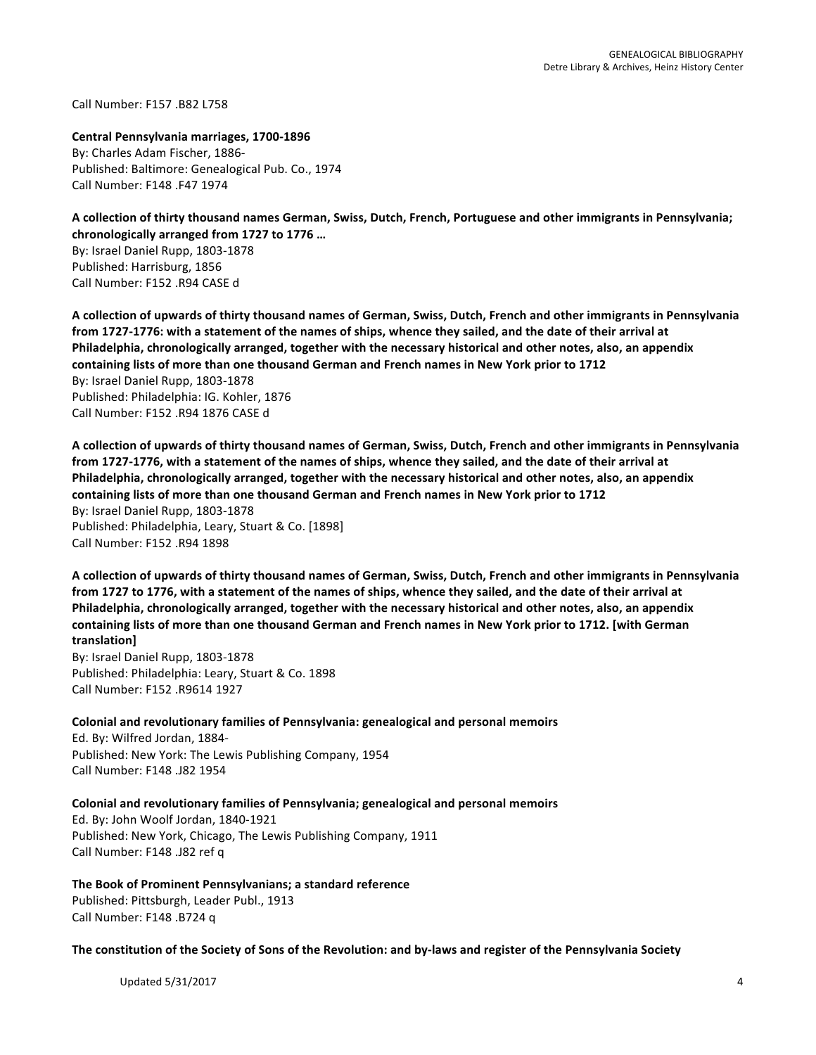Call Number: F157 .B82 L758

**Central Pennsylvania marriages, 1700-1896** By: Charles Adam Fischer, 1886-Published: Baltimore: Genealogical Pub. Co., 1974 Call Number: F148 .F47 1974

A collection of thirty thousand names German, Swiss, Dutch, French, Portuguese and other immigrants in Pennsylvania; chronologically arranged from 1727 to 1776 ...

By: Israel Daniel Rupp, 1803-1878 Published: Harrisburg, 1856 Call Number: F152 .R94 CASE d

A collection of upwards of thirty thousand names of German, Swiss, Dutch, French and other immigrants in Pennsylvania from 1727-1776: with a statement of the names of ships, whence they sailed, and the date of their arrival at **Philadelphia, chronologically arranged, together with the necessary historical and other notes, also, an appendix** containing lists of more than one thousand German and French names in New York prior to 1712 By: Israel Daniel Rupp, 1803-1878 Published: Philadelphia: IG. Kohler, 1876 Call Number: F152 .R94 1876 CASE d

A collection of upwards of thirty thousand names of German, Swiss, Dutch, French and other immigrants in Pennsylvania from 1727-1776, with a statement of the names of ships, whence they sailed, and the date of their arrival at **Philadelphia, chronologically arranged, together with the necessary historical and other notes, also, an appendix** containing lists of more than one thousand German and French names in New York prior to 1712 By: Israel Daniel Rupp, 1803-1878 Published: Philadelphia, Leary, Stuart & Co. [1898] Call Number: F152 .R94 1898

A collection of upwards of thirty thousand names of German, Swiss, Dutch, French and other immigrants in Pennsylvania from 1727 to 1776, with a statement of the names of ships, whence they sailed, and the date of their arrival at Philadelphia, chronologically arranged, together with the necessary historical and other notes, also, an appendix containing lists of more than one thousand German and French names in New York prior to 1712. [with German **translation]**

By: Israel Daniel Rupp, 1803-1878 Published: Philadelphia: Leary, Stuart & Co. 1898 Call Number: F152 .R9614 1927 

Colonial and revolutionary families of Pennsylvania: genealogical and personal memoirs Ed. By: Wilfred Jordan, 1884-Published: New York: The Lewis Publishing Company, 1954 Call Number: F148 .J82 1954

Colonial and revolutionary families of Pennsylvania; genealogical and personal memoirs

Ed. By: John Woolf Jordan, 1840-1921 Published: New York, Chicago, The Lewis Publishing Company, 1911 Call Number: F148 .J82 ref q

The Book of Prominent Pennsylvanians; a standard reference Published: Pittsburgh, Leader Publ., 1913 Call Number: F148 .B724 q

The constitution of the Society of Sons of the Revolution: and by-laws and register of the Pennsylvania Society

Updated  $5/31/2017$  and  $4/3$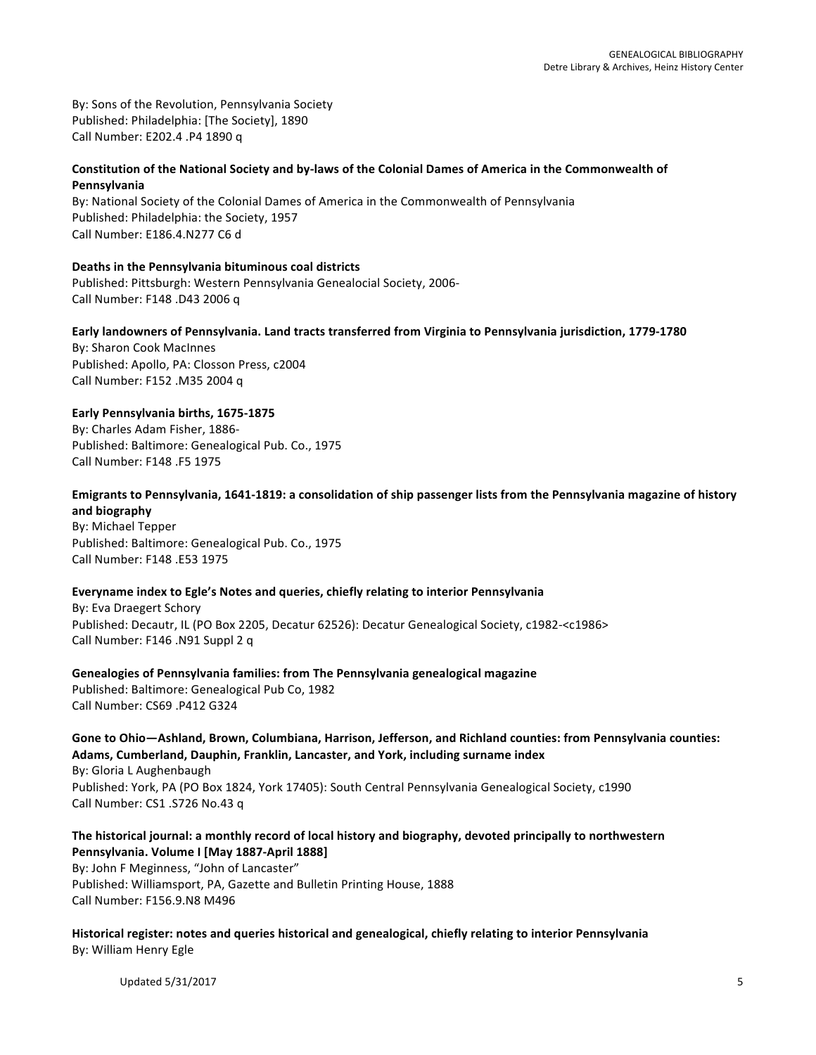By: Sons of the Revolution, Pennsylvania Society Published: Philadelphia: [The Society], 1890 Call Number: E202.4 .P4 1890 q

# Constitution of the National Society and by-laws of the Colonial Dames of America in the Commonwealth of **Pennsylvania**

By: National Society of the Colonial Dames of America in the Commonwealth of Pennsylvania Published: Philadelphia: the Society, 1957 Call Number: E186.4.N277 C6 d

**Deaths in the Pennsylvania bituminous coal districts** Published: Pittsburgh: Western Pennsylvania Genealocial Society, 2006-Call Number: F148 .D43 2006 q

Early landowners of Pennsylvania. Land tracts transferred from Virginia to Pennsylvania jurisdiction, 1779-1780 By: Sharon Cook MacInnes Published: Apollo, PA: Closson Press, c2004 Call Number: F152 .M35 2004 q

**Early Pennsylvania births, 1675-1875** By: Charles Adam Fisher, 1886-Published: Baltimore: Genealogical Pub. Co., 1975 Call Number: F148 .F5 1975

# Emigrants to Pennsylvania, 1641-1819: a consolidation of ship passenger lists from the Pennsylvania magazine of history **and biography**

By: Michael Tepper Published: Baltimore: Genealogical Pub. Co., 1975 Call Number: F148 .E53 1975

# Everyname index to Egle's Notes and queries, chiefly relating to interior Pennsylvania

By: Eva Draegert Schory Published: Decautr, IL (PO Box 2205, Decatur 62526): Decatur Genealogical Society, c1982-<c1986> Call Number: F146 .N91 Suppl 2 q

Genealogies of Pennsylvania families: from The Pennsylvania genealogical magazine Published: Baltimore: Genealogical Pub Co, 1982 Call Number: CS69 .P412 G324

Gone to Ohio—Ashland, Brown, Columbiana, Harrison, Jefferson, and Richland counties: from Pennsylvania counties: Adams, Cumberland, Dauphin, Franklin, Lancaster, and York, including surname index By: Gloria L Aughenbaugh

Published: York, PA (PO Box 1824, York 17405): South Central Pennsylvania Genealogical Society, c1990 Call Number: CS1 .S726 No.43 q

# The historical journal: a monthly record of local history and biography, devoted principally to northwestern Pennsylvania. Volume I [May 1887-April 1888]

By: John F Meginness, "John of Lancaster" Published: Williamsport, PA, Gazette and Bulletin Printing House, 1888 Call Number: F156.9.N8 M496

Historical register: notes and queries historical and genealogical, chiefly relating to interior Pennsylvania By: William Henry Egle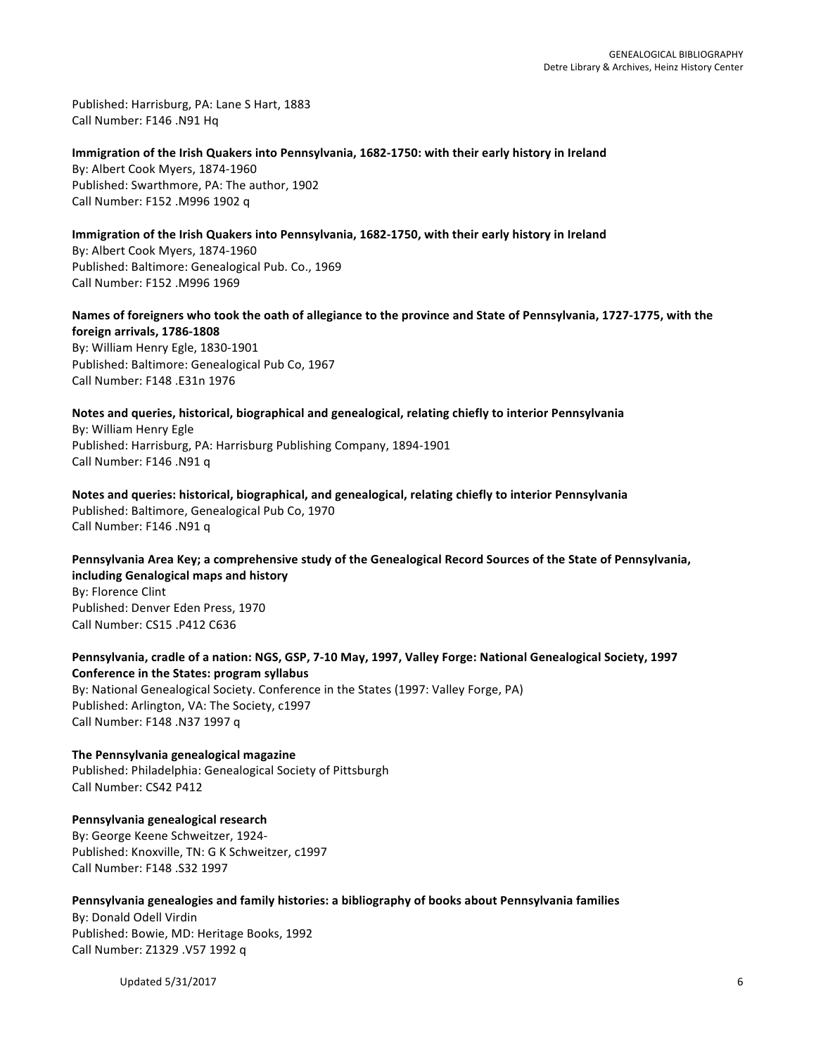Published: Harrisburg, PA: Lane S Hart, 1883 Call Number: F146 .N91 Hq

Immigration of the Irish Quakers into Pennsylvania, 1682-1750: with their early history in Ireland By: Albert Cook Myers, 1874-1960 Published: Swarthmore, PA: The author, 1902 Call Number: F152 .M996 1902 q

Immigration of the Irish Quakers into Pennsylvania, 1682-1750, with their early history in Ireland By: Albert Cook Myers, 1874-1960 Published: Baltimore: Genealogical Pub. Co., 1969 Call Number: F152 .M996 1969

Names of foreigners who took the oath of allegiance to the province and State of Pennsylvania, 1727-1775, with the **foreign arrivals, 1786-1808** By: William Henry Egle, 1830-1901

Published: Baltimore: Genealogical Pub Co, 1967 Call Number: F148 .E31n 1976

**Notes and queries, historical, biographical and genealogical, relating chiefly to interior Pennsylvania** By: William Henry Egle Published: Harrisburg, PA: Harrisburg Publishing Company, 1894-1901 Call Number: F146 .N91 q

Notes and queries: historical, biographical, and genealogical, relating chiefly to interior Pennsylvania Published: Baltimore, Genealogical Pub Co, 1970 Call Number: F146 .N91 q

Pennsylvania Area Key; a comprehensive study of the Genealogical Record Sources of the State of Pennsylvania, **including Genalogical maps and history**

By: Florence Clint Published: Denver Eden Press, 1970 Call Number: CS15 .P412 C636

Pennsylvania, cradle of a nation: NGS, GSP, 7-10 May, 1997, Valley Forge: National Genealogical Society, 1997 **Conference in the States: program syllabus** By: National Genealogical Society. Conference in the States (1997: Valley Forge, PA) Published: Arlington, VA: The Society, c1997

Call Number: F148 .N37 1997 q

**The Pennsylvania genealogical magazine** Published: Philadelphia: Genealogical Society of Pittsburgh Call Number: CS42 P412

**Pennsylvania genealogical research** By: George Keene Schweitzer, 1924-Published: Knoxville, TN: G K Schweitzer, c1997 Call Number: F148 .S32 1997

Pennsylvania genealogies and family histories: a bibliography of books about Pennsylvania families

By: Donald Odell Virdin Published: Bowie, MD: Heritage Books, 1992 Call Number: Z1329 .V57 1992 q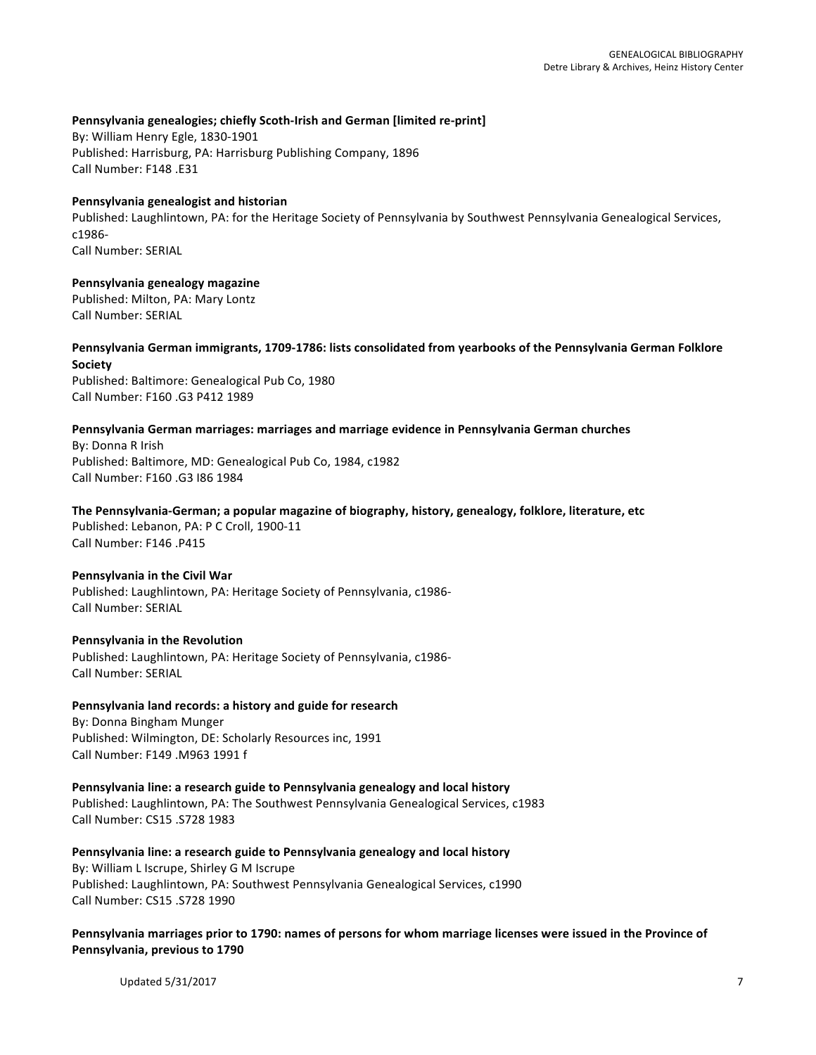### Pennsylvania genealogies; chiefly Scoth-Irish and German [limited re-print]

By: William Henry Egle, 1830-1901 Published: Harrisburg, PA: Harrisburg Publishing Company, 1896 Call Number: F148 .E31

### **Pennsylvania genealogist and historian**

Published: Laughlintown, PA: for the Heritage Society of Pennsylvania by Southwest Pennsylvania Genealogical Services, c1986- Call Number: SERIAL

# **Pennsylvania genealogy magazine**

Published: Milton, PA: Mary Lontz Call Number: SERIAL

### Pennsylvania German immigrants, 1709-1786: lists consolidated from yearbooks of the Pennsylvania German Folklore **Society**

Published: Baltimore: Genealogical Pub Co, 1980 Call Number: F160 .G3 P412 1989

### Pennsylvania German marriages: marriages and marriage evidence in Pennsylvania German churches

By: Donna R Irish Published: Baltimore, MD: Genealogical Pub Co, 1984, c1982 Call Number: F160 .G3 I86 1984

### The Pennsylvania-German; a popular magazine of biography, history, genealogy, folklore, literature, etc

Published: Lebanon, PA: P C Croll, 1900-11 Call Number: F146 .P415

### **Pennsylvania in the Civil War**

Published: Laughlintown, PA: Heritage Society of Pennsylvania, c1986-Call Number: SERIAL

### **Pennsylvania in the Revolution**

Published: Laughlintown, PA: Heritage Society of Pennsylvania, c1986-Call Number: SERIAL

# **Pennsylvania land records: a history and guide for research**

By: Donna Bingham Munger Published: Wilmington, DE: Scholarly Resources inc, 1991 Call Number: F149 .M963 1991 f

### **Pennsylvania line: a research guide to Pennsylvania genealogy and local history**

Published: Laughlintown, PA: The Southwest Pennsylvania Genealogical Services, c1983 Call Number: CS15 .S728 1983

### Pennsylvania line: a research guide to Pennsylvania genealogy and local history

By: William L Iscrupe, Shirley G M Iscrupe Published: Laughlintown, PA: Southwest Pennsylvania Genealogical Services, c1990 Call Number: CS15 .S728 1990

### Pennsylvania marriages prior to 1790: names of persons for whom marriage licenses were issued in the Province of **Pennsylvania, previous to 1790**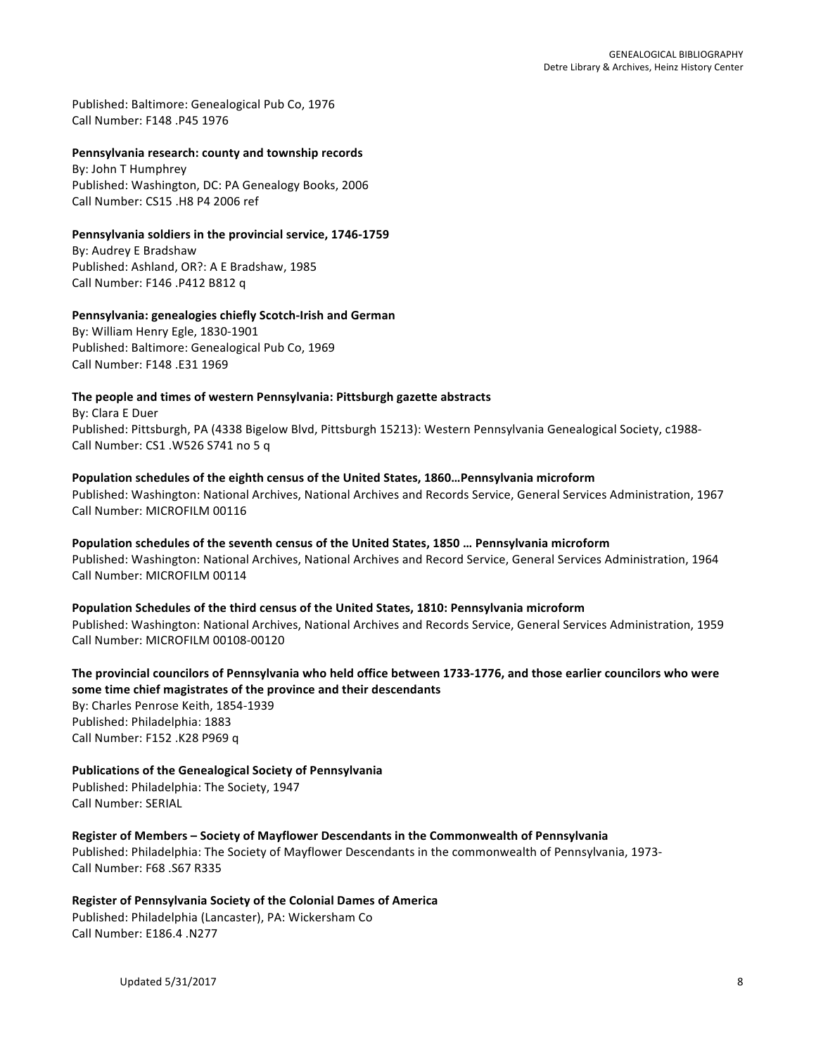Published: Baltimore: Genealogical Pub Co, 1976 Call Number: F148 .P45 1976

#### Pennsylvania research: county and township records

By: John T Humphrey Published: Washington, DC: PA Genealogy Books, 2006 Call Number: CS15 .H8 P4 2006 ref

#### Pennsylvania soldiers in the provincial service, 1746-1759

By: Audrey E Bradshaw Published: Ashland, OR?: A E Bradshaw, 1985 Call Number: F146 .P412 B812 q

# **Pennsylvania: genealogies chiefly Scotch-Irish and German**

By: William Henry Egle, 1830-1901 Published: Baltimore: Genealogical Pub Co, 1969 Call Number: F148 .E31 1969

### The people and times of western Pennsylvania: Pittsburgh gazette abstracts

By: Clara E Duer Published: Pittsburgh, PA (4338 Bigelow Blvd, Pittsburgh 15213): Western Pennsylvania Genealogical Society, c1988-Call Number: CS1 .W526 S741 no 5 q

# Population schedules of the eighth census of the United States, 1860...Pennsylvania microform

Published: Washington: National Archives, National Archives and Records Service, General Services Administration, 1967 Call Number: MICROFILM 00116

Population schedules of the seventh census of the United States, 1850 ... Pennsylvania microform Published: Washington: National Archives, National Archives and Record Service, General Services Administration, 1964 Call Number: MICROFILM 00114

Population Schedules of the third census of the United States, 1810: Pennsylvania microform Published: Washington: National Archives, National Archives and Records Service, General Services Administration, 1959 Call Number: MICROFILM 00108-00120

# The provincial councilors of Pennsylvania who held office between 1733-1776, and those earlier councilors who were some time chief magistrates of the province and their descendants By: Charles Penrose Keith, 1854-1939 Published: Philadelphia: 1883

Call Number: F152 .K28 P969 q

# **Publications of the Genealogical Society of Pennsylvania**

Published: Philadelphia: The Society, 1947 Call Number: SERIAL

**Register of Members - Society of Mayflower Descendants in the Commonwealth of Pennsylvania** Published: Philadelphia: The Society of Mayflower Descendants in the commonwealth of Pennsylvania, 1973-Call Number: F68 .S67 R335

### **Register of Pennsylvania Society of the Colonial Dames of America** Published: Philadelphia (Lancaster), PA: Wickersham Co Call Number: E186.4 .N277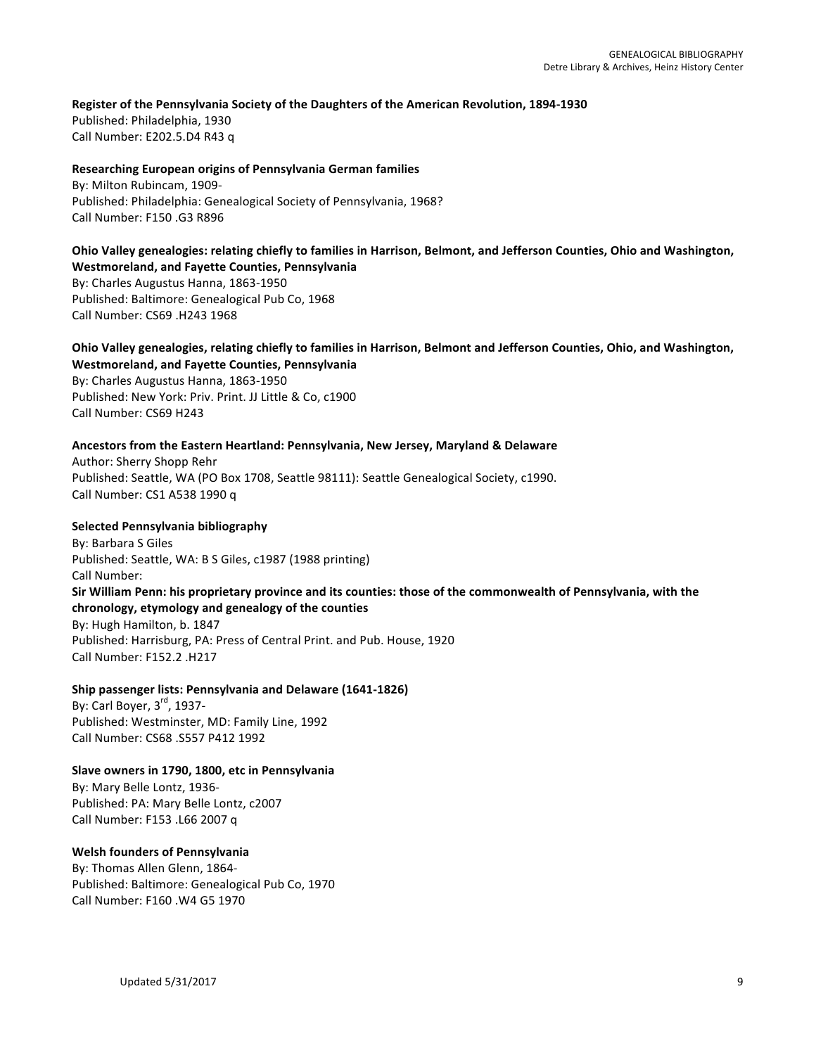### Register of the Pennsylvania Society of the Daughters of the American Revolution, 1894-1930

Published: Philadelphia, 1930 Call Number: E202.5.D4 R43 q

### **Researching European origins of Pennsylvania German families**

By: Milton Rubincam, 1909-Published: Philadelphia: Genealogical Society of Pennsylvania, 1968? Call Number: F150 .G3 R896

#### **Ohio Valley genealogies: relating chiefly to families in Harrison, Belmont, and Jefferson Counties, Ohio and Washington, Westmoreland, and Fayette Counties, Pennsylvania**

By: Charles Augustus Hanna, 1863-1950 Published: Baltimore: Genealogical Pub Co, 1968 Call Number: CS69 .H243 1968

# **Ohio Valley genealogies, relating chiefly to families in Harrison, Belmont and Jefferson Counties, Ohio, and Washington, Westmoreland, and Fayette Counties, Pennsylvania**

By: Charles Augustus Hanna, 1863-1950 Published: New York: Priv. Print. JJ Little & Co, c1900 Call Number: CS69 H243

### Ancestors from the Eastern Heartland: Pennsylvania, New Jersey, Maryland & Delaware

Author: Sherry Shopp Rehr Published: Seattle, WA (PO Box 1708, Seattle 98111): Seattle Genealogical Society, c1990. Call Number: CS1 A538 1990 q

### **Selected Pennsylvania bibliography**

By: Barbara S Giles Published: Seattle, WA: B S Giles, c1987 (1988 printing) Call Number: Sir William Penn: his proprietary province and its counties: those of the commonwealth of Pennsylvania, with the chronology, etymology and genealogy of the counties By: Hugh Hamilton, b. 1847 Published: Harrisburg, PA: Press of Central Print. and Pub. House, 1920 Call Number: F152.2 .H217

### **Ship passenger lists: Pennsylvania and Delaware (1641-1826)**

By: Carl Boyer,  $3<sup>rd</sup>$ , 1937-Published: Westminster, MD: Family Line, 1992 Call Number: CS68 .S557 P412 1992

# Slave owners in 1790, 1800, etc in Pennsylvania

By: Mary Belle Lontz, 1936-Published: PA: Mary Belle Lontz, c2007 Call Number: F153 .L66 2007 q

# **Welsh founders of Pennsylvania**

By: Thomas Allen Glenn, 1864-Published: Baltimore: Genealogical Pub Co, 1970 Call Number: F160 .W4 G5 1970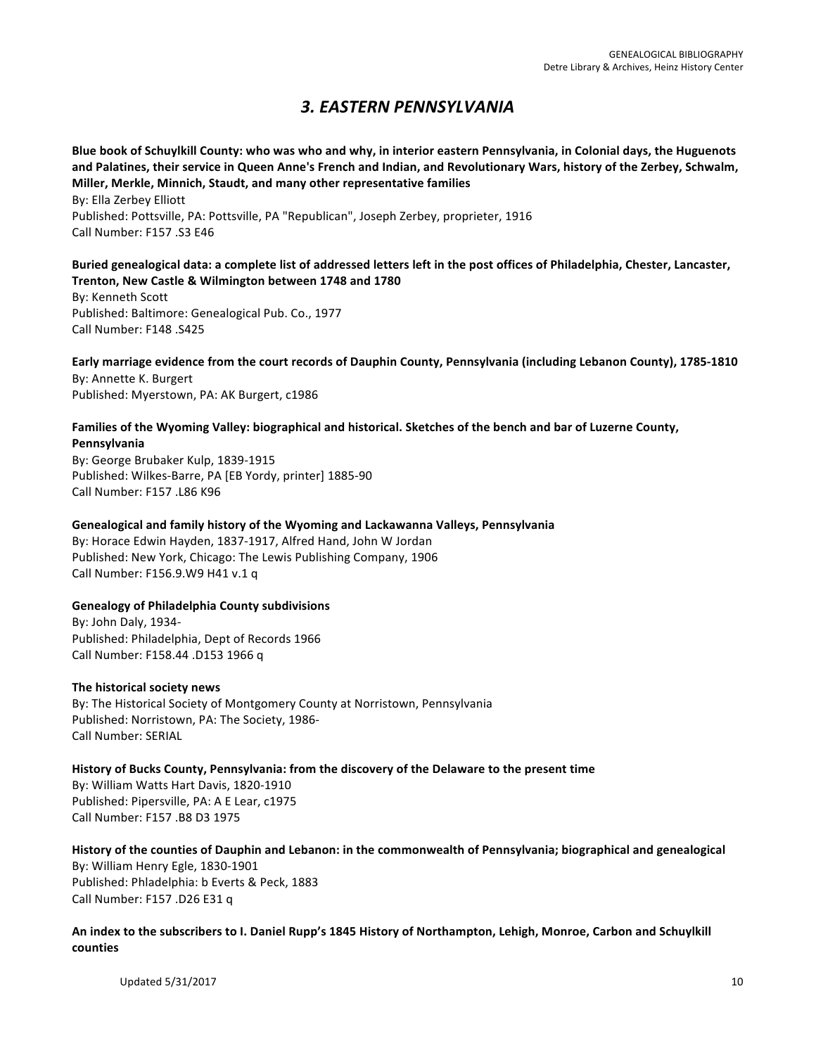# *3. EASTERN PENNSYLVANIA*

Blue book of Schuylkill County: who was who and why, in interior eastern Pennsylvania, in Colonial days, the Huguenots and Palatines, their service in Queen Anne's French and Indian, and Revolutionary Wars, history of the Zerbey, Schwalm, **Miller, Merkle, Minnich, Staudt, and many other representative families** 

By: Ella Zerbey Elliott Published: Pottsville, PA: Pottsville, PA "Republican", Joseph Zerbey, proprieter, 1916 Call Number: F157 .S3 E46

# Buried genealogical data: a complete list of addressed letters left in the post offices of Philadelphia, Chester, Lancaster, **Trenton, New Castle & Wilmington between 1748 and 1780**

By: Kenneth Scott Published: Baltimore: Genealogical Pub. Co., 1977 Call Number: F148 .S425

**Early marriage evidence from the court records of Dauphin County, Pennsylvania (including Lebanon County), 1785-1810** By: Annette K. Burgert Published: Myerstown, PA: AK Burgert, c1986

# Families of the Wyoming Valley: biographical and historical. Sketches of the bench and bar of Luzerne County, **Pennsylvania**

By: George Brubaker Kulp, 1839-1915 Published: Wilkes-Barre, PA [EB Yordy, printer] 1885-90 Call Number: F157 .L86 K96

# Genealogical and family history of the Wyoming and Lackawanna Valleys, Pennsylvania

By: Horace Edwin Hayden, 1837-1917, Alfred Hand, John W Jordan Published: New York, Chicago: The Lewis Publishing Company, 1906 Call Number: F156.9.W9 H41 v.1 q

# **Genealogy of Philadelphia County subdivisions**

By: John Daly, 1934-Published: Philadelphia, Dept of Records 1966 Call Number: F158.44 .D153 1966 q

# **The historical society news**

By: The Historical Society of Montgomery County at Norristown, Pennsylvania Published: Norristown, PA: The Society, 1986-Call Number: SERIAL

# History of Bucks County, Pennsylvania: from the discovery of the Delaware to the present time

By: William Watts Hart Davis, 1820-1910 Published: Pipersville, PA: A E Lear, c1975 Call Number: F157 .B8 D3 1975

History of the counties of Dauphin and Lebanon: in the commonwealth of Pennsylvania; biographical and genealogical By: William Henry Egle, 1830-1901 Published: Phladelphia: b Everts & Peck, 1883 Call Number: F157 .D26 E31 q

# An index to the subscribers to I. Daniel Rupp's 1845 History of Northampton, Lehigh, Monroe, Carbon and Schuylkill **counties**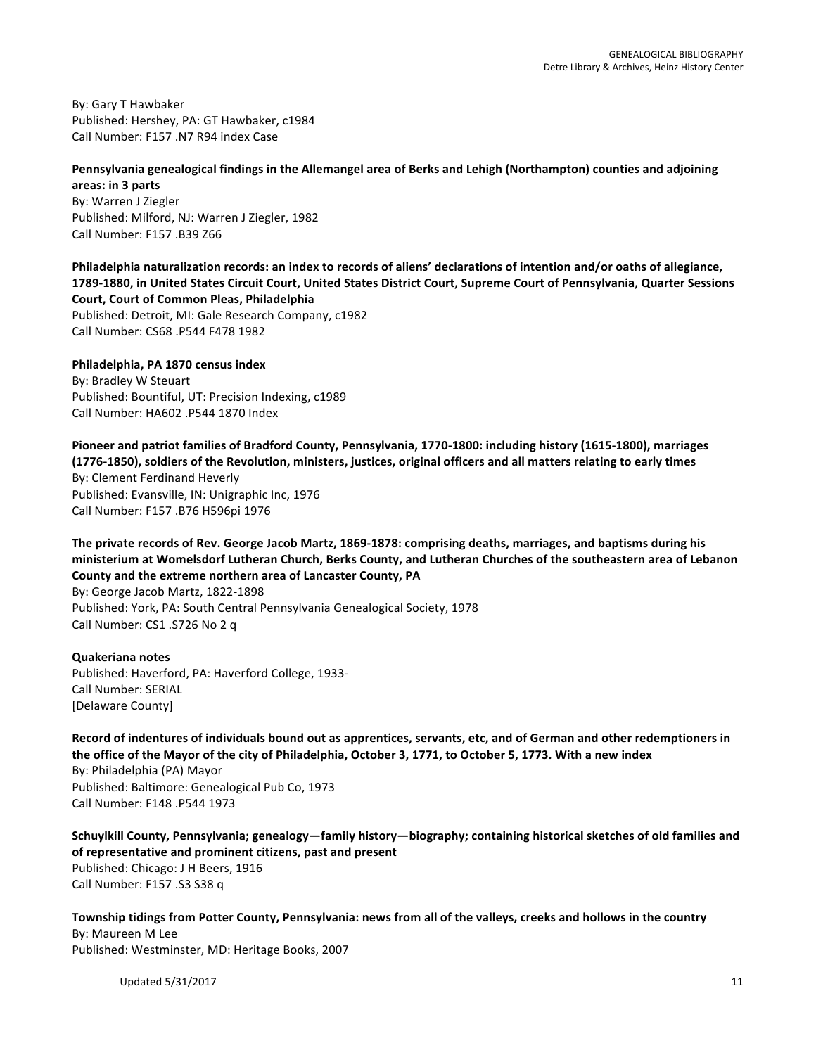By: Gary T Hawbaker Published: Hershey, PA: GT Hawbaker, c1984 Call Number: F157 .N7 R94 index Case

# Pennsylvania genealogical findings in the Allemangel area of Berks and Lehigh (Northampton) counties and adjoining

**areas: in 3 parts** By: Warren J Ziegler Published: Milford, NJ: Warren J Ziegler, 1982 Call Number: F157 .B39 Z66

**Philadelphia naturalization records: an index to records of aliens' declarations of intention and/or oaths of allegiance,** 1789-1880, in United States Circuit Court, United States District Court, Supreme Court of Pennsylvania, Quarter Sessions **Court, Court of Common Pleas, Philadelphia** Published: Detroit, MI: Gale Research Company, c1982 Call Number: CS68 .P544 F478 1982

**Philadelphia, PA 1870 census index** By: Bradley W Steuart Published: Bountiful, UT: Precision Indexing, c1989 Call Number: HA602 .P544 1870 Index

Pioneer and patriot families of Bradford County, Pennsylvania, 1770-1800: including history (1615-1800), marriages (1776-1850), soldiers of the Revolution, ministers, justices, original officers and all matters relating to early times By: Clement Ferdinand Heverly Published: Evansville, IN: Unigraphic Inc, 1976 Call Number: F157 .B76 H596pi 1976

The private records of Rev. George Jacob Martz, 1869-1878: comprising deaths, marriages, and baptisms during his ministerium at Womelsdorf Lutheran Church, Berks County, and Lutheran Churches of the southeastern area of Lebanon County and the extreme northern area of Lancaster County, PA

By: George Jacob Martz, 1822-1898 Published: York, PA: South Central Pennsylvania Genealogical Society, 1978 Call Number: CS1 .S726 No 2 q

**Quakeriana notes** Published: Haverford, PA: Haverford College, 1933-Call Number: SERIAL [Delaware County]

Record of indentures of individuals bound out as apprentices, servants, etc, and of German and other redemptioners in the office of the Mayor of the city of Philadelphia, October 3, 1771, to October 5, 1773. With a new index

By: Philadelphia (PA) Mayor Published: Baltimore: Genealogical Pub Co, 1973 Call Number: F148 .P544 1973

Schuylkill County, Pennsylvania; genealogy—family history—biography; containing historical sketches of old families and of representative and prominent citizens, past and present Published: Chicago: J H Beers, 1916 Call Number: F157 .S3 S38 q

**Township tidings from Potter County, Pennsylvania: news from all of the valleys, creeks and hollows in the country** By: Maureen M Lee Published: Westminster, MD: Heritage Books, 2007

Updated  $5/31/2017$  and  $11$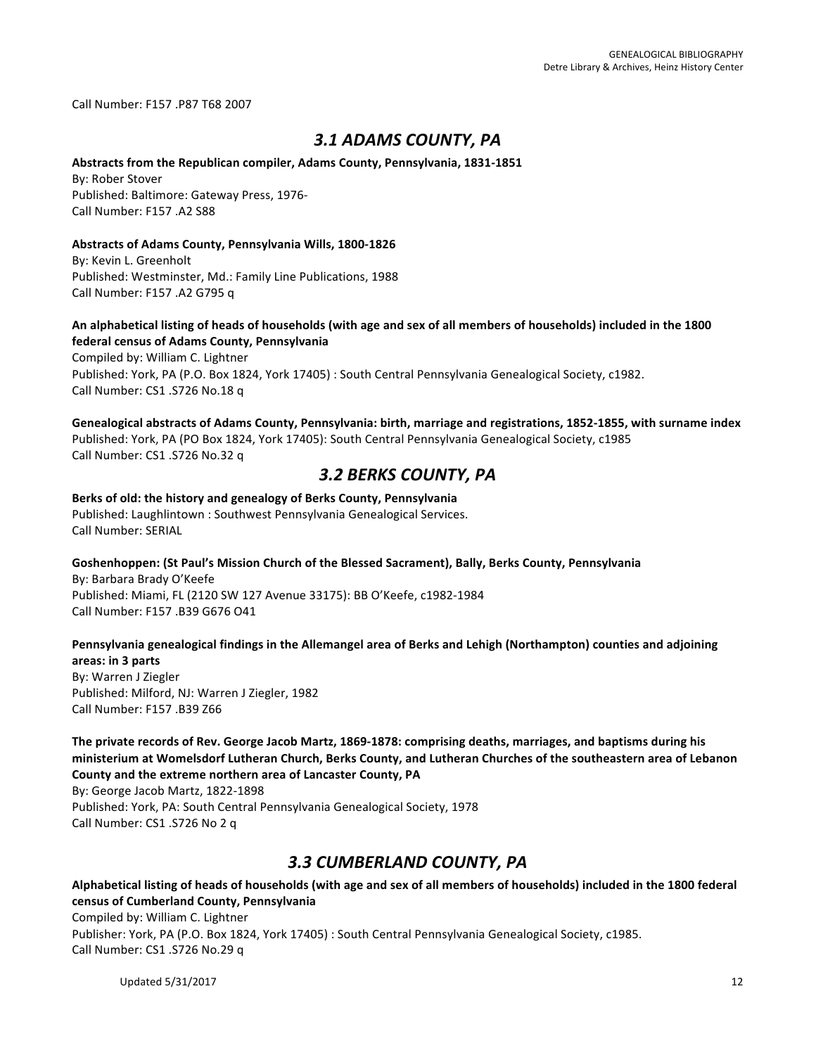Call Number: F157 .P87 T68 2007

# *3.1 ADAMS COUNTY, PA*

# Abstracts from the Republican compiler, Adams County, Pennsylvania, 1831-1851

**By: Rober Stover** Published: Baltimore: Gateway Press, 1976-Call Number: F157 .A2 S88

### Abstracts of Adams County, Pennsylvania Wills, 1800-1826

By: Kevin L. Greenholt Published: Westminster, Md.: Family Line Publications, 1988 Call Number: F157 .A2 G795 q

### An alphabetical listing of heads of households (with age and sex of all members of households) included in the 1800 **federal census of Adams County, Pennsylvania**

Compiled by: William C. Lightner Published: York, PA (P.O. Box 1824, York 17405) : South Central Pennsylvania Genealogical Society, c1982. Call Number: CS1 .S726 No.18 q

Genealogical abstracts of Adams County, Pennsylvania: birth, marriage and registrations, 1852-1855, with surname index Published: York, PA (PO Box 1824, York 17405): South Central Pennsylvania Genealogical Society, c1985 Call Number: CS1 .S726 No.32 q

# *3.2 BERKS COUNTY, PA*

# Berks of old: the history and genealogy of Berks County, Pennsylvania

Published: Laughlintown : Southwest Pennsylvania Genealogical Services. Call Number: SERIAL

# Goshenhoppen: (St Paul's Mission Church of the Blessed Sacrament), Bally, Berks County, Pennsylvania By: Barbara Brady O'Keefe Published: Miami, FL (2120 SW 127 Avenue 33175): BB O'Keefe, c1982-1984 Call Number: F157 .B39 G676 O41

### Pennsylvania genealogical findings in the Allemangel area of Berks and Lehigh (Northampton) counties and adjoining **areas: in 3 parts**

By: Warren J Ziegler Published: Milford, NJ: Warren J Ziegler, 1982 Call Number: F157 .B39 Z66

The private records of Rev. George Jacob Martz, 1869-1878: comprising deaths, marriages, and baptisms during his ministerium at Womelsdorf Lutheran Church, Berks County, and Lutheran Churches of the southeastern area of Lebanon County and the extreme northern area of Lancaster County, PA

By: George Jacob Martz, 1822-1898

Published: York, PA: South Central Pennsylvania Genealogical Society, 1978 Call Number: CS1 .S726 No 2 q

# *3.3 CUMBERLAND COUNTY, PA*

Alphabetical listing of heads of households (with age and sex of all members of households) included in the 1800 federal **census of Cumberland County, Pennsylvania** Compiled by: William C. Lightner

Publisher: York, PA (P.O. Box 1824, York 17405) : South Central Pennsylvania Genealogical Society, c1985. Call Number: CS1 .S726 No.29 q

Updated  $5/31/2017$  and  $12$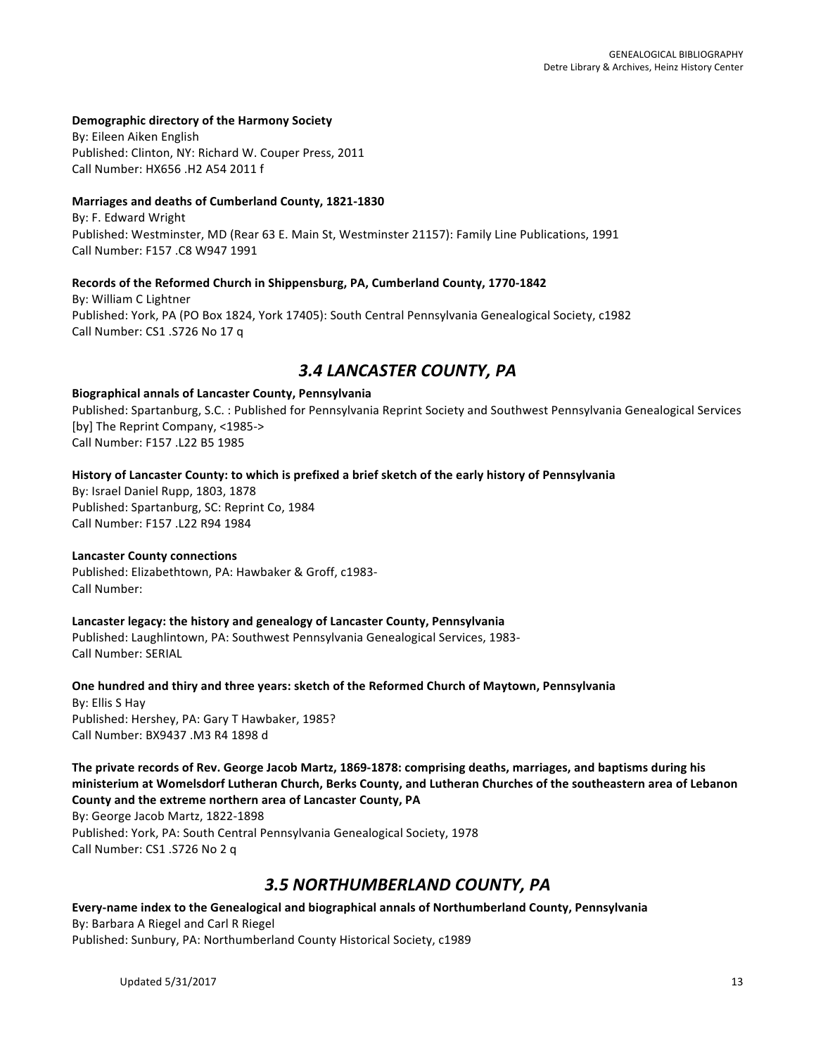### Demographic directory of the Harmony Society

By: Eileen Aiken English Published: Clinton, NY: Richard W. Couper Press, 2011 Call Number: HX656 .H2 A54 2011 f

### Marriages and deaths of Cumberland County, 1821-1830

By: F. Edward Wright Published: Westminster, MD (Rear 63 E. Main St, Westminster 21157): Family Line Publications, 1991 Call Number: F157 .C8 W947 1991

### Records of the Reformed Church in Shippensburg, PA, Cumberland County, 1770-1842

By: William C Lightner Published: York, PA (PO Box 1824, York 17405): South Central Pennsylvania Genealogical Society, c1982 Call Number: CS1 .S726 No 17 q

# *3.4 LANCASTER COUNTY, PA*

### **Biographical annals of Lancaster County, Pennsylvania**

Published: Spartanburg, S.C. : Published for Pennsylvania Reprint Society and Southwest Pennsylvania Genealogical Services [by] The Reprint Company, <1985-> Call Number: F157 .L22 B5 1985

History of Lancaster County: to which is prefixed a brief sketch of the early history of Pennsylvania

By: Israel Daniel Rupp, 1803, 1878 Published: Spartanburg, SC: Reprint Co, 1984 Call Number: F157 .L22 R94 1984

### **Lancaster County connections**

Published: Elizabethtown, PA: Hawbaker & Groff, c1983-Call Number:

### Lancaster legacy: the history and genealogy of Lancaster County, Pennsylvania

Published: Laughlintown, PA: Southwest Pennsylvania Genealogical Services, 1983-Call Number: SERIAL

**One hundred and thiry and three years: sketch of the Reformed Church of Maytown, Pennsylvania** By: Ellis S Hay Published: Hershey, PA: Gary T Hawbaker, 1985? Call Number: BX9437 .M3 R4 1898 d

The private records of Rev. George Jacob Martz, 1869-1878: comprising deaths, marriages, and baptisms during his ministerium at Womelsdorf Lutheran Church, Berks County, and Lutheran Churches of the southeastern area of Lebanon County and the extreme northern area of Lancaster County, PA

By: George Jacob Martz, 1822-1898 Published: York, PA: South Central Pennsylvania Genealogical Society, 1978 Call Number: CS1 .S726 No 2 q

# *3.5 NORTHUMBERLAND COUNTY, PA*

Every-name index to the Genealogical and biographical annals of Northumberland County, Pennsylvania By: Barbara A Riegel and Carl R Riegel Published: Sunbury, PA: Northumberland County Historical Society, c1989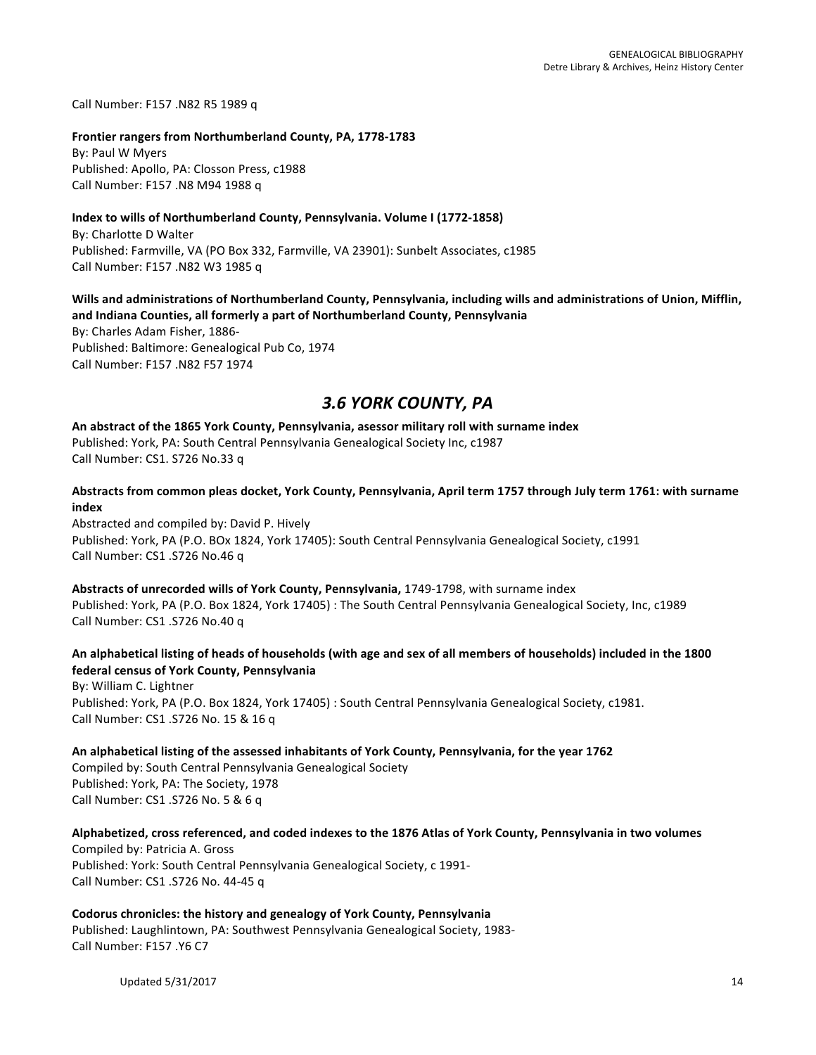Call Number: F157 .N82 R5 1989 q

Frontier rangers from Northumberland County, PA, 1778-1783 By: Paul W Myers Published: Apollo, PA: Closson Press, c1988 Call Number: F157 .N8 M94 1988 q

### **Index to wills of Northumberland County, Pennsylvania. Volume I (1772-1858)**

By: Charlotte D Walter Published: Farmville, VA (PO Box 332, Farmville, VA 23901): Sunbelt Associates, c1985 Call Number: F157 .N82 W3 1985 q

### Wills and administrations of Northumberland County, Pennsylvania, including wills and administrations of Union, Mifflin, and Indiana Counties, all formerly a part of Northumberland County, Pennsylvania

By: Charles Adam Fisher, 1886-Published: Baltimore: Genealogical Pub Co, 1974 Call Number: F157 .N82 F57 1974

# *3.6 YORK COUNTY, PA*

An abstract of the 1865 York County, Pennsylvania, asessor military roll with surname index Published: York, PA: South Central Pennsylvania Genealogical Society Inc, c1987 Call Number: CS1. S726 No.33 q

Abstracts from common pleas docket, York County, Pennsylvania, April term 1757 through July term 1761: with surname **index**

Abstracted and compiled by: David P. Hively Published: York, PA (P.O. BOx 1824, York 17405): South Central Pennsylvania Genealogical Society, c1991 Call Number: CS1 .S726 No.46 q

**Abstracts of unrecorded wills of York County, Pennsylvania, 1749-1798, with surname index** Published: York, PA (P.O. Box 1824, York 17405) : The South Central Pennsylvania Genealogical Society, Inc, c1989 Call Number: CS1 .S726 No.40 q

# An alphabetical listing of heads of households (with age and sex of all members of households) included in the 1800 **federal census of York County, Pennsylvania**

By: William C. Lightner Published: York, PA (P.O. Box 1824, York 17405) : South Central Pennsylvania Genealogical Society, c1981. Call Number: CS1 .S726 No. 15 & 16 q

An alphabetical listing of the assessed inhabitants of York County, Pennsylvania, for the year 1762

Compiled by: South Central Pennsylvania Genealogical Society Published: York, PA: The Society, 1978 Call Number: CS1 .S726 No. 5 & 6 q

# Alphabetized, cross referenced, and coded indexes to the 1876 Atlas of York County, Pennsylvania in two volumes

Compiled by: Patricia A. Gross Published: York: South Central Pennsylvania Genealogical Society, c 1991-Call Number: CS1 .S726 No. 44-45 q

# Codorus chronicles: the history and genealogy of York County, Pennsylvania

Published: Laughlintown, PA: Southwest Pennsylvania Genealogical Society, 1983-Call Number: F157 .Y6 C7

Updated  $5/31/2017$  and  $14$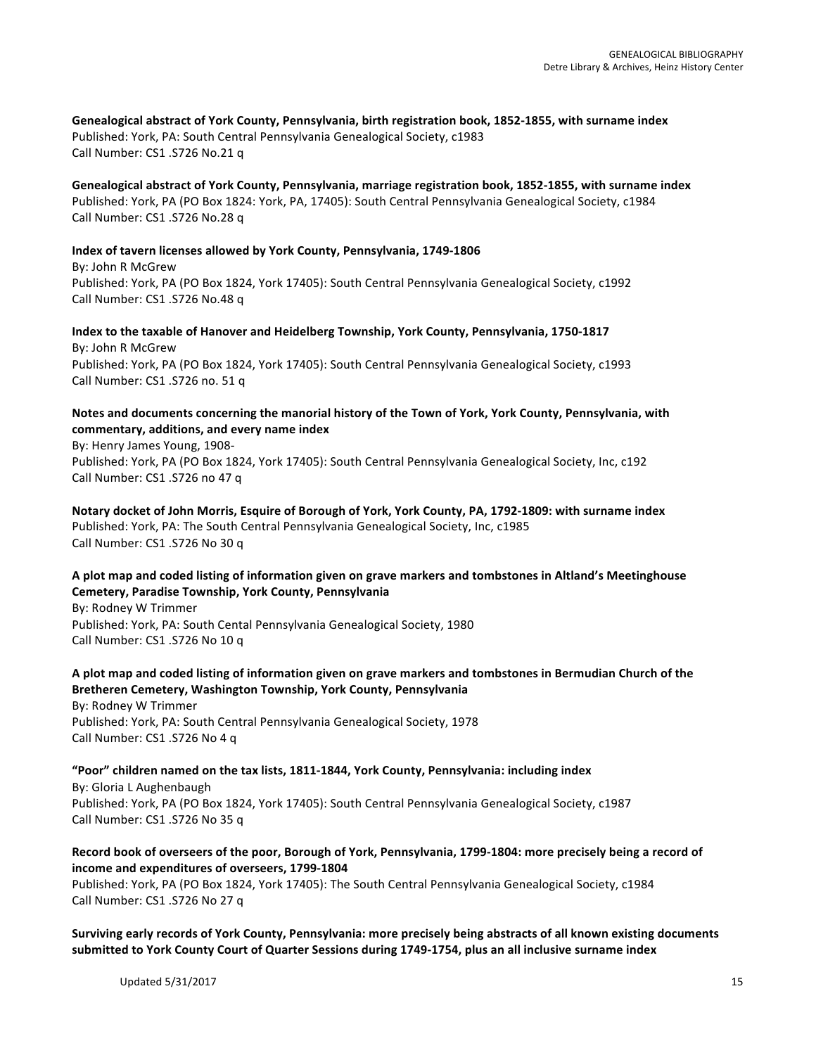Genealogical abstract of York County, Pennsylvania, birth registration book, 1852-1855, with surname index Published: York, PA: South Central Pennsylvania Genealogical Society, c1983 Call Number: CS1 .S726 No.21 q

Genealogical abstract of York County, Pennsylvania, marriage registration book, 1852-1855, with surname index Published: York, PA (PO Box 1824: York, PA, 17405): South Central Pennsylvania Genealogical Society, c1984 Call Number: CS1 .S726 No.28 q

**Index of tavern licenses allowed by York County, Pennsylvania, 1749-1806** By: John R McGrew Published: York, PA (PO Box 1824, York 17405): South Central Pennsylvania Genealogical Society, c1992 Call Number: CS1 .S726 No.48 q

Index to the taxable of Hanover and Heidelberg Township, York County, Pennsylvania, 1750-1817 By: John R McGrew Published: York, PA (PO Box 1824, York 17405): South Central Pennsylvania Genealogical Society, c1993 Call Number: CS1 .S726 no. 51 q

# Notes and documents concerning the manorial history of the Town of York, York County, Pennsylvania, with **commentary, additions, and every name index**

By: Henry James Young, 1908-Published: York, PA (PO Box 1824, York 17405): South Central Pennsylvania Genealogical Society, Inc, c192 Call Number: CS1 .S726 no 47 q

Notary docket of John Morris, Esquire of Borough of York, York County, PA, 1792-1809: with surname index Published: York, PA: The South Central Pennsylvania Genealogical Society, Inc, c1985 Call Number: CS1 .S726 No 30 q

# A plot map and coded listing of information given on grave markers and tombstones in Altland's Meetinghouse **Cemetery, Paradise Township, York County, Pennsylvania**

By: Rodney W Trimmer Published: York, PA: South Cental Pennsylvania Genealogical Society, 1980 Call Number: CS1 .S726 No 10 q

# A plot map and coded listing of information given on grave markers and tombstones in Bermudian Church of the **Bretheren Cemetery, Washington Township, York County, Pennsylvania**

By: Rodney W Trimmer Published: York, PA: South Central Pennsylvania Genealogical Society, 1978 Call Number: CS1 .S726 No 4 q

# "Poor" children named on the tax lists, 1811-1844, York County, Pennsylvania: including index

By: Gloria L Aughenbaugh Published: York, PA (PO Box 1824, York 17405): South Central Pennsylvania Genealogical Society, c1987 Call Number: CS1 .S726 No 35 q

# Record book of overseers of the poor, Borough of York, Pennsylvania, 1799-1804: more precisely being a record of **income and expenditures of overseers, 1799-1804**

Published: York, PA (PO Box 1824, York 17405): The South Central Pennsylvania Genealogical Society, c1984 Call Number: CS1 .S726 No 27 q

# Surviving early records of York County, Pennsylvania: more precisely being abstracts of all known existing documents submitted to York County Court of Quarter Sessions during 1749-1754, plus an all inclusive surname index

Updated  $5/31/2017$  and  $15/31/2017$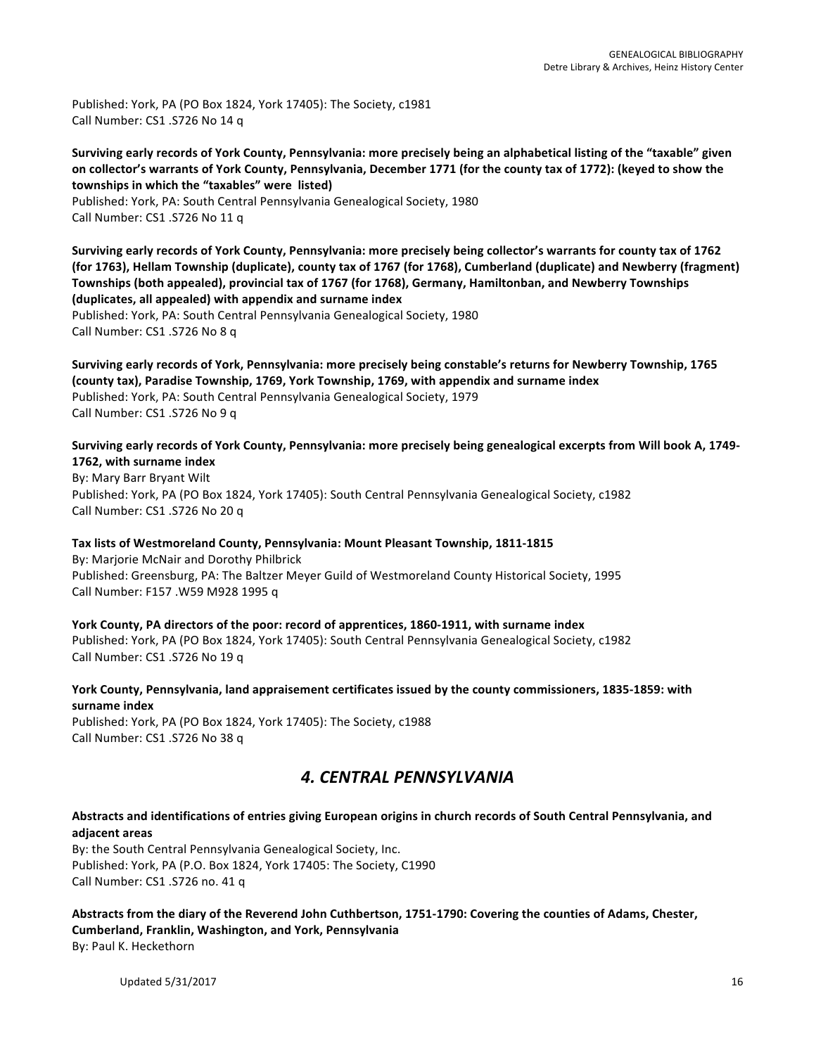Published: York, PA (PO Box 1824, York 17405): The Society, c1981 Call Number: CS1 .S726 No 14 q

Surviving early records of York County, Pennsylvania: more precisely being an alphabetical listing of the "taxable" given on collector's warrants of York County, Pennsylvania, December 1771 (for the county tax of 1772): (keyed to show the townships in which the "taxables" were listed)

Published: York, PA: South Central Pennsylvania Genealogical Society, 1980 Call Number: CS1 .S726 No 11 q

Surviving early records of York County, Pennsylvania: more precisely being collector's warrants for county tax of 1762 (for 1763), Hellam Township (duplicate), county tax of 1767 (for 1768), Cumberland (duplicate) and Newberry (fragment) Townships (both appealed), provincial tax of 1767 (for 1768), Germany, Hamiltonban, and Newberry Townships **(duplicates, all appealed) with appendix and surname index**

Published: York, PA: South Central Pennsylvania Genealogical Society, 1980 Call Number: CS1 .S726 No 8 q

Surviving early records of York, Pennsylvania: more precisely being constable's returns for Newberry Township, 1765 (county tax), Paradise Township, 1769, York Township, 1769, with appendix and surname index Published: York, PA: South Central Pennsylvania Genealogical Society, 1979 Call Number: CS1 .S726 No 9 q

Surviving early records of York County, Pennsylvania: more precisely being genealogical excerpts from Will book A, 1749-1762, with surname index

By: Mary Barr Bryant Wilt Published: York, PA (PO Box 1824, York 17405): South Central Pennsylvania Genealogical Society, c1982 Call Number: CS1 .S726 No 20 q

Tax lists of Westmoreland County, Pennsylvania: Mount Pleasant Township, 1811-1815 By: Marjorie McNair and Dorothy Philbrick Published: Greensburg, PA: The Baltzer Meyer Guild of Westmoreland County Historical Society, 1995 Call Number: F157 .W59 M928 1995 q

York County, PA directors of the poor: record of apprentices, 1860-1911, with surname index Published: York, PA (PO Box 1824, York 17405): South Central Pennsylvania Genealogical Society, c1982 Call Number: CS1 .S726 No 19 q

York County, Pennsylvania, land appraisement certificates issued by the county commissioners, 1835-1859: with **surname index**

Published: York, PA (PO Box 1824, York 17405): The Society, c1988 Call Number: CS1 .S726 No 38 q

# *4. CENTRAL PENNSYLVANIA*

Abstracts and identifications of entries giving European origins in church records of South Central Pennsylvania, and **adjacent areas**

By: the South Central Pennsylvania Genealogical Society, Inc. Published: York, PA (P.O. Box 1824, York 17405: The Society, C1990 Call Number: CS1 .S726 no. 41 q

Abstracts from the diary of the Reverend John Cuthbertson, 1751-1790: Covering the counties of Adams, Chester, **Cumberland, Franklin, Washington, and York, Pennsylvania** By: Paul K. Heckethorn

Updated  $5/31/2017$  and  $16$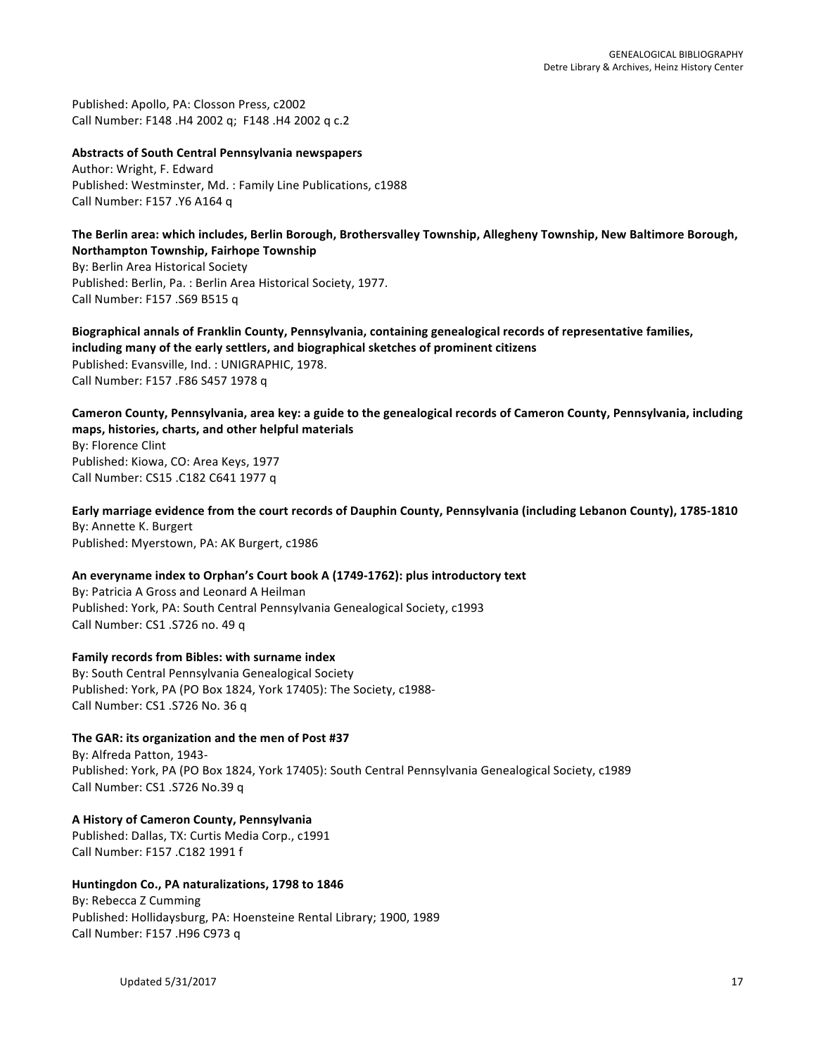Published: Apollo, PA: Closson Press, c2002 Call Number: F148 .H4 2002 q; F148 .H4 2002 q c.2

### **Abstracts of South Central Pennsylvania newspapers**

Author: Wright, F. Edward Published: Westminster, Md. : Family Line Publications, c1988 Call Number: F157 .Y6 A164 q

#### The Berlin area: which includes, Berlin Borough, Brothersvalley Township, Allegheny Township, New Baltimore Borough, **Northampton Township, Fairhope Township**

By: Berlin Area Historical Society Published: Berlin, Pa. : Berlin Area Historical Society, 1977. Call Number: F157 .S69 B515 q

Biographical annals of Franklin County, Pennsylvania, containing genealogical records of representative families, including many of the early settlers, and biographical sketches of prominent citizens Published: Evansville, Ind. : UNIGRAPHIC, 1978. Call Number: F157 .F86 S457 1978 q

Cameron County, Pennsylvania, area key: a guide to the genealogical records of Cameron County, Pennsylvania, including **maps, histories, charts, and other helpful materials** By: Florence Clint Published: Kiowa, CO: Area Keys, 1977 Call Number: CS15 .C182 C641 1977 q

Early marriage evidence from the court records of Dauphin County, Pennsylvania (including Lebanon County), 1785-1810 By: Annette K. Burgert Published: Myerstown, PA: AK Burgert, c1986

# An everyname index to Orphan's Court book A (1749-1762): plus introductory text

By: Patricia A Gross and Leonard A Heilman Published: York, PA: South Central Pennsylvania Genealogical Society, c1993 Call Number: CS1 .S726 no. 49 q

### Family records from Bibles: with surname index

By: South Central Pennsylvania Genealogical Society Published: York, PA (PO Box 1824, York 17405): The Society, c1988-Call Number: CS1 .S726 No. 36 q

# The GAR: its organization and the men of Post #37

By: Alfreda Patton, 1943-Published: York, PA (PO Box 1824, York 17405): South Central Pennsylvania Genealogical Society, c1989 Call Number: CS1 .S726 No.39 q

# **A History of Cameron County, Pennsylvania**

Published: Dallas, TX: Curtis Media Corp., c1991 Call Number: F157 .C182 1991 f

# Huntingdon Co., PA naturalizations, 1798 to 1846

By: Rebecca Z Cumming Published: Hollidaysburg, PA: Hoensteine Rental Library; 1900, 1989 Call Number: F157 .H96 C973 q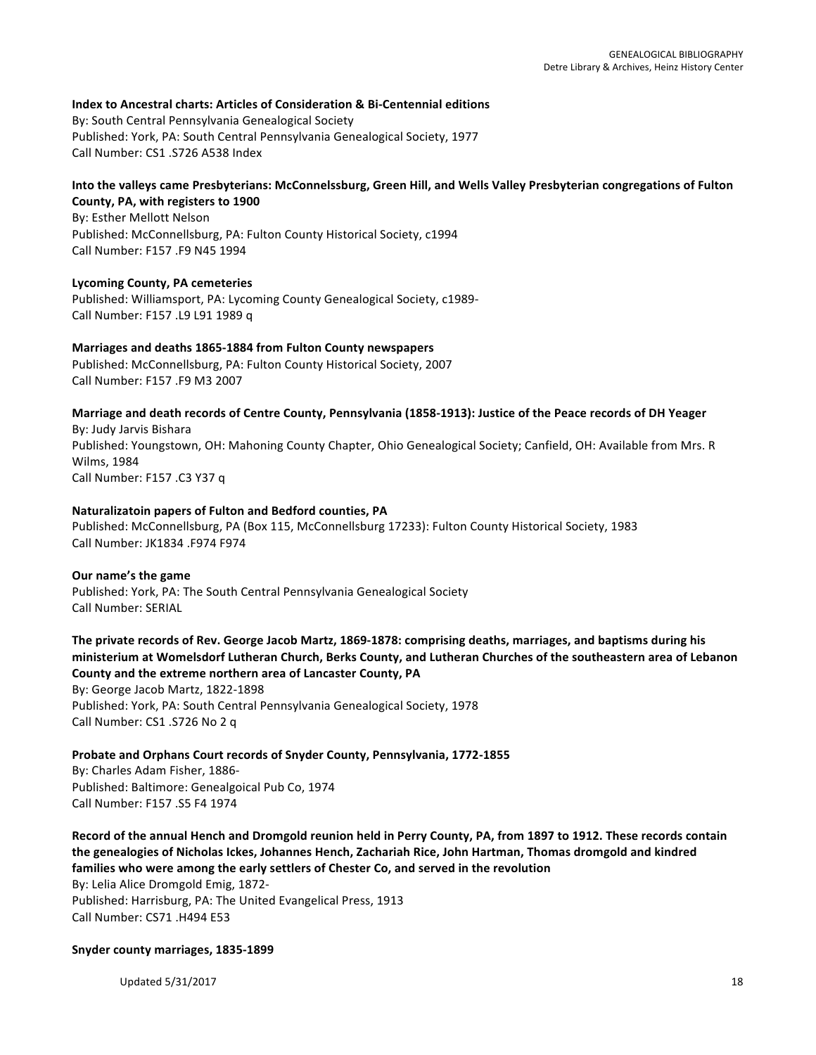### **Index to Ancestral charts: Articles of Consideration & Bi-Centennial editions**

By: South Central Pennsylvania Genealogical Society Published: York, PA: South Central Pennsylvania Genealogical Society, 1977 Call Number: CS1 .S726 A538 Index

# Into the valleys came Presbyterians: McConnelssburg, Green Hill, and Wells Valley Presbyterian congregations of Fulton **County, PA, with registers to 1900**

By: Esther Mellott Nelson Published: McConnellsburg, PA: Fulton County Historical Society, c1994 Call Number: F157 .F9 N45 1994

### **Lycoming County, PA cemeteries**

Published: Williamsport, PA: Lycoming County Genealogical Society, c1989-Call Number: F157 .L9 L91 1989 q

# **Marriages and deaths 1865-1884 from Fulton County newspapers**

Published: McConnellsburg, PA: Fulton County Historical Society, 2007 Call Number: F157 .F9 M3 2007

### Marriage and death records of Centre County, Pennsylvania (1858-1913): Justice of the Peace records of DH Yeager

By: Judy Jarvis Bishara Published: Youngstown, OH: Mahoning County Chapter, Ohio Genealogical Society; Canfield, OH: Available from Mrs. R Wilms, 1984 Call Number: F157 .C3 Y37 q

### **Naturalizatoin papers of Fulton and Bedford counties, PA**

Published: McConnellsburg, PA (Box 115, McConnellsburg 17233): Fulton County Historical Society, 1983 Call Number: JK1834 .F974 F974

### **Our name's the game**

Published: York, PA: The South Central Pennsylvania Genealogical Society Call Number: SERIAL

# The private records of Rev. George Jacob Martz, 1869-1878: comprising deaths, marriages, and baptisms during his ministerium at Womelsdorf Lutheran Church, Berks County, and Lutheran Churches of the southeastern area of Lebanon County and the extreme northern area of Lancaster County, PA

By: George Jacob Martz, 1822-1898

Published: York, PA: South Central Pennsylvania Genealogical Society, 1978 Call Number: CS1 .S726 No 2 q

# Probate and Orphans Court records of Snyder County, Pennsylvania, 1772-1855

By: Charles Adam Fisher, 1886-Published: Baltimore: Genealgoical Pub Co, 1974 Call Number: F157 .S5 F4 1974

Record of the annual Hench and Dromgold reunion held in Perry County, PA, from 1897 to 1912. These records contain the genealogies of Nicholas Ickes, Johannes Hench, Zachariah Rice, John Hartman, Thomas dromgold and kindred **families** who were among the early settlers of Chester Co, and served in the revolution

By: Lelia Alice Dromgold Emig, 1872-Published: Harrisburg, PA: The United Evangelical Press, 1913 Call Number: CS71 .H494 E53

### **Snyder county marriages, 1835-1899**

Updated  $5/31/2017$  and  $18$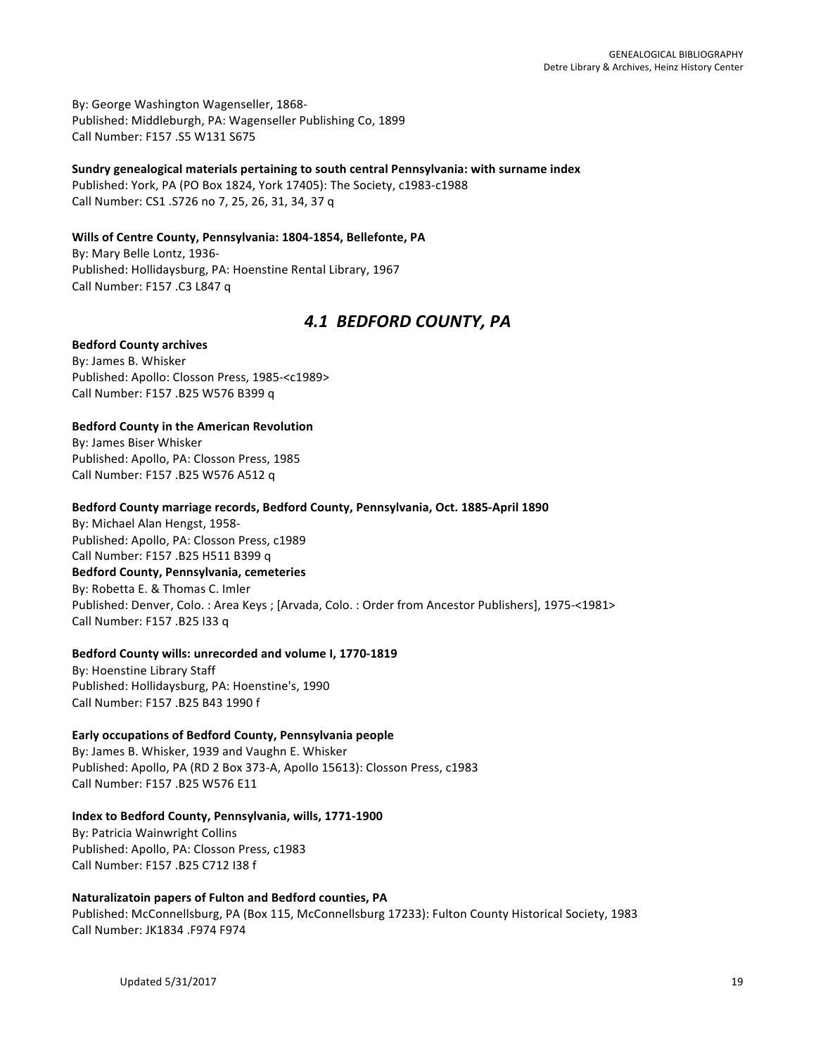By: George Washington Wagenseller, 1868-Published: Middleburgh, PA: Wagenseller Publishing Co, 1899 Call Number: F157 .S5 W131 S675

# Sundry genealogical materials pertaining to south central Pennsylvania: with surname index

Published: York, PA (PO Box 1824, York 17405): The Society, c1983-c1988 Call Number: CS1 .S726 no 7, 25, 26, 31, 34, 37 q

# Wills of Centre County, Pennsylvania: 1804-1854, Bellefonte, PA

By: Mary Belle Lontz, 1936-Published: Hollidaysburg, PA: Hoenstine Rental Library, 1967 Call Number: F157 .C3 L847 q

# *4.1 BEDFORD COUNTY, PA*

# **Bedford County archives**

By: James B. Whisker Published: Apollo: Closson Press, 1985-<c1989> Call Number: F157 .B25 W576 B399 q

# **Bedford County in the American Revolution**

By: James Biser Whisker Published: Apollo, PA: Closson Press, 1985 Call Number: F157 .B25 W576 A512 q

### Bedford County marriage records, Bedford County, Pennsylvania, Oct. 1885-April 1890

By: Michael Alan Hengst, 1958-Published: Apollo, PA: Closson Press, c1989 Call Number: F157 .B25 H511 B399 q **Bedford County, Pennsylvania, cemeteries** By: Robetta E. & Thomas C. Imler Published: Denver, Colo. : Area Keys ; [Arvada, Colo. : Order from Ancestor Publishers], 1975-<1981> Call Number: F157 .B25 I33 q

### Bedford County wills: unrecorded and volume I, 1770-1819

By: Hoenstine Library Staff Published: Hollidaysburg, PA: Hoenstine's, 1990 Call Number: F157 .B25 B43 1990 f

# Early occupations of Bedford County, Pennsylvania people

By: James B. Whisker, 1939 and Vaughn E. Whisker Published: Apollo, PA (RD 2 Box 373-A, Apollo 15613): Closson Press, c1983 Call Number: F157 .B25 W576 E11

# **Index to Bedford County, Pennsylvania, wills, 1771-1900**

By: Patricia Wainwright Collins Published: Apollo, PA: Closson Press, c1983 Call Number: F157 .B25 C712 I38 f

# **Naturalizatoin papers of Fulton and Bedford counties, PA** Published: McConnellsburg, PA (Box 115, McConnellsburg 17233): Fulton County Historical Society, 1983

Call Number: JK1834 .F974 F974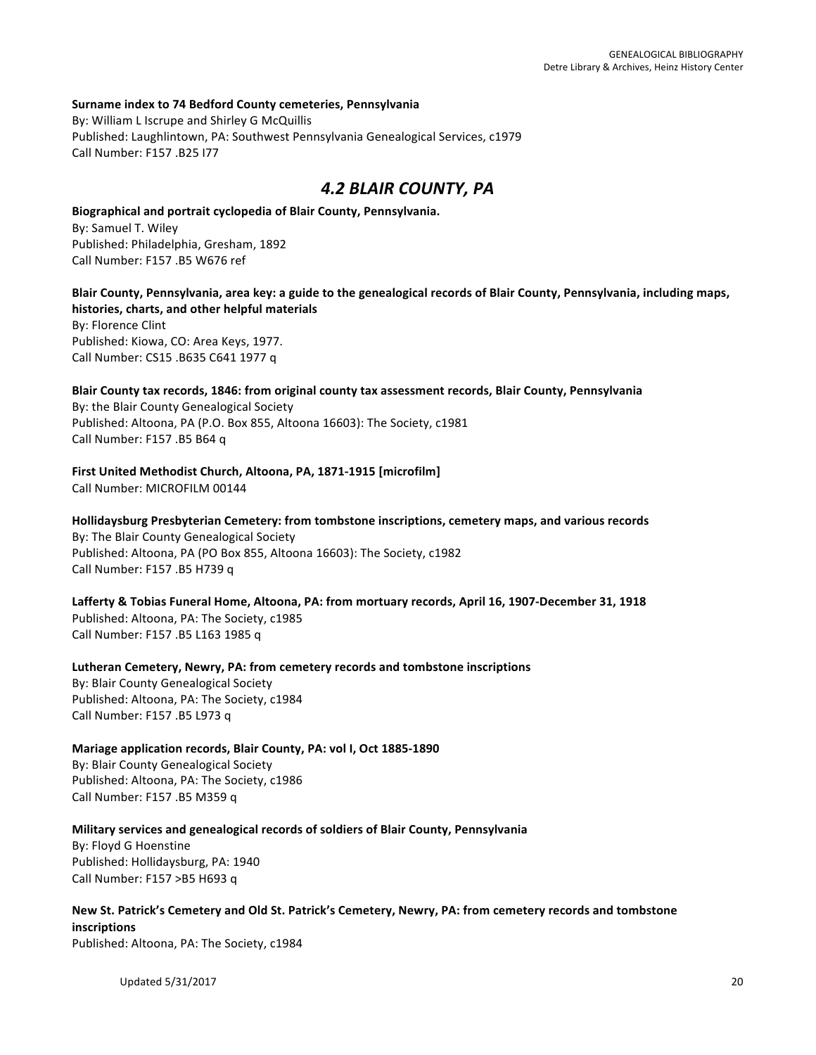### **Surname index to 74 Bedford County cemeteries, Pennsylvania**

By: William L Iscrupe and Shirley G McQuillis Published: Laughlintown, PA: Southwest Pennsylvania Genealogical Services, c1979 Call Number: F157 .B25 I77

# *4.2 BLAIR COUNTY, PA*

**Biographical and portrait cyclopedia of Blair County, Pennsylvania.** By: Samuel T. Wiley Published: Philadelphia, Gresham, 1892 Call Number: F157 .B5 W676 ref

Blair County, Pennsylvania, area key: a guide to the genealogical records of Blair County, Pennsylvania, including maps, histories, charts, and other helpful materials By: Florence Clint Published: Kiowa, CO: Area Keys, 1977. Call Number: CS15 .B635 C641 1977 q

Blair County tax records, 1846: from original county tax assessment records, Blair County, Pennsylvania By: the Blair County Genealogical Society Published: Altoona, PA (P.O. Box 855, Altoona 16603): The Society, c1981 Call Number: F157 .B5 B64 q

**First United Methodist Church, Altoona, PA, 1871-1915 [microfilm]** 

Call Number: MICROFILM 00144

Hollidaysburg Presbyterian Cemetery: from tombstone inscriptions, cemetery maps, and various records By: The Blair County Genealogical Society Published: Altoona, PA (PO Box 855, Altoona 16603): The Society, c1982 Call Number: F157 .B5 H739 q

Lafferty & Tobias Funeral Home, Altoona, PA: from mortuary records, April 16, 1907-December 31, 1918 Published: Altoona, PA: The Society, c1985 Call Number: F157 .B5 L163 1985 q

Lutheran Cemetery, Newry, PA: from cemetery records and tombstone inscriptions By: Blair County Genealogical Society Published: Altoona, PA: The Society, c1984 Call Number: F157 .B5 L973 q

**Mariage application records, Blair County, PA: vol I, Oct 1885-1890** 

By: Blair County Genealogical Society Published: Altoona, PA: The Society, c1986 Call Number: F157 .B5 M359 q

**Military services and genealogical records of soldiers of Blair County, Pennsylvania** 

By: Floyd G Hoenstine Published: Hollidaysburg, PA: 1940 Call Number: F157 >B5 H693 q

New St. Patrick's Cemetery and Old St. Patrick's Cemetery, Newry, PA: from cemetery records and tombstone **inscriptions** Published: Altoona, PA: The Society, c1984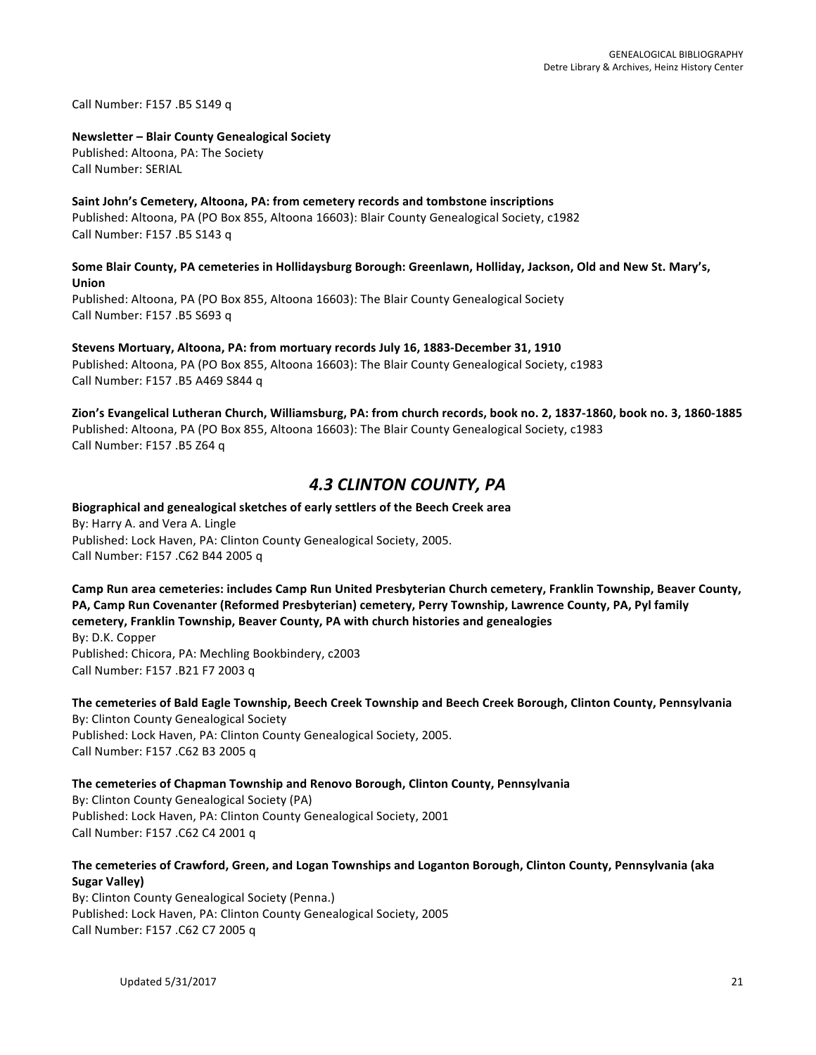Call Number: F157 .B5 S149 q

### **Newsletter – Blair County Genealogical Society**

Published: Altoona, PA: The Society Call Number: SERIAL

# Saint John's Cemetery, Altoona, PA: from cemetery records and tombstone inscriptions Published: Altoona, PA (PO Box 855, Altoona 16603): Blair County Genealogical Society, c1982 Call Number: F157 .B5 S143 q

### Some Blair County, PA cemeteries in Hollidaysburg Borough: Greenlawn, Holliday, Jackson, Old and New St. Mary's, **Union**

Published: Altoona, PA (PO Box 855, Altoona 16603): The Blair County Genealogical Society Call Number: F157 .B5 S693 q

### **Stevens Mortuary, Altoona, PA: from mortuary records July 16, 1883-December 31, 1910** Published: Altoona, PA (PO Box 855, Altoona 16603): The Blair County Genealogical Society, c1983 Call Number: F157 .B5 A469 S844 q

Zion's Evangelical Lutheran Church, Williamsburg, PA: from church records, book no. 2, 1837-1860, book no. 3, 1860-1885 Published: Altoona, PA (PO Box 855, Altoona 16603): The Blair County Genealogical Society, c1983 Call Number: F157 .B5 Z64 q

# *4.3 CLINTON COUNTY, PA*

# **Biographical and genealogical sketches of early settlers of the Beech Creek area** By: Harry A. and Vera A. Lingle Published: Lock Haven, PA: Clinton County Genealogical Society, 2005. Call Number: F157 .C62 B44 2005 q

# Camp Run area cemeteries: includes Camp Run United Presbyterian Church cemetery, Franklin Township, Beaver County, **PA, Camp Run Covenanter (Reformed Presbyterian) cemetery, Perry Township, Lawrence County, PA, Pyl family cemetery, Franklin Township, Beaver County, PA with church histories and genealogies**

By: D.K. Copper Published: Chicora, PA: Mechling Bookbindery, c2003 Call Number: F157 .B21 F7 2003 q

# The cemeteries of Bald Eagle Township, Beech Creek Township and Beech Creek Borough, Clinton County, Pennsylvania By: Clinton County Genealogical Society

Published: Lock Haven, PA: Clinton County Genealogical Society, 2005. Call Number: F157 .C62 B3 2005 q

# The cemeteries of Chapman Township and Renovo Borough, Clinton County, Pennsylvania

By: Clinton County Genealogical Society (PA) Published: Lock Haven, PA: Clinton County Genealogical Society, 2001 Call Number: F157 .C62 C4 2001 q

# The cemeteries of Crawford, Green, and Logan Townships and Loganton Borough, Clinton County, Pennsylvania (aka **Sugar Valley)**

By: Clinton County Genealogical Society (Penna.) Published: Lock Haven, PA: Clinton County Genealogical Society, 2005 Call Number: F157 .C62 C7 2005 q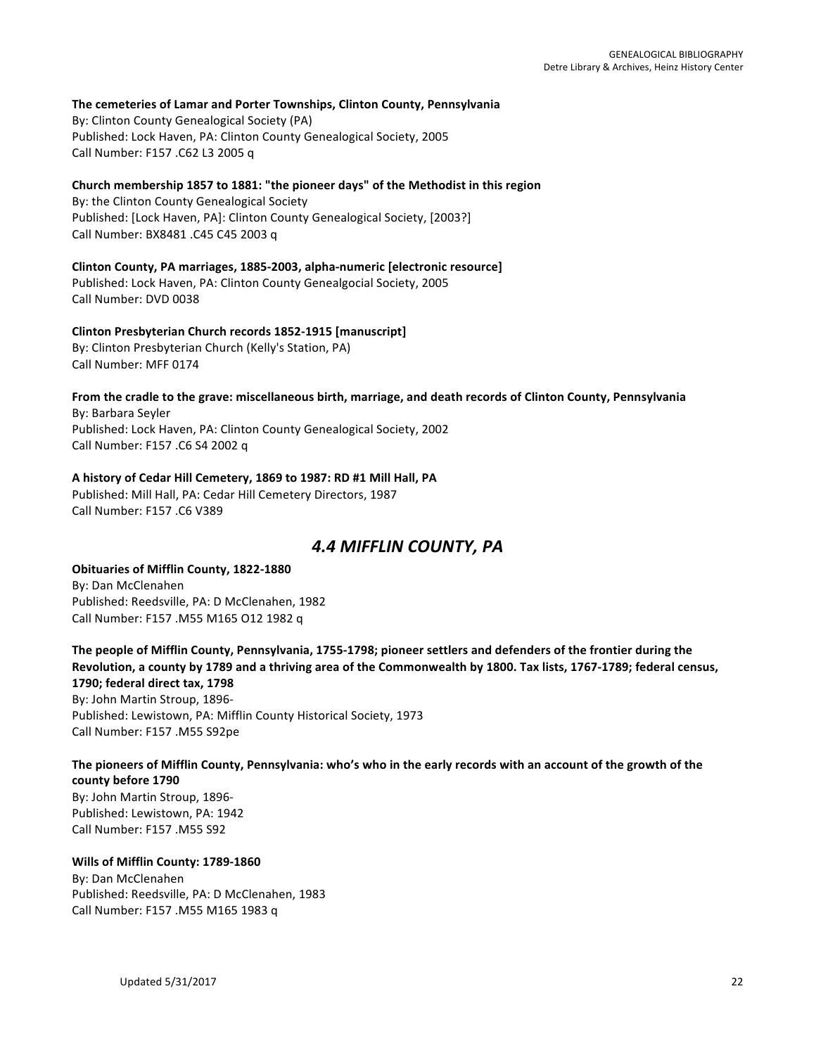### **The cemeteries of Lamar and Porter Townships, Clinton County, Pennsylvania**

By: Clinton County Genealogical Society (PA) Published: Lock Haven, PA: Clinton County Genealogical Society, 2005 Call Number: F157 .C62 L3 2005 q

### Church membership 1857 to 1881: "the pioneer days" of the Methodist in this region

By: the Clinton County Genealogical Society Published: [Lock Haven, PA]: Clinton County Genealogical Society, [2003?] Call Number: BX8481 .C45 C45 2003 q

# **Clinton County, PA marriages, 1885-2003, alpha-numeric [electronic resource]** Published: Lock Haven, PA: Clinton County Genealgocial Society, 2005 Call Number: DVD 0038

# **Clinton Presbyterian Church records 1852-1915 [manuscript]**

By: Clinton Presbyterian Church (Kelly's Station, PA) Call Number: MFF 0174

### From the cradle to the grave: miscellaneous birth, marriage, and death records of Clinton County, Pennsylvania By: Barbara Seyler Published: Lock Haven, PA: Clinton County Genealogical Society, 2002 Call Number: F157 .C6 S4 2002 q

### A history of Cedar Hill Cemetery, 1869 to 1987: RD #1 Mill Hall, PA

Published: Mill Hall, PA: Cedar Hill Cemetery Directors, 1987 Call Number: F157.C6 V389

# *4.4 MIFFLIN COUNTY, PA*

### **Obituaries of Mifflin County, 1822-1880** By: Dan McClenahen Published: Reedsville, PA: D McClenahen, 1982 Call Number: F157 .M55 M165 O12 1982 q

The people of Mifflin County, Pennsylvania, 1755-1798; pioneer settlers and defenders of the frontier during the Revolution, a county by 1789 and a thriving area of the Commonwealth by 1800. Tax lists, 1767-1789; federal census, **1790; federal direct tax, 1798** By: John Martin Stroup, 1896-Published: Lewistown, PA: Mifflin County Historical Society, 1973 Call Number: F157 .M55 S92pe

# The pioneers of Mifflin County, Pennsylvania: who's who in the early records with an account of the growth of the **county before 1790** By: John Martin Stroup, 1896-

Published: Lewistown, PA: 1942 Call Number: F157 .M55 S92

# **Wills of Mifflin County: 1789-1860**

By: Dan McClenahen Published: Reedsville, PA: D McClenahen, 1983 Call Number: F157 .M55 M165 1983 q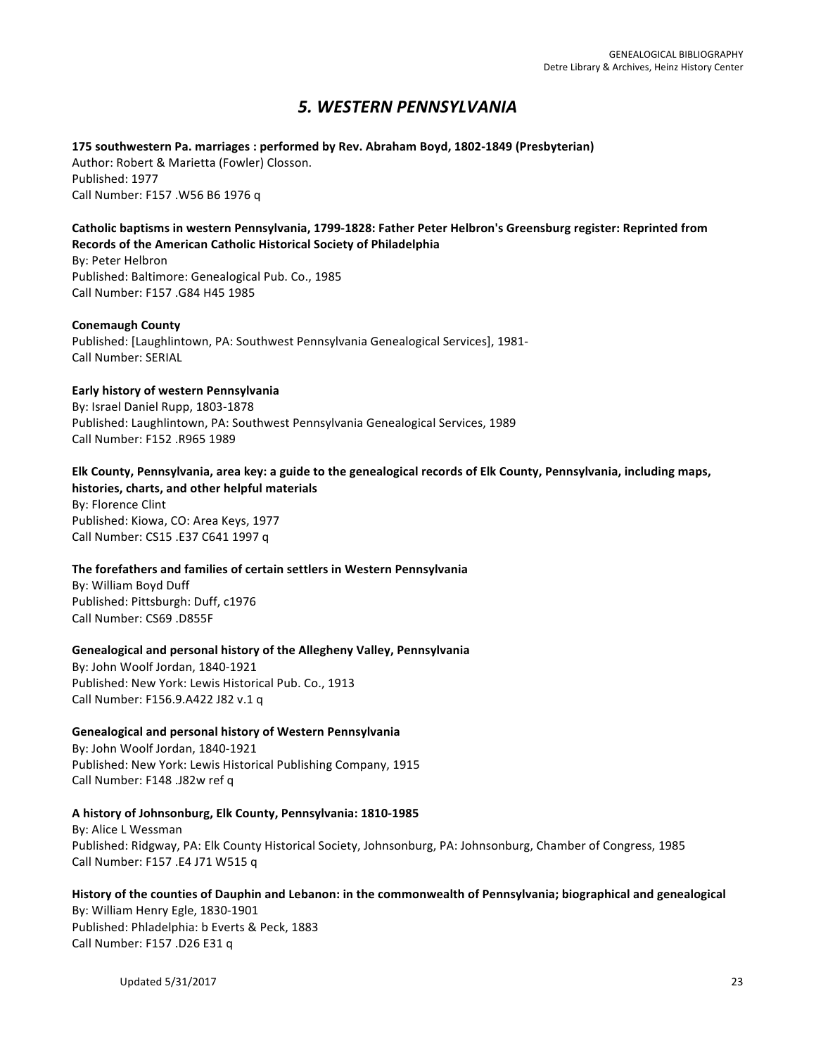# *5. WESTERN PENNSYLVANIA*

**175 southwestern Pa. marriages : performed by Rev. Abraham Boyd, 1802-1849 (Presbyterian)** Author: Robert & Marietta (Fowler) Closson. Published: 1977 Call Number: F157 .W56 B6 1976 q

# Catholic baptisms in western Pennsylvania, 1799-1828: Father Peter Helbron's Greensburg register: Reprinted from **Records of the American Catholic Historical Society of Philadelphia**

By: Peter Helbron Published: Baltimore: Genealogical Pub. Co., 1985 Call Number: F157 .G84 H45 1985

# **Conemaugh County**

Published: [Laughlintown, PA: Southwest Pennsylvania Genealogical Services], 1981-Call Number: SERIAL

### **Early history of western Pennsylvania**

By: Israel Daniel Rupp, 1803-1878 Published: Laughlintown, PA: Southwest Pennsylvania Genealogical Services, 1989 Call Number: F152 .R965 1989

# Elk County, Pennsylvania, area key: a guide to the genealogical records of Elk County, Pennsylvania, including maps,

histories, charts, and other helpful materials By: Florence Clint Published: Kiowa, CO: Area Keys, 1977 Call Number: CS15 .E37 C641 1997 q

# The forefathers and families of certain settlers in Western Pennsylvania

By: William Boyd Duff Published: Pittsburgh: Duff, c1976 Call Number: CS69 .D855F

# **Genealogical and personal history of the Allegheny Valley, Pennsylvania**

By: John Woolf Jordan, 1840-1921 Published: New York: Lewis Historical Pub. Co., 1913 Call Number: F156.9.A422 J82 v.1 q

# **Genealogical and personal history of Western Pennsylvania**

By: John Woolf Jordan, 1840-1921 Published: New York: Lewis Historical Publishing Company, 1915 Call Number: F148 .J82w ref q

# A history of Johnsonburg, Elk County, Pennsylvania: 1810-1985

By: Alice L Wessman Published: Ridgway, PA: Elk County Historical Society, Johnsonburg, PA: Johnsonburg, Chamber of Congress, 1985 Call Number: F157 .E4 J71 W515 q

History of the counties of Dauphin and Lebanon: in the commonwealth of Pennsylvania; biographical and genealogical By: William Henry Egle, 1830-1901 Published: Phladelphia: b Everts & Peck, 1883 Call Number: F157 .D26 E31 q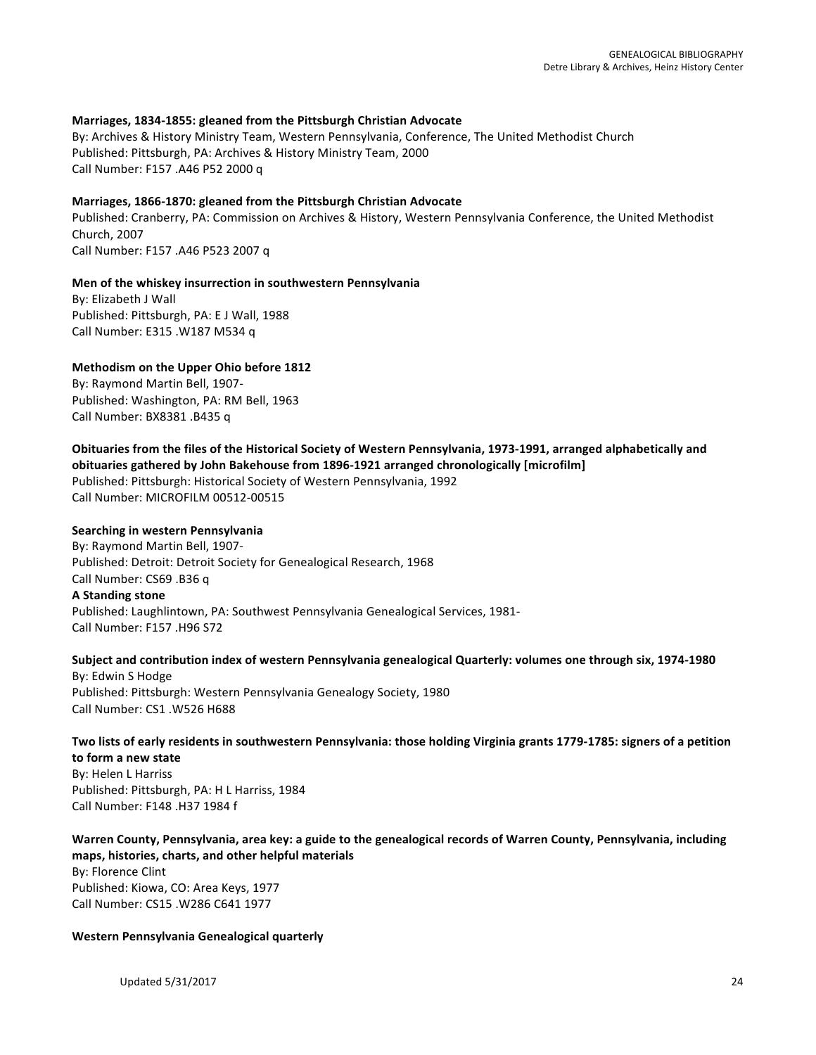### **Marriages, 1834-1855: gleaned from the Pittsburgh Christian Advocate**

By: Archives & History Ministry Team, Western Pennsylvania, Conference, The United Methodist Church Published: Pittsburgh, PA: Archives & History Ministry Team, 2000 Call Number: F157 .A46 P52 2000 q

### Marriages, 1866-1870: gleaned from the Pittsburgh Christian Advocate

Published: Cranberry, PA: Commission on Archives & History, Western Pennsylvania Conference, the United Methodist Church, 2007 Call Number: F157 .A46 P523 2007 q

### **Men of the whiskey insurrection in southwestern Pennsylvania**

By: Elizabeth J Wall Published: Pittsburgh, PA: E J Wall, 1988 Call Number: E315 .W187 M534 q

### **Methodism on the Upper Ohio before 1812**

By: Raymond Martin Bell, 1907-Published: Washington, PA: RM Bell, 1963 Call Number: BX8381 .B435 q

# Obituaries from the files of the Historical Society of Western Pennsylvania, 1973-1991, arranged alphabetically and

**obituaries gathered by John Bakehouse from 1896-1921 arranged chronologically [microfilm]** 

Published: Pittsburgh: Historical Society of Western Pennsylvania, 1992 Call Number: MICROFILM 00512-00515

### **Searching in western Pennsylvania**

By: Raymond Martin Bell, 1907-Published: Detroit: Detroit Society for Genealogical Research, 1968 Call Number: CS69 .B36 q **A Standing stone** Published: Laughlintown, PA: Southwest Pennsylvania Genealogical Services, 1981-Call Number: F157 .H96 S72

### Subject and contribution index of western Pennsylvania genealogical Quarterly: volumes one through six, 1974-1980 By: Edwin S Hodge

Published: Pittsburgh: Western Pennsylvania Genealogy Society, 1980 Call Number: CS1 .W526 H688

### Two lists of early residents in southwestern Pennsylvania: those holding Virginia grants 1779-1785: signers of a petition **to form a new state**

By: Helen L Harriss Published: Pittsburgh, PA: H L Harriss, 1984 Call Number: F148 .H37 1984 f

### Warren County, Pennsylvania, area key: a guide to the genealogical records of Warren County, Pennsylvania, including maps, histories, charts, and other helpful materials

By: Florence Clint Published: Kiowa, CO: Area Keys, 1977 Call Number: CS15 .W286 C641 1977

### **Western Pennsylvania Genealogical quarterly**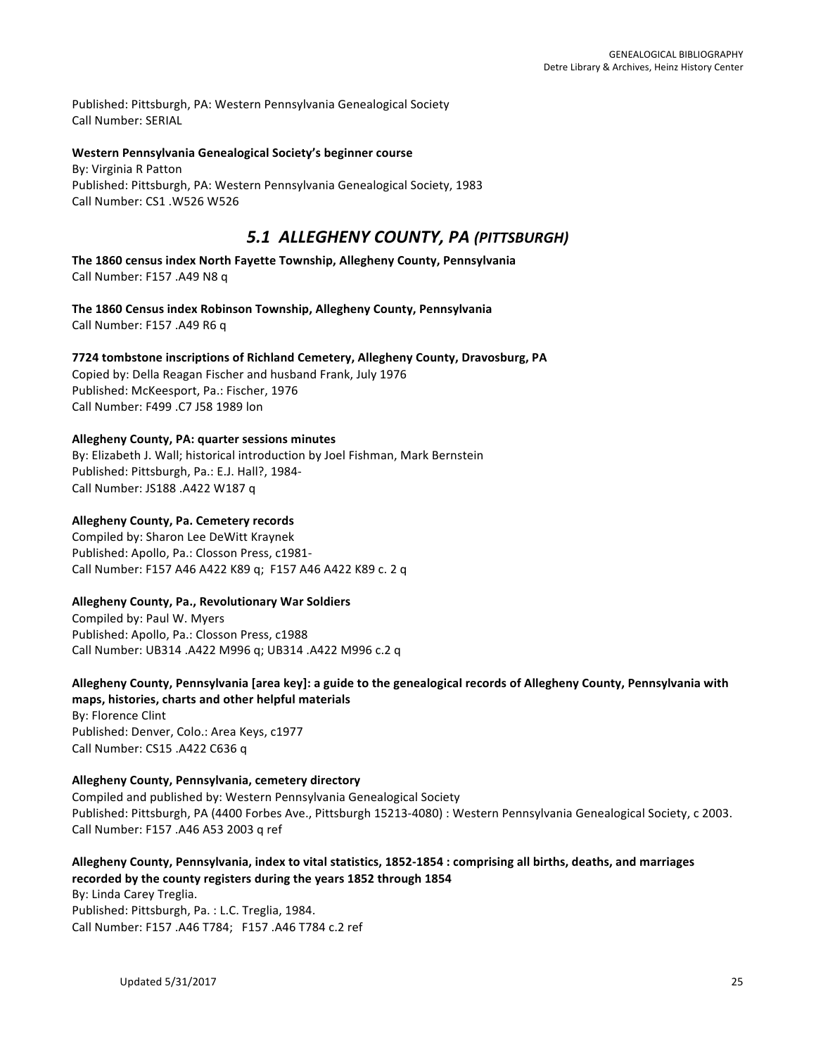Published: Pittsburgh, PA: Western Pennsylvania Genealogical Society Call Number: SERIAL

### Western Pennsylvania Genealogical Society's beginner course

By: Virginia R Patton Published: Pittsburgh, PA: Western Pennsylvania Genealogical Society, 1983 Call Number: CS1 .W526 W526

# *5.1 ALLEGHENY COUNTY, PA (PITTSBURGH)*

The 1860 census index North Fayette Township, Allegheny County, Pennsylvania Call Number: F157 .A49 N8 q

The 1860 Census index Robinson Township, Allegheny County, Pennsylvania Call Number: F157 .A49 R6 q

**7724 tombstone inscriptions of Richland Cemetery, Allegheny County, Dravosburg, PA** Copied by: Della Reagan Fischer and husband Frank, July 1976 Published: McKeesport, Pa.: Fischer, 1976 Call Number: F499 .C7 J58 1989 lon

### **Allegheny County, PA: quarter sessions minutes**

By: Elizabeth J. Wall; historical introduction by Joel Fishman, Mark Bernstein Published: Pittsburgh, Pa.: E.J. Hall?, 1984-Call Number: JS188 .A422 W187 q

### **Allegheny County, Pa. Cemetery records**

Compiled by: Sharon Lee DeWitt Kraynek Published: Apollo, Pa.: Closson Press, c1981-Call Number: F157 A46 A422 K89 q; F157 A46 A422 K89 c. 2 q

# **Allegheny County, Pa., Revolutionary War Soldiers**

Compiled by: Paul W. Myers Published: Apollo, Pa.: Closson Press, c1988 Call Number: UB314 .A422 M996 q; UB314 .A422 M996 c.2 q

# Allegheny County, Pennsylvania [area key]: a guide to the genealogical records of Allegheny County, Pennsylvania with maps, histories, charts and other helpful materials

By: Florence Clint Published: Denver, Colo.: Area Keys, c1977 Call Number: CS15 .A422 C636 q

# **Allegheny County, Pennsylvania, cemetery directory**

Compiled and published by: Western Pennsylvania Genealogical Society Published: Pittsburgh, PA (4400 Forbes Ave., Pittsburgh 15213-4080) : Western Pennsylvania Genealogical Society, c 2003. Call Number: F157 .A46 A53 2003 q ref

# Allegheny County, Pennsylvania, index to vital statistics, 1852-1854 : comprising all births, deaths, and marriages recorded by the county registers during the years 1852 through 1854

By: Linda Carey Treglia. Published: Pittsburgh, Pa. : L.C. Treglia, 1984. Call Number: F157 .A46 T784; F157 .A46 T784 c.2 ref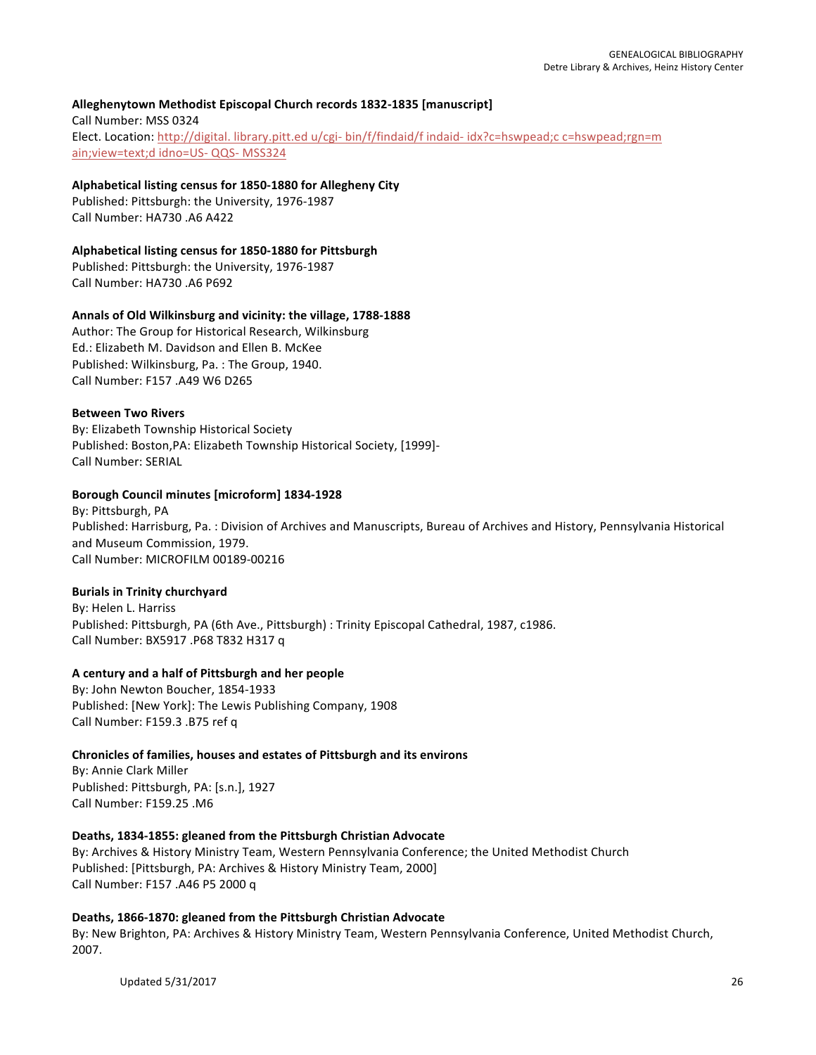# **Alleghenytown Methodist Episcopal Church records 1832-1835 [manuscript]**

Call Number: MSS 0324 Elect. Location: http://digital. library.pitt.ed u/cgi- bin/f/findaid/f indaid- idx?c=hswpead;c c=hswpead;rgn=m ain; view=text;d idno=US- QQS- MSS324

### Alphabetical listing census for 1850-1880 for Allegheny City

Published: Pittsburgh: the University, 1976-1987 Call Number: HA730 .A6 A422

# **Alphabetical listing census for 1850-1880 for Pittsburgh**

Published: Pittsburgh: the University, 1976-1987 Call Number: HA730 .A6 P692

### Annals of Old Wilkinsburg and vicinity: the village, 1788-1888

Author: The Group for Historical Research, Wilkinsburg Ed.: Elizabeth M. Davidson and Ellen B. McKee Published: Wilkinsburg, Pa. : The Group, 1940. Call Number: F157 .A49 W6 D265

### **Between Two Rivers**

By: Elizabeth Township Historical Society Published: Boston, PA: Elizabeth Township Historical Society, [1999]-Call Number: SERIAL

# **Borough Council minutes [microform] 1834-1928**

By: Pittsburgh, PA Published: Harrisburg, Pa. : Division of Archives and Manuscripts, Bureau of Archives and History, Pennsylvania Historical and Museum Commission, 1979. Call Number: MICROFILM 00189-00216

# **Burials in Trinity churchyard**

By: Helen L. Harriss Published: Pittsburgh, PA (6th Ave., Pittsburgh) : Trinity Episcopal Cathedral, 1987, c1986. Call Number: BX5917 .P68 T832 H317 q

# **A century and a half of Pittsburgh and her people**

By: John Newton Boucher, 1854-1933 Published: [New York]: The Lewis Publishing Company, 1908 Call Number: F159.3 .B75 ref q

# **Chronicles of families, houses and estates of Pittsburgh and its environs**

By: Annie Clark Miller Published: Pittsburgh, PA: [s.n.], 1927 Call Number: F159.25 .M6

# Deaths, 1834-1855: gleaned from the Pittsburgh Christian Advocate

By: Archives & History Ministry Team, Western Pennsylvania Conference; the United Methodist Church Published: [Pittsburgh, PA: Archives & History Ministry Team, 2000] Call Number: F157 .A46 P5 2000 q

# Deaths, 1866-1870: gleaned from the Pittsburgh Christian Advocate

By: New Brighton, PA: Archives & History Ministry Team, Western Pennsylvania Conference, United Methodist Church, 2007.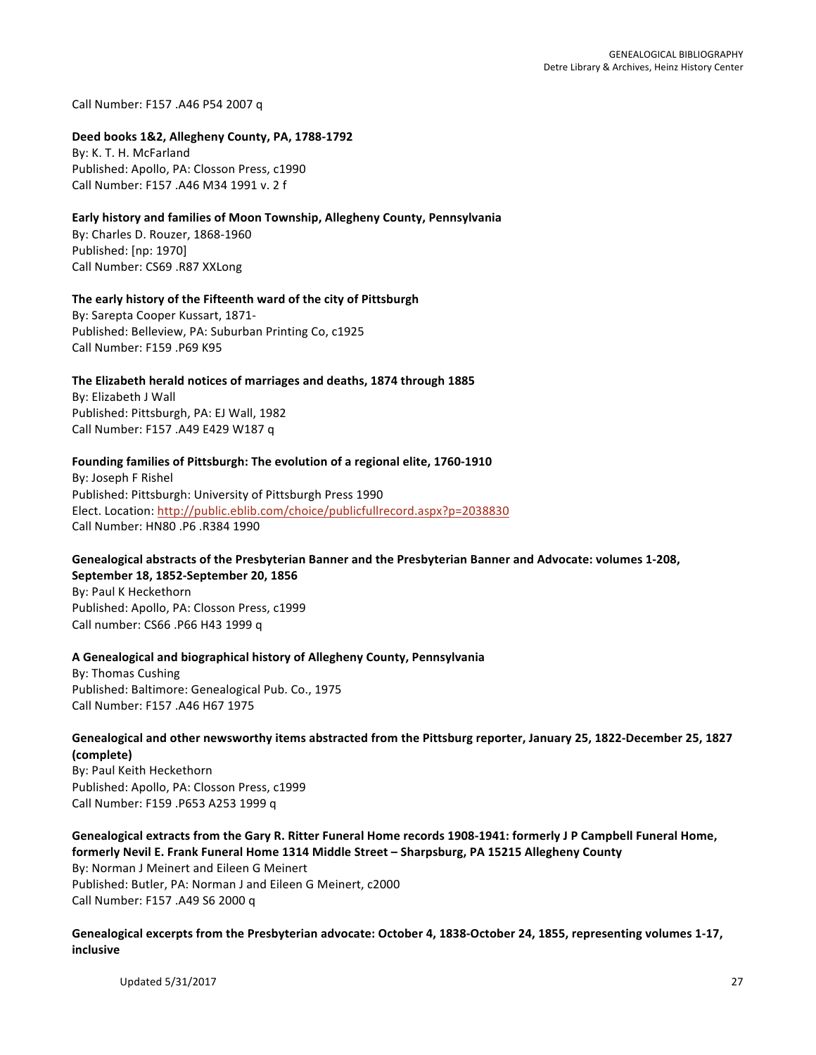Call Number: F157 .A46 P54 2007 q

### **Deed books 1&2, Allegheny County, PA, 1788-1792**

By: K. T. H. McFarland Published: Apollo, PA: Closson Press, c1990 Call Number: F157 .A46 M34 1991 v. 2 f

### **Early history and families of Moon Township, Allegheny County, Pennsylvania**

By: Charles D. Rouzer, 1868-1960 Published: [np: 1970] Call Number: CS69 .R87 XXLong

### The early history of the Fifteenth ward of the city of Pittsburgh

By: Sarepta Cooper Kussart, 1871-Published: Belleview, PA: Suburban Printing Co, c1925 Call Number: F159 .P69 K95

### The Elizabeth herald notices of marriages and deaths, 1874 through 1885

By: Elizabeth J Wall Published: Pittsburgh, PA: EJ Wall, 1982 Call Number: F157 .A49 E429 W187 q

### Founding families of Pittsburgh: The evolution of a regional elite, 1760-1910

By: Joseph F Rishel Published: Pittsburgh: University of Pittsburgh Press 1990 Elect. Location: http://public.eblib.com/choice/publicfullrecord.aspx?p=2038830 Call Number: HN80 .P6 .R384 1990

# Genealogical abstracts of the Presbyterian Banner and the Presbyterian Banner and Advocate: volumes 1-208, **September 18, 1852-September 20, 1856**

By: Paul K Heckethorn Published: Apollo, PA: Closson Press, c1999 Call number: CS66 .P66 H43 1999 q

### **A Genealogical and biographical history of Allegheny County, Pennsylvania**

By: Thomas Cushing Published: Baltimore: Genealogical Pub. Co., 1975 Call Number: F157 .A46 H67 1975

# Genealogical and other newsworthy items abstracted from the Pittsburg reporter, January 25, 1822-December 25, 1827 **(complete)**

By: Paul Keith Heckethorn Published: Apollo, PA: Closson Press, c1999 Call Number: F159 .P653 A253 1999 q

### Genealogical extracts from the Gary R. Ritter Funeral Home records 1908-1941: formerly J P Campbell Funeral Home, formerly Nevil E. Frank Funeral Home 1314 Middle Street - Sharpsburg, PA 15215 Allegheny County By: Norman J Meinert and Eileen G Meinert

Published: Butler, PA: Norman J and Eileen G Meinert, c2000 Call Number: F157 .A49 S6 2000 q

### Genealogical excerpts from the Presbyterian advocate: October 4, 1838-October 24, 1855, representing volumes 1-17, **inclusive**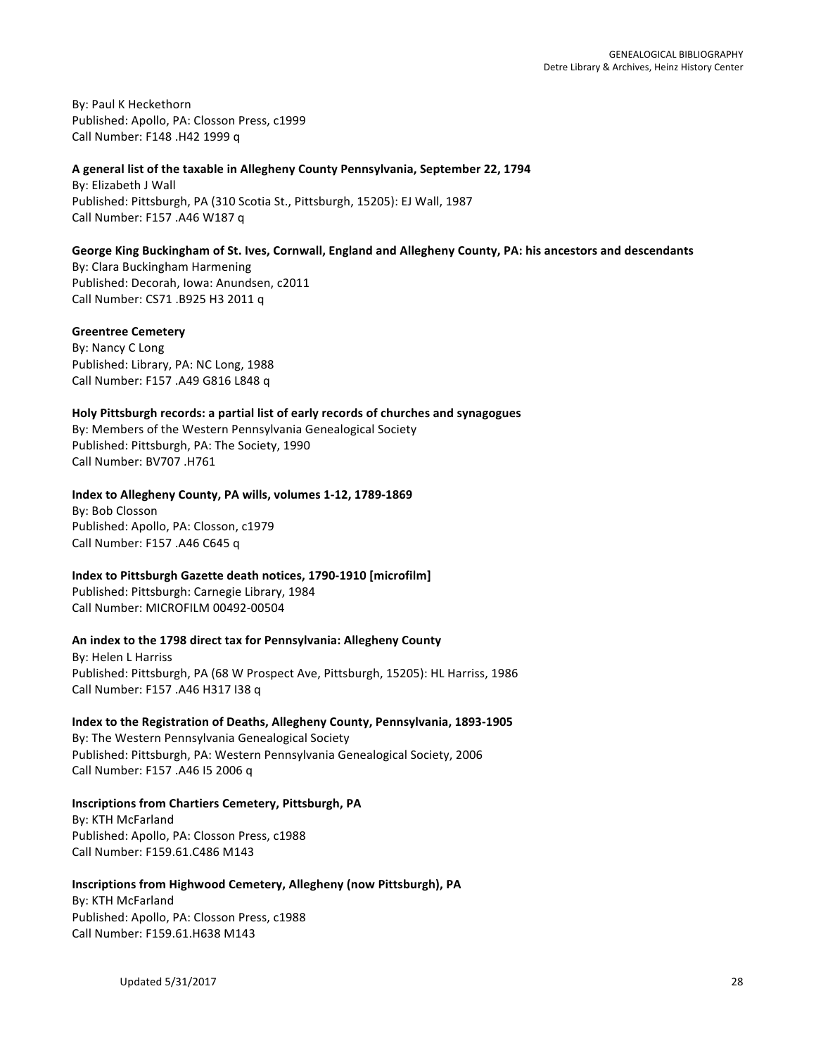By: Paul K Heckethorn Published: Apollo, PA: Closson Press, c1999 Call Number: F148 .H42 1999 q

### A general list of the taxable in Allegheny County Pennsylvania, September 22, 1794

By: Elizabeth J Wall Published: Pittsburgh, PA (310 Scotia St., Pittsburgh, 15205): EJ Wall, 1987 Call Number: F157 .A46 W187 q

### George King Buckingham of St. Ives, Cornwall, England and Allegheny County, PA: his ancestors and descendants

By: Clara Buckingham Harmening Published: Decorah, Iowa: Anundsen, c2011 Call Number: CS71 .B925 H3 2011 q

### **Greentree Cemetery**

By: Nancy C Long Published: Library, PA: NC Long, 1988 Call Number: F157 .A49 G816 L848 q

# **Holy Pittsburgh records: a partial list of early records of churches and synagogues**

By: Members of the Western Pennsylvania Genealogical Society Published: Pittsburgh, PA: The Society, 1990 Call Number: BV707 .H761

### Index to Allegheny County, PA wills, volumes 1-12, 1789-1869

By: Bob Closson Published: Apollo, PA: Closson, c1979 Call Number: F157 .A46 C645 q

# **Index to Pittsburgh Gazette death notices, 1790-1910 [microfilm]**

Published: Pittsburgh: Carnegie Library, 1984 Call Number: MICROFILM 00492-00504

# An index to the 1798 direct tax for Pennsylvania: Allegheny County

**By: Helen L Harriss** Published: Pittsburgh, PA (68 W Prospect Ave, Pittsburgh, 15205): HL Harriss, 1986 Call Number: F157 .A46 H317 I38 q

# **Index to the Registration of Deaths, Allegheny County, Pennsylvania, 1893-1905**

By: The Western Pennsylvania Genealogical Society Published: Pittsburgh, PA: Western Pennsylvania Genealogical Society, 2006 Call Number: F157 .A46 I5 2006 q

# **Inscriptions from Chartiers Cemetery, Pittsburgh, PA**

By: KTH McFarland Published: Apollo, PA: Closson Press, c1988 Call Number: F159.61.C486 M143

# **Inscriptions from Highwood Cemetery, Allegheny (now Pittsburgh), PA**

By: KTH McFarland Published: Apollo, PA: Closson Press, c1988 Call Number: F159.61.H638 M143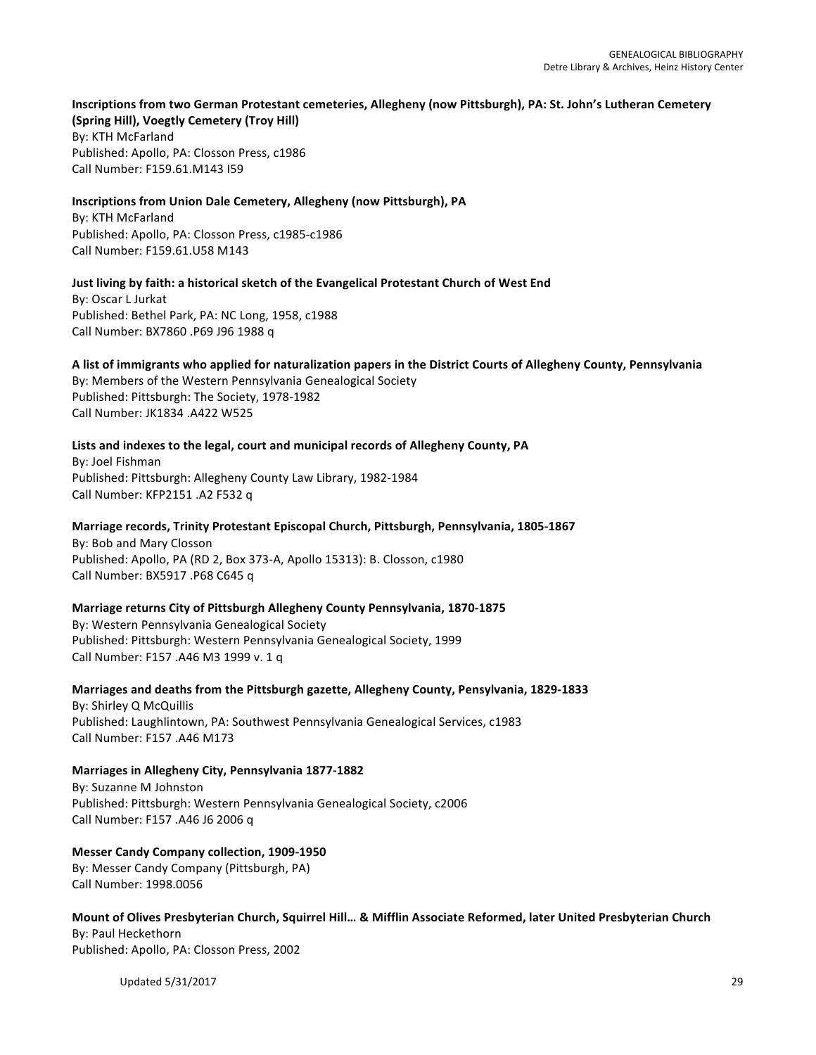# **Inscriptions from two German Protestant cemeteries, Allegheny (now Pittsburgh), PA: St. John's Lutheran Cemetery**

**(Spring Hill), Voegtly Cemetery (Troy Hill)** By: KTH McFarland Published: Apollo, PA: Closson Press, c1986 Call Number: F159.61.M143 I59

# **Inscriptions from Union Dale Cemetery, Allegheny (now Pittsburgh), PA**

By: KTH McFarland Published: Apollo, PA: Closson Press, c1985-c1986 Call Number: F159.61.U58 M143

**Just living by faith: a historical sketch of the Evangelical Protestant Church of West End** By: Oscar L Jurkat Published: Bethel Park, PA: NC Long, 1958, c1988 Call Number: BX7860 .P69 J96 1988 q

# A list of immigrants who applied for naturalization papers in the District Courts of Allegheny County, Pennsylvania

By: Members of the Western Pennsylvania Genealogical Society Published: Pittsburgh: The Society, 1978-1982 Call Number: JK1834 .A422 W525

# Lists and indexes to the legal, court and municipal records of Allegheny County, PA

By: Joel Fishman Published: Pittsburgh: Allegheny County Law Library, 1982-1984 Call Number: KFP2151 .A2 F532 q

# Marriage records, Trinity Protestant Episcopal Church, Pittsburgh, Pennsylvania, 1805-1867

By: Bob and Mary Closson Published: Apollo, PA (RD 2, Box 373-A, Apollo 15313): B. Closson, c1980 Call Number: BX5917 .P68 C645 q

# **Marriage returns City of Pittsburgh Allegheny County Pennsylvania, 1870-1875**

By: Western Pennsylvania Genealogical Society Published: Pittsburgh: Western Pennsylvania Genealogical Society, 1999 Call Number: F157 .A46 M3 1999 v. 1 q

# Marriages and deaths from the Pittsburgh gazette, Allegheny County, Pensylvania, 1829-1833

By: Shirley Q McQuillis Published: Laughlintown, PA: Southwest Pennsylvania Genealogical Services, c1983 Call Number: F157 .A46 M173

# **Marriages in Allegheny City, Pennsylvania 1877-1882**

By: Suzanne M Johnston Published: Pittsburgh: Western Pennsylvania Genealogical Society, c2006 Call Number: F157 .A46 J6 2006 q

# **Messer Candy Company collection, 1909-1950**

By: Messer Candy Company (Pittsburgh, PA) Call Number: 1998.0056

# Mount of Olives Presbyterian Church, Squirrel Hill... & Mifflin Associate Reformed, later United Presbyterian Church By: Paul Heckethorn Published: Apollo, PA: Closson Press, 2002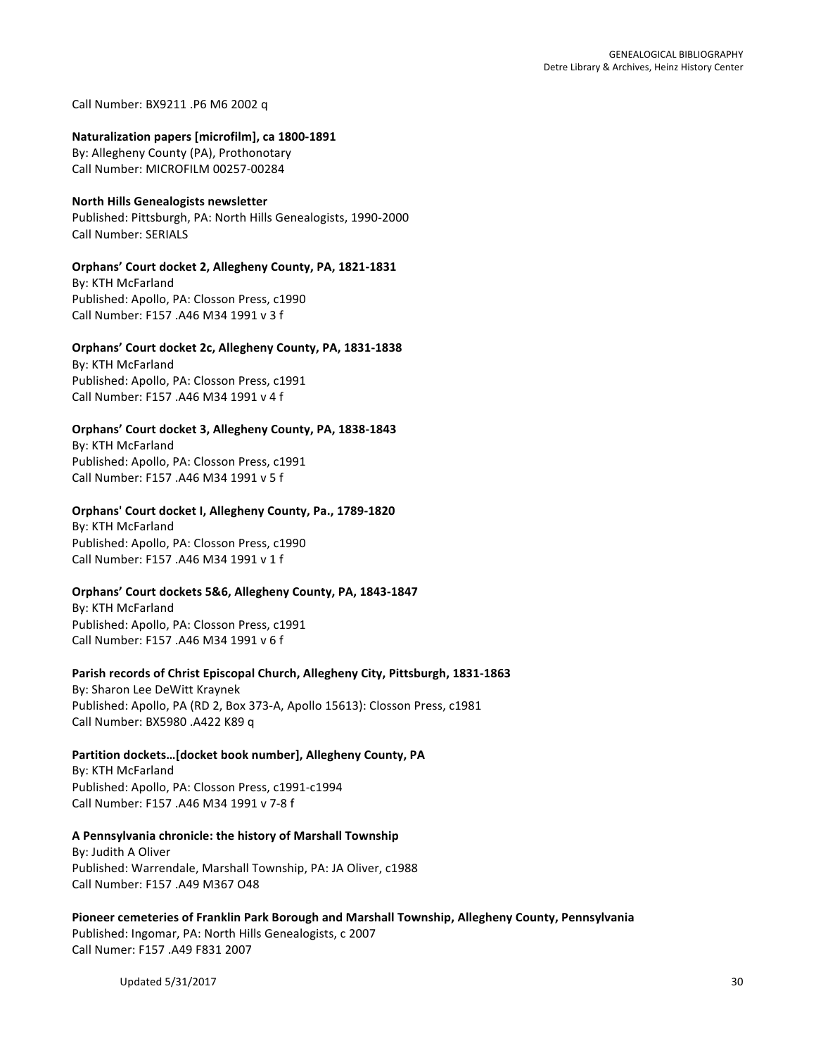Call Number: BX9211 .P6 M6 2002 q

#### Naturalization papers [microfilm], ca 1800-1891

By: Allegheny County (PA), Prothonotary Call Number: MICROFILM 00257-00284

### **North Hills Genealogists newsletter**

Published: Pittsburgh, PA: North Hills Genealogists, 1990-2000 Call Number: SERIALS

### **Orphans' Court docket 2, Allegheny County, PA, 1821-1831**

By: KTH McFarland Published: Apollo, PA: Closson Press, c1990 Call Number: F157 .A46 M34 1991 v 3 f

# **Orphans' Court docket 2c, Allegheny County, PA, 1831-1838**

By: KTH McFarland Published: Apollo, PA: Closson Press, c1991 Call Number: F157 .A46 M34 1991 v 4 f

### **Orphans' Court docket 3, Allegheny County, PA, 1838-1843**

By: KTH McFarland Published: Apollo, PA: Closson Press, c1991 Call Number: F157 .A46 M34 1991 v 5 f

### **Orphans' Court docket I, Allegheny County, Pa., 1789-1820**

By: KTH McFarland Published: Apollo, PA: Closson Press, c1990 Call Number: F157 .A46 M34 1991 v 1 f

### **Orphans' Court dockets 5&6, Allegheny County, PA, 1843-1847**

By: KTH McFarland Published: Apollo, PA: Closson Press, c1991 Call Number: F157 .A46 M34 1991 v 6 f

# Parish records of Christ Episcopal Church, Allegheny City, Pittsburgh, 1831-1863

By: Sharon Lee DeWitt Kraynek Published: Apollo, PA (RD 2, Box 373-A, Apollo 15613): Closson Press, c1981 Call Number: BX5980 .A422 K89 q

# Partition dockets...[docket book number], Allegheny County, PA

By: KTH McFarland Published: Apollo, PA: Closson Press, c1991-c1994 Call Number: F157 .A46 M34 1991 v 7-8 f

# **A Pennsylvania chronicle: the history of Marshall Township**

By: Judith A Oliver Published: Warrendale, Marshall Township, PA: JA Oliver, c1988 Call Number: F157 .A49 M367 O48

# Pioneer cemeteries of Franklin Park Borough and Marshall Township, Allegheny County, Pennsylvania

Published: Ingomar, PA: North Hills Genealogists, c 2007 Call Numer: F157 .A49 F831 2007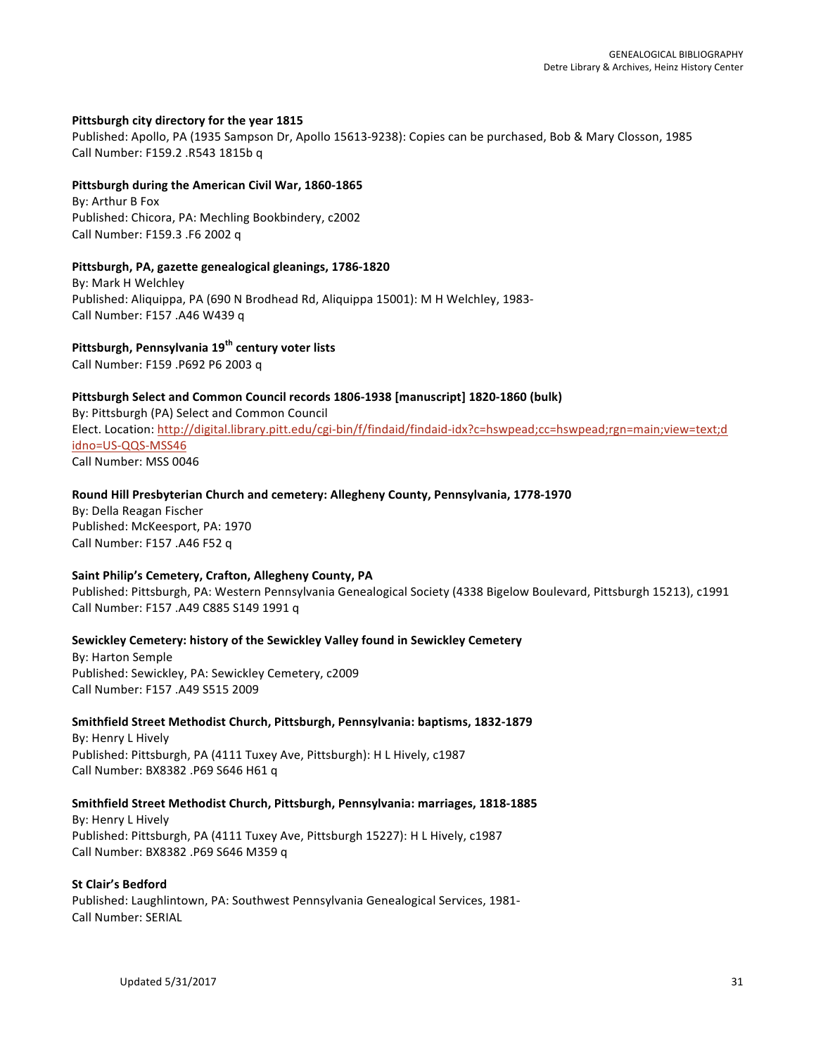### Pittsburgh city directory for the year 1815

Published: Apollo, PA (1935 Sampson Dr, Apollo 15613-9238): Copies can be purchased, Bob & Mary Closson, 1985 Call Number: F159.2 .R543 1815b q

#### **Pittsburgh during the American Civil War, 1860-1865**

By: Arthur B Fox Published: Chicora, PA: Mechling Bookbindery, c2002 Call Number: F159.3 .F6 2002 q

#### Pittsburgh, PA, gazette genealogical gleanings, 1786-1820

By: Mark H Welchley Published: Aliquippa, PA (690 N Brodhead Rd, Aliquippa 15001): M H Welchley, 1983-Call Number: F157 .A46 W439 q

# **Pittsburgh, Pennsylvania 19th century voter lists**

Call Number: F159 .P692 P6 2003 q

### Pittsburgh Select and Common Council records 1806-1938 [manuscript] 1820-1860 (bulk)

By: Pittsburgh (PA) Select and Common Council Elect. Location: http://digital.library.pitt.edu/cgi-bin/f/findaid/findaid-idx?c=hswpead;cc=hswpead;rgn=main;view=text;d idno=US-QQS-MSS46 Call Number: MSS 0046

### **Round Hill Presbyterian Church and cemetery: Allegheny County, Pennsylvania, 1778-1970**

By: Della Reagan Fischer Published: McKeesport, PA: 1970 Call Number: F157 .A46 F52 q

### Saint Philip's Cemetery, Crafton, Allegheny County, PA

Published: Pittsburgh, PA: Western Pennsylvania Genealogical Society (4338 Bigelow Boulevard, Pittsburgh 15213), c1991 Call Number: F157 .A49 C885 S149 1991 q

### **Sewickley Cemetery: history of the Sewickley Valley found in Sewickley Cemetery**

By: Harton Semple Published: Sewickley, PA: Sewickley Cemetery, c2009 Call Number: F157 .A49 S515 2009

### **Smithfield Street Methodist Church, Pittsburgh, Pennsylvania: baptisms, 1832-1879**

By: Henry L Hively Published: Pittsburgh, PA (4111 Tuxey Ave, Pittsburgh): H L Hively, c1987 Call Number: BX8382 .P69 S646 H61 q

### **Smithfield Street Methodist Church, Pittsburgh, Pennsylvania: marriages, 1818-1885**

By: Henry L Hively Published: Pittsburgh, PA (4111 Tuxey Ave, Pittsburgh 15227): H L Hively, c1987 Call Number: BX8382 .P69 S646 M359 q

### **St Clair's Bedford**

Published: Laughlintown, PA: Southwest Pennsylvania Genealogical Services, 1981-Call Number: SERIAL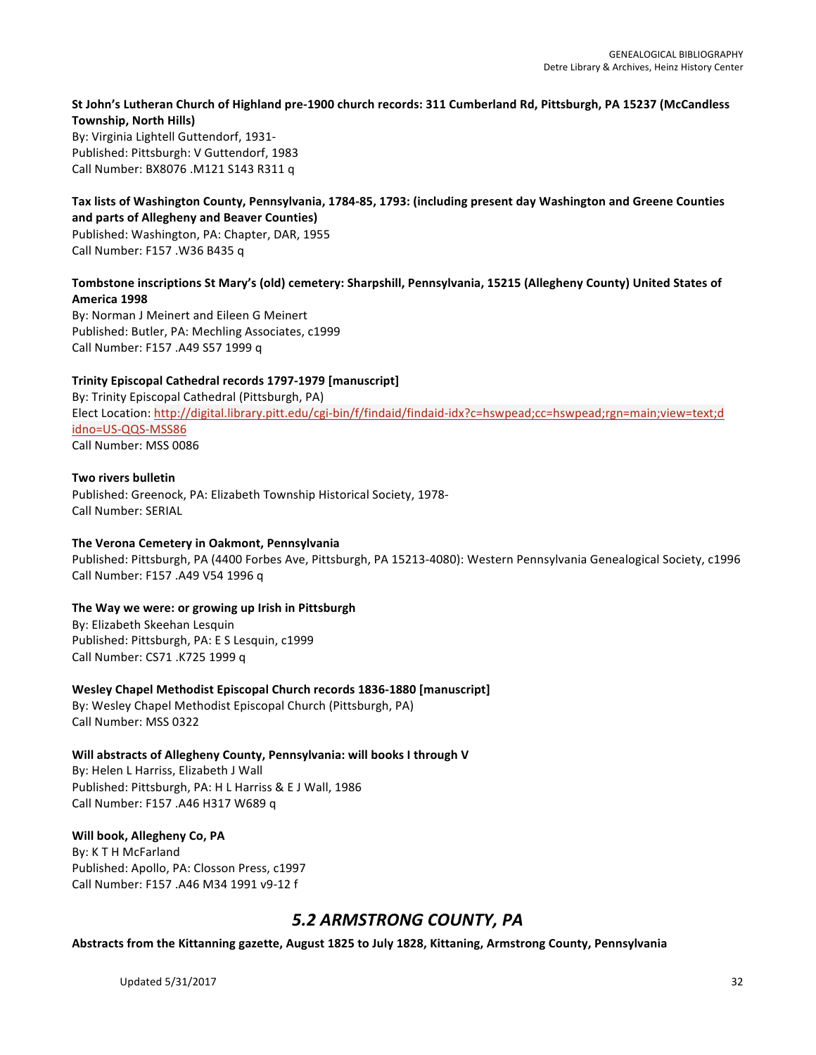# St John's Lutheran Church of Highland pre-1900 church records: 311 Cumberland Rd, Pittsburgh, PA 15237 (McCandless **Township, North Hills)**

By: Virginia Lightell Guttendorf, 1931-Published: Pittsburgh: V Guttendorf, 1983 Call Number: BX8076 .M121 S143 R311 q

### Tax lists of Washington County, Pennsylvania, 1784-85, 1793: (including present day Washington and Greene Counties and parts of Allegheny and Beaver Counties)

Published: Washington, PA: Chapter, DAR, 1955 Call Number: F157 .W36 B435 q

# Tombstone inscriptions St Mary's (old) cemetery: Sharpshill, Pennsylvania, 15215 (Allegheny County) United States of **America 1998**

By: Norman J Meinert and Eileen G Meinert Published: Butler, PA: Mechling Associates, c1999 Call Number: F157 .A49 S57 1999 q

# **Trinity Episcopal Cathedral records 1797-1979 [manuscript]**

By: Trinity Episcopal Cathedral (Pittsburgh, PA) Elect Location: http://digital.library.pitt.edu/cgi-bin/f/findaid/findaid-idx?c=hswpead;cc=hswpead;rgn=main;view=text;d idno=US-QQS-MSS86 Call Number: MSS 0086

# **Two rivers bulletin**

Published: Greenock, PA: Elizabeth Township Historical Society, 1978-Call Number: SERIAL

# **The Verona Cemetery in Oakmont, Pennsylvania**

Published: Pittsburgh, PA (4400 Forbes Ave, Pittsburgh, PA 15213-4080): Western Pennsylvania Genealogical Society, c1996 Call Number: F157 .A49 V54 1996 q

# The Way we were: or growing up Irish in Pittsburgh

By: Elizabeth Skeehan Lesquin Published: Pittsburgh, PA: E S Lesquin, c1999 Call Number: CS71 .K725 1999 q

Wesley Chapel Methodist Episcopal Church records 1836-1880 [manuscript]

By: Wesley Chapel Methodist Episcopal Church (Pittsburgh, PA) Call Number: MSS 0322

# Will abstracts of Allegheny County, Pennsylvania: will books I through V

By: Helen L Harriss, Elizabeth J Wall Published: Pittsburgh, PA: H L Harriss & E J Wall, 1986 Call Number: F157 .A46 H317 W689 q

# Will book, Allegheny Co, PA

By: K T H McFarland Published: Apollo, PA: Closson Press, c1997 Call Number: F157 .A46 M34 1991 v9-12 f

# *5.2 ARMSTRONG COUNTY, PA*

Abstracts from the Kittanning gazette, August 1825 to July 1828, Kittaning, Armstrong County, Pennsylvania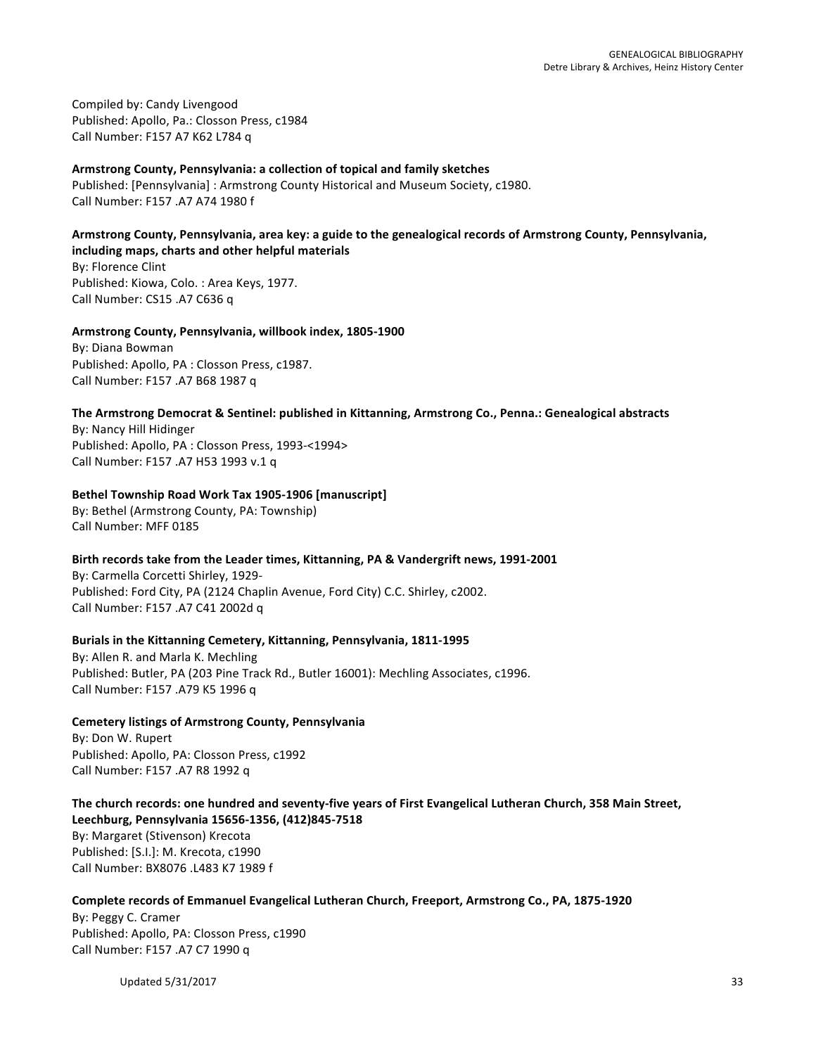Compiled by: Candy Livengood Published: Apollo, Pa.: Closson Press, c1984 Call Number: F157 A7 K62 L784 q

### Armstrong County, Pennsylvania: a collection of topical and family sketches

Published: [Pennsylvania] : Armstrong County Historical and Museum Society, c1980. Call Number: F157 .A7 A74 1980 f

### Armstrong County, Pennsylvania, area key: a guide to the genealogical records of Armstrong County, Pennsylvania, including maps, charts and other helpful materials

By: Florence Clint Published: Kiowa, Colo. : Area Keys, 1977. Call Number: CS15 .A7 C636 q

### **Armstrong County, Pennsylvania, willbook index, 1805-1900**

By: Diana Bowman Published: Apollo, PA : Closson Press, c1987. Call Number: F157 .A7 B68 1987 q

# The Armstrong Democrat & Sentinel: published in Kittanning, Armstrong Co., Penna.: Genealogical abstracts

By: Nancy Hill Hidinger Published: Apollo, PA : Closson Press, 1993-<1994> Call Number: F157 .A7 H53 1993 v.1 q

### Bethel Township Road Work Tax 1905-1906 [manuscript]

By: Bethel (Armstrong County, PA: Township) Call Number: MFF 0185

### Birth records take from the Leader times, Kittanning, PA & Vandergrift news, 1991-2001

By: Carmella Corcetti Shirley, 1929-Published: Ford City, PA (2124 Chaplin Avenue, Ford City) C.C. Shirley, c2002. Call Number: F157 .A7 C41 2002d q

# **Burials in the Kittanning Cemetery, Kittanning, Pennsylvania, 1811-1995**

By: Allen R. and Marla K. Mechling Published: Butler, PA (203 Pine Track Rd., Butler 16001): Mechling Associates, c1996. Call Number: F157 .A79 K5 1996 q

**Cemetery listings of Armstrong County, Pennsylvania** By: Don W. Rupert Published: Apollo, PA: Closson Press, c1992 Call Number: F157 .A7 R8 1992 q

The church records: one hundred and seventy-five years of First Evangelical Lutheran Church, 358 Main Street, **Leechburg, Pennsylvania 15656-1356, (412)845-7518** By: Margaret (Stivenson) Krecota Published: [S.I.]: M. Krecota, c1990 Call Number: BX8076 .L483 K7 1989 f

# Complete records of Emmanuel Evangelical Lutheran Church, Freeport, Armstrong Co., PA, 1875-1920

By: Peggy C. Cramer Published: Apollo, PA: Closson Press, c1990 Call Number: F157 .A7 C7 1990 q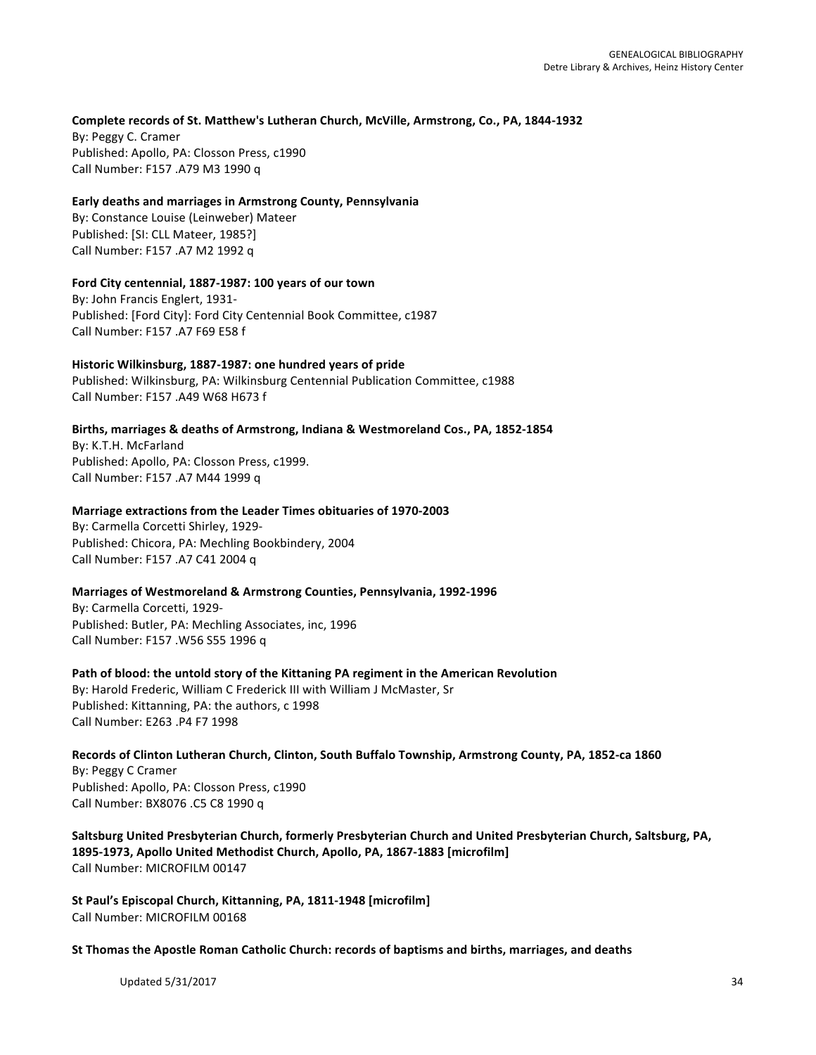# Complete records of St. Matthew's Lutheran Church, McVille, Armstrong, Co., PA, 1844-1932

By: Peggy C. Cramer Published: Apollo, PA: Closson Press, c1990 Call Number: F157 .A79 M3 1990 q

### Early deaths and marriages in Armstrong County, Pennsylvania

By: Constance Louise (Leinweber) Mateer Published: [SI: CLL Mateer, 1985?] Call Number: F157 .A7 M2 1992 q

### Ford City centennial, 1887-1987: 100 years of our town

By: John Francis Englert, 1931-Published: [Ford City]: Ford City Centennial Book Committee, c1987 Call Number: F157 .A7 F69 E58 f

### Historic Wilkinsburg, 1887-1987: one hundred years of pride

Published: Wilkinsburg, PA: Wilkinsburg Centennial Publication Committee, c1988 Call Number: F157 .A49 W68 H673 f

### Births, marriages & deaths of Armstrong, Indiana & Westmoreland Cos., PA, 1852-1854

By: K.T.H. McFarland Published: Apollo, PA: Closson Press, c1999. Call Number: F157 .A7 M44 1999 q

### **Marriage extractions from the Leader Times obituaries of 1970-2003**

By: Carmella Corcetti Shirley, 1929-Published: Chicora, PA: Mechling Bookbindery, 2004 Call Number: F157 .A7 C41 2004 q

### **Marriages of Westmoreland & Armstrong Counties, Pennsylvania, 1992-1996**

By: Carmella Corcetti, 1929-Published: Butler, PA: Mechling Associates, inc, 1996 Call Number: F157 .W56 S55 1996 q

### Path of blood: the untold story of the Kittaning PA regiment in the American Revolution By: Harold Frederic, William C Frederick III with William J McMaster, Sr Published: Kittanning, PA: the authors, c 1998 Call Number: E263 .P4 F7 1998

Records of Clinton Lutheran Church, Clinton, South Buffalo Township, Armstrong County, PA, 1852-ca 1860 By: Peggy C Cramer Published: Apollo, PA: Closson Press, c1990 Call Number: BX8076 .C5 C8 1990 q

Saltsburg United Presbyterian Church, formerly Presbyterian Church and United Presbyterian Church, Saltsburg, PA, 1895-1973, Apollo United Methodist Church, Apollo, PA, 1867-1883 [microfilm] Call Number: MICROFILM 00147

St Paul's Episcopal Church, Kittanning, PA, 1811-1948 [microfilm] Call Number: MICROFILM 00168

St Thomas the Apostle Roman Catholic Church: records of baptisms and births, marriages, and deaths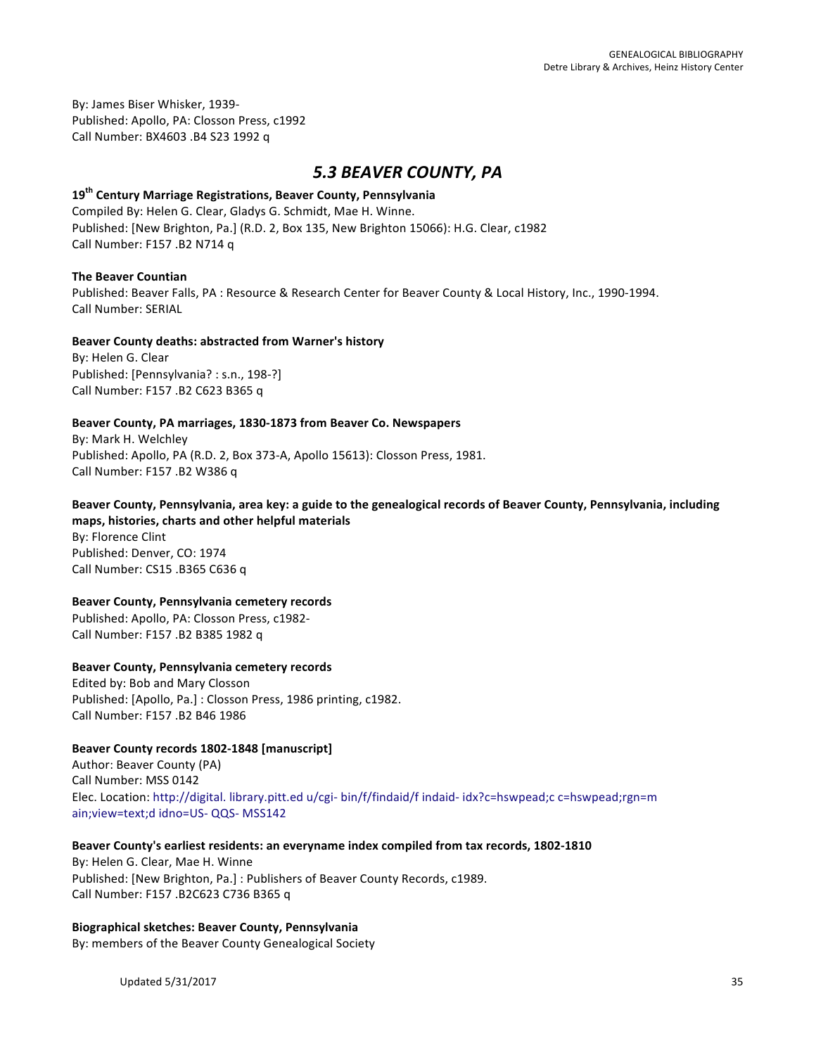By: James Biser Whisker, 1939-Published: Apollo, PA: Closson Press, c1992 Call Number: BX4603 .B4 S23 1992 q

# *5.3 BEAVER COUNTY, PA*

# **19th Century Marriage Registrations, Beaver County, Pennsylvania**

Compiled By: Helen G. Clear, Gladys G. Schmidt, Mae H. Winne. Published: [New Brighton, Pa.] (R.D. 2, Box 135, New Brighton 15066): H.G. Clear, c1982 Call Number: F157 .B2 N714 q

### **The Beaver Countian**

Published: Beaver Falls, PA : Resource & Research Center for Beaver County & Local History, Inc., 1990-1994. Call Number: SERIAL

### **Beaver County deaths: abstracted from Warner's history**

By: Helen G. Clear Published: [Pennsylvania? : s.n., 198-?] Call Number: F157 .B2 C623 B365 q

# Beaver County, PA marriages, 1830-1873 from Beaver Co. Newspapers

By: Mark H. Welchley Published: Apollo, PA (R.D. 2, Box 373-A, Apollo 15613): Closson Press, 1981. Call Number: F157 .B2 W386 q

# Beaver County, Pennsylvania, area key: a guide to the genealogical records of Beaver County, Pennsylvania, including **maps, histories, charts and other helpful materials**

By: Florence Clint Published: Denver, CO: 1974 Call Number: CS15 .B365 C636 q

# **Beaver County, Pennsylvania cemetery records**

Published: Apollo, PA: Closson Press, c1982-Call Number: F157 .B2 B385 1982 q

# **Beaver County, Pennsylvania cemetery records**

Edited by: Bob and Mary Closson Published: [Apollo, Pa.] : Closson Press, 1986 printing, c1982. Call Number: F157 .B2 B46 1986

# Beaver County records 1802-1848 [manuscript]

Author: Beaver County (PA) Call Number: MSS 0142 Elec. Location: http://digital. library.pitt.ed u/cgi- bin/f/findaid/f indaid- idx?c=hswpead;c c=hswpead;rgn=m ain; view=text;d idno=US- QQS- MSS142

# Beaver County's earliest residents: an everyname index compiled from tax records, 1802-1810

By: Helen G. Clear, Mae H. Winne Published: [New Brighton, Pa.] : Publishers of Beaver County Records, c1989. Call Number: F157 .B2C623 C736 B365 q

# **Biographical sketches: Beaver County, Pennsylvania**

By: members of the Beaver County Genealogical Society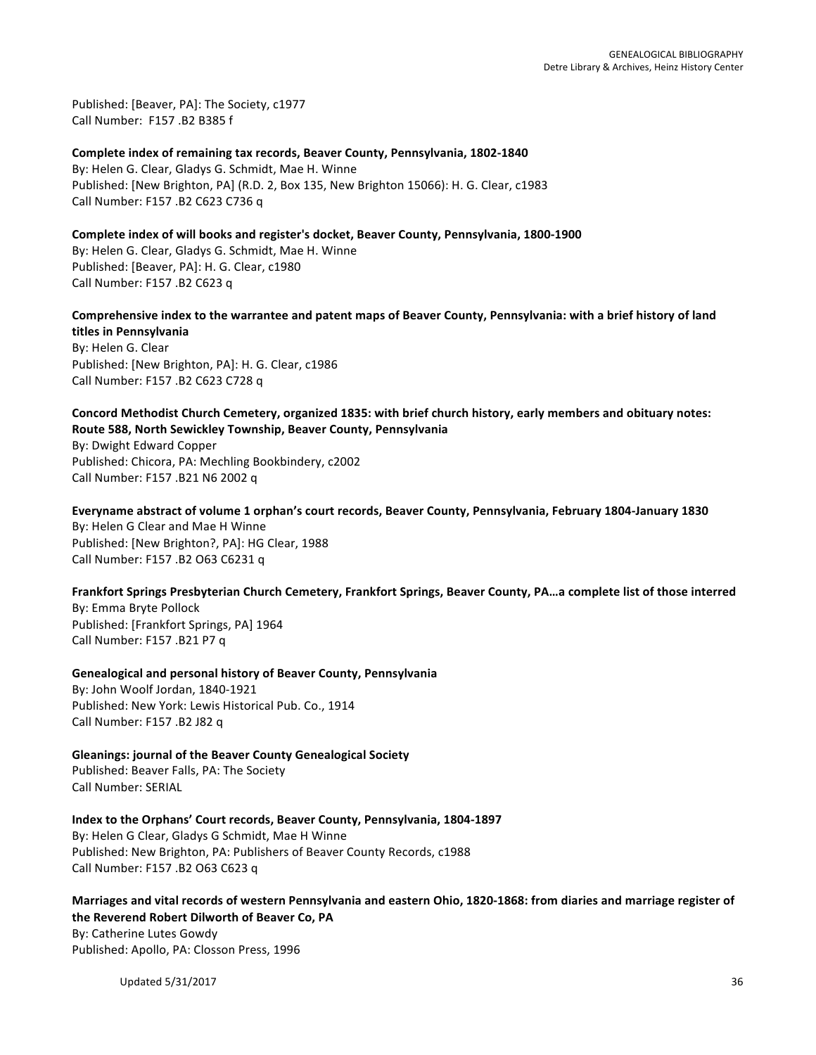Published: [Beaver, PA]: The Society, c1977 Call Number: F157, B2 B385 f

Complete index of remaining tax records, Beaver County, Pennsylvania, 1802-1840 By: Helen G. Clear, Gladys G. Schmidt, Mae H. Winne Published: [New Brighton, PA] (R.D. 2, Box 135, New Brighton 15066): H. G. Clear, c1983 Call Number: F157 .B2 C623 C736 q

**Complete index of will books and register's docket, Beaver County, Pennsylvania, 1800-1900** By: Helen G. Clear, Gladys G. Schmidt, Mae H. Winne Published: [Beaver, PA]: H. G. Clear, c1980 Call Number: F157 .B2 C623 q

Comprehensive index to the warrantee and patent maps of Beaver County, Pennsylvania: with a brief history of land **titles in Pennsylvania**

By: Helen G. Clear Published: [New Brighton, PA]: H. G. Clear, c1986 Call Number: F157 .B2 C623 C728 q

Concord Methodist Church Cemetery, organized 1835: with brief church history, early members and obituary notes: **Route 588, North Sewickley Township, Beaver County, Pennsylvania** 

By: Dwight Edward Copper Published: Chicora, PA: Mechling Bookbindery, c2002 Call Number: F157 .B21 N6 2002 q

Everyname abstract of volume 1 orphan's court records, Beaver County, Pennsylvania, February 1804-January 1830 By: Helen G Clear and Mae H Winne Published: [New Brighton?, PA]: HG Clear, 1988 Call Number: F157 .B2 O63 C6231 q

Frankfort Springs Presbyterian Church Cemetery, Frankfort Springs, Beaver County, PA...a complete list of those interred By: Emma Bryte Pollock Published: [Frankfort Springs, PA] 1964 Call Number: F157 .B21 P7 q

**Genealogical and personal history of Beaver County, Pennsylvania** By: John Woolf Jordan, 1840-1921 Published: New York: Lewis Historical Pub. Co., 1914 Call Number: F157 .B2 J82 q

**Gleanings: journal of the Beaver County Genealogical Society** Published: Beaver Falls, PA: The Society Call Number: SERIAL

Index to the Orphans' Court records, Beaver County, Pennsylvania, 1804-1897 By: Helen G Clear, Gladys G Schmidt, Mae H Winne Published: New Brighton, PA: Publishers of Beaver County Records, c1988 Call Number: F157 .B2 O63 C623 q

Marriages and vital records of western Pennsylvania and eastern Ohio, 1820-1868: from diaries and marriage register of **the Reverend Robert Dilworth of Beaver Co, PA**

By: Catherine Lutes Gowdy Published: Apollo, PA: Closson Press, 1996

Updated 5/31/2017 36 and the state of the state of the state of the state of the state of the state of the state of the state of the state of the state of the state of the state of the state of the state of the state of th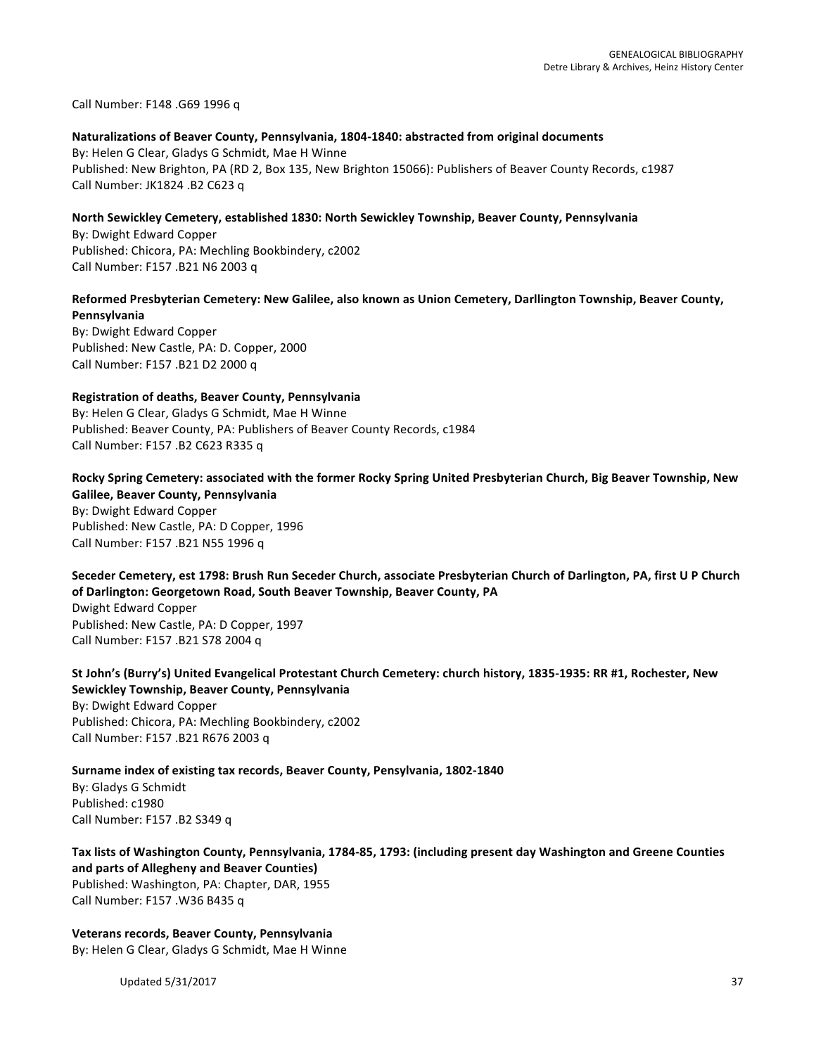Call Number: F148 .G69 1996 q

# Naturalizations of Beaver County, Pennsylvania, 1804-1840: abstracted from original documents

By: Helen G Clear, Gladys G Schmidt, Mae H Winne Published: New Brighton, PA (RD 2, Box 135, New Brighton 15066): Publishers of Beaver County Records, c1987 Call Number: JK1824 .B2 C623 q

#### North Sewickley Cemetery, established 1830: North Sewickley Township, Beaver County, Pennsylvania

By: Dwight Edward Copper Published: Chicora, PA: Mechling Bookbindery, c2002 Call Number: F157 .B21 N6 2003 q

#### Reformed Presbyterian Cemetery: New Galilee, also known as Union Cemetery, Darllington Township, Beaver County, **Pennsylvania**

By: Dwight Edward Copper Published: New Castle, PA: D. Copper, 2000 Call Number: F157 .B21 D2 2000 q

#### **Registration of deaths, Beaver County, Pennsylvania**

By: Helen G Clear, Gladys G Schmidt, Mae H Winne Published: Beaver County, PA: Publishers of Beaver County Records, c1984 Call Number: F157 .B2 C623 R335 q

# Rocky Spring Cemetery: associated with the former Rocky Spring United Presbyterian Church, Big Beaver Township, New **Galilee, Beaver County, Pennsylvania**

By: Dwight Edward Copper Published: New Castle, PA: D Copper, 1996 Call Number: F157 .B21 N55 1996 q

# Seceder Cemetery, est 1798: Brush Run Seceder Church, associate Presbyterian Church of Darlington, PA, first U P Church of Darlington: Georgetown Road, South Beaver Township, Beaver County, PA Dwight Edward Copper

Published: New Castle, PA: D Copper, 1997 Call Number: F157 .B21 S78 2004 q

# St John's (Burry's) United Evangelical Protestant Church Cemetery: church history, 1835-1935: RR #1, Rochester, New **Sewickley Township, Beaver County, Pennsylvania**

By: Dwight Edward Copper Published: Chicora, PA: Mechling Bookbindery, c2002 Call Number: F157 .B21 R676 2003 q

# **Surname index of existing tax records, Beaver County, Pensylvania, 1802-1840** By: Gladys G Schmidt Published: c1980 Call Number: F157 .B2 S349 q

# Tax lists of Washington County, Pennsylvania, 1784-85, 1793: (including present day Washington and Greene Counties **and parts of Allegheny and Beaver Counties)**

Published: Washington, PA: Chapter, DAR, 1955 Call Number: F157 .W36 B435 q

# **Veterans records, Beaver County, Pennsylvania**

By: Helen G Clear, Gladys G Schmidt, Mae H Winne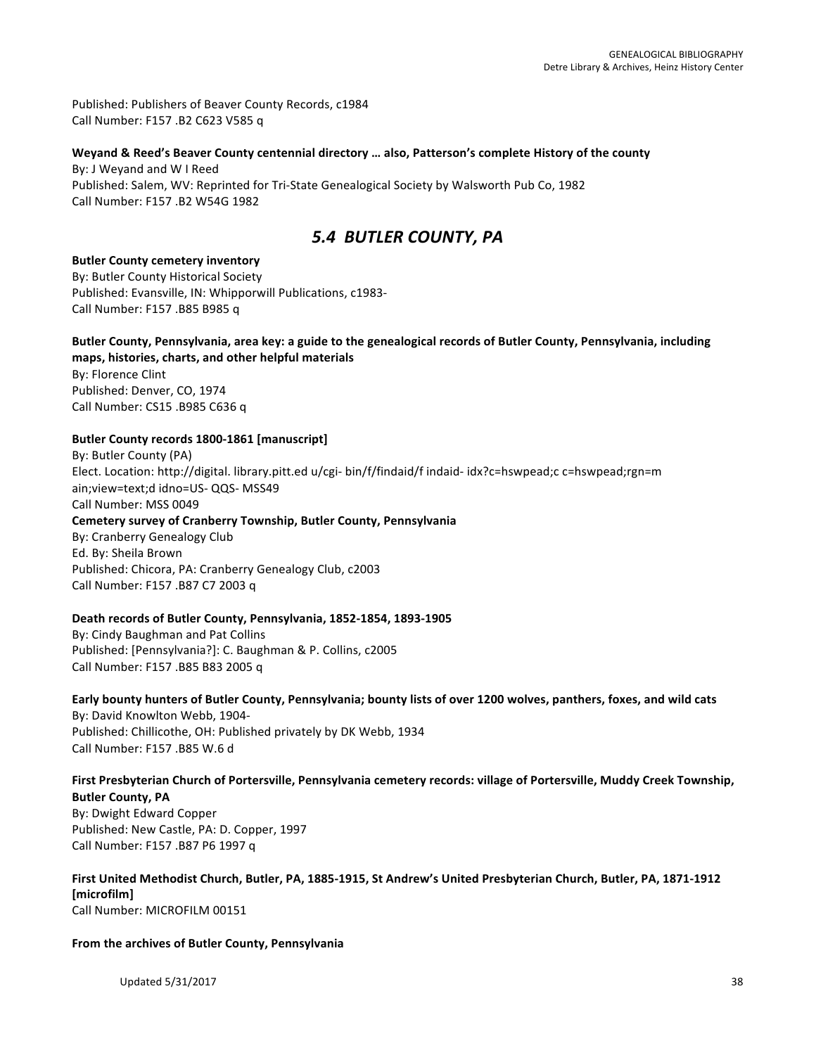Published: Publishers of Beaver County Records, c1984 Call Number: F157 .B2 C623 V585 q

#### Weyand & Reed's Beaver County centennial directory ... also, Patterson's complete History of the county By: J Weyand and W I Reed

Published: Salem, WV: Reprinted for Tri-State Genealogical Society by Walsworth Pub Co, 1982 Call Number: F157 .B2 W54G 1982

# *5.4 BUTLER COUNTY, PA*

#### **Butler County cemetery inventory**

By: Butler County Historical Society Published: Evansville, IN: Whipporwill Publications, c1983-Call Number: F157 .B85 B985 q

#### Butler County, Pennsylvania, area key: a guide to the genealogical records of Butler County, Pennsylvania, including maps, histories, charts, and other helpful materials

By: Florence Clint Published: Denver, CO, 1974 Call Number: CS15 .B985 C636 q

# Butler County records 1800-1861 [manuscript]

By: Butler County (PA) Elect. Location: http://digital. library.pitt.ed u/cgi- bin/f/findaid/f indaid- idx?c=hswpead;c c=hswpead;rgn=m ain; view=text;d idno=US- QQS- MSS49 Call Number: MSS 0049 **Cemetery survey of Cranberry Township, Butler County, Pennsylvania** By: Cranberry Genealogy Club Ed. By: Sheila Brown Published: Chicora, PA: Cranberry Genealogy Club, c2003 Call Number: F157 .B87 C7 2003 q

# Death records of Butler County, Pennsylvania, 1852-1854, 1893-1905

By: Cindy Baughman and Pat Collins Published: [Pennsylvania?]: C. Baughman & P. Collins, c2005 Call Number: F157 .B85 B83 2005 q

#### Early bounty hunters of Butler County, Pennsylvania; bounty lists of over 1200 wolves, panthers, foxes, and wild cats By: David Knowlton Webb, 1904-Published: Chillicothe, OH: Published privately by DK Webb, 1934 Call Number: F157 .B85 W.6 d

# First Presbyterian Church of Portersville, Pennsylvania cemetery records: village of Portersville, Muddy Creek Township, **Butler County, PA**

By: Dwight Edward Copper Published: New Castle, PA: D. Copper, 1997 Call Number: F157 .B87 P6 1997 q

#### First United Methodist Church, Butler, PA, 1885-1915, St Andrew's United Presbyterian Church, Butler, PA, 1871-1912 **[microfilm]** Call Number: MICROFILM 00151

# From the archives of Butler County, Pennsylvania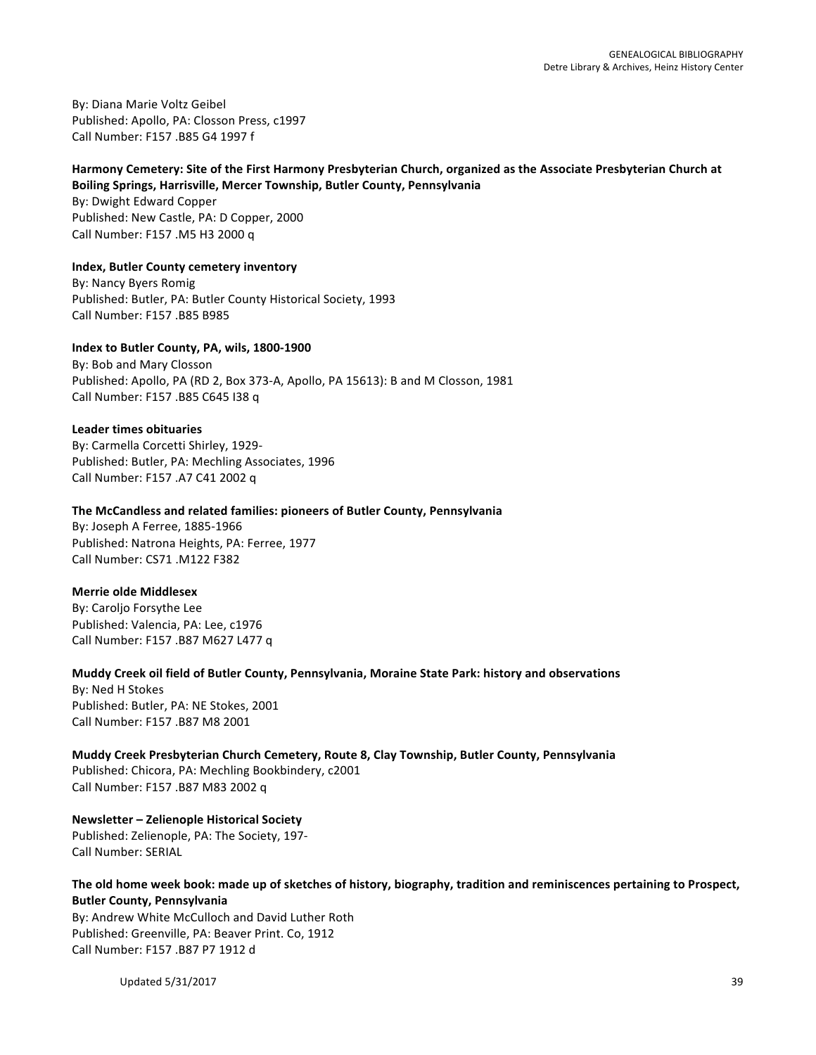By: Diana Marie Voltz Geibel Published: Apollo, PA: Closson Press, c1997 Call Number: F157 .B85 G4 1997 f

# Harmony Cemetery: Site of the First Harmony Presbyterian Church, organized as the Associate Presbyterian Church at

**Boiling Springs, Harrisville, Mercer Township, Butler County, Pennsylvania** By: Dwight Edward Copper Published: New Castle, PA: D Copper, 2000 Call Number: F157 .M5 H3 2000 q

**Index, Butler County cemetery inventory** By: Nancy Byers Romig Published: Butler, PA: Butler County Historical Society, 1993

Call Number: F157 .B85 B985

**Index to Butler County, PA, wils, 1800-1900**

By: Bob and Mary Closson Published: Apollo, PA (RD 2, Box 373-A, Apollo, PA 15613): B and M Closson, 1981 Call Number: F157 .B85 C645 I38 q

# **Leader times obituaries**

By: Carmella Corcetti Shirley, 1929-Published: Butler, PA: Mechling Associates, 1996 Call Number: F157 .A7 C41 2002 q

# **The McCandless and related families: pioneers of Butler County, Pennsylvania**

By: Joseph A Ferree, 1885-1966 Published: Natrona Heights, PA: Ferree, 1977 Call Number: CS71 .M122 F382

# **Merrie olde Middlesex**

By: Caroljo Forsythe Lee Published: Valencia, PA: Lee, c1976 Call Number: F157 .B87 M627 L477 q

# Muddy Creek oil field of Butler County, Pennsylvania, Moraine State Park: history and observations

By: Ned H Stokes Published: Butler, PA: NE Stokes, 2001 Call Number: F157 .B87 M8 2001

**Muddy Creek Presbyterian Church Cemetery, Route 8, Clay Township, Butler County, Pennsylvania** Published: Chicora, PA: Mechling Bookbindery, c2001 Call Number: F157 .B87 M83 2002 q

**Newsletter – Zelienople Historical Society** Published: Zelienople, PA: The Society, 197-Call Number: SERIAL

# The old home week book: made up of sketches of history, biography, tradition and reminiscences pertaining to Prospect, **Butler County, Pennsylvania**

By: Andrew White McCulloch and David Luther Roth Published: Greenville, PA: Beaver Print. Co, 1912 Call Number: F157 .B87 P7 1912 d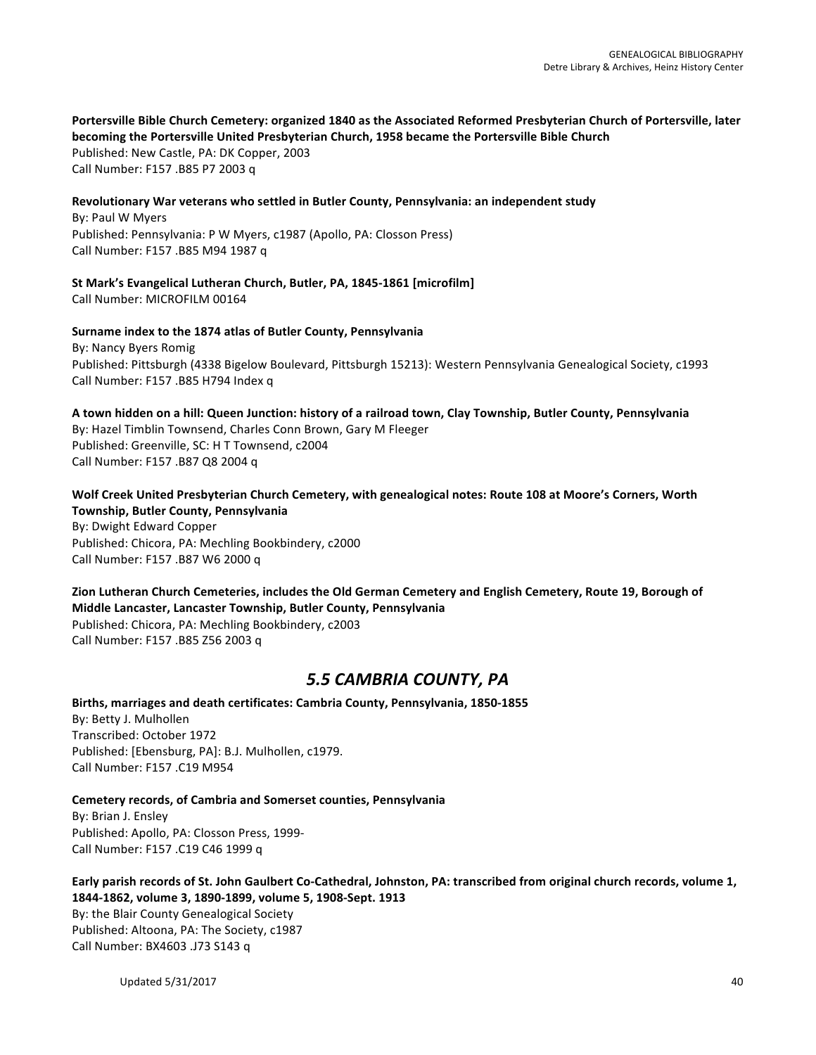# Portersville Bible Church Cemetery: organized 1840 as the Associated Reformed Presbyterian Church of Portersville, later **becoming the Portersville United Presbyterian Church, 1958 became the Portersville Bible Church**

Published: New Castle, PA: DK Copper, 2003 Call Number: F157 .B85 P7 2003 q

# Revolutionary War veterans who settled in Butler County, Pennsylvania: an independent study

By: Paul W Myers Published: Pennsylvania: P W Myers, c1987 (Apollo, PA: Closson Press) Call Number: F157 .B85 M94 1987 q

St Mark's Evangelical Lutheran Church, Butler, PA, 1845-1861 [microfilm] Call Number: MICROFILM 00164

#### **Surname index to the 1874 atlas of Butler County, Pennsylvania**

By: Nancy Byers Romig Published: Pittsburgh (4338 Bigelow Boulevard, Pittsburgh 15213): Western Pennsylvania Genealogical Society, c1993 Call Number: F157 .B85 H794 Index q

**A town hidden on a hill: Queen Junction: history of a railroad town, Clay Township, Butler County, Pennsylvania** By: Hazel Timblin Townsend, Charles Conn Brown, Gary M Fleeger Published: Greenville, SC: H T Townsend, c2004 Call Number: F157 .B87 Q8 2004 q

# Wolf Creek United Presbyterian Church Cemetery, with genealogical notes: Route 108 at Moore's Corners, Worth **Township, Butler County, Pennsylvania**

By: Dwight Edward Copper Published: Chicora, PA: Mechling Bookbindery, c2000 Call Number: F157 .B87 W6 2000 q

Zion Lutheran Church Cemeteries, includes the Old German Cemetery and English Cemetery, Route 19, Borough of **Middle Lancaster, Lancaster Township, Butler County, Pennsylvania** Published: Chicora, PA: Mechling Bookbindery, c2003 Call Number: F157 .B85 Z56 2003 q

# *5.5 CAMBRIA COUNTY, PA*

Births, marriages and death certificates: Cambria County, Pennsylvania, 1850-1855 By: Betty J. Mulhollen Transcribed: October 1972 Published: [Ebensburg, PA]: B.J. Mulhollen, c1979. Call Number: F157 .C19 M954

#### **Cemetery records, of Cambria and Somerset counties, Pennsylvania**

By: Brian J. Ensley Published: Apollo, PA: Closson Press, 1999-Call Number: F157 .C19 C46 1999 q

**Early parish records of St. John Gaulbert Co-Cathedral, Johnston, PA: transcribed from original church records, volume 1,** 1844-1862, volume 3, 1890-1899, volume 5, 1908-Sept. 1913 By: the Blair County Genealogical Society Published: Altoona, PA: The Society, c1987 Call Number: BX4603 .J73 S143 q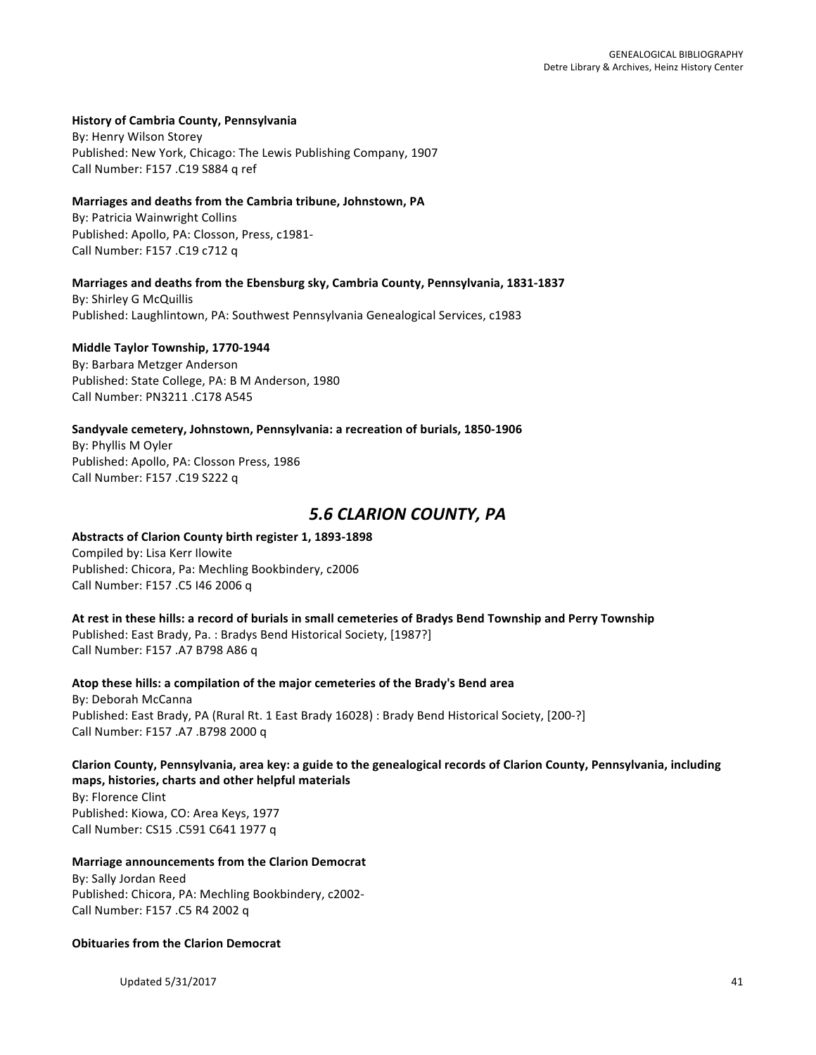#### **History of Cambria County, Pennsylvania**

By: Henry Wilson Storey Published: New York, Chicago: The Lewis Publishing Company, 1907 Call Number: F157 .C19 S884 q ref

#### Marriages and deaths from the Cambria tribune, Johnstown, PA

By: Patricia Wainwright Collins Published: Apollo, PA: Closson, Press, c1981-Call Number: F157 .C19 c712 q

#### **Marriages and deaths from the Ebensburg sky, Cambria County, Pennsylvania, 1831-1837**

By: Shirley G McQuillis Published: Laughlintown, PA: Southwest Pennsylvania Genealogical Services, c1983

#### **Middle Taylor Township, 1770-1944**

By: Barbara Metzger Anderson Published: State College, PA: B M Anderson, 1980 Call Number: PN3211 .C178 A545

#### Sandyvale cemetery, Johnstown, Pennsylvania: a recreation of burials, 1850-1906

By: Phyllis M Oyler Published: Apollo, PA: Closson Press, 1986 Call Number: F157 .C19 S222 q

# *5.6 CLARION COUNTY, PA*

# Abstracts of Clarion County birth register 1, 1893-1898

Compiled by: Lisa Kerr Ilowite Published: Chicora, Pa: Mechling Bookbindery, c2006 Call Number: F157 .C5 I46 2006 q

At rest in these hills: a record of burials in small cemeteries of Bradys Bend Township and Perry Township Published: East Brady, Pa. : Bradys Bend Historical Society, [1987?] Call Number: F157 .A7 B798 A86 q

Atop these hills: a compilation of the major cemeteries of the Brady's Bend area By: Deborah McCanna Published: East Brady, PA (Rural Rt. 1 East Brady 16028) : Brady Bend Historical Society, [200-?] Call Number: F157 .A7 .B798 2000 q

Clarion County, Pennsylvania, area key: a guide to the genealogical records of Clarion County, Pennsylvania, including **maps, histories, charts and other helpful materials** By: Florence Clint Published: Kiowa, CO: Area Keys, 1977

Call Number: CS15 .C591 C641 1977 q

#### **Marriage announcements from the Clarion Democrat**

By: Sally Jordan Reed Published: Chicora, PA: Mechling Bookbindery, c2002-Call Number: F157 .C5 R4 2002 q

# **Obituaries from the Clarion Democrat**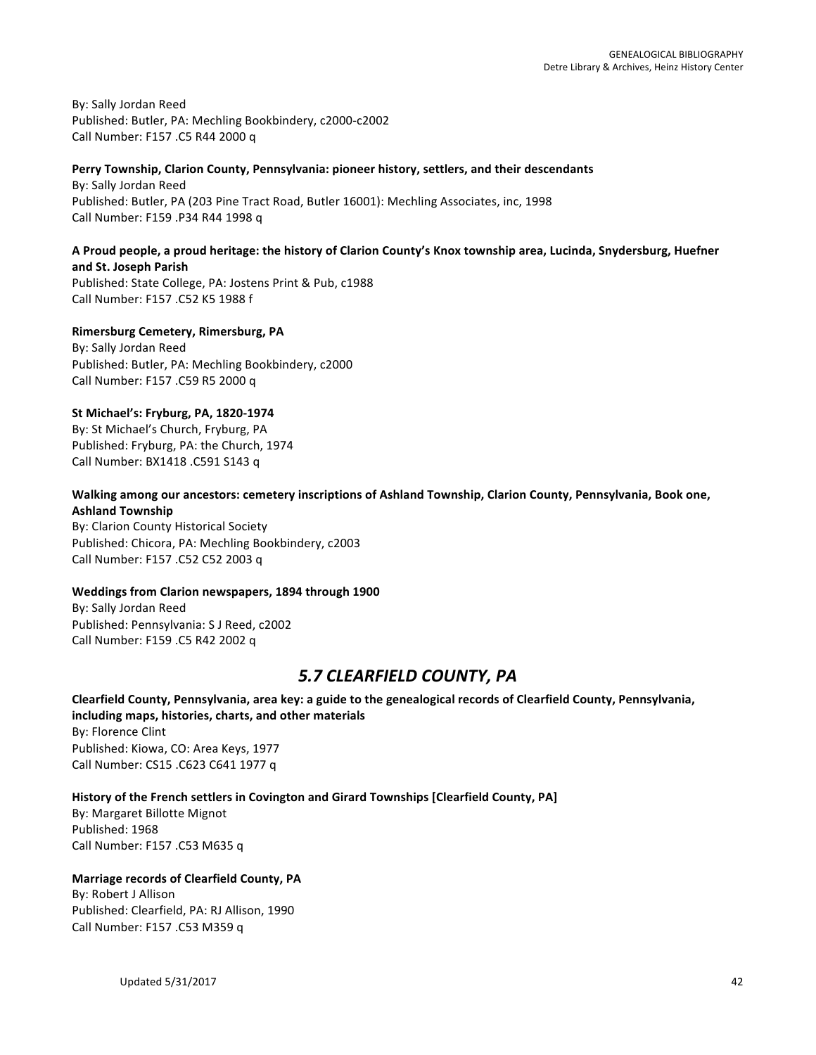By: Sally Jordan Reed Published: Butler, PA: Mechling Bookbindery, c2000-c2002 Call Number: F157 .C5 R44 2000 q

#### Perry Township, Clarion County, Pennsylvania: pioneer history, settlers, and their descendants

By: Sally Jordan Reed Published: Butler, PA (203 Pine Tract Road, Butler 16001): Mechling Associates, inc, 1998 Call Number: F159 .P34 R44 1998 q

#### A Proud people, a proud heritage: the history of Clarion County's Knox township area, Lucinda, Snydersburg, Huefner **and St. Joseph Parish**

Published: State College, PA: Jostens Print & Pub, c1988 Call Number: F157 .C52 K5 1988 f

# **Rimersburg Cemetery, Rimersburg, PA**

By: Sally Jordan Reed Published: Butler, PA: Mechling Bookbindery, c2000 Call Number: F157 .C59 R5 2000 q

# **St Michael's: Fryburg, PA, 1820-1974**

By: St Michael's Church, Fryburg, PA Published: Fryburg, PA: the Church, 1974 Call Number: BX1418 .C591 S143 q

# Walking among our ancestors: cemetery inscriptions of Ashland Township, Clarion County, Pennsylvania, Book one, **Ashland Township**

By: Clarion County Historical Society Published: Chicora, PA: Mechling Bookbindery, c2003 Call Number: F157 .C52 C52 2003 q

#### **Weddings from Clarion newspapers, 1894 through 1900**

By: Sally Jordan Reed Published: Pennsylvania: S J Reed, c2002 Call Number: F159 .C5 R42 2002 q

# *5.7 CLEARFIELD COUNTY, PA*

Clearfield County, Pennsylvania, area key: a guide to the genealogical records of Clearfield County, Pennsylvania, **including maps, histories, charts, and other materials** By: Florence Clint Published: Kiowa, CO: Area Keys, 1977 Call Number: CS15 .C623 C641 1977 q

# History of the French settlers in Covington and Girard Townships [Clearfield County, PA]

By: Margaret Billotte Mignot Published: 1968 Call Number: F157 .C53 M635 q

# **Marriage records of Clearfield County, PA**

By: Robert J Allison Published: Clearfield, PA: RJ Allison, 1990 Call Number: F157 .C53 M359 q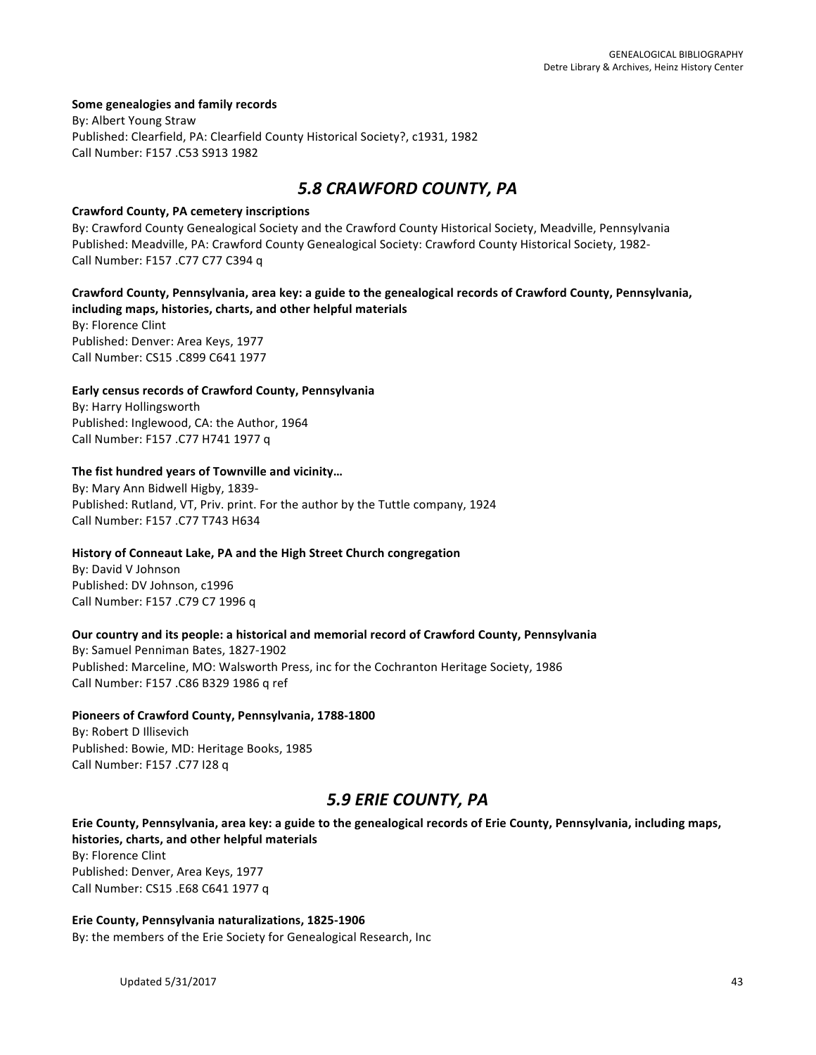#### **Some genealogies and family records**

By: Albert Young Straw Published: Clearfield, PA: Clearfield County Historical Society?, c1931, 1982 Call Number: F157 .C53 S913 1982

# *5.8 CRAWFORD COUNTY, PA*

#### **Crawford County, PA cemetery inscriptions**

By: Crawford County Genealogical Society and the Crawford County Historical Society, Meadville, Pennsylvania Published: Meadville, PA: Crawford County Genealogical Society: Crawford County Historical Society, 1982-Call Number: F157 .C77 C77 C394 q

# Crawford County, Pennsylvania, area key: a guide to the genealogical records of Crawford County, Pennsylvania, including maps, histories, charts, and other helpful materials

By: Florence Clint Published: Denver: Area Keys, 1977 Call Number: CS15 .C899 C641 1977

# Early census records of Crawford County, Pennsylvania

By: Harry Hollingsworth Published: Inglewood, CA: the Author, 1964 Call Number: F157 .C77 H741 1977 q

# The fist hundred years of Townville and vicinity...

By: Mary Ann Bidwell Higby, 1839-Published: Rutland, VT, Priv. print. For the author by the Tuttle company, 1924 Call Number: F157 .C77 T743 H634

# History of Conneaut Lake, PA and the High Street Church congregation

By: David V Johnson Published: DV Johnson, c1996 Call Number: F157 .C79 C7 1996 q

# Our country and its people: a historical and memorial record of Crawford County, Pennsylvania

By: Samuel Penniman Bates, 1827-1902 Published: Marceline, MO: Walsworth Press, inc for the Cochranton Heritage Society, 1986 Call Number: F157 .C86 B329 1986 q ref

#### **Pioneers of Crawford County, Pennsylvania, 1788-1800**

By: Robert D Illisevich Published: Bowie, MD: Heritage Books, 1985 Call Number: F157 .C77 I28 q

# *5.9 ERIE COUNTY, PA*

# Erie County, Pennsylvania, area key: a guide to the genealogical records of Erie County, Pennsylvania, including maps, histories, charts, and other helpful materials

By: Florence Clint Published: Denver, Area Keys, 1977 Call Number: CS15 .E68 C641 1977 q

# Erie County, Pennsylvania naturalizations, 1825-1906

By: the members of the Erie Society for Genealogical Research, Inc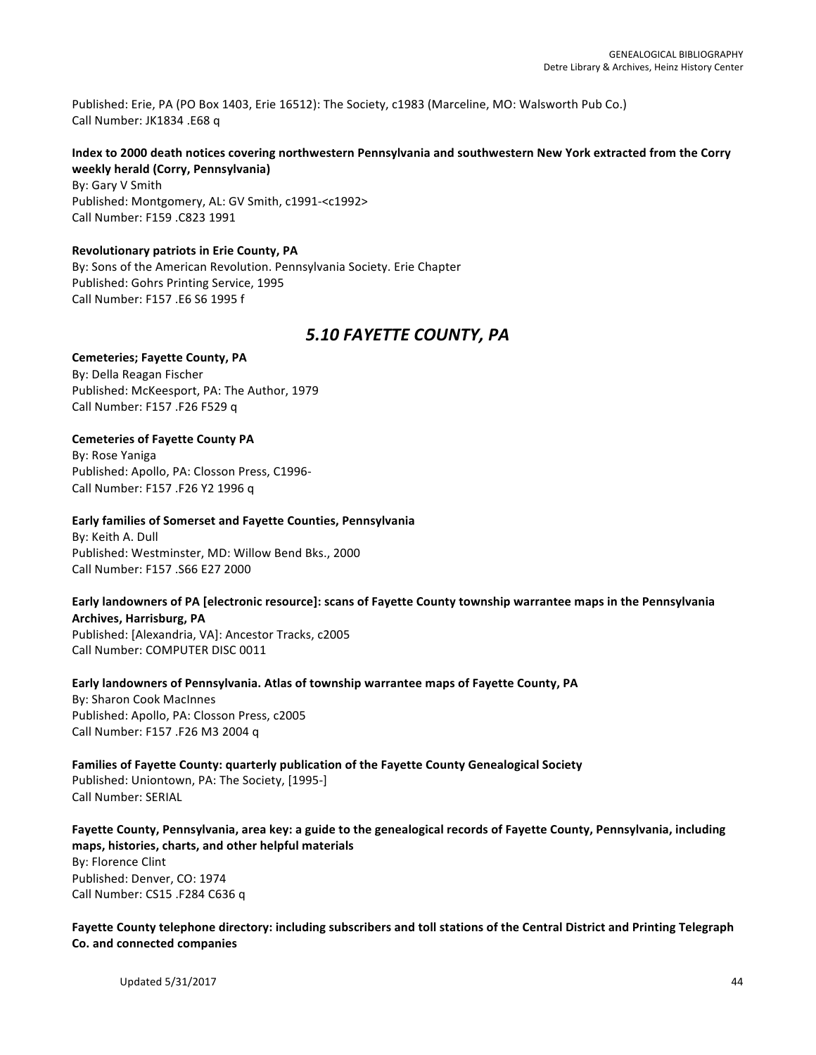Published: Erie, PA (PO Box 1403, Erie 16512): The Society, c1983 (Marceline, MO: Walsworth Pub Co.) Call Number: JK1834 .E68 q

# Index to 2000 death notices covering northwestern Pennsylvania and southwestern New York extracted from the Corry **weekly herald (Corry, Pennsylvania)**

By: Gary V Smith Published: Montgomery, AL: GV Smith, c1991-<c1992> Call Number: F159 .C823 1991

#### **Revolutionary patriots in Erie County, PA**

By: Sons of the American Revolution. Pennsylvania Society. Erie Chapter Published: Gohrs Printing Service, 1995 Call Number: F157 .E6 S6 1995 f

# 5.10 **FAYETTE** COUNTY, PA

# **Cemeteries; Fayette County, PA**

By: Della Reagan Fischer Published: McKeesport, PA: The Author, 1979 Call Number: F157 .F26 F529 q

# **Cemeteries of Fayette County PA**

By: Rose Yaniga Published: Apollo, PA: Closson Press, C1996-Call Number: F157 .F26 Y2 1996 q

#### **Early families of Somerset and Fayette Counties, Pennsylvania**

By: Keith A. Dull Published: Westminster, MD: Willow Bend Bks., 2000 Call Number: F157 .S66 E27 2000

#### Early landowners of PA [electronic resource]: scans of Fayette County township warrantee maps in the Pennsylvania **Archives, Harrisburg, PA**

Published: [Alexandria, VA]: Ancestor Tracks, c2005 Call Number: COMPUTER DISC 0011

# Early landowners of Pennsylvania. Atlas of township warrantee maps of Fayette County, PA

By: Sharon Cook MacInnes Published: Apollo, PA: Closson Press, c2005 Call Number: F157 .F26 M3 2004 q

#### Families of Fayette County: quarterly publication of the Fayette County Genealogical Society Published: Uniontown, PA: The Society, [1995-] Call Number: SERIAL

#### Fayette County, Pennsylvania, area key: a guide to the genealogical records of Fayette County, Pennsylvania, including maps, histories, charts, and other helpful materials

By: Florence Clint Published: Denver, CO: 1974 Call Number: CS15 .F284 C636 q

Fayette County telephone directory: including subscribers and toll stations of the Central District and Printing Telegraph **Co. and connected companies**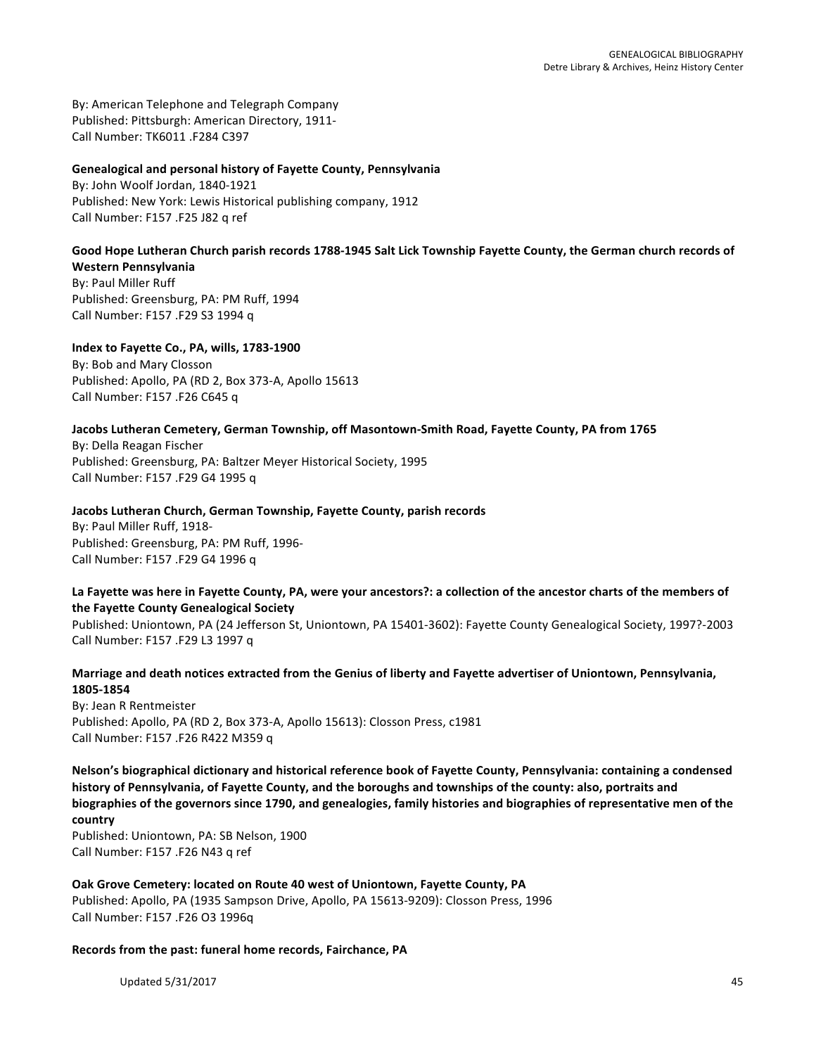By: American Telephone and Telegraph Company Published: Pittsburgh: American Directory, 1911-Call Number: TK6011 .F284 C397

#### **Genealogical and personal history of Fayette County, Pennsylvania**

By: John Woolf Jordan, 1840-1921 Published: New York: Lewis Historical publishing company, 1912 Call Number: F157 .F25 J82 q ref

#### Good Hope Lutheran Church parish records 1788-1945 Salt Lick Township Fayette County, the German church records of **Western Pennsylvania**

By: Paul Miller Ruff Published: Greensburg, PA: PM Ruff, 1994 Call Number: F157 .F29 S3 1994 q

# **Index to Fayette Co., PA, wills, 1783-1900**

By: Bob and Mary Closson Published: Apollo, PA (RD 2, Box 373-A, Apollo 15613 Call Number: F157 .F26 C645 q

# Jacobs Lutheran Cemetery, German Township, off Masontown-Smith Road, Fayette County, PA from 1765

By: Della Reagan Fischer Published: Greensburg, PA: Baltzer Meyer Historical Society, 1995 Call Number: F157 .F29 G4 1995 q

#### Jacobs Lutheran Church, German Township, Fayette County, parish records

By: Paul Miller Ruff, 1918-Published: Greensburg, PA: PM Ruff, 1996-Call Number: F157 .F29 G4 1996 q

#### La Fayette was here in Fayette County, PA, were your ancestors?: a collection of the ancestor charts of the members of **the Fayette County Genealogical Society**

Published: Uniontown, PA (24 Jefferson St, Uniontown, PA 15401-3602): Fayette County Genealogical Society, 1997?-2003 Call Number: F157 .F29 L3 1997 q

# Marriage and death notices extracted from the Genius of liberty and Fayette advertiser of Uniontown, Pennsylvania, **1805-1854**

By: Jean R Rentmeister Published: Apollo, PA (RD 2, Box 373-A, Apollo 15613): Closson Press, c1981 Call Number: F157 .F26 R422 M359 q

Nelson's biographical dictionary and historical reference book of Fayette County, Pennsylvania: containing a condensed history of Pennsylvania, of Fayette County, and the boroughs and townships of the county: also, portraits and biographies of the governors since 1790, and genealogies, family histories and biographies of representative men of the **country**

Published: Uniontown, PA: SB Nelson, 1900 Call Number: F157.F26 N43 q ref

# Oak Grove Cemetery: located on Route 40 west of Uniontown, Fayette County, PA Published: Apollo, PA (1935 Sampson Drive, Apollo, PA 15613-9209): Closson Press, 1996 Call Number: F157 .F26 O3 1996q

#### Records from the past: funeral home records, Fairchance, PA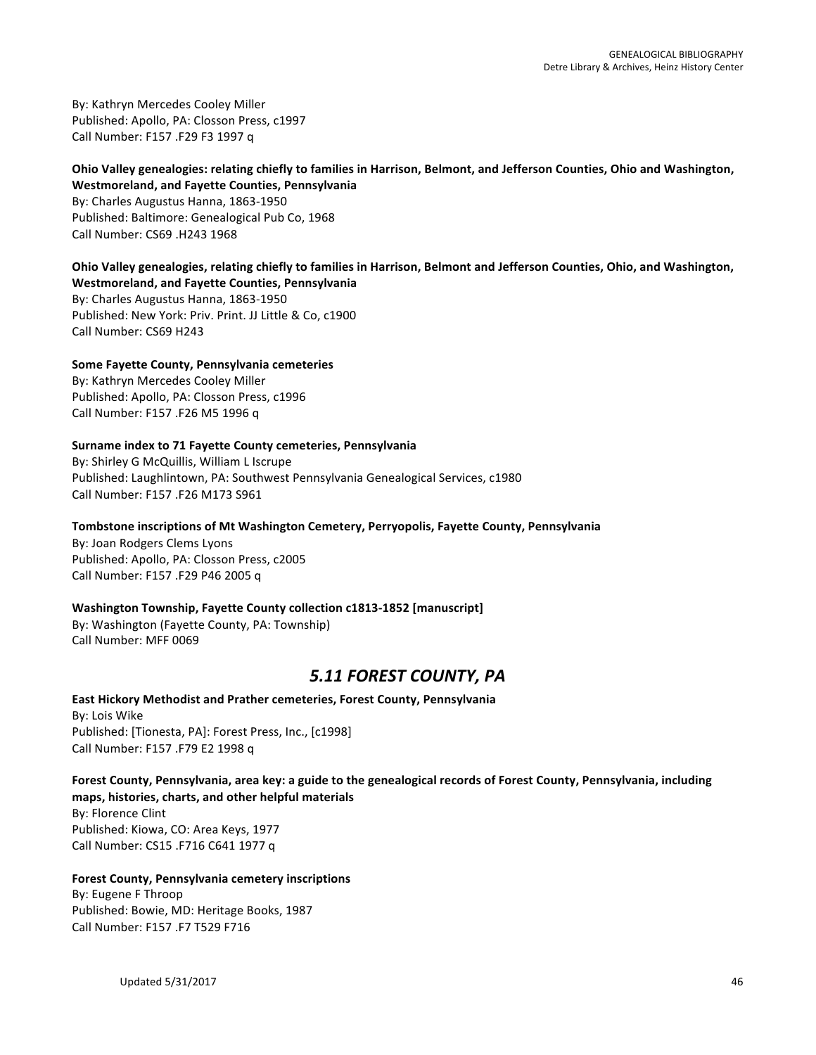By: Kathryn Mercedes Cooley Miller Published: Apollo, PA: Closson Press, c1997 Call Number: F157 .F29 F3 1997 q

# Ohio Valley genealogies: relating chiefly to families in Harrison, Belmont, and Jefferson Counties, Ohio and Washington, **Westmoreland, and Fayette Counties, Pennsylvania**

By: Charles Augustus Hanna, 1863-1950 Published: Baltimore: Genealogical Pub Co, 1968 Call Number: CS69 .H243 1968

# **Ohio Valley genealogies, relating chiefly to families in Harrison, Belmont and Jefferson Counties, Ohio, and Washington, Westmoreland, and Fayette Counties, Pennsylvania**

By: Charles Augustus Hanna, 1863-1950 Published: New York: Priv. Print. JJ Little & Co, c1900 Call Number: CS69 H243

# **Some Fayette County, Pennsylvania cemeteries** By: Kathryn Mercedes Cooley Miller

Published: Apollo, PA: Closson Press, c1996 Call Number: F157 .F26 M5 1996 q

# Surname index to 71 Fayette County cemeteries, Pennsylvania

By: Shirley G McQuillis, William L Iscrupe Published: Laughlintown, PA: Southwest Pennsylvania Genealogical Services, c1980 Call Number: F157 .F26 M173 S961

# Tombstone inscriptions of Mt Washington Cemetery, Perryopolis, Fayette County, Pennsylvania

By: Joan Rodgers Clems Lyons Published: Apollo, PA: Closson Press, c2005 Call Number: F157 .F29 P46 2005 q

# **Washington Township, Fayette County collection c1813-1852 [manuscript]**

By: Washington (Fayette County, PA: Township) Call Number: MFF 0069

# *5.11 FOREST COUNTY, PA*

# **East Hickory Methodist and Prather cemeteries, Forest County, Pennsylvania** By: Lois Wike

Published: [Tionesta, PA]: Forest Press, Inc., [c1998] Call Number: F157 .F79 E2 1998 q

# Forest County, Pennsylvania, area key: a guide to the genealogical records of Forest County, Pennsylvania, including **maps, histories, charts, and other helpful materials**

By: Florence Clint Published: Kiowa, CO: Area Keys, 1977 Call Number: CS15 .F716 C641 1977 q

# **Forest County, Pennsylvania cemetery inscriptions**

By: Eugene F Throop Published: Bowie, MD: Heritage Books, 1987 Call Number: F157 .F7 T529 F716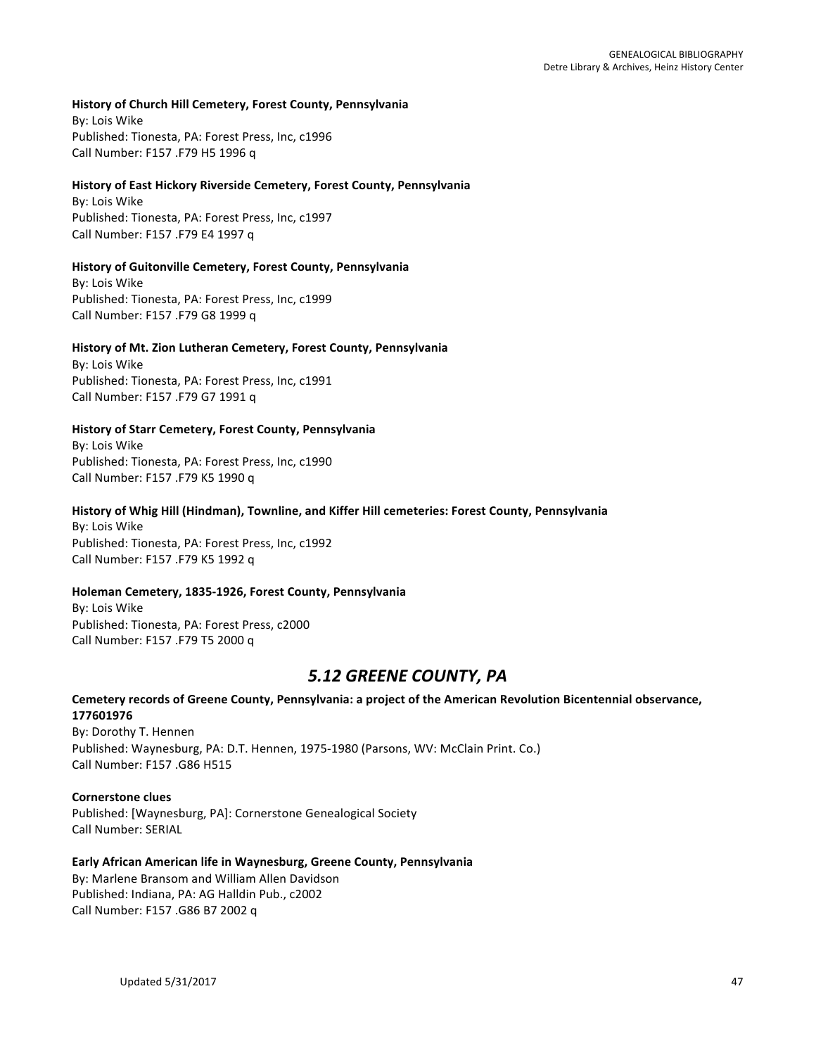#### **History of Church Hill Cemetery, Forest County, Pennsylvania**

**By: Lois Wike** Published: Tionesta, PA: Forest Press, Inc, c1996 Call Number: F157 .F79 H5 1996 q

#### **History of East Hickory Riverside Cemetery, Forest County, Pennsylvania**

By: Lois Wike Published: Tionesta, PA: Forest Press, Inc, c1997 Call Number: F157 .F79 E4 1997 q

#### **History of Guitonville Cemetery, Forest County, Pennsylvania**

By: Lois Wike Published: Tionesta, PA: Forest Press, Inc, c1999 Call Number: F157 .F79 G8 1999 q

#### **History of Mt. Zion Lutheran Cemetery, Forest County, Pennsylvania**

By: Lois Wike Published: Tionesta, PA: Forest Press, Inc, c1991 Call Number: F157 .F79 G7 1991 q

#### **History of Starr Cemetery, Forest County, Pennsylvania**

By: Lois Wike Published: Tionesta, PA: Forest Press, Inc, c1990 Call Number: F157 .F79 K5 1990 q

#### History of Whig Hill (Hindman), Townline, and Kiffer Hill cemeteries: Forest County, Pennsylvania

By: Lois Wike Published: Tionesta, PA: Forest Press, Inc, c1992 Call Number: F157 .F79 K5 1992 q

#### **Holeman Cemetery, 1835-1926, Forest County, Pennsylvania**

By: Lois Wike Published: Tionesta, PA: Forest Press, c2000 Call Number: F157 .F79 T5 2000 q

# *5.12 GREENE COUNTY, PA*

# Cemetery records of Greene County, Pennsylvania: a project of the American Revolution Bicentennial observance, **177601976**

By: Dorothy T. Hennen Published: Waynesburg, PA: D.T. Hennen, 1975-1980 (Parsons, WV: McClain Print. Co.) Call Number: F157 .G86 H515

#### **Cornerstone clues**

Published: [Waynesburg, PA]: Cornerstone Genealogical Society Call Number: SERIAL

# Early African American life in Waynesburg, Greene County, Pennsylvania

By: Marlene Bransom and William Allen Davidson Published: Indiana, PA: AG Halldin Pub., c2002 Call Number: F157 .G86 B7 2002 q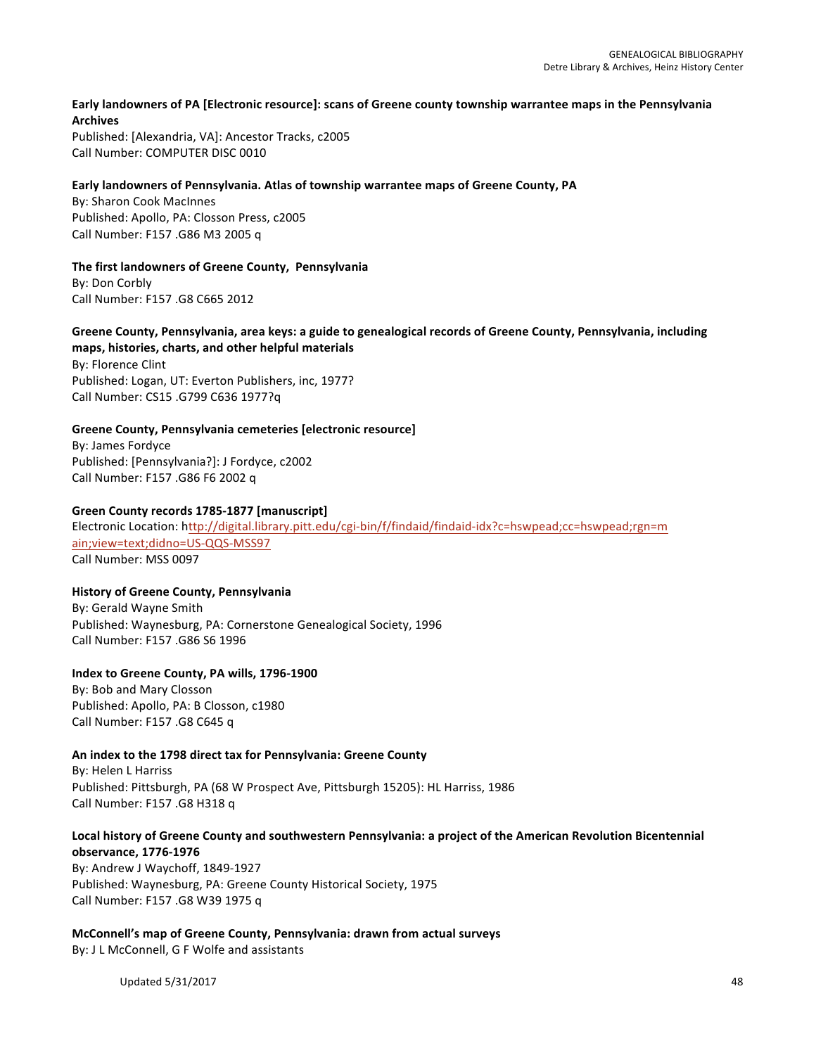# Early landowners of PA [Electronic resource]: scans of Greene county township warrantee maps in the Pennsylvania **Archives**

Published: [Alexandria, VA]: Ancestor Tracks, c2005 Call Number: COMPUTER DISC 0010

#### Early landowners of Pennsylvania. Atlas of township warrantee maps of Greene County, PA

By: Sharon Cook MacInnes Published: Apollo, PA: Closson Press, c2005 Call Number: F157 .G86 M3 2005 q

**The first landowners of Greene County, Pennsylvania** By: Don Corbly Call Number: F157 .G8 C665 2012

# Greene County, Pennsylvania, area keys: a guide to genealogical records of Greene County, Pennsylvania, including maps, histories, charts, and other helpful materials

By: Florence Clint Published: Logan, UT: Everton Publishers, inc, 1977? Call Number: CS15 .G799 C636 1977?q

# Greene County, Pennsylvania cemeteries [electronic resource]

By: James Fordyce Published: [Pennsylvania?]: J Fordyce, c2002 Call Number: F157 .G86 F6 2002 q

#### **Green County records 1785-1877 [manuscript]**

Electronic Location: http://digital.library.pitt.edu/cgi-bin/f/findaid/findaid-idx?c=hswpead;cc=hswpead;rgn=m ain;view=text;didno=US-QQS-MSS97 Call Number: MSS 0097

#### **History of Greene County, Pennsylvania**

By: Gerald Wayne Smith Published: Waynesburg, PA: Cornerstone Genealogical Society, 1996 Call Number: F157 .G86 S6 1996

# **Index to Greene County, PA wills, 1796-1900**

By: Bob and Mary Closson Published: Apollo, PA: B Closson, c1980 Call Number: F157 .G8 C645 q

# An index to the 1798 direct tax for Pennsylvania: Greene County

By: Helen L Harriss Published: Pittsburgh, PA (68 W Prospect Ave, Pittsburgh 15205): HL Harriss, 1986 Call Number: F157 .G8 H318 q

# Local history of Greene County and southwestern Pennsylvania: a project of the American Revolution Bicentennial **observance, 1776-1976**

By: Andrew J Waychoff, 1849-1927 Published: Waynesburg, PA: Greene County Historical Society, 1975 Call Number: F157 .G8 W39 1975 q

**McConnell's map of Greene County, Pennsylvania: drawn from actual surveys** By: J L McConnell, G F Wolfe and assistants

Updated  $5/31/2017$  and  $48$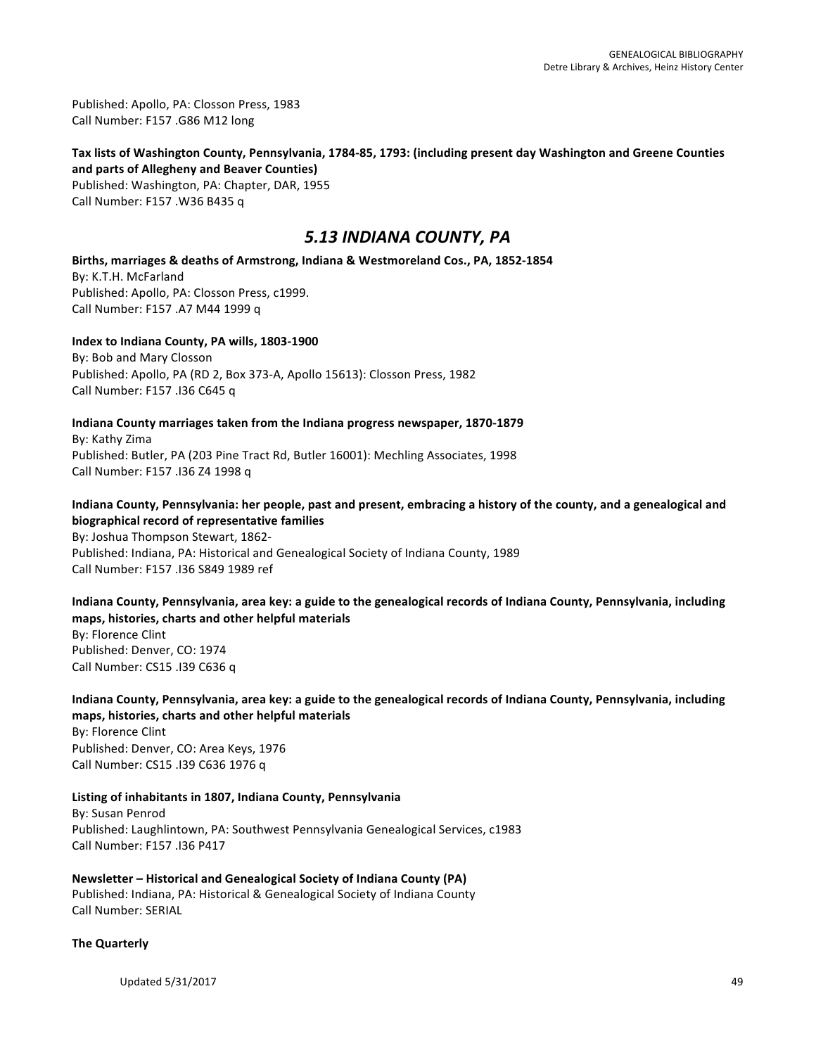Published: Apollo, PA: Closson Press, 1983 Call Number: F157 .G86 M12 long

# Tax lists of Washington County, Pennsylvania, 1784-85, 1793: (including present day Washington and Greene Counties and parts of Allegheny and Beaver Counties) Published: Washington, PA: Chapter, DAR, 1955

Call Number: F157 .W36 B435 q

# *5.13 INDIANA COUNTY, PA*

Births, marriages & deaths of Armstrong, Indiana & Westmoreland Cos., PA, 1852-1854 By: K.T.H. McFarland Published: Apollo, PA: Closson Press, c1999. Call Number: F157 .A7 M44 1999 q

**Index to Indiana County, PA wills, 1803-1900** By: Bob and Mary Closson Published: Apollo, PA (RD 2, Box 373-A, Apollo 15613): Closson Press, 1982 Call Number: F157 .136 C645 q

Indiana County marriages taken from the Indiana progress newspaper, 1870-1879 By: Kathy Zima Published: Butler, PA (203 Pine Tract Rd, Butler 16001): Mechling Associates, 1998 Call Number: F157 .I36 Z4 1998 q

# Indiana County, Pennsylvania: her people, past and present, embracing a history of the county, and a genealogical and **biographical record of representative families**

By: Joshua Thompson Stewart, 1862-Published: Indiana, PA: Historical and Genealogical Society of Indiana County, 1989 Call Number: F157 .I36 S849 1989 ref

Indiana County, Pennsylvania, area key: a guide to the genealogical records of Indiana County, Pennsylvania, including maps, histories, charts and other helpful materials

By: Florence Clint Published: Denver, CO: 1974 Call Number: CS15 .I39 C636 q

#### Indiana County, Pennsylvania, area key: a guide to the genealogical records of Indiana County, Pennsylvania, including **maps, histories, charts and other helpful materials** By: Florence Clint

Published: Denver, CO: Area Keys, 1976 Call Number: CS15 .I39 C636 1976 q

Listing of inhabitants in 1807, Indiana County, Pennsylvania By: Susan Penrod Published: Laughlintown, PA: Southwest Pennsylvania Genealogical Services, c1983 Call Number: F157 .I36 P417

**Newsletter – Historical and Genealogical Society of Indiana County (PA)** Published: Indiana, PA: Historical & Genealogical Society of Indiana County Call Number: SERIAL

# **The Quarterly**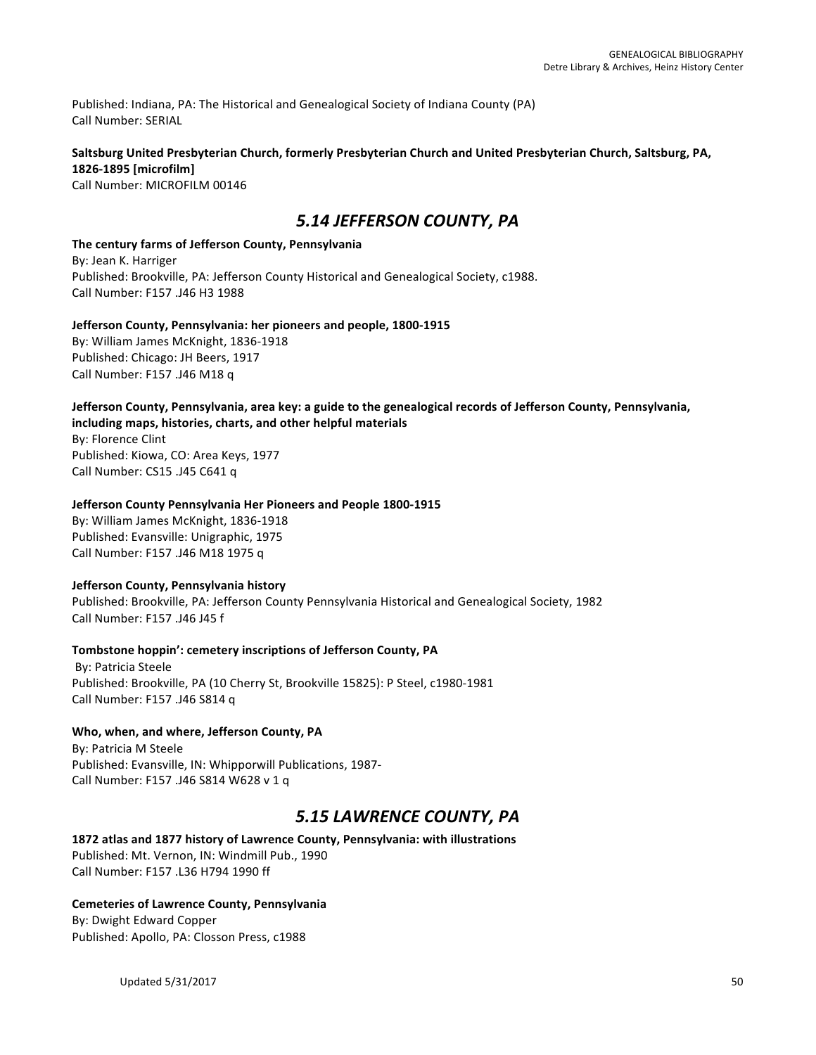Published: Indiana, PA: The Historical and Genealogical Society of Indiana County (PA) Call Number: SERIAL

#### Saltsburg United Presbyterian Church, formerly Presbyterian Church and United Presbyterian Church, Saltsburg, PA, **1826-1895 [microfilm]**

Call Number: MICROFILM 00146

# *5.14 JEFFERSON COUNTY, PA*

The century farms of Jefferson County, Pennsylvania By: Jean K. Harriger Published: Brookville, PA: Jefferson County Historical and Genealogical Society, c1988. Call Number: F157 .J46 H3 1988

#### **Jefferson County, Pennsylvania: her pioneers and people, 1800-1915** By: William James McKnight, 1836-1918

Published: Chicago: JH Beers, 1917 Call Number: F157 .J46 M18 q

# **Jefferson County, Pennsylvania, area key: a guide to the genealogical records of Jefferson County, Pennsylvania,** including maps, histories, charts, and other helpful materials

By: Florence Clint Published: Kiowa, CO: Area Keys, 1977 Call Number: CS15 .J45 C641 q

# **Jefferson County Pennsylvania Her Pioneers and People 1800-1915**

By: William James McKnight, 1836-1918 Published: Evansville: Unigraphic, 1975 Call Number: F157 .J46 M18 1975 q

# **Jefferson County, Pennsylvania history**

Published: Brookville, PA: Jefferson County Pennsylvania Historical and Genealogical Society, 1982 Call Number: F157 .J46 J45 f

# Tombstone hoppin': cemetery inscriptions of Jefferson County, PA

By: Patricia Steele Published: Brookville, PA (10 Cherry St, Brookville 15825): P Steel, c1980-1981 Call Number: F157 .J46 S814 q

# Who, when, and where, Jefferson County, PA

By: Patricia M Steele Published: Evansville, IN: Whipporwill Publications, 1987-Call Number: F157 .J46 S814 W628 v 1 q

# *5.15 LAWRENCE COUNTY, PA*

1872 atlas and 1877 history of Lawrence County, Pennsylvania: with illustrations Published: Mt. Vernon, IN: Windmill Pub., 1990 Call Number: F157 .L36 H794 1990 ff

# **Cemeteries of Lawrence County, Pennsylvania**

By: Dwight Edward Copper Published: Apollo, PA: Closson Press, c1988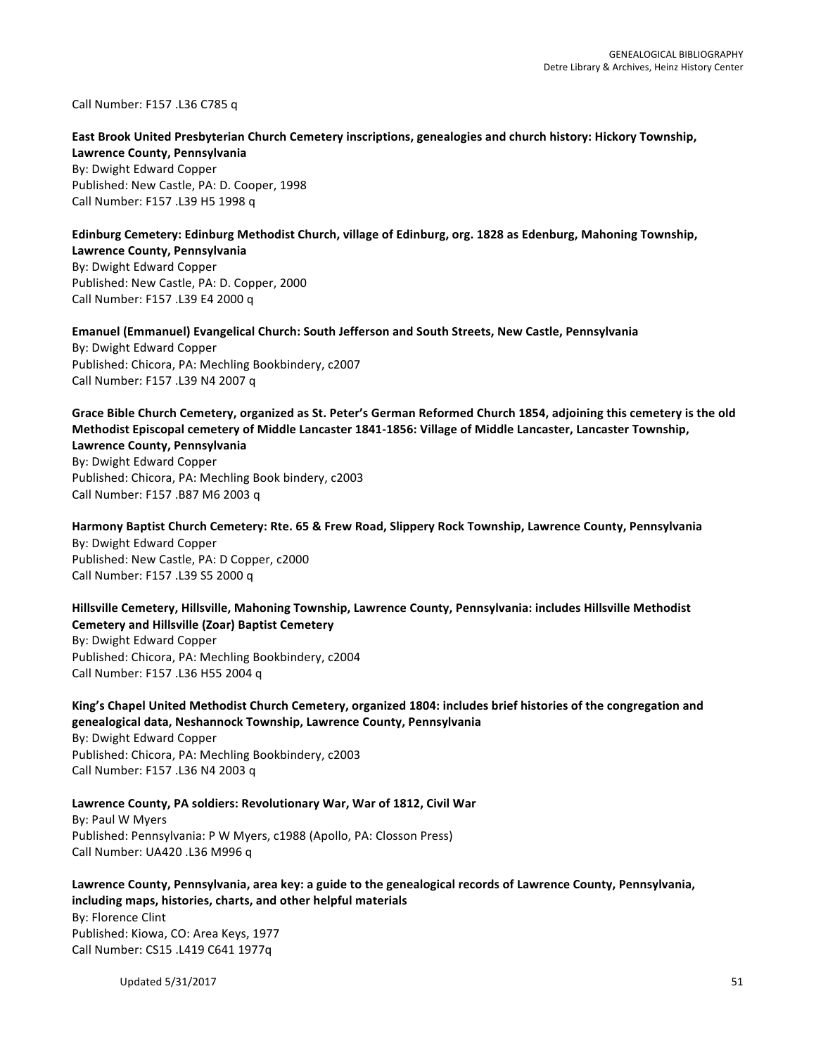Call Number: F157 .L36 C785 q

#### East Brook United Presbyterian Church Cemetery inscriptions, genealogies and church history: Hickory Township, **Lawrence County, Pennsylvania**

By: Dwight Edward Copper Published: New Castle, PA: D. Cooper, 1998 Call Number: F157 .L39 H5 1998 q

# Edinburg Cemetery: Edinburg Methodist Church, village of Edinburg, org. 1828 as Edenburg, Mahoning Township,

**Lawrence County, Pennsylvania** By: Dwight Edward Copper Published: New Castle, PA: D. Copper, 2000 Call Number: F157 .L39 E4 2000 q

**Emanuel (Emmanuel) Evangelical Church: South Jefferson and South Streets, New Castle, Pennsylvania** By: Dwight Edward Copper

Published: Chicora, PA: Mechling Bookbindery, c2007 Call Number: F157 .L39 N4 2007 q

#### Grace Bible Church Cemetery, organized as St. Peter's German Reformed Church 1854, adjoining this cemetery is the old **Methodist Episcopal cemetery of Middle Lancaster 1841-1856: Village of Middle Lancaster, Lancaster Township, Lawrence County, Pennsylvania**

By: Dwight Edward Copper Published: Chicora, PA: Mechling Book bindery, c2003 Call Number: F157 .B87 M6 2003 q

# Harmony Baptist Church Cemetery: Rte. 65 & Frew Road, Slippery Rock Township, Lawrence County, Pennsylvania

By: Dwight Edward Copper Published: New Castle, PA: D Copper, c2000 Call Number: F157 .L39 S5 2000 q

# Hillsville Cemetery, Hillsville, Mahoning Township, Lawrence County, Pennsylvania: includes Hillsville Methodist **Cemetery and Hillsville (Zoar) Baptist Cemetery**

By: Dwight Edward Copper Published: Chicora, PA: Mechling Bookbindery, c2004 Call Number: F157 .L36 H55 2004 q

# King's Chapel United Methodist Church Cemetery, organized 1804: includes brief histories of the congregation and **genealogical data, Neshannock Township, Lawrence County, Pennsylvania** By: Dwight Edward Copper

Published: Chicora, PA: Mechling Bookbindery, c2003 Call Number: F157 .L36 N4 2003 q

# Lawrence County, PA soldiers: Revolutionary War, War of 1812, Civil War

By: Paul W Myers Published: Pennsylvania: P W Myers, c1988 (Apollo, PA: Closson Press) Call Number: UA420 .L36 M996 q

# Lawrence County, Pennsylvania, area key: a guide to the genealogical records of Lawrence County, Pennsylvania, including maps, histories, charts, and other helpful materials By: Florence Clint Published: Kiowa, CO: Area Keys, 1977 Call Number: CS15 .L419 C641 1977q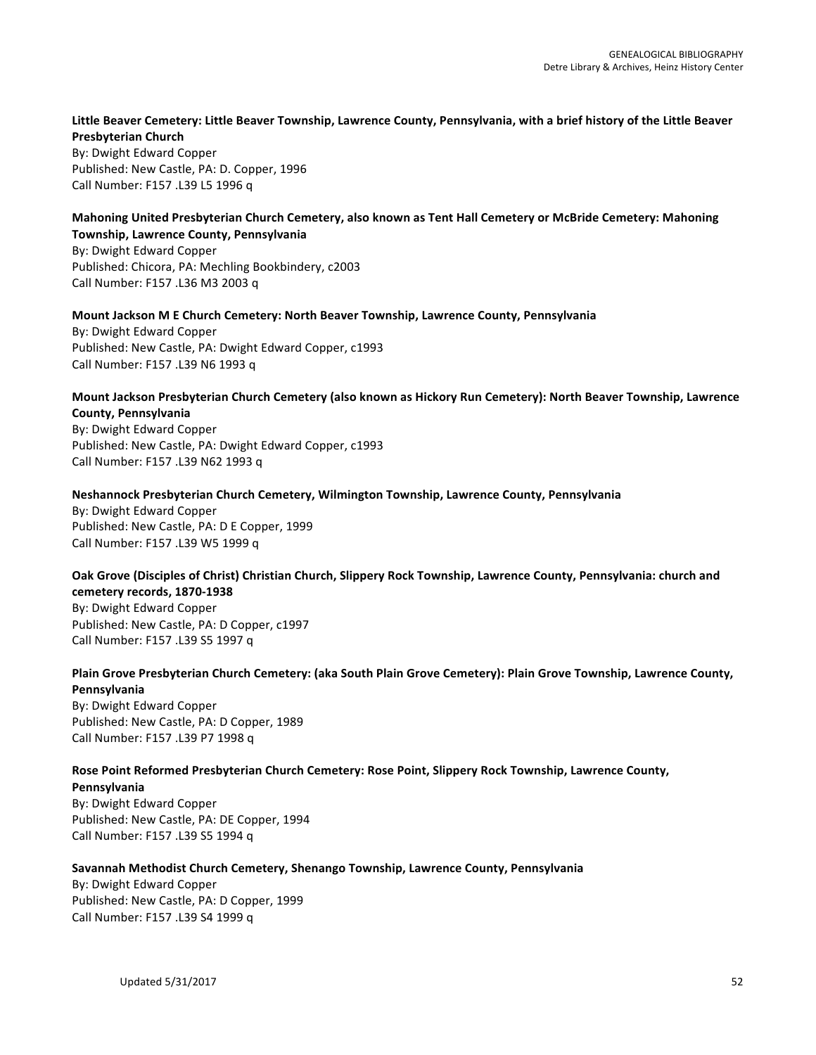#### Little Beaver Cemetery: Little Beaver Township, Lawrence County, Pennsylvania, with a brief history of the Little Beaver **Presbyterian Church**

By: Dwight Edward Copper Published: New Castle, PA: D. Copper, 1996 Call Number: F157 .L39 L5 1996 q

# Mahoning United Presbyterian Church Cemetery, also known as Tent Hall Cemetery or McBride Cemetery: Mahoning

**Township, Lawrence County, Pennsylvania** By: Dwight Edward Copper Published: Chicora, PA: Mechling Bookbindery, c2003 Call Number: F157 .L36 M3 2003 q

# **Mount Jackson M E Church Cemetery: North Beaver Township, Lawrence County, Pennsylvania**

By: Dwight Edward Copper Published: New Castle, PA: Dwight Edward Copper, c1993 Call Number: F157 .L39 N6 1993 q

#### Mount Jackson Presbyterian Church Cemetery (also known as Hickory Run Cemetery): North Beaver Township, Lawrence **County, Pennsylvania**

By: Dwight Edward Copper Published: New Castle, PA: Dwight Edward Copper, c1993 Call Number: F157 .L39 N62 1993 q

# **Neshannock Presbyterian Church Cemetery, Wilmington Township, Lawrence County, Pennsylvania**

By: Dwight Edward Copper Published: New Castle, PA: D E Copper, 1999 Call Number: F157 .L39 W5 1999 q

# **Oak Grove (Disciples of Christ) Christian Church, Slippery Rock Township, Lawrence County, Pennsylvania: church and cemetery records, 1870-1938**

By: Dwight Edward Copper Published: New Castle, PA: D Copper, c1997 Call Number: F157 .L39 S5 1997 q

#### Plain Grove Presbyterian Church Cemetery: (aka South Plain Grove Cemetery): Plain Grove Township, Lawrence County, **Pennsylvania**

By: Dwight Edward Copper Published: New Castle, PA: D Copper, 1989 Call Number: F157 .L39 P7 1998 q

# Rose Point Reformed Presbyterian Church Cemetery: Rose Point, Slippery Rock Township, Lawrence County,

**Pennsylvania** By: Dwight Edward Copper Published: New Castle, PA: DE Copper, 1994 Call Number: F157 .L39 S5 1994 q

# Savannah Methodist Church Cemetery, Shenango Township, Lawrence County, Pennsylvania

By: Dwight Edward Copper Published: New Castle, PA: D Copper, 1999 Call Number: F157 .L39 S4 1999 q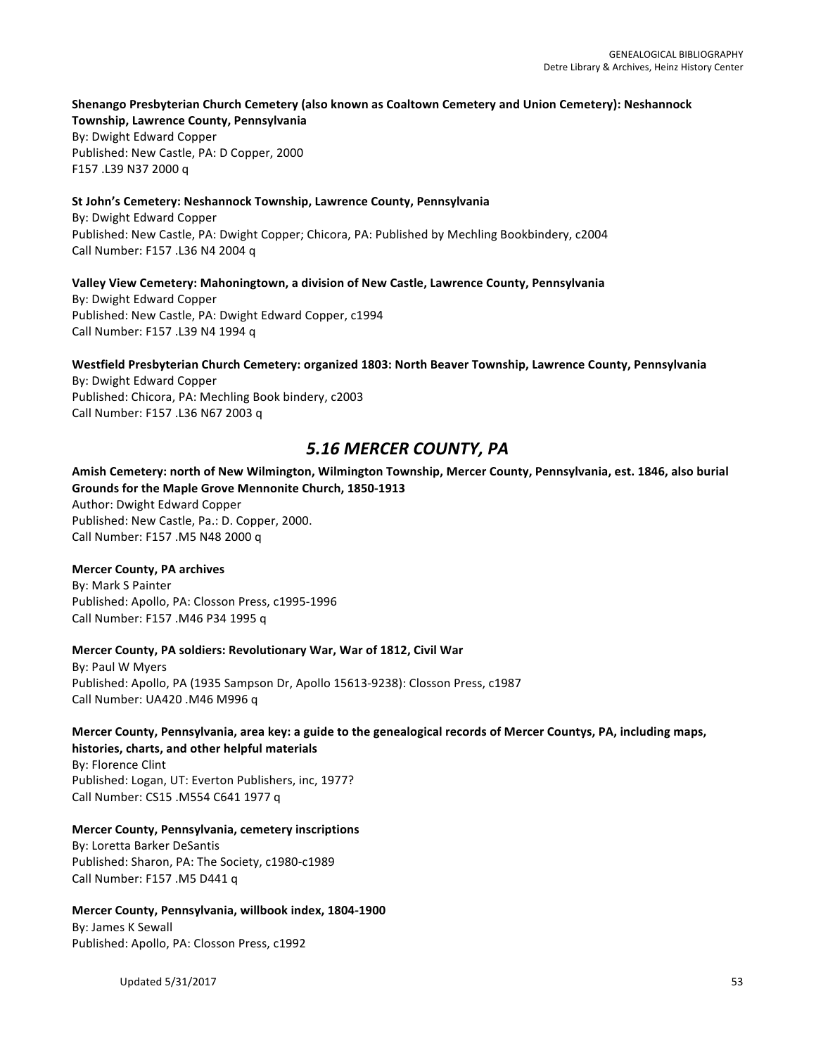#### Shenango Presbyterian Church Cemetery (also known as Coaltown Cemetery and Union Cemetery): Neshannock

**Township, Lawrence County, Pennsylvania** By: Dwight Edward Copper Published: New Castle, PA: D Copper, 2000 F157 .L39 N37 2000 q

#### **St John's Cemetery: Neshannock Township, Lawrence County, Pennsylvania**

By: Dwight Edward Copper Published: New Castle, PA: Dwight Copper; Chicora, PA: Published by Mechling Bookbindery, c2004 Call Number: F157 .L36 N4 2004 q

#### Valley View Cemetery: Mahoningtown, a division of New Castle, Lawrence County, Pennsylvania

By: Dwight Edward Copper Published: New Castle, PA: Dwight Edward Copper, c1994 Call Number: F157 .L39 N4 1994 q

# Westfield Presbyterian Church Cemetery: organized 1803: North Beaver Township, Lawrence County, Pennsylvania

By: Dwight Edward Copper Published: Chicora, PA: Mechling Book bindery, c2003 Call Number: F157 .L36 N67 2003 q

# *5.16 MERCER COUNTY, PA*

# Amish Cemetery: north of New Wilmington, Wilmington Township, Mercer County, Pennsylvania, est. 1846, also burial Grounds for the Maple Grove Mennonite Church, 1850-1913

Author: Dwight Edward Copper Published: New Castle, Pa.: D. Copper, 2000. Call Number: F157 .M5 N48 2000 q

# **Mercer County, PA archives**

By: Mark S Painter Published: Apollo, PA: Closson Press, c1995-1996 Call Number: F157 .M46 P34 1995 q

# **Mercer County, PA soldiers: Revolutionary War, War of 1812, Civil War**

By: Paul W Myers Published: Apollo, PA (1935 Sampson Dr, Apollo 15613-9238): Closson Press, c1987 Call Number: UA420 .M46 M996 q

# Mercer County, Pennsylvania, area key: a guide to the genealogical records of Mercer Countys, PA, including maps, histories, charts, and other helpful materials

By: Florence Clint Published: Logan, UT: Everton Publishers, inc, 1977? Call Number: CS15 .M554 C641 1977 q

# **Mercer County, Pennsylvania, cemetery inscriptions**

By: Loretta Barker DeSantis Published: Sharon, PA: The Society, c1980-c1989 Call Number: F157 .M5 D441 q

# **Mercer County, Pennsylvania, willbook index, 1804-1900**

By: James K Sewall Published: Apollo, PA: Closson Press, c1992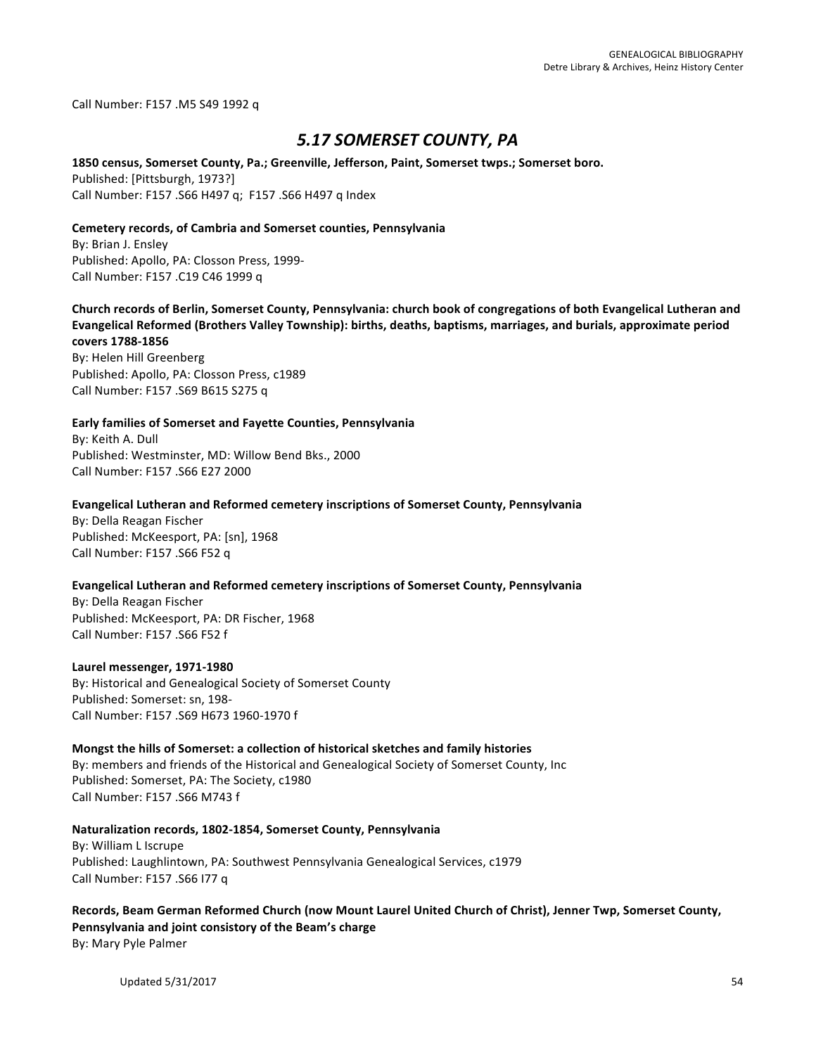Call Number: F157 .M5 S49 1992 q

# *5.17 SOMERSET COUNTY, PA*

#### 1850 census, Somerset County, Pa.; Greenville, Jefferson, Paint, Somerset twps.; Somerset boro.

Published: [Pittsburgh, 1973?] Call Number: F157 .S66 H497 q; F157 .S66 H497 q Index

#### **Cemetery records, of Cambria and Somerset counties, Pennsylvania**

By: Brian J. Ensley Published: Apollo, PA: Closson Press, 1999-Call Number: F157 .C19 C46 1999 q

Church records of Berlin, Somerset County, Pennsylvania: church book of congregations of both Evangelical Lutheran and Evangelical Reformed (Brothers Valley Township): births, deaths, baptisms, marriages, and burials, approximate period **covers 1788-1856**

By: Helen Hill Greenberg Published: Apollo, PA: Closson Press, c1989 Call Number: F157 .S69 B615 S275 q

#### **Early families of Somerset and Fayette Counties, Pennsylvania**

By: Keith A. Dull Published: Westminster, MD: Willow Bend Bks., 2000 Call Number: F157 .S66 E27 2000

#### **Evangelical Lutheran and Reformed cemetery inscriptions of Somerset County, Pennsylvania**

By: Della Reagan Fischer Published: McKeesport, PA: [sn], 1968 Call Number: F157 .S66 F52 q

# **Evangelical Lutheran and Reformed cemetery inscriptions of Somerset County, Pennsylvania**

By: Della Reagan Fischer Published: McKeesport, PA: DR Fischer, 1968 Call Number: F157 .S66 F52 f

#### **Laurel messenger, 1971-1980**

By: Historical and Genealogical Society of Somerset County Published: Somerset: sn, 198-Call Number: F157 .S69 H673 1960-1970 f

#### Mongst the hills of Somerset: a collection of historical sketches and family histories

By: members and friends of the Historical and Genealogical Society of Somerset County, Inc Published: Somerset, PA: The Society, c1980 Call Number: F157 .S66 M743 f

#### **Naturalization records, 1802-1854, Somerset County, Pennsylvania**

By: William L Iscrupe Published: Laughlintown, PA: Southwest Pennsylvania Genealogical Services, c1979 Call Number: F157 .S66 I77 q

Records, Beam German Reformed Church (now Mount Laurel United Church of Christ), Jenner Twp, Somerset County, Pennsylvania and joint consistory of the Beam's charge By: Mary Pyle Palmer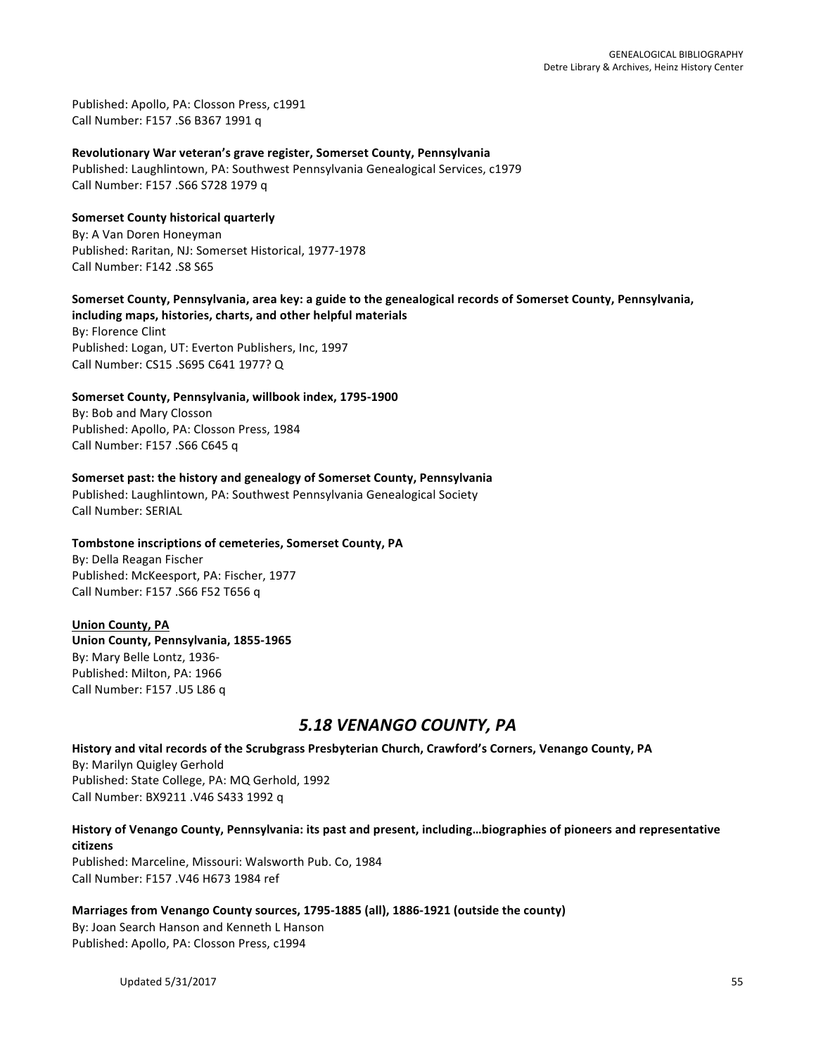Published: Apollo, PA: Closson Press, c1991 Call Number: F157 .S6 B367 1991 q

**Revolutionary War veteran's grave register, Somerset County, Pennsylvania** 

Published: Laughlintown, PA: Southwest Pennsylvania Genealogical Services, c1979 Call Number: F157 .S66 S728 1979 q

**Somerset County historical quarterly** By: A Van Doren Honeyman Published: Raritan, NJ: Somerset Historical, 1977-1978 Call Number: F142 .S8 S65

# Somerset County, Pennsylvania, area key: a guide to the genealogical records of Somerset County, Pennsylvania,

including maps, histories, charts, and other helpful materials By: Florence Clint Published: Logan, UT: Everton Publishers, Inc, 1997 Call Number: CS15 .S695 C641 1977? Q

Somerset County, Pennsylvania, willbook index, 1795-1900

By: Bob and Mary Closson Published: Apollo, PA: Closson Press, 1984 Call Number: F157 .S66 C645 q

# **Somerset past: the history and genealogy of Somerset County, Pennsylvania**

Published: Laughlintown, PA: Southwest Pennsylvania Genealogical Society Call Number: SERIAL

# Tombstone inscriptions of cemeteries, Somerset County, PA

By: Della Reagan Fischer Published: McKeesport, PA: Fischer, 1977 Call Number: F157 .S66 F52 T656 q

# **Union County, PA**

**Union County, Pennsylvania, 1855-1965** By: Mary Belle Lontz, 1936-Published: Milton, PA: 1966 Call Number: F157 .U5 L86 q

# *5.18 VENANGO COUNTY, PA*

History and vital records of the Scrubgrass Presbyterian Church, Crawford's Corners, Venango County, PA

By: Marilyn Quigley Gerhold Published: State College, PA: MQ Gerhold, 1992 Call Number: BX9211 .V46 S433 1992 q

# History of Venango County, Pennsylvania: its past and present, including...biographies of pioneers and representative **citizens**

Published: Marceline, Missouri: Walsworth Pub. Co, 1984 Call Number: F157 .V46 H673 1984 ref

# Marriages from Venango County sources, 1795-1885 (all), 1886-1921 (outside the county)

By: Joan Search Hanson and Kenneth L Hanson Published: Apollo, PA: Closson Press, c1994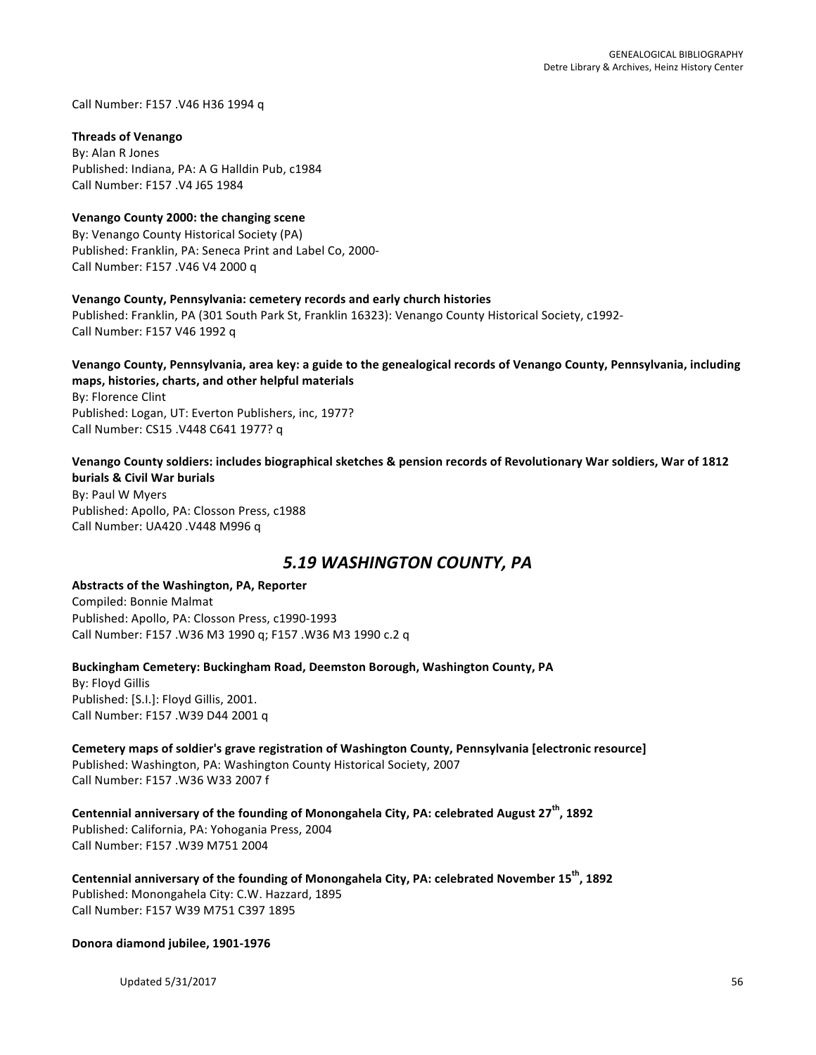Call Number: F157 .V46 H36 1994 q

#### **Threads of Venango**

By: Alan R Jones Published: Indiana, PA: A G Halldin Pub, c1984 Call Number: F157 .V4 J65 1984

#### **Venango County 2000: the changing scene**

By: Venango County Historical Society (PA) Published: Franklin, PA: Seneca Print and Label Co, 2000-Call Number: F157 .V46 V4 2000 q

#### Venango County, Pennsylvania: cemetery records and early church histories

Published: Franklin, PA (301 South Park St, Franklin 16323): Venango County Historical Society, c1992-Call Number: F157 V46 1992 q

#### Venango County, Pennsylvania, area key: a guide to the genealogical records of Venango County, Pennsylvania, including maps, histories, charts, and other helpful materials

By: Florence Clint Published: Logan, UT: Everton Publishers, inc, 1977? Call Number: CS15 .V448 C641 1977? q

# Venango County soldiers: includes biographical sketches & pension records of Revolutionary War soldiers, War of 1812

**burials & Civil War burials** By: Paul W Myers Published: Apollo, PA: Closson Press, c1988 Call Number: UA420 .V448 M996 q

# *5.19 WASHINGTON COUNTY, PA*

#### Abstracts of the Washington, PA, Reporter

Compiled: Bonnie Malmat Published: Apollo, PA: Closson Press, c1990-1993 Call Number: F157 .W36 M3 1990 q; F157 .W36 M3 1990 c.2 q

#### Buckingham Cemetery: Buckingham Road, Deemston Borough, Washington County, PA

By: Floyd Gillis Published: [S.I.]: Floyd Gillis, 2001. Call Number: F157 .W39 D44 2001 q

# Cemetery maps of soldier's grave registration of Washington County, Pennsylvania [electronic resource] Published: Washington, PA: Washington County Historical Society, 2007

Call Number: F157 .W36 W33 2007 f

Centennial anniversary of the founding of Monongahela City, PA: celebrated August 27<sup>th</sup>, 1892 Published: California, PA: Yohogania Press, 2004 Call Number: F157 .W39 M751 2004

Centennial anniversary of the founding of Monongahela City, PA: celebrated November 15<sup>th</sup>, 1892 Published: Monongahela City: C.W. Hazzard, 1895 Call Number: F157 W39 M751 C397 1895

**Donora diamond jubilee, 1901-1976**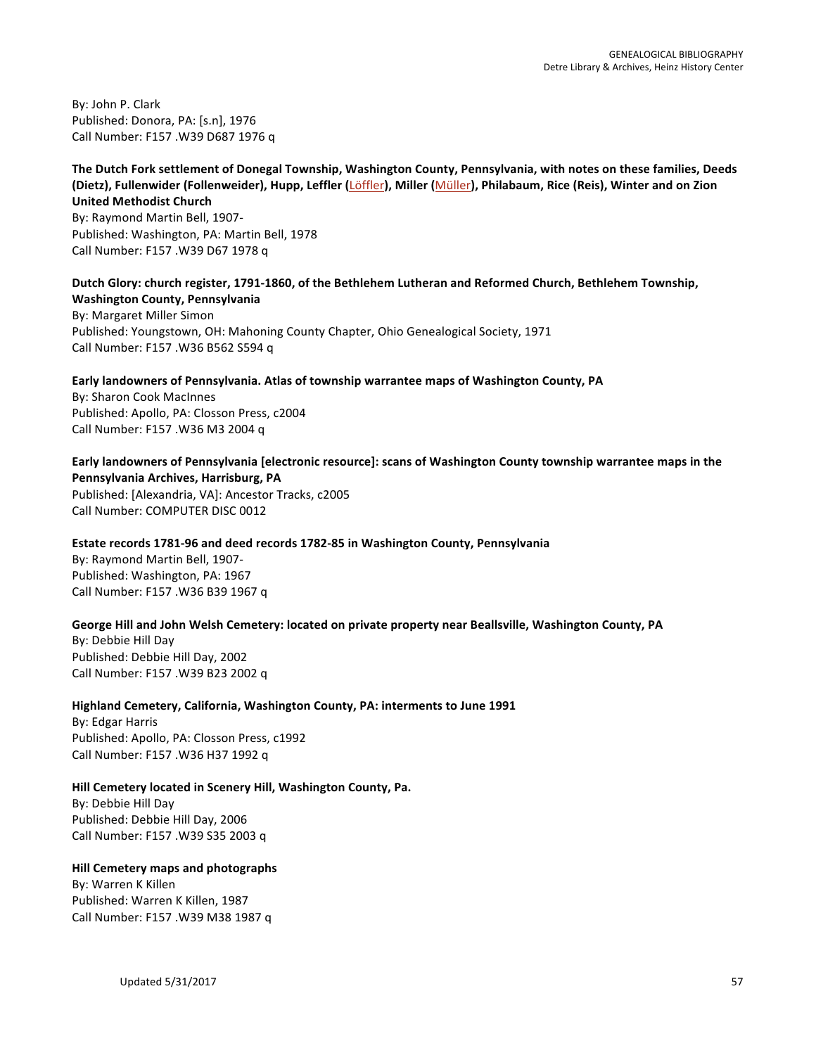By: John P. Clark Published: Donora, PA: [s.n], 1976 Call Number: F157 .W39 D687 1976 q

The Dutch Fork settlement of Donegal Township, Washington County, Pennsylvania, with notes on these families, Deeds **(Dietz), Fullenwider (Follenweider), Hupp, Leffler (Löffler), Miller (Müller), Philabaum, Rice (Reis), Winter and on Zion United Methodist Church** By: Raymond Martin Bell, 1907-Published: Washington, PA: Martin Bell, 1978

Call Number: F157 .W39 D67 1978 q

Dutch Glory: church register, 1791-1860, of the Bethlehem Lutheran and Reformed Church, Bethlehem Township, **Washington County, Pennsylvania** By: Margaret Miller Simon Published: Youngstown, OH: Mahoning County Chapter, Ohio Genealogical Society, 1971 Call Number: F157 .W36 B562 S594 q

Early landowners of Pennsylvania. Atlas of township warrantee maps of Washington County, PA By: Sharon Cook MacInnes Published: Apollo, PA: Closson Press, c2004 Call Number: F157 .W36 M3 2004 q

Early landowners of Pennsylvania [electronic resource]: scans of Washington County township warrantee maps in the **Pennsylvania Archives, Harrisburg, PA** Published: [Alexandria, VA]: Ancestor Tracks, c2005

Call Number: COMPUTER DISC 0012

# **Estate records 1781-96 and deed records 1782-85 in Washington County, Pennsylvania**

By: Raymond Martin Bell, 1907-Published: Washington, PA: 1967 Call Number: F157 .W36 B39 1967 q

# George Hill and John Welsh Cemetery: located on private property near Beallsville, Washington County, PA

By: Debbie Hill Day Published: Debbie Hill Day, 2002 Call Number: F157 .W39 B23 2002 q

# **Highland Cemetery, California, Washington County, PA: interments to June 1991**

By: Edgar Harris Published: Apollo, PA: Closson Press, c1992 Call Number: F157 .W36 H37 1992 q

# Hill Cemetery located in Scenery Hill, Washington County, Pa.

By: Debbie Hill Day Published: Debbie Hill Day, 2006 Call Number: F157 .W39 S35 2003 q

# **Hill Cemetery maps and photographs**

By: Warren K Killen Published: Warren K Killen, 1987 Call Number: F157 .W39 M38 1987 q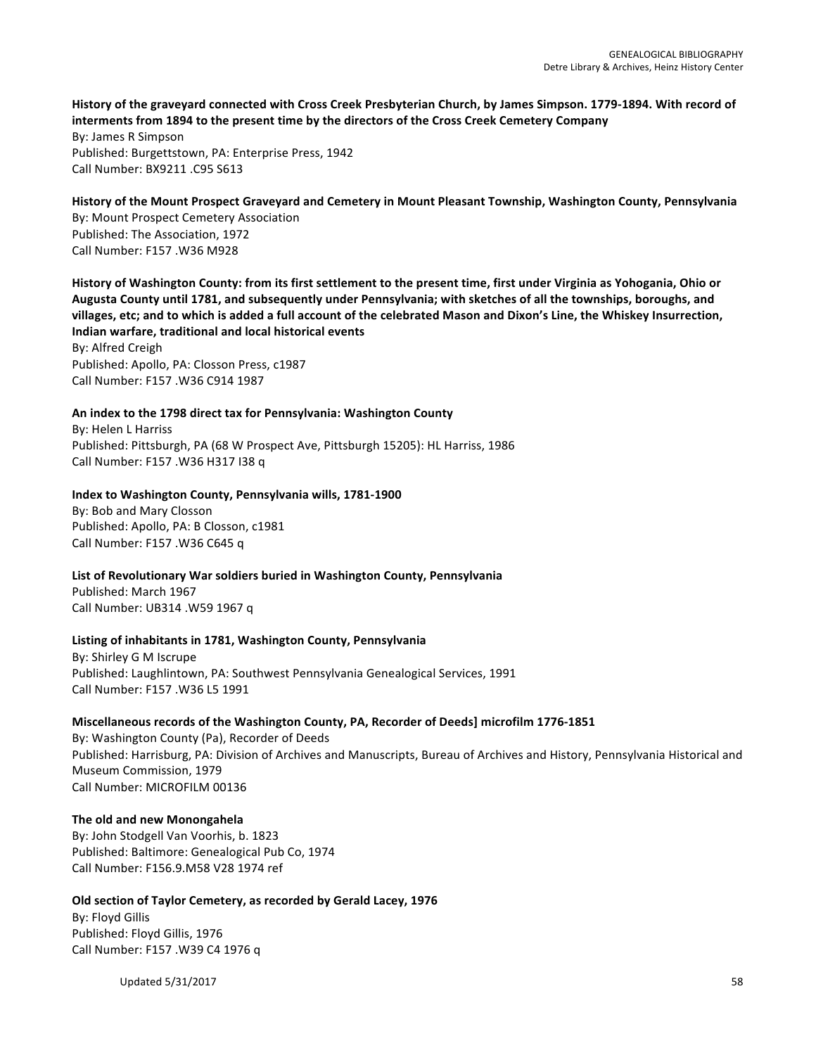History of the graveyard connected with Cross Creek Presbyterian Church, by James Simpson. 1779-1894. With record of interments from 1894 to the present time by the directors of the Cross Creek Cemetery Company By: James R Simpson Published: Burgettstown, PA: Enterprise Press, 1942

History of the Mount Prospect Graveyard and Cemetery in Mount Pleasant Township, Washington County, Pennsylvania By: Mount Prospect Cemetery Association Published: The Association, 1972 Call Number: F157 .W36 M928

History of Washington County: from its first settlement to the present time, first under Virginia as Yohogania, Ohio or Augusta County until 1781, and subsequently under Pennsylvania; with sketches of all the townships, boroughs, and villages, etc; and to which is added a full account of the celebrated Mason and Dixon's Line, the Whiskey Insurrection, **Indian warfare, traditional and local historical events**

By: Alfred Creigh Published: Apollo, PA: Closson Press, c1987 Call Number: F157 .W36 C914 1987

Call Number: BX9211 .C95 S613

#### An index to the 1798 direct tax for Pennsylvania: Washington County

By: Helen L Harriss Published: Pittsburgh, PA (68 W Prospect Ave, Pittsburgh 15205): HL Harriss, 1986 Call Number: F157 .W36 H317 I38 q

#### **Index to Washington County, Pennsylvania wills, 1781-1900**

By: Bob and Mary Closson Published: Apollo, PA: B Closson, c1981 Call Number: F157 .W36 C645 q

#### **List of Revolutionary War soldiers buried in Washington County, Pennsylvania**

Published: March 1967 Call Number: UB314 .W59 1967 q

#### Listing of inhabitants in 1781, Washington County, Pennsylvania

By: Shirley G M Iscrupe Published: Laughlintown, PA: Southwest Pennsylvania Genealogical Services, 1991 Call Number: F157 .W36 L5 1991

#### Miscellaneous records of the Washington County, PA, Recorder of Deeds] microfilm 1776-1851

By: Washington County (Pa), Recorder of Deeds Published: Harrisburg, PA: Division of Archives and Manuscripts, Bureau of Archives and History, Pennsylvania Historical and Museum Commission, 1979 Call Number: MICROFILM 00136

#### **The old and new Monongahela**

By: John Stodgell Van Voorhis, b. 1823 Published: Baltimore: Genealogical Pub Co, 1974 Call Number: F156.9.M58 V28 1974 ref

#### **Old section of Taylor Cemetery, as recorded by Gerald Lacey, 1976**

By: Floyd Gillis Published: Floyd Gillis, 1976 Call Number: F157 .W39 C4 1976 q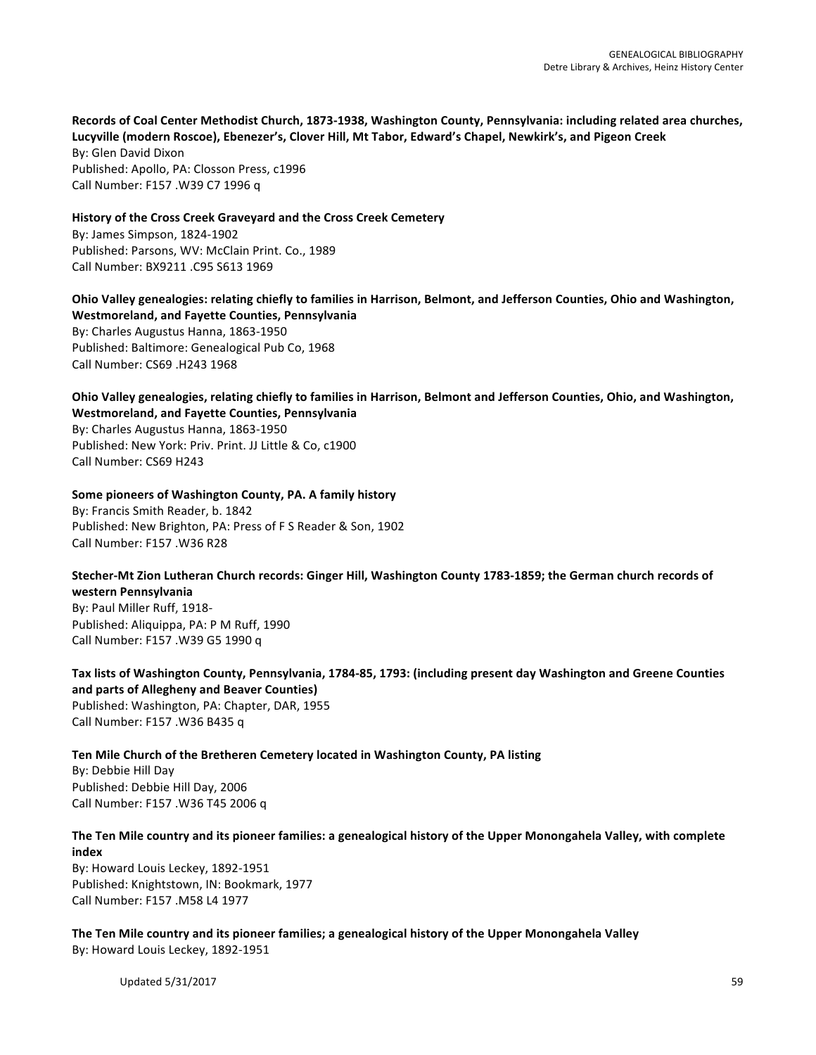Records of Coal Center Methodist Church, 1873-1938, Washington County, Pennsylvania: including related area churches, Lucyville (modern Roscoe), Ebenezer's, Clover Hill, Mt Tabor, Edward's Chapel, Newkirk's, and Pigeon Creek By: Glen David Dixon

Published: Apollo, PA: Closson Press, c1996 Call Number: F157 .W39 C7 1996 q

**History of the Cross Creek Graveyard and the Cross Creek Cemetery** By: James Simpson, 1824-1902 Published: Parsons, WV: McClain Print. Co., 1989 Call Number: BX9211 .C95 S613 1969

Ohio Valley genealogies: relating chiefly to families in Harrison, Belmont, and Jefferson Counties, Ohio and Washington, **Westmoreland, and Fayette Counties, Pennsylvania** By: Charles Augustus Hanna, 1863-1950 Published: Baltimore: Genealogical Pub Co, 1968 Call Number: CS69 .H243 1968

**Ohio Valley genealogies, relating chiefly to families in Harrison, Belmont and Jefferson Counties, Ohio, and Washington, Westmoreland, and Fayette Counties, Pennsylvania** By: Charles Augustus Hanna, 1863-1950

Published: New York: Priv. Print. JJ Little & Co, c1900 Call Number: CS69 H243

# **Some pioneers of Washington County, PA. A family history**

By: Francis Smith Reader, b. 1842 Published: New Brighton, PA: Press of F S Reader & Son, 1902 Call Number: F157 .W36 R28

# Stecher-Mt Zion Lutheran Church records: Ginger Hill, Washington County 1783-1859; the German church records of **western Pennsylvania**

By: Paul Miller Ruff, 1918-Published: Aliquippa, PA: P M Ruff, 1990 Call Number: F157 .W39 G5 1990 q

Tax lists of Washington County, Pennsylvania, 1784-85, 1793: (including present day Washington and Greene Counties **and parts of Allegheny and Beaver Counties)** Published: Washington, PA: Chapter, DAR, 1955

Call Number: F157 .W36 B435 q

Ten Mile Church of the Bretheren Cemetery located in Washington County, PA listing

By: Debbie Hill Day Published: Debbie Hill Day, 2006 Call Number: F157 .W36 T45 2006 q

# The Ten Mile country and its pioneer families: a genealogical history of the Upper Monongahela Valley, with complete **index**

By: Howard Louis Leckey, 1892-1951 Published: Knightstown, IN: Bookmark, 1977 Call Number: F157 .M58 L4 1977

The Ten Mile country and its pioneer families; a genealogical history of the Upper Monongahela Valley By: Howard Louis Leckey, 1892-1951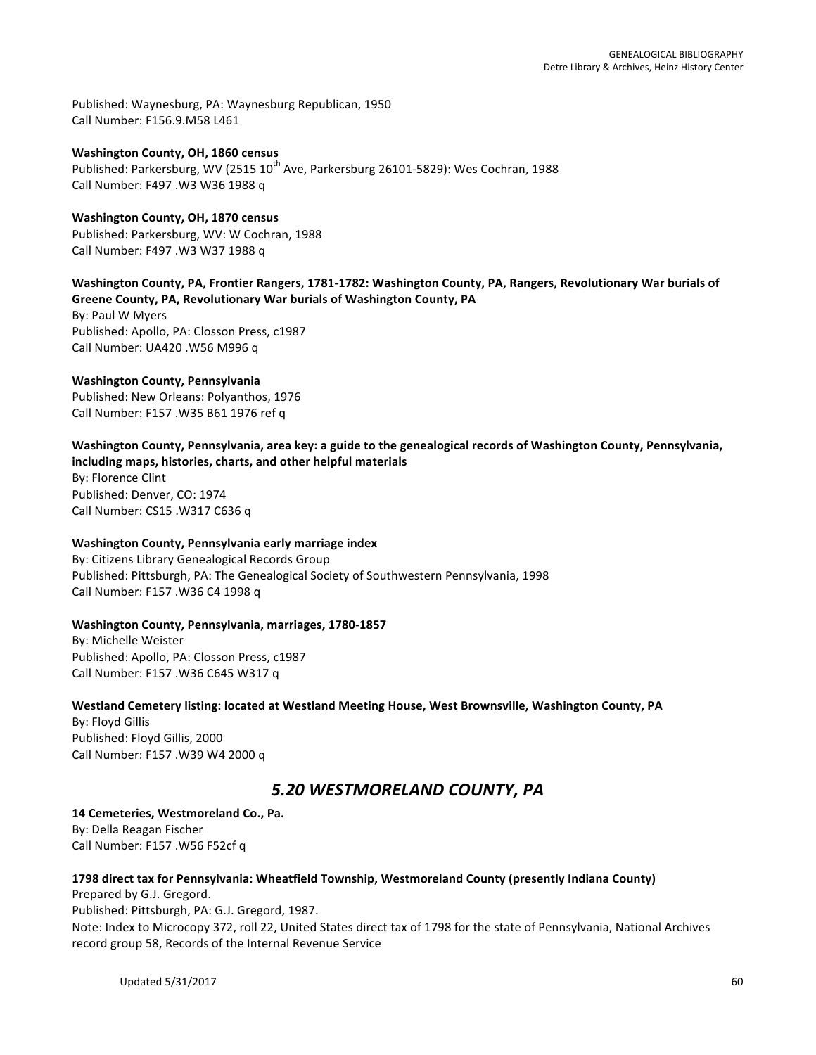Published: Waynesburg, PA: Waynesburg Republican, 1950 Call Number: F156.9.M58 L461

**Washington County, OH, 1860 census** Published: Parkersburg, WV (2515 10<sup>th</sup> Ave, Parkersburg 26101-5829): Wes Cochran, 1988 Call Number: F497 .W3 W36 1988 q

**Washington County, OH, 1870 census** Published: Parkersburg, WV: W Cochran, 1988 Call Number: F497 .W3 W37 1988 q

Washington County, PA, Frontier Rangers, 1781-1782: Washington County, PA, Rangers, Revolutionary War burials of **Greene County, PA, Revolutionary War burials of Washington County, PA** 

By: Paul W Myers Published: Apollo, PA: Closson Press, c1987 Call Number: UA420 .W56 M996 q

# **Washington County, Pennsylvania**

Published: New Orleans: Polyanthos, 1976 Call Number: F157 .W35 B61 1976 ref q

Washington County, Pennsylvania, area key: a guide to the genealogical records of Washington County, Pennsylvania, including maps, histories, charts, and other helpful materials

By: Florence Clint Published: Denver, CO: 1974 Call Number: CS15 .W317 C636 q

# **Washington County, Pennsylvania early marriage index**

By: Citizens Library Genealogical Records Group Published: Pittsburgh, PA: The Genealogical Society of Southwestern Pennsylvania, 1998 Call Number: F157 .W36 C4 1998 q

# **Washington County, Pennsylvania, marriages, 1780-1857**

By: Michelle Weister Published: Apollo, PA: Closson Press, c1987 Call Number: F157 .W36 C645 W317 q

Westland Cemetery listing: located at Westland Meeting House, West Brownsville, Washington County, PA

By: Floyd Gillis Published: Floyd Gillis, 2000 Call Number: F157 .W39 W4 2000 q

# *5.20 WESTMORELAND COUNTY, PA*

14 Cemeteries, Westmoreland Co., Pa. By: Della Reagan Fischer Call Number: F157 .W56 F52cf q

# **1798 direct tax for Pennsylvania: Wheatfield Township, Westmoreland County (presently Indiana County)**

Prepared by G.J. Gregord. Published: Pittsburgh, PA: G.J. Gregord, 1987. Note: Index to Microcopy 372, roll 22, United States direct tax of 1798 for the state of Pennsylvania, National Archives record group 58, Records of the Internal Revenue Service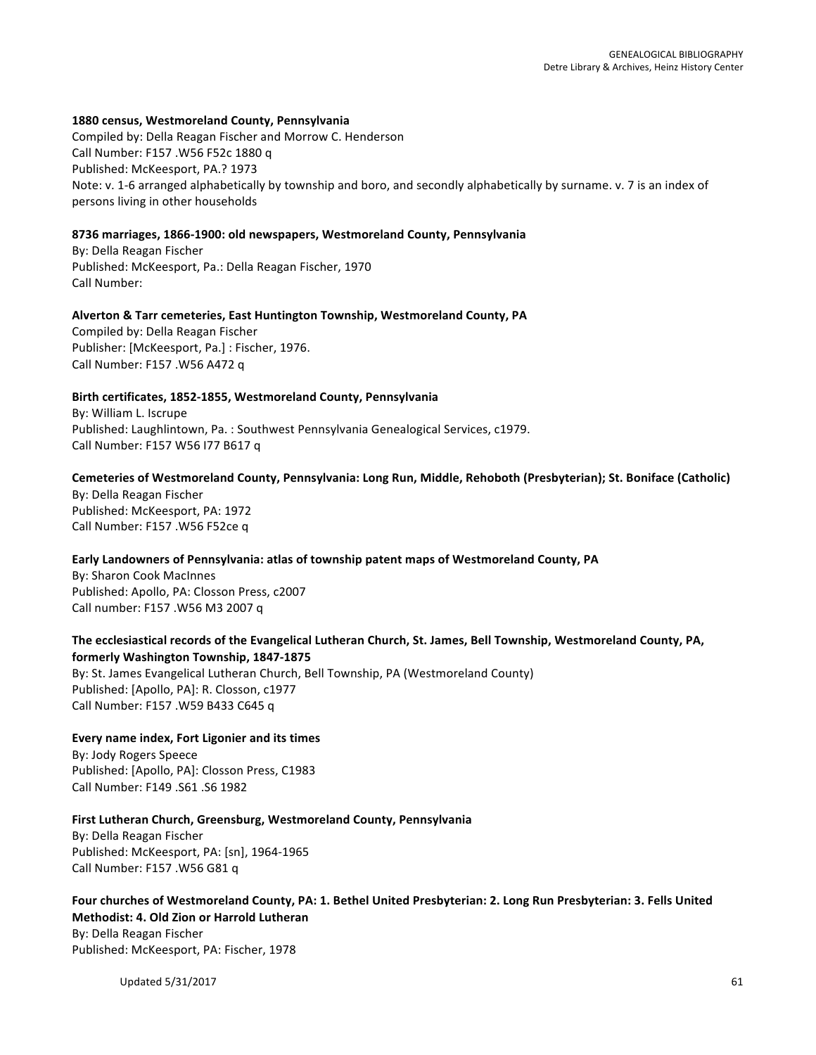#### **1880 census, Westmoreland County, Pennsylvania**

Compiled by: Della Reagan Fischer and Morrow C. Henderson Call Number: F157 .W56 F52c 1880 q Published: McKeesport, PA.? 1973 Note: v. 1-6 arranged alphabetically by township and boro, and secondly alphabetically by surname. v. 7 is an index of persons living in other households

#### **8736 marriages, 1866-1900: old newspapers, Westmoreland County, Pennsylvania**

By: Della Reagan Fischer Published: McKeesport, Pa.: Della Reagan Fischer, 1970 Call Number: 

#### Alverton & Tarr cemeteries, East Huntington Township, Westmoreland County, PA

Compiled by: Della Reagan Fischer Publisher: [McKeesport, Pa.] : Fischer, 1976. Call Number: F157 .W56 A472 q

# Birth certificates, 1852-1855, Westmoreland County, Pennsylvania

By: William L. Iscrupe Published: Laughlintown, Pa. : Southwest Pennsylvania Genealogical Services, c1979. Call Number: F157 W56 I77 B617 q

#### Cemeteries of Westmoreland County, Pennsylvania: Long Run, Middle, Rehoboth (Presbyterian); St. Boniface (Catholic)

By: Della Reagan Fischer Published: McKeesport, PA: 1972 Call Number: F157 .W56 F52ce q

#### Early Landowners of Pennsylvania: atlas of township patent maps of Westmoreland County, PA

By: Sharon Cook MacInnes Published: Apollo, PA: Closson Press, c2007 Call number: F157 .W56 M3 2007 q

# The ecclesiastical records of the Evangelical Lutheran Church, St. James, Bell Township, Westmoreland County, PA, **formerly Washington Township, 1847-1875**

By: St. James Evangelical Lutheran Church, Bell Township, PA (Westmoreland County) Published: [Apollo, PA]: R. Closson, c1977 Call Number: F157 .W59 B433 C645 q

#### **Every name index, Fort Ligonier and its times**

By: Jody Rogers Speece Published: [Apollo, PA]: Closson Press, C1983 Call Number: F149 .S61 .S6 1982

# First Lutheran Church, Greensburg, Westmoreland County, Pennsylvania

By: Della Reagan Fischer Published: McKeesport, PA: [sn], 1964-1965 Call Number: F157 .W56 G81 q

# Four churches of Westmoreland County, PA: 1. Bethel United Presbyterian: 2. Long Run Presbyterian: 3. Fells United **Methodist: 4. Old Zion or Harrold Lutheran**

By: Della Reagan Fischer Published: McKeesport, PA: Fischer, 1978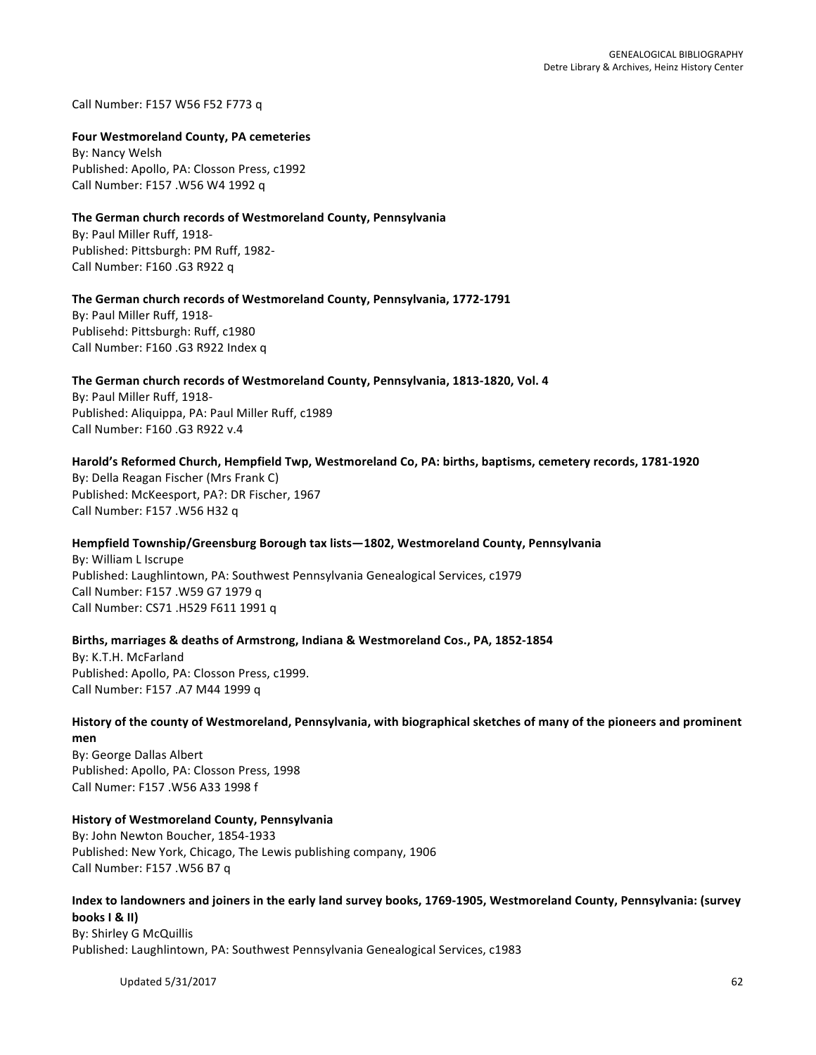Call Number: F157 W56 F52 F773 q

#### **Four Westmoreland County, PA cemeteries**

**By: Nancy Welsh** Published: Apollo, PA: Closson Press, c1992 Call Number: F157 .W56 W4 1992 q

#### **The German church records of Westmoreland County, Pennsylvania**

By: Paul Miller Ruff, 1918-Published: Pittsburgh: PM Ruff, 1982-Call Number: F160 .G3 R922 q

#### The German church records of Westmoreland County, Pennsylvania, 1772-1791

By: Paul Miller Ruff, 1918-Publisehd: Pittsburgh: Ruff, c1980 Call Number: F160 .G3 R922 Index q

#### The German church records of Westmoreland County, Pennsylvania, 1813-1820, Vol. 4

By: Paul Miller Ruff, 1918-Published: Aliquippa, PA: Paul Miller Ruff, c1989 Call Number: F160 .G3 R922 v.4

#### Harold's Reformed Church, Hempfield Twp, Westmoreland Co, PA: births, baptisms, cemetery records, 1781-1920

By: Della Reagan Fischer (Mrs Frank C) Published: McKeesport, PA?: DR Fischer, 1967 Call Number: F157 .W56 H32 q

# Hempfield Township/Greensburg Borough tax lists-1802, Westmoreland County, Pennsylvania

By: William L Iscrupe Published: Laughlintown, PA: Southwest Pennsylvania Genealogical Services, c1979 Call Number: F157 .W59 G7 1979 q Call Number: CS71 .H529 F611 1991 q

# Births, marriages & deaths of Armstrong, Indiana & Westmoreland Cos., PA, 1852-1854

By: K.T.H. McFarland Published: Apollo, PA: Closson Press, c1999. Call Number: F157 .A7 M44 1999 q

# History of the county of Westmoreland, Pennsylvania, with biographical sketches of many of the pioneers and prominent **men**

By: George Dallas Albert Published: Apollo, PA: Closson Press, 1998 Call Numer: F157 .W56 A33 1998 f

# **History of Westmoreland County, Pennsylvania**

By: John Newton Boucher, 1854-1933 Published: New York, Chicago, The Lewis publishing company, 1906 Call Number: F157 .W56 B7 q

#### Index to landowners and joiners in the early land survey books, 1769-1905, Westmoreland County, Pennsylvania: (survey **books | & II)**

By: Shirley G McQuillis Published: Laughlintown, PA: Southwest Pennsylvania Genealogical Services, c1983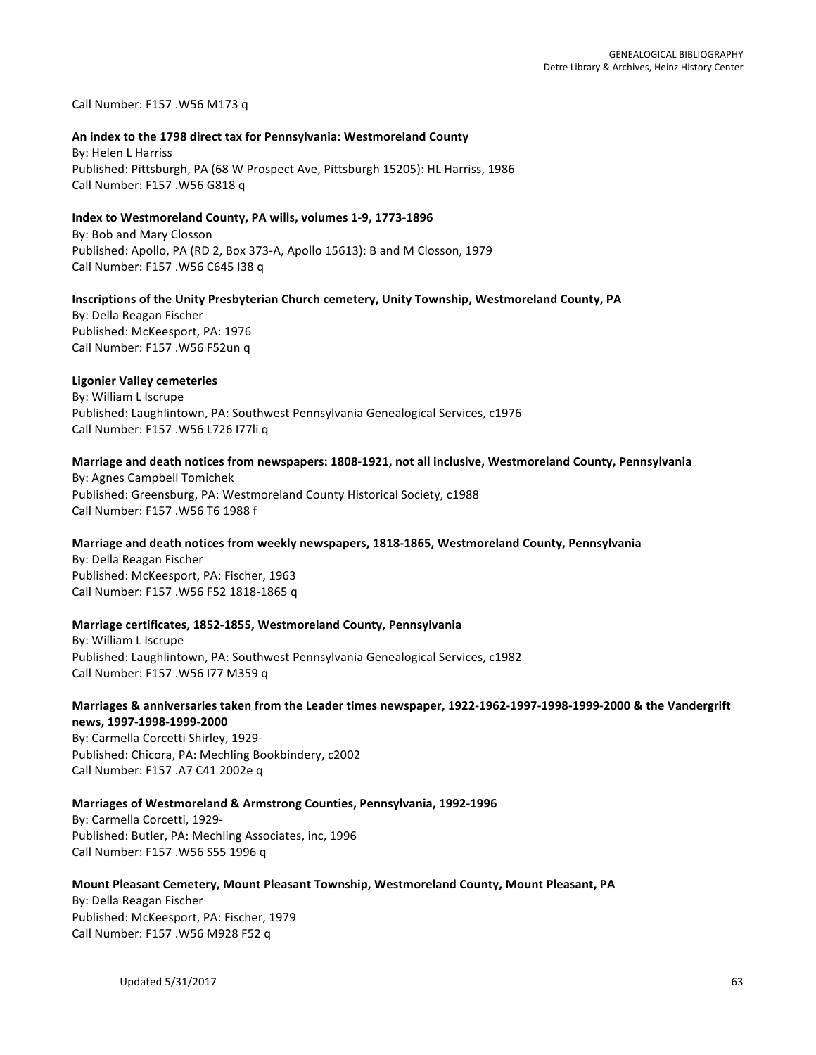Call Number: F157 .W56 M173 q

#### An index to the 1798 direct tax for Pennsylvania: Westmoreland County

**By: Helen L Harriss** Published: Pittsburgh, PA (68 W Prospect Ave, Pittsburgh 15205): HL Harriss, 1986 Call Number: F157 .W56 G818 q

#### **Index to Westmoreland County, PA wills, volumes 1-9, 1773-1896**

By: Bob and Mary Closson Published: Apollo, PA (RD 2, Box 373-A, Apollo 15613): B and M Closson, 1979 Call Number: F157 .W56 C645 I38 q

#### Inscriptions of the Unity Presbyterian Church cemetery, Unity Township, Westmoreland County, PA

By: Della Reagan Fischer Published: McKeesport, PA: 1976 Call Number: F157 .W56 F52un q

#### **Ligonier Valley cemeteries**

By: William L Iscrupe Published: Laughlintown, PA: Southwest Pennsylvania Genealogical Services, c1976 Call Number: F157 .W56 L726 I77li q

#### Marriage and death notices from newspapers: 1808-1921, not all inclusive, Westmoreland County, Pennsylvania

By: Agnes Campbell Tomichek Published: Greensburg, PA: Westmoreland County Historical Society, c1988 Call Number: F157 .W56 T6 1988 f

#### Marriage and death notices from weekly newspapers, 1818-1865, Westmoreland County, Pennsylvania

By: Della Reagan Fischer Published: McKeesport, PA: Fischer, 1963 Call Number: F157 .W56 F52 1818-1865 q

#### **Marriage certificates, 1852-1855, Westmoreland County, Pennsylvania**

By: William L Iscrupe Published: Laughlintown, PA: Southwest Pennsylvania Genealogical Services, c1982 Call Number: F157 .W56 I77 M359 q

#### Marriages & anniversaries taken from the Leader times newspaper, 1922-1962-1997-1998-1999-2000 & the Vandergrift **news, 1997-1998-1999-2000**

By: Carmella Corcetti Shirley, 1929-Published: Chicora, PA: Mechling Bookbindery, c2002 Call Number: F157 .A7 C41 2002e q

#### **Marriages of Westmoreland & Armstrong Counties, Pennsylvania, 1992-1996**

By: Carmella Corcetti, 1929-Published: Butler, PA: Mechling Associates, inc, 1996 Call Number: F157 .W56 S55 1996 q

#### **Mount Pleasant Cemetery, Mount Pleasant Township, Westmoreland County, Mount Pleasant, PA**

By: Della Reagan Fischer Published: McKeesport, PA: Fischer, 1979 Call Number: F157 .W56 M928 F52 q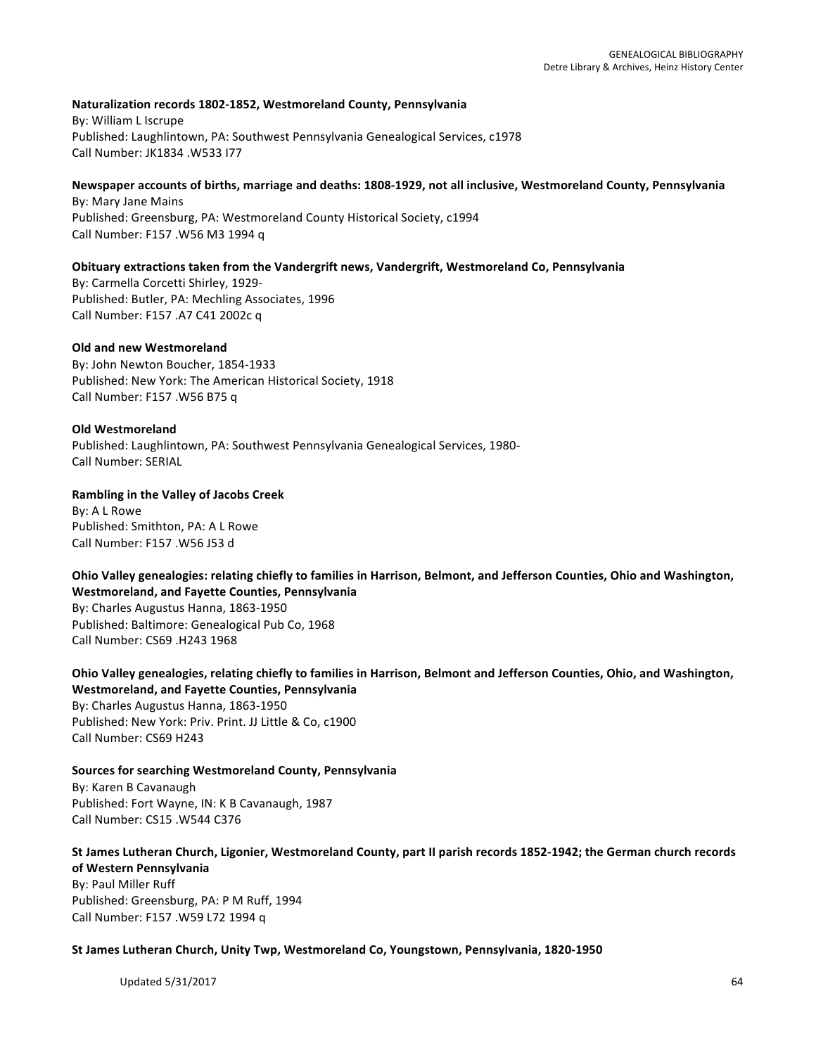#### **Naturalization records 1802-1852, Westmoreland County, Pennsylvania**

By: William L Iscrupe Published: Laughlintown, PA: Southwest Pennsylvania Genealogical Services, c1978 Call Number: JK1834 .W533 I77

#### Newspaper accounts of births, marriage and deaths: 1808-1929, not all inclusive, Westmoreland County, Pennsylvania

By: Mary Jane Mains Published: Greensburg, PA: Westmoreland County Historical Society, c1994 Call Number: F157 .W56 M3 1994 q

#### **Obituary extractions taken from the Vandergrift news, Vandergrift, Westmoreland Co, Pennsylvania**

By: Carmella Corcetti Shirley, 1929-Published: Butler, PA: Mechling Associates, 1996 Call Number: F157 .A7 C41 2002c q

#### **Old and new Westmoreland**

By: John Newton Boucher, 1854-1933 Published: New York: The American Historical Society, 1918 Call Number: F157 .W56 B75 q

#### **Old Westmoreland**

Published: Laughlintown, PA: Southwest Pennsylvania Genealogical Services, 1980-Call Number: SERIAL

#### **Rambling in the Valley of Jacobs Creek**

By: A L Rowe Published: Smithton, PA: A L Rowe Call Number: F157 .W56 J53 d

**Ohio Valley genealogies: relating chiefly to families in Harrison, Belmont, and Jefferson Counties, Ohio and Washington, Westmoreland, and Fayette Counties, Pennsylvania** By: Charles Augustus Hanna, 1863-1950

Published: Baltimore: Genealogical Pub Co, 1968 Call Number: CS69 .H243 1968

Ohio Valley genealogies, relating chiefly to families in Harrison, Belmont and Jefferson Counties, Ohio, and Washington, **Westmoreland, and Fayette Counties, Pennsylvania**

By: Charles Augustus Hanna, 1863-1950 Published: New York: Priv. Print. JJ Little & Co, c1900 Call Number: CS69 H243

**Sources for searching Westmoreland County, Pennsylvania** By: Karen B Cavanaugh Published: Fort Wayne, IN: K B Cavanaugh, 1987 Call Number: CS15 .W544 C376

# St James Lutheran Church, Ligonier, Westmoreland County, part II parish records 1852-1942; the German church records **of Western Pennsylvania**

By: Paul Miller Ruff Published: Greensburg, PA: P M Ruff, 1994 Call Number: F157 .W59 L72 1994 q

#### St James Lutheran Church, Unity Twp, Westmoreland Co, Youngstown, Pennsylvania, 1820-1950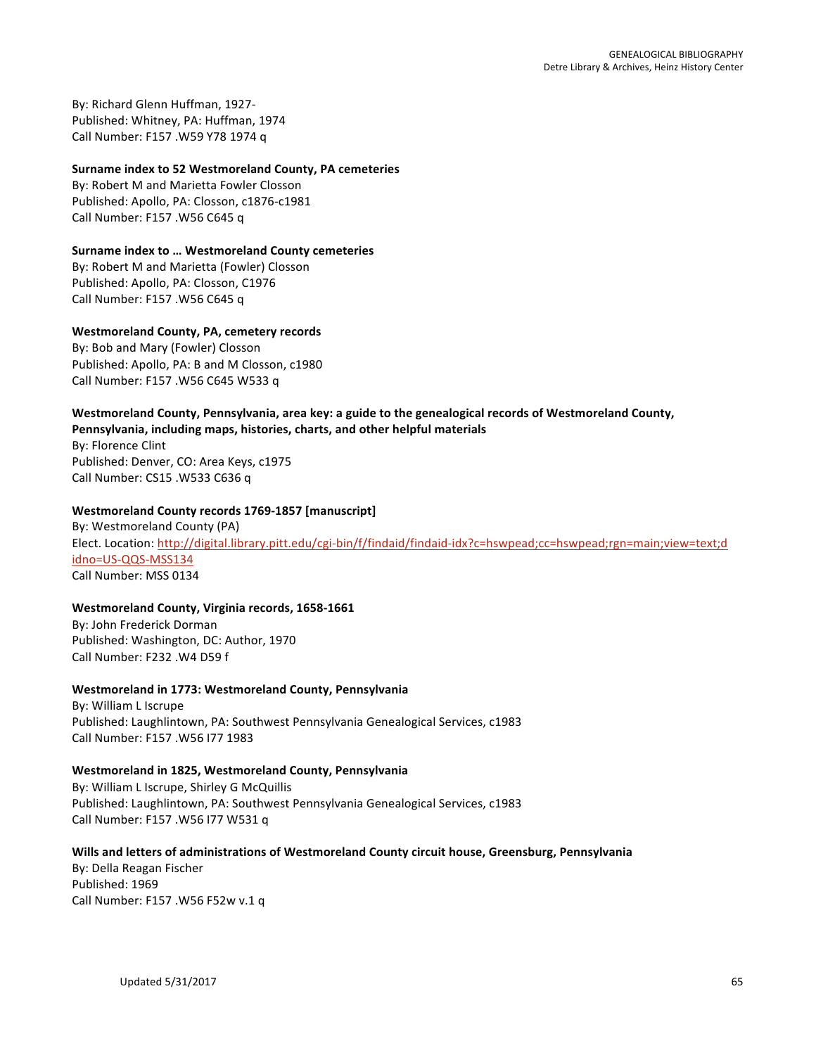By: Richard Glenn Huffman, 1927-Published: Whitney, PA: Huffman, 1974 Call Number: F157 .W59 Y78 1974 q

#### **Surname index to 52 Westmoreland County, PA cemeteries**

By: Robert M and Marietta Fowler Closson Published: Apollo, PA: Closson, c1876-c1981 Call Number: F157 .W56 C645 q

#### **Surname index to ... Westmoreland County cemeteries**

By: Robert M and Marietta (Fowler) Closson Published: Apollo, PA: Closson, C1976 Call Number: F157 .W56 C645 q

#### **Westmoreland County, PA, cemetery records**

By: Bob and Mary (Fowler) Closson Published: Apollo, PA: B and M Closson, c1980 Call Number: F157 .W56 C645 W533 q

# Westmoreland County, Pennsylvania, area key: a guide to the genealogical records of Westmoreland County,

Pennsylvania, including maps, histories, charts, and other helpful materials

By: Florence Clint Published: Denver, CO: Area Keys, c1975 Call Number: CS15 .W533 C636 q

# Westmoreland County records 1769-1857 [manuscript]

By: Westmoreland County (PA) Elect. Location: http://digital.library.pitt.edu/cgi-bin/f/findaid/findaid-idx?c=hswpead;cc=hswpead;rgn=main;view=text;d idno=US-QQS-MSS134 Call Number: MSS 0134

# Westmoreland County, Virginia records, 1658-1661

By: John Frederick Dorman Published: Washington, DC: Author, 1970 Call Number: F232 .W4 D59 f

# **Westmoreland in 1773: Westmoreland County, Pennsylvania**

By: William L Iscrupe Published: Laughlintown, PA: Southwest Pennsylvania Genealogical Services, c1983 Call Number: F157 .W56 I77 1983

# Westmoreland in 1825, Westmoreland County, Pennsylvania

By: William L Iscrupe, Shirley G McQuillis Published: Laughlintown, PA: Southwest Pennsylvania Genealogical Services, c1983 Call Number: F157 .W56 I77 W531 q

# Wills and letters of administrations of Westmoreland County circuit house, Greensburg, Pennsylvania

By: Della Reagan Fischer Published: 1969 Call Number: F157 .W56 F52w v.1 q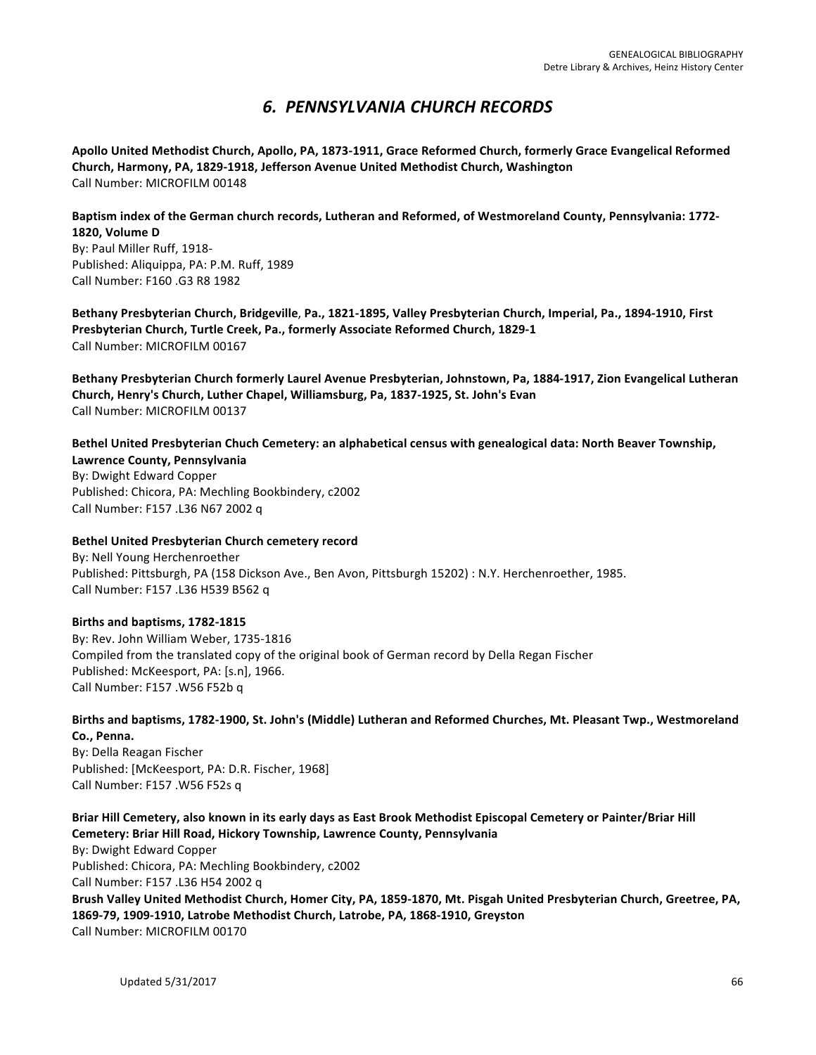# *6. PENNSYLVANIA CHURCH RECORDS*

Apollo United Methodist Church, Apollo, PA, 1873-1911, Grace Reformed Church, formerly Grace Evangelical Reformed Church, Harmony, PA, 1829-1918, Jefferson Avenue United Methodist Church, Washington Call Number: MICROFILM 00148

Baptism index of the German church records, Lutheran and Reformed, of Westmoreland County, Pennsylvania: 1772-**1820, Volume D** 

By: Paul Miller Ruff, 1918-Published: Aliquippa, PA: P.M. Ruff, 1989 Call Number: F160 .G3 R8 1982

Bethany Presbyterian Church, Bridgeville, Pa., 1821-1895, Valley Presbyterian Church, Imperial, Pa., 1894-1910, First **Presbyterian Church, Turtle Creek, Pa., formerly Associate Reformed Church, 1829-1** Call Number: MICROFILM 00167

Bethany Presbyterian Church formerly Laurel Avenue Presbyterian, Johnstown, Pa, 1884-1917, Zion Evangelical Lutheran Church, Henry's Church, Luther Chapel, Williamsburg, Pa, 1837-1925, St. John's Evan Call Number: MICROFILM 00137

Bethel United Presbyterian Chuch Cemetery: an alphabetical census with genealogical data: North Beaver Township,

**Lawrence County, Pennsylvania** By: Dwight Edward Copper Published: Chicora, PA: Mechling Bookbindery, c2002 Call Number: F157 .L36 N67 2002 q

# **Bethel United Presbyterian Church cemetery record**

By: Nell Young Herchenroether Published: Pittsburgh, PA (158 Dickson Ave., Ben Avon, Pittsburgh 15202) : N.Y. Herchenroether, 1985. Call Number: F157 .L36 H539 B562 q

# Births and baptisms, 1782-1815

By: Rev. John William Weber, 1735-1816 Compiled from the translated copy of the original book of German record by Della Regan Fischer Published: McKeesport, PA: [s.n], 1966. Call Number: F157 .W56 F52b q

Births and baptisms, 1782-1900, St. John's (Middle) Lutheran and Reformed Churches, Mt. Pleasant Twp., Westmoreland Co., Penna.

By: Della Reagan Fischer Published: [McKeesport, PA: D.R. Fischer, 1968] Call Number: F157 .W56 F52s q

Briar Hill Cemetery, also known in its early days as East Brook Methodist Episcopal Cemetery or Painter/Briar Hill Cemetery: Briar Hill Road, Hickory Township, Lawrence County, Pennsylvania

By: Dwight Edward Copper Published: Chicora, PA: Mechling Bookbindery, c2002 Call Number: F157 .L36 H54 2002 q Brush Valley United Methodist Church, Homer City, PA, 1859-1870, Mt. Pisgah United Presbyterian Church, Greetree, PA, 1869-79, 1909-1910, Latrobe Methodist Church, Latrobe, PA, 1868-1910, Greyston Call Number: MICROFILM 00170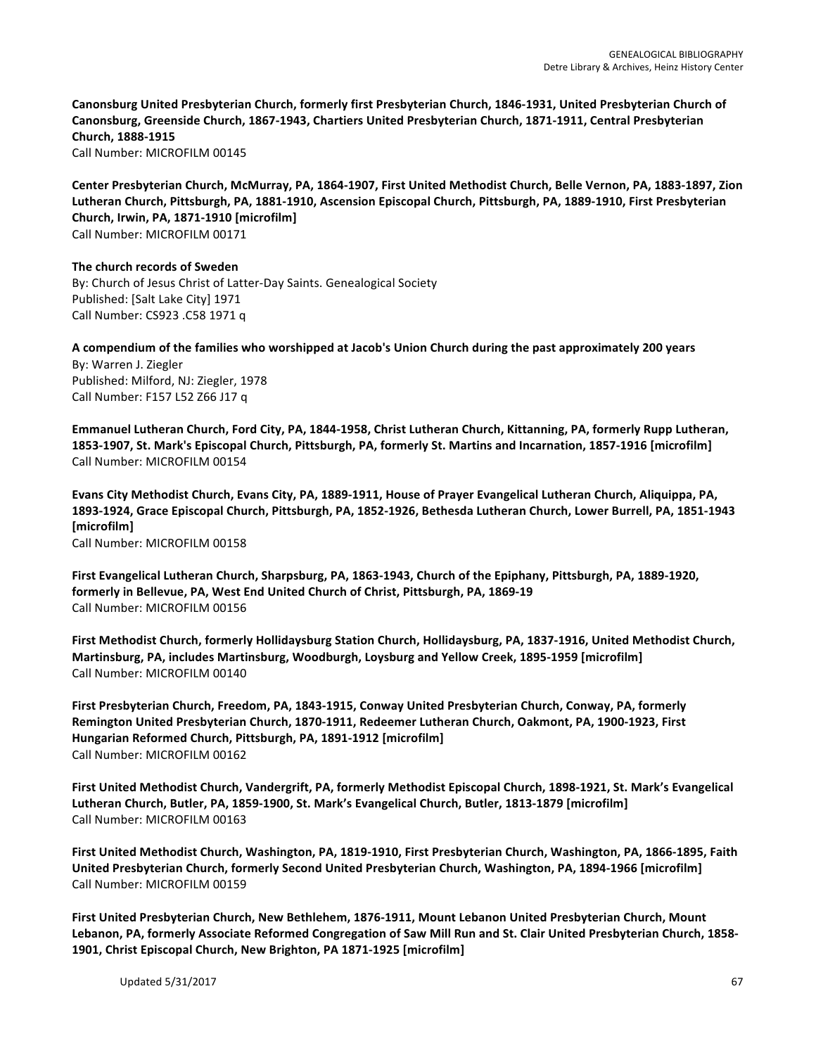Canonsburg United Presbyterian Church, formerly first Presbyterian Church, 1846-1931, United Presbyterian Church of Canonsburg, Greenside Church, 1867-1943, Chartiers United Presbyterian Church, 1871-1911, Central Presbyterian **Church, 1888-1915** Call Number: MICROFILM 00145

Center Presbyterian Church, McMurray, PA, 1864-1907, First United Methodist Church, Belle Vernon, PA, 1883-1897, Zion Lutheran Church, Pittsburgh, PA, 1881-1910, Ascension Episcopal Church, Pittsburgh, PA, 1889-1910, First Presbyterian Church, Irwin, PA, 1871-1910 [microfilm] Call Number: MICROFILM 00171

**The church records of Sweden** By: Church of Jesus Christ of Latter-Day Saints. Genealogical Society Published: [Salt Lake City] 1971 Call Number: CS923 .C58 1971 q

**A compendium of the families who worshipped at Jacob's Union Church during the past approximately 200 years** By: Warren J. Ziegler Published: Milford, NJ: Ziegler, 1978 Call Number: F157 L52 Z66 J17 q

Emmanuel Lutheran Church, Ford City, PA, 1844-1958, Christ Lutheran Church, Kittanning, PA, formerly Rupp Lutheran, **1853-1907, St. Mark's Episcopal Church, Pittsburgh, PA, formerly St. Martins and Incarnation, 1857-1916 [microfilm]** Call Number: MICROFILM 00154

Evans City Methodist Church, Evans City, PA, 1889-1911, House of Prayer Evangelical Lutheran Church, Aliquippa, PA, 1893-1924, Grace Episcopal Church, Pittsburgh, PA, 1852-1926, Bethesda Lutheran Church, Lower Burrell, PA, 1851-1943 **[microfilm]** Call Number: MICROFILM 00158

First Evangelical Lutheran Church, Sharpsburg, PA, 1863-1943, Church of the Epiphany, Pittsburgh, PA, 1889-1920, formerly in Bellevue, PA, West End United Church of Christ, Pittsburgh, PA, 1869-19 Call Number: MICROFILM 00156

First Methodist Church, formerly Hollidaysburg Station Church, Hollidaysburg, PA, 1837-1916, United Methodist Church, Martinsburg, PA, includes Martinsburg, Woodburgh, Loysburg and Yellow Creek, 1895-1959 [microfilm] Call Number: MICROFILM 00140

First Presbyterian Church, Freedom, PA, 1843-1915, Conway United Presbyterian Church, Conway, PA, formerly Remington United Presbyterian Church, 1870-1911, Redeemer Lutheran Church, Oakmont, PA, 1900-1923, First **Hungarian Reformed Church, Pittsburgh, PA, 1891-1912 [microfilm]** Call Number: MICROFILM 00162

First United Methodist Church, Vandergrift, PA, formerly Methodist Episcopal Church, 1898-1921, St. Mark's Evangelical Lutheran Church, Butler, PA, 1859-1900, St. Mark's Evangelical Church, Butler, 1813-1879 [microfilm] Call Number: MICROFILM 00163

First United Methodist Church, Washington, PA, 1819-1910, First Presbyterian Church, Washington, PA, 1866-1895, Faith United Presbyterian Church, formerly Second United Presbyterian Church, Washington, PA, 1894-1966 [microfilm] Call Number: MICROFILM 00159

First United Presbyterian Church, New Bethlehem, 1876-1911, Mount Lebanon United Presbyterian Church, Mount Lebanon, PA, formerly Associate Reformed Congregation of Saw Mill Run and St. Clair United Presbyterian Church, 1858-1901, Christ Episcopal Church, New Brighton, PA 1871-1925 [microfilm]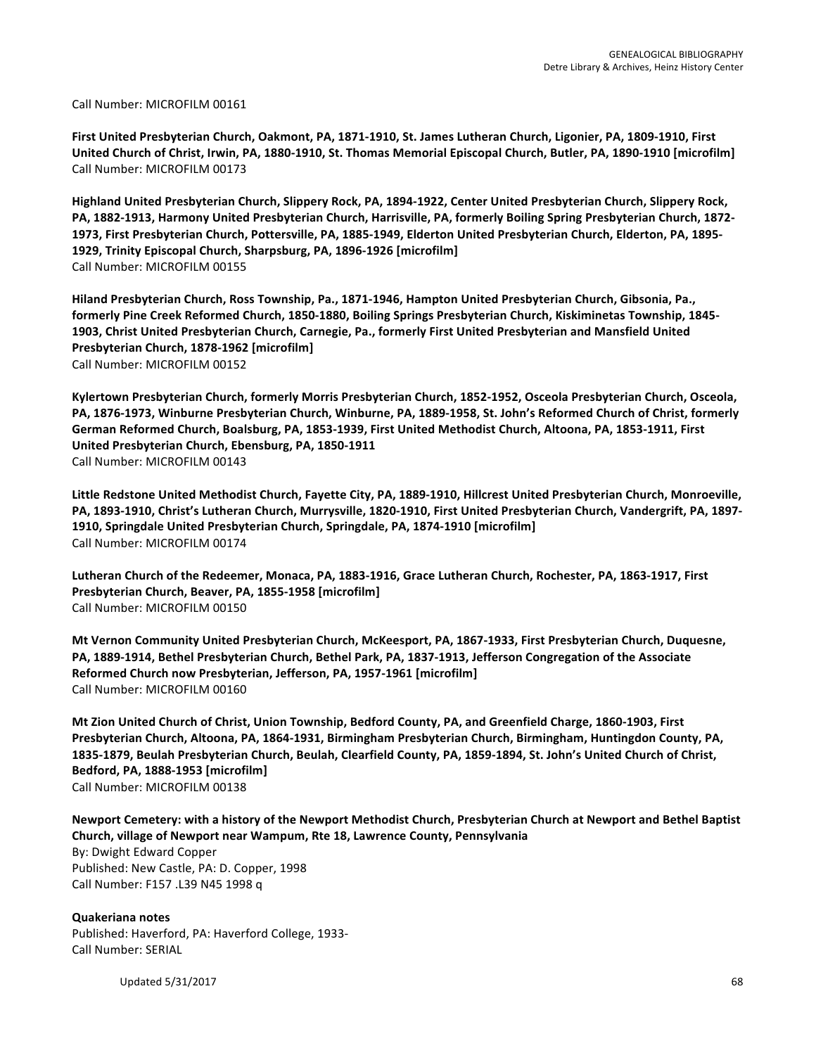Call Number: MICROFILM 00161

First United Presbyterian Church, Oakmont, PA, 1871-1910, St. James Lutheran Church, Ligonier, PA, 1809-1910, First United Church of Christ, Irwin, PA, 1880-1910, St. Thomas Memorial Episcopal Church, Butler, PA, 1890-1910 [microfilm] Call Number: MICROFILM 00173

Highland United Presbyterian Church, Slippery Rock, PA, 1894-1922, Center United Presbyterian Church, Slippery Rock, PA, 1882-1913, Harmony United Presbyterian Church, Harrisville, PA, formerly Boiling Spring Presbyterian Church, 1872-1973, First Presbyterian Church, Pottersville, PA, 1885-1949, Elderton United Presbyterian Church, Elderton, PA, 1895-1929, Trinity Episcopal Church, Sharpsburg, PA, 1896-1926 [microfilm] Call Number: MICROFILM 00155

Hiland Presbyterian Church, Ross Township, Pa., 1871-1946, Hampton United Presbyterian Church, Gibsonia, Pa., formerly Pine Creek Reformed Church, 1850-1880, Boiling Springs Presbyterian Church, Kiskiminetas Township, 1845-1903, Christ United Presbyterian Church, Carnegie, Pa., formerly First United Presbyterian and Mansfield United **Presbyterian Church, 1878-1962 [microfilm]** Call Number: MICROFILM 00152

Kylertown Presbyterian Church, formerly Morris Presbyterian Church, 1852-1952, Osceola Presbyterian Church, Osceola, PA, 1876-1973, Winburne Presbyterian Church, Winburne, PA, 1889-1958, St. John's Reformed Church of Christ, formerly German Reformed Church, Boalsburg, PA, 1853-1939, First United Methodist Church, Altoona, PA, 1853-1911, First **United Presbyterian Church, Ebensburg, PA, 1850-1911** Call Number: MICROFILM 00143

Little Redstone United Methodist Church, Fayette City, PA, 1889-1910, Hillcrest United Presbyterian Church, Monroeville, PA, 1893-1910, Christ's Lutheran Church, Murrysville, 1820-1910, First United Presbyterian Church, Vandergrift, PA, 1897-1910, Springdale United Presbyterian Church, Springdale, PA, 1874-1910 [microfilm] Call Number: MICROFILM 00174

Lutheran Church of the Redeemer, Monaca, PA, 1883-1916, Grace Lutheran Church, Rochester, PA, 1863-1917, First **Presbyterian Church, Beaver, PA, 1855-1958 [microfilm]** Call Number: MICROFILM 00150

Mt Vernon Community United Presbyterian Church, McKeesport, PA, 1867-1933, First Presbyterian Church, Duquesne, PA, 1889-1914, Bethel Presbyterian Church, Bethel Park, PA, 1837-1913, Jefferson Congregation of the Associate Reformed Church now Presbyterian, Jefferson, PA, 1957-1961 [microfilm] Call Number: MICROFILM 00160

**Mt Zion United Church of Christ, Union Township, Bedford County, PA, and Greenfield Charge, 1860-1903, First** Presbyterian Church, Altoona, PA, 1864-1931, Birmingham Presbyterian Church, Birmingham, Huntingdon County, PA, 1835-1879, Beulah Presbyterian Church, Beulah, Clearfield County, PA, 1859-1894, St. John's United Church of Christ, **Bedford, PA, 1888-1953 [microfilm]** Call Number: MICROFILM 00138

Newport Cemetery: with a history of the Newport Methodist Church, Presbyterian Church at Newport and Bethel Baptist **Church, village of Newport near Wampum, Rte 18, Lawrence County, Pennsylvania** By: Dwight Edward Copper Published: New Castle, PA: D. Copper, 1998

Call Number: F157 .L39 N45 1998 q

**Quakeriana notes** Published: Haverford, PA: Haverford College, 1933-Call Number: SERIAL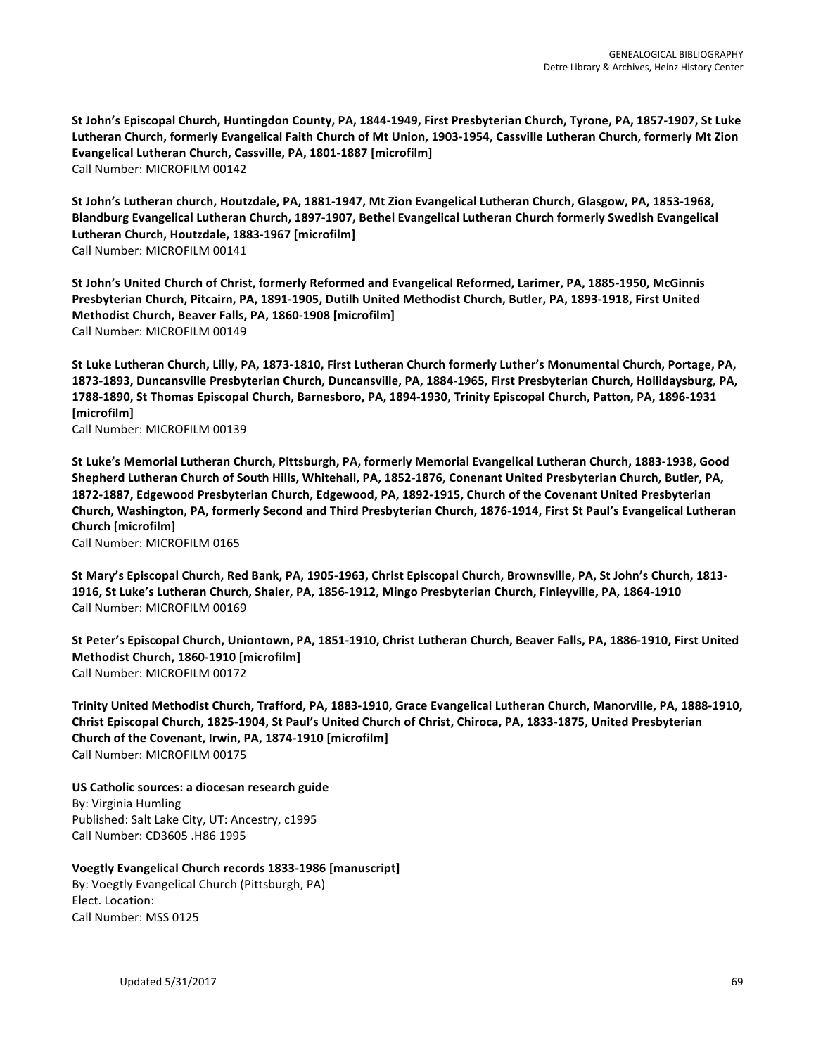St John's Episcopal Church, Huntingdon County, PA, 1844-1949, First Presbyterian Church, Tyrone, PA, 1857-1907, St Luke Lutheran Church, formerly Evangelical Faith Church of Mt Union, 1903-1954, Cassville Lutheran Church, formerly Mt Zion Evangelical Lutheran Church, Cassville, PA, 1801-1887 [microfilm] Call Number: MICROFILM 00142

St John's Lutheran church, Houtzdale, PA, 1881-1947, Mt Zion Evangelical Lutheran Church, Glasgow, PA, 1853-1968, Blandburg Evangelical Lutheran Church, 1897-1907, Bethel Evangelical Lutheran Church formerly Swedish Evangelical Lutheran Church, Houtzdale, 1883-1967 [microfilm] Call Number: MICROFILM 00141

St John's United Church of Christ, formerly Reformed and Evangelical Reformed, Larimer, PA, 1885-1950, McGinnis Presbyterian Church, Pitcairn, PA, 1891-1905, Dutilh United Methodist Church, Butler, PA, 1893-1918, First United **Methodist Church, Beaver Falls, PA, 1860-1908 [microfilm]** Call Number: MICROFILM 00149

St Luke Lutheran Church, Lilly, PA, 1873-1810, First Lutheran Church formerly Luther's Monumental Church, Portage, PA, 1873-1893, Duncansville Presbyterian Church, Duncansville, PA, 1884-1965, First Presbyterian Church, Hollidaysburg, PA, 1788-1890, St Thomas Episcopal Church, Barnesboro, PA, 1894-1930, Trinity Episcopal Church, Patton, PA, 1896-1931 **[microfilm]**

Call Number: MICROFILM 00139

St Luke's Memorial Lutheran Church, Pittsburgh, PA, formerly Memorial Evangelical Lutheran Church, 1883-1938, Good Shepherd Lutheran Church of South Hills, Whitehall, PA, 1852-1876, Conenant United Presbyterian Church, Butler, PA, 1872-1887, Edgewood Presbyterian Church, Edgewood, PA, 1892-1915, Church of the Covenant United Presbyterian Church, Washington, PA, formerly Second and Third Presbyterian Church, 1876-1914, First St Paul's Evangelical Lutheran **Church [microfilm]** Call Number: MICROFILM 0165

St Mary's Episcopal Church, Red Bank, PA, 1905-1963, Christ Episcopal Church, Brownsville, PA, St John's Church, 1813-1916, St Luke's Lutheran Church, Shaler, PA, 1856-1912, Mingo Presbyterian Church, Finleyville, PA, 1864-1910 Call Number: MICROFILM 00169

St Peter's Episcopal Church, Uniontown, PA, 1851-1910, Christ Lutheran Church, Beaver Falls, PA, 1886-1910, First United Methodist Church, 1860-1910 [microfilm] Call Number: MICROFILM 00172

Trinity United Methodist Church, Trafford, PA, 1883-1910, Grace Evangelical Lutheran Church, Manorville, PA, 1888-1910, Christ Episcopal Church, 1825-1904, St Paul's United Church of Christ, Chiroca, PA, 1833-1875, United Presbyterian Church of the Covenant, Irwin, PA, 1874-1910 [microfilm] Call Number: MICROFILM 00175

US Catholic sources: a diocesan research guide By: Virginia Humling Published: Salt Lake City, UT: Ancestry, c1995 Call Number: CD3605 .H86 1995

**Voegtly Evangelical Church records 1833-1986 [manuscript]** By: Voegtly Evangelical Church (Pittsburgh, PA) Elect. Location: Call Number: MSS 0125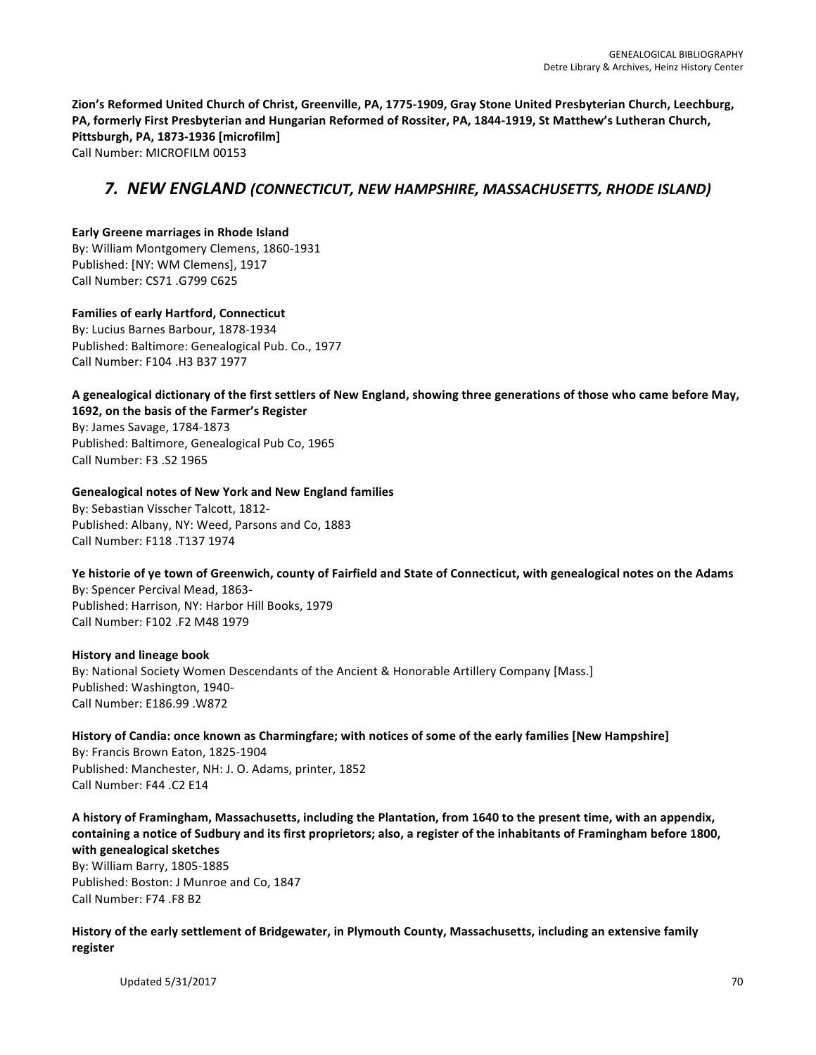Zion's Reformed United Church of Christ, Greenville, PA, 1775-1909, Gray Stone United Presbyterian Church, Leechburg, PA, formerly First Presbyterian and Hungarian Reformed of Rossiter, PA, 1844-1919, St Matthew's Lutheran Church, **Pittsburgh, PA, 1873-1936 [microfilm]** Call Number: MICROFILM 00153

# *7. NEW ENGLAND (CONNECTICUT, NEW HAMPSHIRE, MASSACHUSETTS, RHODE ISLAND)*

#### **Early Greene marriages in Rhode Island** By: William Montgomery Clemens, 1860-1931 Published: [NY: WM Clemens], 1917 Call Number: CS71 .G799 C625

#### **Families of early Hartford, Connecticut** By: Lucius Barnes Barbour, 1878-1934 Published: Baltimore: Genealogical Pub. Co., 1977 Call Number: F104 .H3 B37 1977

#### A genealogical dictionary of the first settlers of New England, showing three generations of those who came before May, 1692, on the basis of the Farmer's Register

By: James Savage, 1784-1873 Published: Baltimore, Genealogical Pub Co, 1965 Call Number: F3 .S2 1965

# **Genealogical notes of New York and New England families**

By: Sebastian Visscher Talcott, 1812-Published: Albany, NY: Weed, Parsons and Co, 1883 Call Number: F118 .T137 1974

# Ye historie of ye town of Greenwich, county of Fairfield and State of Connecticut, with genealogical notes on the Adams

By: Spencer Percival Mead, 1863-Published: Harrison, NY: Harbor Hill Books, 1979 Call Number: F102 .F2 M48 1979

# **History and lineage book**

By: National Society Women Descendants of the Ancient & Honorable Artillery Company [Mass.] Published: Washington, 1940-Call Number: E186.99 .W872

History of Candia: once known as Charmingfare; with notices of some of the early families [New Hampshire] By: Francis Brown Eaton, 1825-1904 Published: Manchester, NH: J. O. Adams, printer, 1852 Call Number: F44 .C2 E14

A history of Framingham, Massachusetts, including the Plantation, from 1640 to the present time, with an appendix, containing a notice of Sudbury and its first proprietors; also, a register of the inhabitants of Framingham before 1800, **with genealogical sketches**

By: William Barry, 1805-1885 Published: Boston: J Munroe and Co, 1847 Call Number: F74 .F8 B2

History of the early settlement of Bridgewater, in Plymouth County, Massachusetts, including an extensive family **register**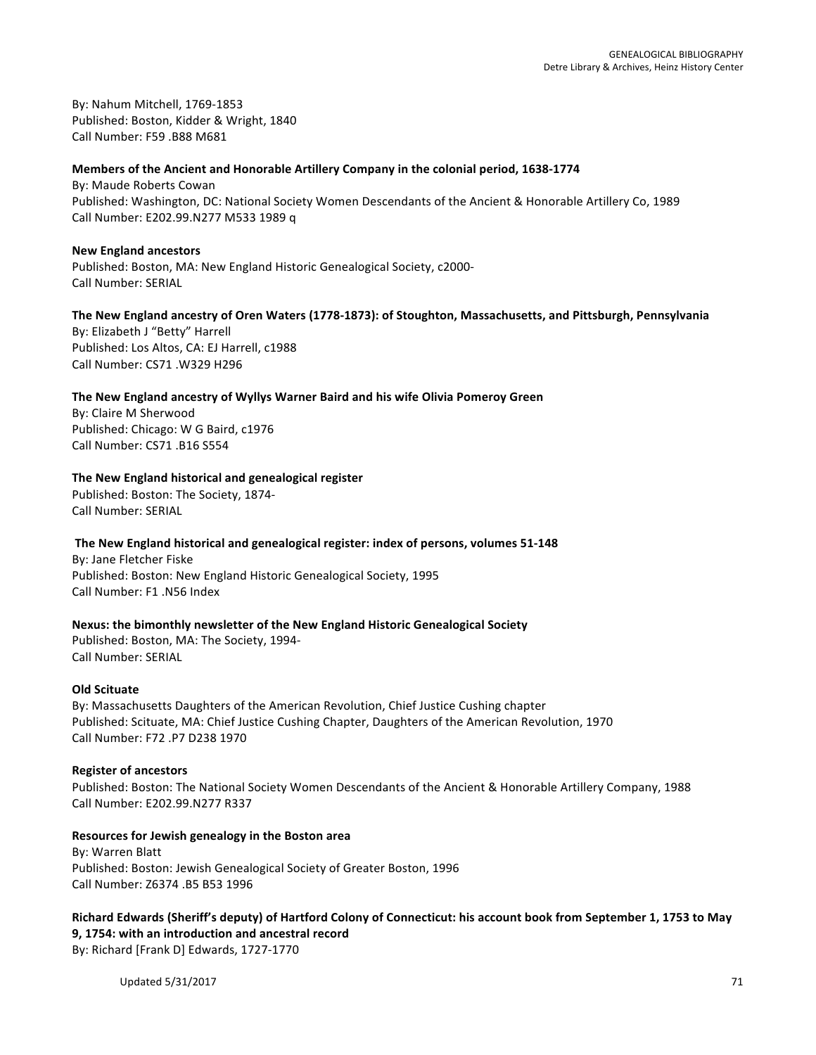By: Nahum Mitchell, 1769-1853 Published: Boston, Kidder & Wright, 1840 Call Number: F59 .B88 M681

#### Members of the Ancient and Honorable Artillery Company in the colonial period, 1638-1774

By: Maude Roberts Cowan Published: Washington, DC: National Society Women Descendants of the Ancient & Honorable Artillery Co, 1989 Call Number: E202.99.N277 M533 1989 q

#### **New England ancestors**

Published: Boston, MA: New England Historic Genealogical Society, c2000-Call Number: SERIAL

#### The New England ancestry of Oren Waters (1778-1873): of Stoughton, Massachusetts, and Pittsburgh, Pennsylvania

By: Elizabeth J "Betty" Harrell Published: Los Altos, CA: EJ Harrell, c1988 Call Number: CS71 .W329 H296

#### The New England ancestry of Wyllys Warner Baird and his wife Olivia Pomeroy Green

By: Claire M Sherwood Published: Chicago: W G Baird, c1976 Call Number: CS71 .B16 S554

#### The New England historical and genealogical register

Published: Boston: The Society, 1874-Call Number: SERIAL

# The New England historical and genealogical register: index of persons, volumes 51-148

By: Jane Fletcher Fiske Published: Boston: New England Historic Genealogical Society, 1995 Call Number: F1 .N56 Index

# **Nexus: the bimonthly newsletter of the New England Historic Genealogical Society**

Published: Boston, MA: The Society, 1994-Call Number: SERIAL

#### **Old Scituate**

By: Massachusetts Daughters of the American Revolution, Chief Justice Cushing chapter Published: Scituate, MA: Chief Justice Cushing Chapter, Daughters of the American Revolution, 1970 Call Number: F72 .P7 D238 1970

#### **Register of ancestors**

Published: Boston: The National Society Women Descendants of the Ancient & Honorable Artillery Company, 1988 Call Number: E202.99.N277 R337

# **Resources for Jewish genealogy in the Boston area**

By: Warren Blatt Published: Boston: Jewish Genealogical Society of Greater Boston, 1996 Call Number: Z6374 .B5 B53 1996

Richard Edwards (Sheriff's deputy) of Hartford Colony of Connecticut: his account book from September 1, 1753 to May **9, 1754: with an introduction and ancestral record** By: Richard [Frank D] Edwards, 1727-1770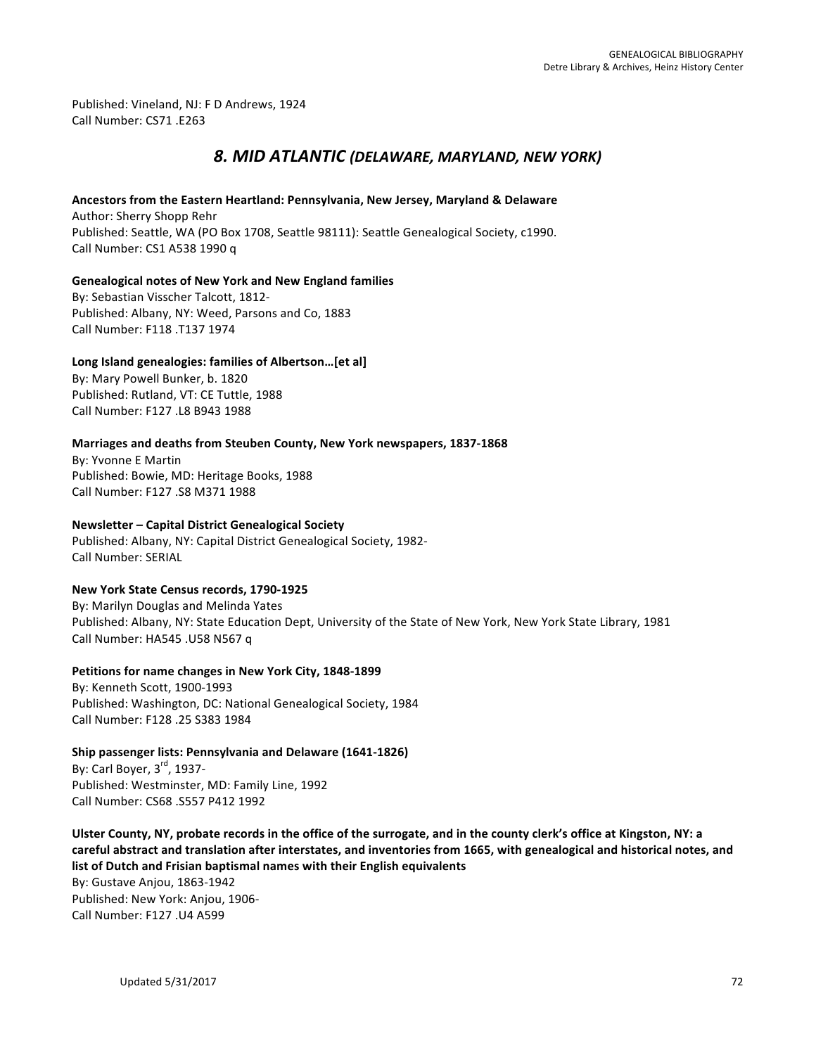Published: Vineland, NJ: F D Andrews, 1924 Call Number: CS71 .E263

# *8. MID ATLANTIC (DELAWARE, MARYLAND, NEW YORK)*

#### Ancestors from the Eastern Heartland: Pennsylvania, New Jersey, Maryland & Delaware

Author: Sherry Shopp Rehr Published: Seattle, WA (PO Box 1708, Seattle 98111): Seattle Genealogical Society, c1990. Call Number: CS1 A538 1990 q

#### Genealogical notes of New York and New England families

By: Sebastian Visscher Talcott, 1812-Published: Albany, NY: Weed, Parsons and Co, 1883 Call Number: F118 .T137 1974

# Long Island genealogies: families of Albertson...[et al]

By: Mary Powell Bunker, b. 1820 Published: Rutland, VT: CE Tuttle, 1988 Call Number: F127 .L8 B943 1988

# **Marriages and deaths from Steuben County, New York newspapers, 1837-1868**

By: Yvonne E Martin Published: Bowie, MD: Heritage Books, 1988 Call Number: F127 .S8 M371 1988

# **Newsletter – Capital District Genealogical Society**

Published: Albany, NY: Capital District Genealogical Society, 1982-Call Number: SERIAL

# **New York State Census records, 1790-1925**

By: Marilyn Douglas and Melinda Yates Published: Albany, NY: State Education Dept, University of the State of New York, New York State Library, 1981 Call Number: HA545 .U58 N567 q

# **Petitions for name changes in New York City, 1848-1899**

By: Kenneth Scott, 1900-1993 Published: Washington, DC: National Genealogical Society, 1984 Call Number: F128 .25 S383 1984

# **Ship passenger lists: Pennsylvania and Delaware (1641-1826)**

By: Carl Boyer,  $3<sup>rd</sup>$ , 1937-Published: Westminster, MD: Family Line, 1992 Call Number: CS68 .S557 P412 1992

Ulster County, NY, probate records in the office of the surrogate, and in the county clerk's office at Kingston, NY: a careful abstract and translation after interstates, and inventories from 1665, with genealogical and historical notes, and list of Dutch and Frisian baptismal names with their English equivalents

By: Gustave Anjou, 1863-1942 Published: New York: Anjou, 1906-Call Number: F127 .U4 A599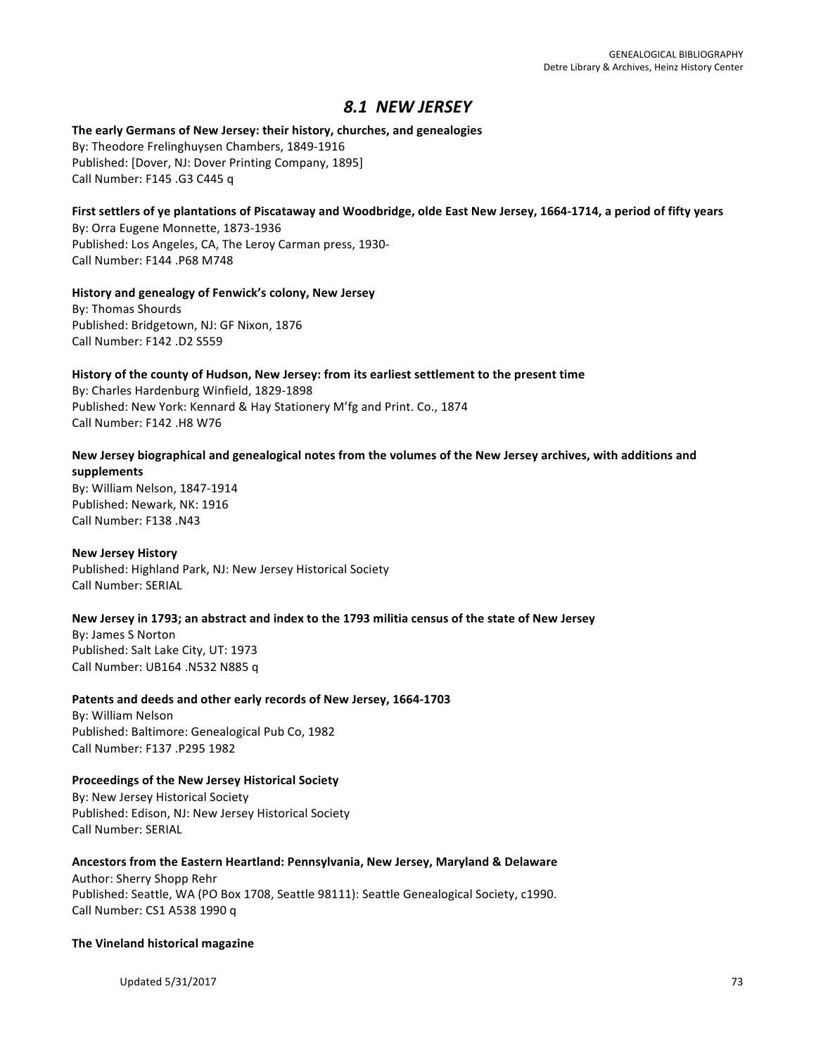## *8.1 NEW JERSEY*

#### The early Germans of New Jersey: their history, churches, and genealogies By: Theodore Frelinghuysen Chambers, 1849-1916 Published: [Dover, NJ: Dover Printing Company, 1895] Call Number: F145 .G3 C445 q

# First settlers of ye plantations of Piscataway and Woodbridge, olde East New Jersey, 1664-1714, a period of fifty years

By: Orra Eugene Monnette, 1873-1936 Published: Los Angeles, CA, The Leroy Carman press, 1930-Call Number: F144 .P68 M748

#### History and genealogy of Fenwick's colony, New Jersey

By: Thomas Shourds Published: Bridgetown, NJ: GF Nixon, 1876 Call Number: F142 .D2 S559

#### History of the county of Hudson, New Jersey: from its earliest settlement to the present time

By: Charles Hardenburg Winfield, 1829-1898 Published: New York: Kennard & Hay Stationery M'fg and Print. Co., 1874 Call Number: F142 .H8 W76

#### New Jersey biographical and genealogical notes from the volumes of the New Jersey archives, with additions and **supplements**

By: William Nelson, 1847-1914 Published: Newark, NK: 1916 Call Number: F138 .N43

#### **New Jersey History**

Published: Highland Park, NJ: New Jersey Historical Society Call Number: SERIAL

#### New Jersey in 1793; an abstract and index to the 1793 militia census of the state of New Jersey

By: James S Norton Published: Salt Lake City, UT: 1973 Call Number: UB164 .N532 N885 q

#### Patents and deeds and other early records of New Jersey, 1664-1703

By: William Nelson Published: Baltimore: Genealogical Pub Co, 1982 Call Number: F137 .P295 1982

#### **Proceedings of the New Jersey Historical Society**

By: New Jersey Historical Society Published: Edison, NJ: New Jersey Historical Society Call Number: SERIAL

#### Ancestors from the Eastern Heartland: Pennsylvania, New Jersey, Maryland & Delaware

Author: Sherry Shopp Rehr Published: Seattle, WA (PO Box 1708, Seattle 98111): Seattle Genealogical Society, c1990. Call Number: CS1 A538 1990 q

#### **The Vineland historical magazine**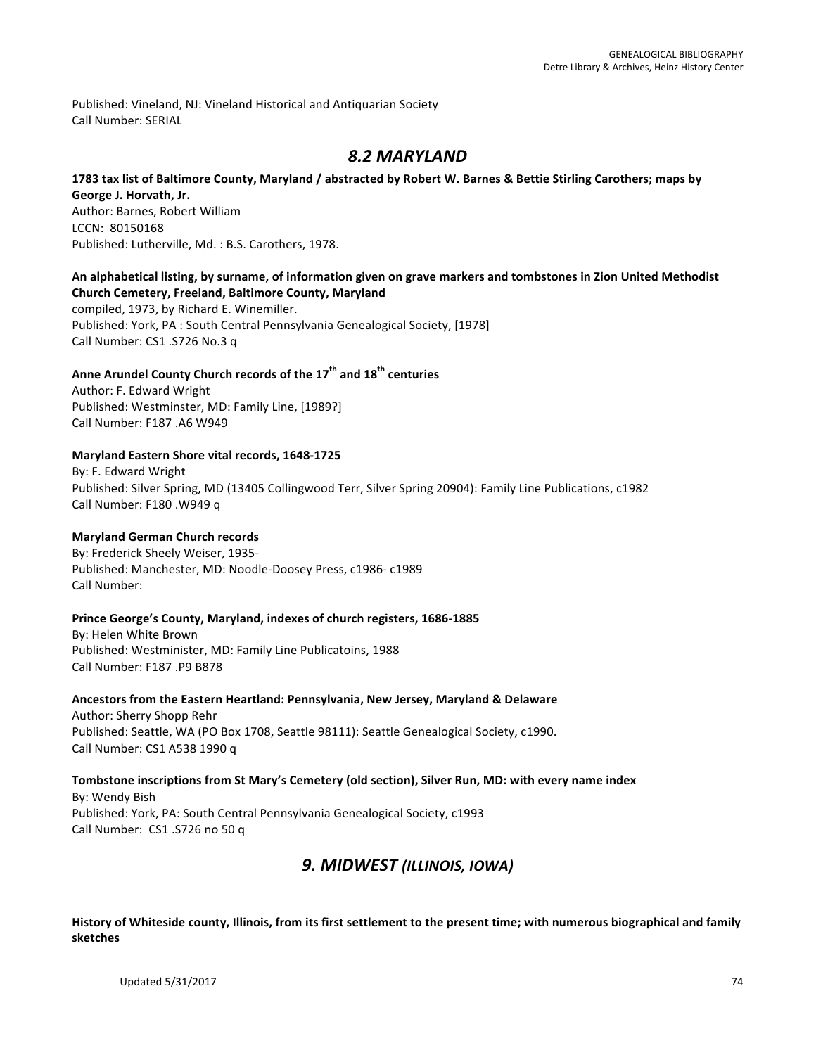Published: Vineland, NJ: Vineland Historical and Antiquarian Society Call Number: SERIAL

## *8.2 MARYLAND*

#### **1783** tax list of Baltimore County, Maryland / abstracted by Robert W. Barnes & Bettie Stirling Carothers; maps by

**George J. Horvath, Jr.** Author: Barnes, Robert William LCCN: 80150168 Published: Lutherville, Md. : B.S. Carothers, 1978.

### An alphabetical listing, by surname, of information given on grave markers and tombstones in Zion United Methodist **Church Cemetery, Freeland, Baltimore County, Maryland**

compiled, 1973, by Richard E. Winemiller. Published: York, PA : South Central Pennsylvania Genealogical Society, [1978] Call Number: CS1 .S726 No.3 q

## **Anne Arundel County Church records of the 17th and 18th centuries**

Author: F. Edward Wright Published: Westminster, MD: Family Line, [1989?] Call Number: F187 .A6 W949

#### Maryland Eastern Shore vital records, 1648-1725

By: F. Edward Wright Published: Silver Spring, MD (13405 Collingwood Terr, Silver Spring 20904): Family Line Publications, c1982 Call Number: F180 .W949 q

#### **Maryland German Church records**

By: Frederick Sheely Weiser, 1935-Published: Manchester, MD: Noodle-Doosey Press, c1986- c1989 Call Number:

#### Prince George's County, Maryland, indexes of church registers, 1686-1885

By: Helen White Brown Published: Westminister, MD: Family Line Publicatoins, 1988 Call Number: F187 .P9 B878

#### Ancestors from the Eastern Heartland: Pennsylvania, New Jersey, Maryland & Delaware

Author: Sherry Shopp Rehr Published: Seattle, WA (PO Box 1708, Seattle 98111): Seattle Genealogical Society, c1990. Call Number: CS1 A538 1990 q

Tombstone inscriptions from St Mary's Cemetery (old section), Silver Run, MD: with every name index By: Wendy Bish Published: York, PA: South Central Pennsylvania Genealogical Society, c1993 Call Number: CS1 .S726 no 50 q

## **9. MIDWEST (ILLINOIS, IOWA)**

History of Whiteside county, Illinois, from its first settlement to the present time; with numerous biographical and family **sketches**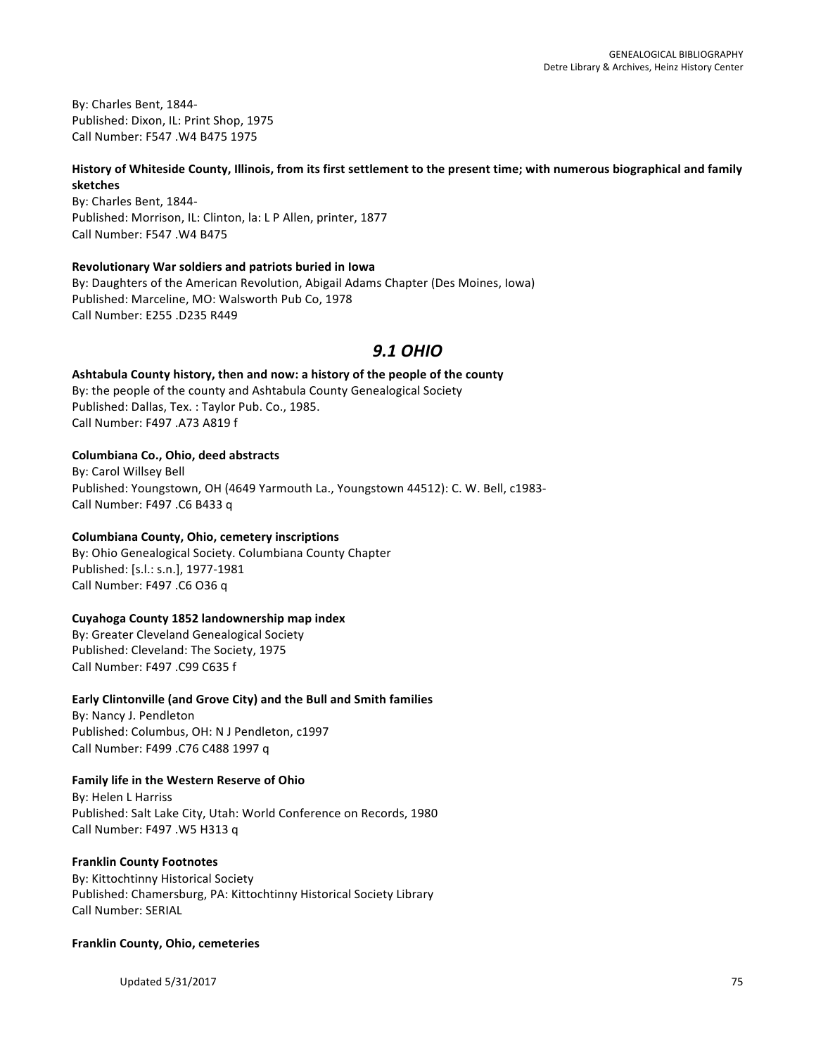By: Charles Bent, 1844-Published: Dixon, IL: Print Shop, 1975 Call Number: F547 .W4 B475 1975

#### History of Whiteside County, Illinois, from its first settlement to the present time; with numerous biographical and family **sketches**

By: Charles Bent, 1844-Published: Morrison, IL: Clinton, la: L P Allen, printer, 1877 Call Number: F547 .W4 B475

#### **Revolutionary War soldiers and patriots buried in Iowa**

By: Daughters of the American Revolution, Abigail Adams Chapter (Des Moines, Iowa) Published: Marceline, MO: Walsworth Pub Co, 1978 Call Number: E255 .D235 R449

## *9.1 OHIO*

Ashtabula County history, then and now: a history of the people of the county By: the people of the county and Ashtabula County Genealogical Society Published: Dallas, Tex. : Taylor Pub. Co., 1985. Call Number: F497 .A73 A819 f

#### **Columbiana Co., Ohio, deed abstracts**

By: Carol Willsey Bell Published: Youngstown, OH (4649 Yarmouth La., Youngstown 44512): C. W. Bell, c1983-Call Number: F497 .C6 B433 q

#### **Columbiana County, Ohio, cemetery inscriptions**

By: Ohio Genealogical Society. Columbiana County Chapter Published: [s.l.: s.n.], 1977-1981 Call Number: F497 .C6 O36 q

#### **Cuyahoga County 1852 landownership map index**

By: Greater Cleveland Genealogical Society Published: Cleveland: The Society, 1975 Call Number: F497 .C99 C635 f

#### **Early Clintonville (and Grove City) and the Bull and Smith families**

By: Nancy J. Pendleton Published: Columbus, OH: N J Pendleton, c1997 Call Number: F499 .C76 C488 1997 q

#### **Family life in the Western Reserve of Ohio**

By: Helen L Harriss Published: Salt Lake City, Utah: World Conference on Records, 1980 Call Number: F497 .W5 H313 q

#### **Franklin County Footnotes**

By: Kittochtinny Historical Society Published: Chamersburg, PA: Kittochtinny Historical Society Library Call Number: SERIAL

#### **Franklin County, Ohio, cemeteries**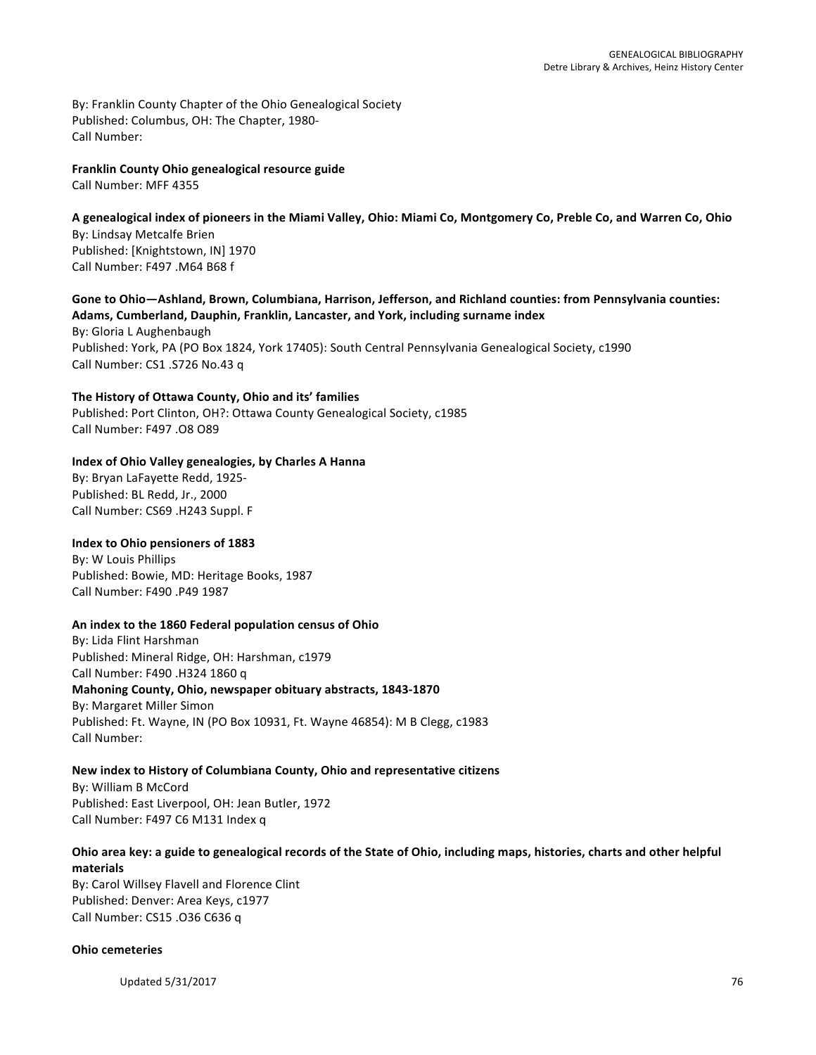By: Franklin County Chapter of the Ohio Genealogical Society Published: Columbus, OH: The Chapter, 1980-Call Number:

**Franklin County Ohio genealogical resource guide** Call Number: MFF 4355

#### A genealogical index of pioneers in the Miami Valley, Ohio: Miami Co, Montgomery Co, Preble Co, and Warren Co, Ohio By: Lindsay Metcalfe Brien Published: [Knightstown, IN] 1970 Call Number: F497 .M64 B68 f

#### Gone to Ohio—Ashland, Brown, Columbiana, Harrison, Jefferson, and Richland counties: from Pennsylvania counties: Adams, Cumberland, Dauphin, Franklin, Lancaster, and York, including surname index

By: Gloria L Aughenbaugh Published: York, PA (PO Box 1824, York 17405): South Central Pennsylvania Genealogical Society, c1990 Call Number: CS1 .S726 No.43 q

The History of Ottawa County, Ohio and its' families Published: Port Clinton, OH?: Ottawa County Genealogical Society, c1985 Call Number: F497 .O8 O89

### **Index of Ohio Valley genealogies, by Charles A Hanna**

By: Bryan LaFayette Redd, 1925-Published: BL Redd, Jr., 2000 Call Number: CS69 .H243 Suppl. F

#### **Index to Ohio pensioners of 1883**

By: W Louis Phillips Published: Bowie, MD: Heritage Books, 1987 Call Number: F490 .P49 1987

#### An index to the 1860 Federal population census of Ohio

By: Lida Flint Harshman Published: Mineral Ridge, OH: Harshman, c1979 Call Number: F490 .H324 1860 q **Mahoning County, Ohio, newspaper obituary abstracts, 1843-1870** By: Margaret Miller Simon Published: Ft. Wayne, IN (PO Box 10931, Ft. Wayne 46854): M B Clegg, c1983 Call Number:

## **New index to History of Columbiana County, Ohio and representative citizens**

By: William B McCord Published: East Liverpool, OH: Jean Butler, 1972 Call Number: F497 C6 M131 Index q

### Ohio area key: a guide to genealogical records of the State of Ohio, including maps, histories, charts and other helpful **materials**

By: Carol Willsey Flavell and Florence Clint Published: Denver: Area Keys, c1977 Call Number: CS15 .O36 C636 q

#### **Ohio cemeteries**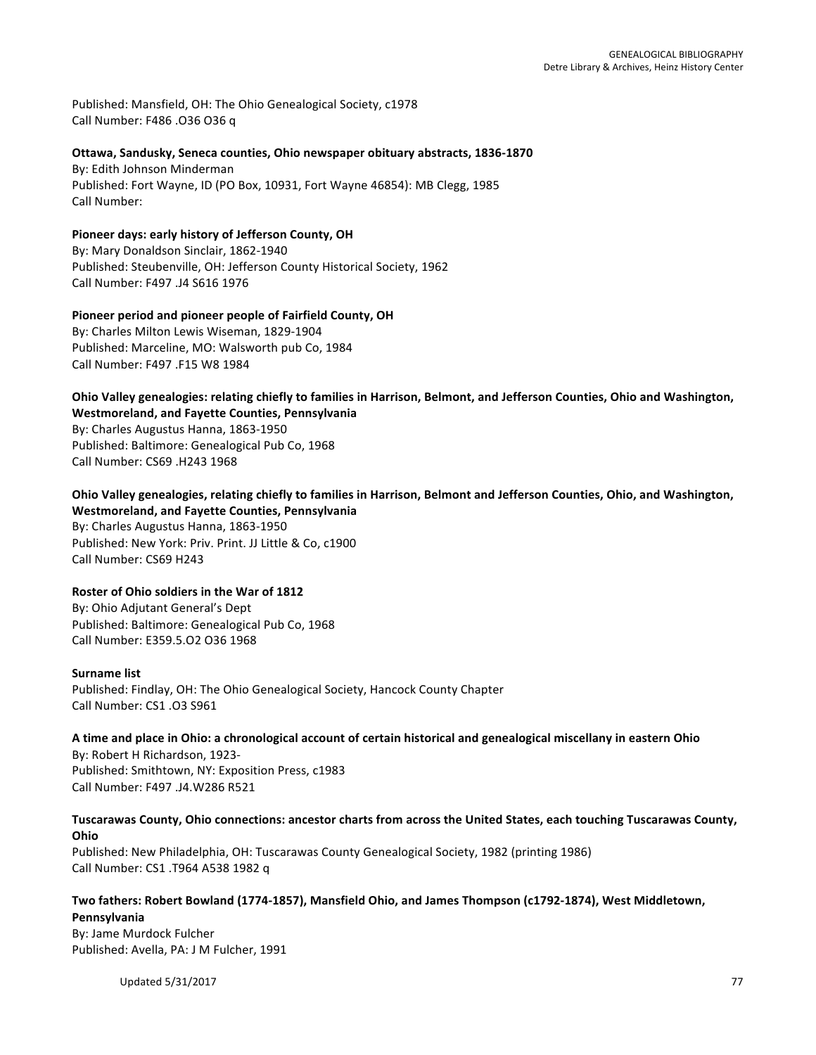Published: Mansfield, OH: The Ohio Genealogical Society, c1978 Call Number: F486 .O36 O36 q

#### **Ottawa, Sandusky, Seneca counties, Ohio newspaper obituary abstracts, 1836-1870**

By: Edith Johnson Minderman Published: Fort Wayne, ID (PO Box, 10931, Fort Wayne 46854): MB Clegg, 1985 Call Number:

#### Pioneer days: early history of Jefferson County, OH By: Mary Donaldson Sinclair, 1862-1940

Published: Steubenville, OH: Jefferson County Historical Society, 1962 Call Number: F497 .J4 S616 1976

#### Pioneer period and pioneer people of Fairfield County, OH By: Charles Milton Lewis Wiseman, 1829-1904 Published: Marceline, MO: Walsworth pub Co, 1984 Call Number: F497 .F15 W8 1984

**Ohio Valley genealogies: relating chiefly to families in Harrison, Belmont, and Jefferson Counties, Ohio and Washington, Westmoreland, and Fayette Counties, Pennsylvania** By: Charles Augustus Hanna, 1863-1950

Published: Baltimore: Genealogical Pub Co, 1968 Call Number: CS69 .H243 1968

## **Ohio Valley genealogies, relating chiefly to families in Harrison, Belmont and Jefferson Counties, Ohio, and Washington, Westmoreland, and Fayette Counties, Pennsylvania**

By: Charles Augustus Hanna, 1863-1950 Published: New York: Priv. Print. JJ Little & Co, c1900 Call Number: CS69 H243

## **Roster of Ohio soldiers in the War of 1812**

By: Ohio Adjutant General's Dept Published: Baltimore: Genealogical Pub Co, 1968 Call Number: E359.5.O2 O36 1968

#### **Surname list**

Published: Findlay, OH: The Ohio Genealogical Society, Hancock County Chapter Call Number: CS1 .03 S961

#### A time and place in Ohio: a chronological account of certain historical and genealogical miscellany in eastern Ohio

By: Robert H Richardson, 1923-Published: Smithtown, NY: Exposition Press, c1983 Call Number: F497 .J4.W286 R521

## Tuscarawas County, Ohio connections: ancestor charts from across the United States, each touching Tuscarawas County, **Ohio**

Published: New Philadelphia, OH: Tuscarawas County Genealogical Society, 1982 (printing 1986) Call Number: CS1 .T964 A538 1982 q

#### Two fathers: Robert Bowland (1774-1857), Mansfield Ohio, and James Thompson (c1792-1874), West Middletown, **Pennsylvania**

By: Jame Murdock Fulcher Published: Avella, PA: J M Fulcher, 1991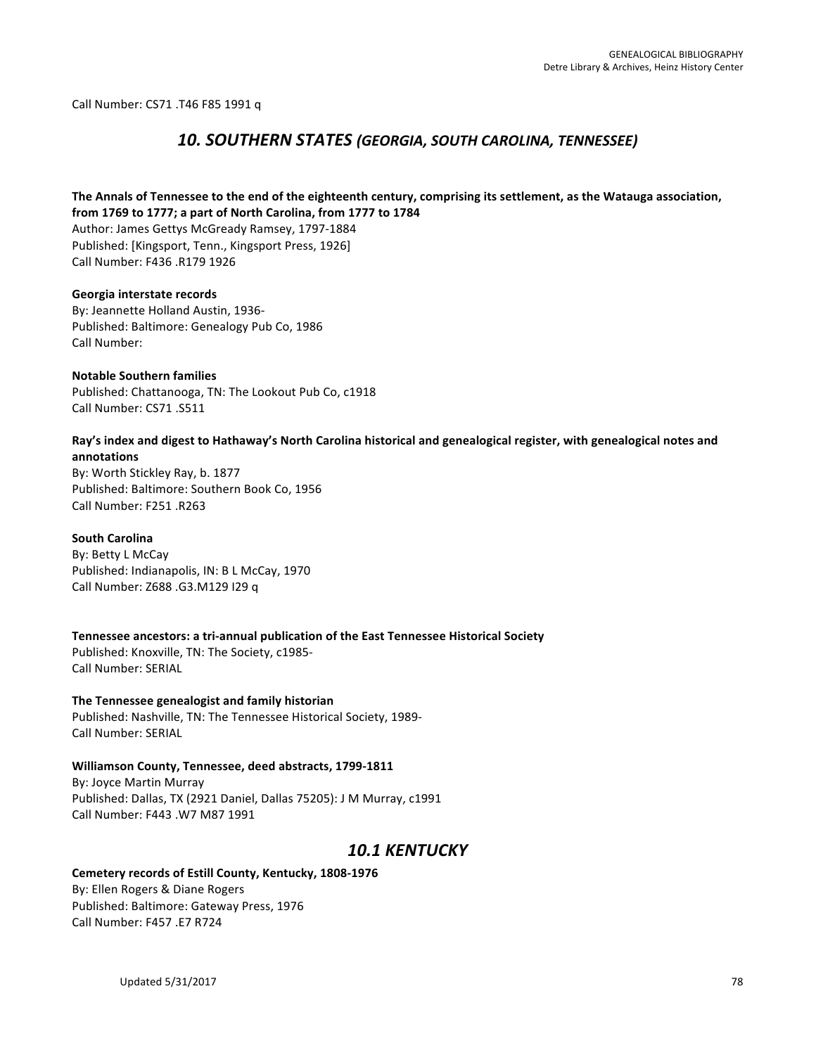Call Number: CS71 .T46 F85 1991 q

## *10. SOUTHERN STATES (GEORGIA, SOUTH CAROLINA, TENNESSEE)*

#### The Annals of Tennessee to the end of the eighteenth century, comprising its settlement, as the Watauga association, from 1769 to 1777; a part of North Carolina, from 1777 to 1784

Author: James Gettys McGready Ramsey, 1797-1884 Published: [Kingsport, Tenn., Kingsport Press, 1926] Call Number: F436 .R179 1926

Georgia interstate records By: Jeannette Holland Austin, 1936-Published: Baltimore: Genealogy Pub Co, 1986 Call Number:

**Notable Southern families** Published: Chattanooga, TN: The Lookout Pub Co, c1918 Call Number: CS71 .S511

#### Ray's index and digest to Hathaway's North Carolina historical and genealogical register, with genealogical notes and **annotations**

By: Worth Stickley Ray, b. 1877 Published: Baltimore: Southern Book Co, 1956 Call Number: F251 .R263

#### **South Carolina**

By: Betty L McCay Published: Indianapolis, IN: B L McCay, 1970 Call Number: Z688 .G3.M129 I29 q

Tennessee ancestors: a tri-annual publication of the East Tennessee Historical Society Published: Knoxville, TN: The Society, c1985-Call Number: SERIAL

**The Tennessee genealogist and family historian** Published: Nashville, TN: The Tennessee Historical Society, 1989-Call Number: SERIAL

## **Williamson County, Tennessee, deed abstracts, 1799-1811** By: Joyce Martin Murray

Published: Dallas, TX (2921 Daniel, Dallas 75205): J M Murray, c1991 Call Number: F443 .W7 M87 1991

## *10.1 KENTUCKY*

#### Cemetery records of Estill County, Kentucky, 1808-1976

By: Ellen Rogers & Diane Rogers Published: Baltimore: Gateway Press, 1976 Call Number: F457 .E7 R724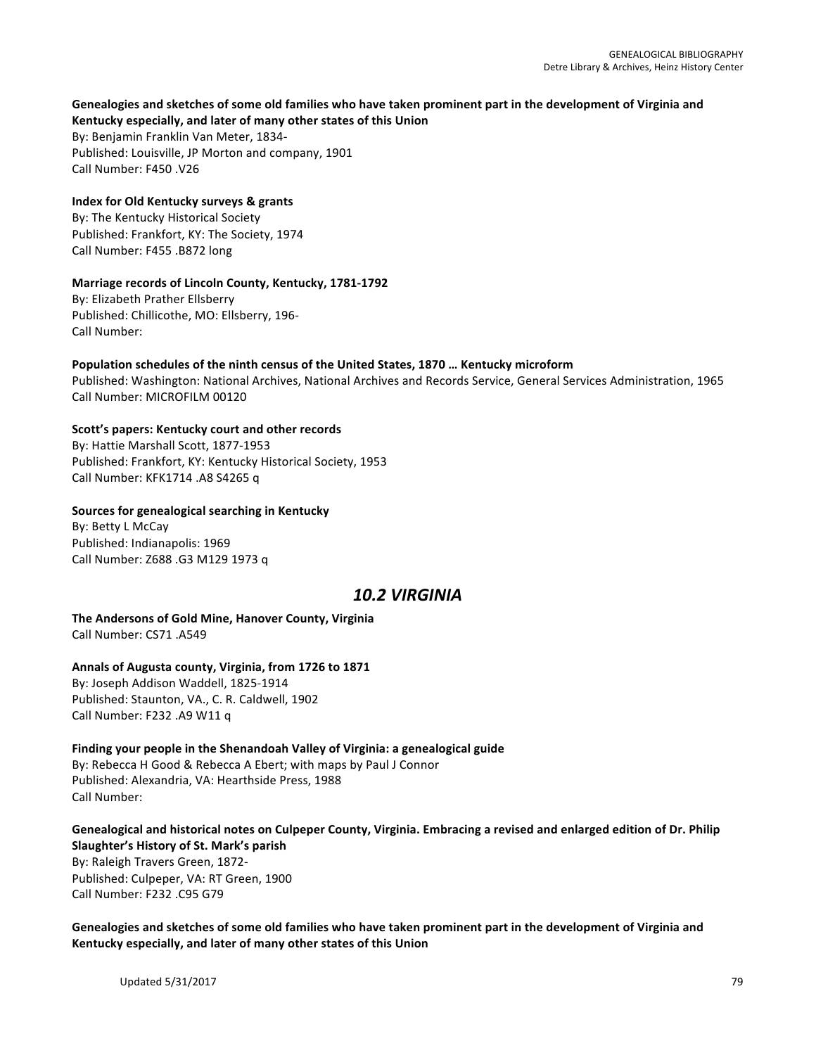# Genealogies and sketches of some old families who have taken prominent part in the development of Virginia and

Kentucky especially, and later of many other states of this Union By: Benjamin Franklin Van Meter, 1834-Published: Louisville, JP Morton and company, 1901 Call Number: F450 .V26

### **Index for Old Kentucky surveys & grants**

By: The Kentucky Historical Society Published: Frankfort, KY: The Society, 1974 Call Number: F455 .B872 long

### **Marriage records of Lincoln County, Kentucky, 1781-1792**

By: Elizabeth Prather Ellsberry Published: Chillicothe, MO: Ellsberry, 196-Call Number:

#### Population schedules of the ninth census of the United States, 1870 ... Kentucky microform

Published: Washington: National Archives, National Archives and Records Service, General Services Administration, 1965 Call Number: MICROFILM 00120

### Scott's papers: Kentucky court and other records

By: Hattie Marshall Scott, 1877-1953 Published: Frankfort, KY: Kentucky Historical Society, 1953 Call Number: KFK1714 .A8 S4265 q

#### **Sources for genealogical searching in Kentucky**

By: Betty L McCay Published: Indianapolis: 1969 Call Number: Z688 .G3 M129 1973 q

## *10.2 VIRGINIA*

#### **The Andersons of Gold Mine, Hanover County, Virginia** Call Number: CS71 .A549

## Annals of Augusta county, Virginia, from 1726 to 1871

By: Joseph Addison Waddell, 1825-1914 Published: Staunton, VA., C. R. Caldwell, 1902 Call Number: F232 .A9 W11 q

## Finding your people in the Shenandoah Valley of Virginia: a genealogical guide By: Rebecca H Good & Rebecca A Ebert; with maps by Paul J Connor

Published: Alexandria, VA: Hearthside Press, 1988 Call Number:

#### Genealogical and historical notes on Culpeper County, Virginia. Embracing a revised and enlarged edition of Dr. Philip **Slaughter's History of St. Mark's parish**

By: Raleigh Travers Green, 1872-Published: Culpeper, VA: RT Green, 1900 Call Number: F232 .C95 G79

Genealogies and sketches of some old families who have taken prominent part in the development of Virginia and Kentucky especially, and later of many other states of this Union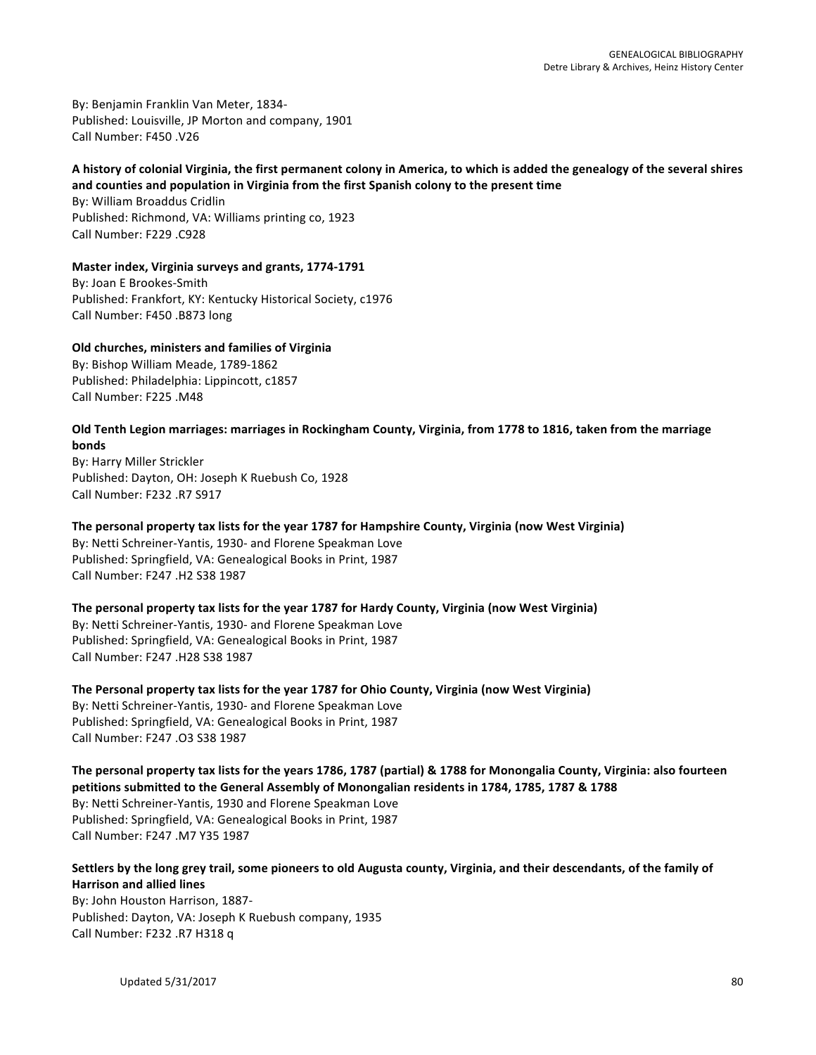By: Benjamin Franklin Van Meter, 1834-Published: Louisville, JP Morton and company, 1901 Call Number: F450 .V26

#### A history of colonial Virginia, the first permanent colony in America, to which is added the genealogy of the several shires and counties and population in Virginia from the first Spanish colony to the present time

By: William Broaddus Cridlin Published: Richmond, VA: Williams printing co, 1923 Call Number: F229 .C928

### **Master index, Virginia surveys and grants, 1774-1791**

By: Joan E Brookes-Smith Published: Frankfort, KY: Kentucky Historical Society, c1976 Call Number: F450 .B873 long

### **Old churches, ministers and families of Virginia**

By: Bishop William Meade, 1789-1862 Published: Philadelphia: Lippincott, c1857 Call Number: F225 .M48

#### Old Tenth Legion marriages: marriages in Rockingham County, Virginia, from 1778 to 1816, taken from the marriage **bonds**

By: Harry Miller Strickler Published: Dayton, OH: Joseph K Ruebush Co, 1928 Call Number: F232 .R7 S917

#### The personal property tax lists for the year 1787 for Hampshire County, Virginia (now West Virginia)

By: Netti Schreiner-Yantis, 1930- and Florene Speakman Love Published: Springfield, VA: Genealogical Books in Print, 1987 Call Number: F247 .H2 S38 1987

#### The personal property tax lists for the year 1787 for Hardy County, Virginia (now West Virginia)

By: Netti Schreiner-Yantis, 1930- and Florene Speakman Love Published: Springfield, VA: Genealogical Books in Print, 1987 Call Number: F247 .H28 S38 1987

The Personal property tax lists for the year 1787 for Ohio County, Virginia (now West Virginia) By: Netti Schreiner-Yantis, 1930- and Florene Speakman Love Published: Springfield, VA: Genealogical Books in Print, 1987 Call Number: F247 .03 S38 1987

The personal property tax lists for the years 1786, 1787 (partial) & 1788 for Monongalia County, Virginia: also fourteen **petitions submitted to the General Assembly of Monongalian residents in 1784, 1785, 1787 & 1788** By: Netti Schreiner-Yantis, 1930 and Florene Speakman Love Published: Springfield, VA: Genealogical Books in Print, 1987 Call Number: F247 .M7 Y35 1987

## Settlers by the long grey trail, some pioneers to old Augusta county, Virginia, and their descendants, of the family of **Harrison and allied lines**

By: John Houston Harrison, 1887-Published: Dayton, VA: Joseph K Ruebush company, 1935 Call Number: F232 .R7 H318 q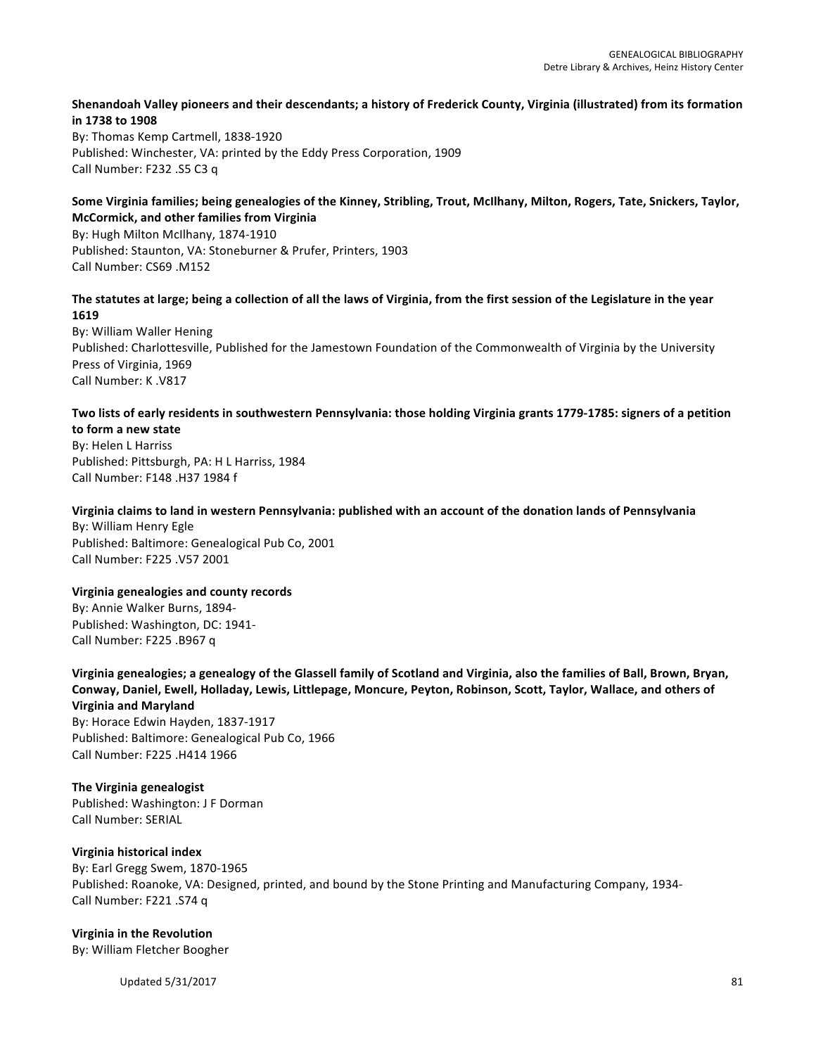#### Shenandoah Valley pioneers and their descendants; a history of Frederick County, Virginia (illustrated) from its formation **in 1738 to 1908**

By: Thomas Kemp Cartmell, 1838-1920 Published: Winchester, VA: printed by the Eddy Press Corporation, 1909 Call Number: F232 .S5 C3 q

#### Some Virginia families; being genealogies of the Kinney, Stribling, Trout, McIlhany, Milton, Rogers, Tate, Snickers, Taylor, **McCormick, and other families from Virginia**

By: Hugh Milton McIlhany, 1874-1910 Published: Staunton, VA: Stoneburner & Prufer, Printers, 1903 Call Number: CS69 .M152

#### The statutes at large; being a collection of all the laws of Virginia, from the first session of the Legislature in the year **1619**

By: William Waller Hening Published: Charlottesville, Published for the Jamestown Foundation of the Commonwealth of Virginia by the University Press of Virginia, 1969 Call Number: K .V817

#### Two lists of early residents in southwestern Pennsylvania: those holding Virginia grants 1779-1785: signers of a petition **to form a new state**

By: Helen L Harriss Published: Pittsburgh, PA: H L Harriss, 1984 Call Number: F148 .H37 1984 f

#### Virginia claims to land in western Pennsylvania: published with an account of the donation lands of Pennsylvania

By: William Henry Egle Published: Baltimore: Genealogical Pub Co, 2001 Call Number: F225 .V57 2001

#### **Virginia genealogies and county records**

By: Annie Walker Burns, 1894-Published: Washington, DC: 1941-Call Number: F225 .B967 q

Virginia genealogies; a genealogy of the Glassell family of Scotland and Virginia, also the families of Ball, Brown, Bryan, Conway, Daniel, Ewell, Holladay, Lewis, Littlepage, Moncure, Peyton, Robinson, Scott, Taylor, Wallace, and others of **Virginia and Maryland** By: Horace Edwin Hayden, 1837-1917 Published: Baltimore: Genealogical Pub Co, 1966

### **The Virginia genealogist**

Call Number: F225 .H414 1966

Published: Washington: J F Dorman Call Number: SERIAL

#### **Virginia historical index**

By: Earl Gregg Swem, 1870-1965 Published: Roanoke, VA: Designed, printed, and bound by the Stone Printing and Manufacturing Company, 1934-Call Number: F221 .S74 q

#### **Virginia in the Revolution**

By: William Fletcher Boogher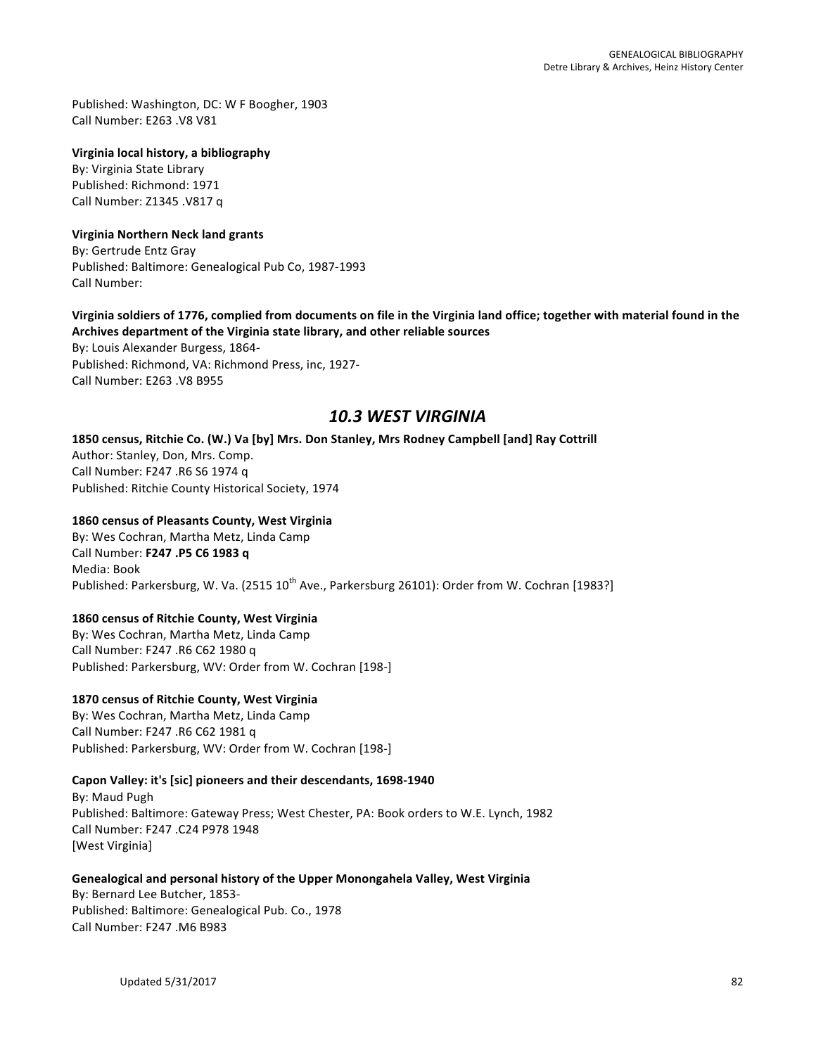Published: Washington, DC: W F Boogher, 1903 Call Number: F263 .V8 V81

#### **Virginia local history, a bibliography**

By: Virginia State Library Published: Richmond: 1971 Call Number: Z1345 .V817 q

#### **Virginia Northern Neck land grants**

By: Gertrude Entz Gray Published: Baltimore: Genealogical Pub Co, 1987-1993 Call Number: 

#### Virginia soldiers of 1776, complied from documents on file in the Virginia land office; together with material found in the Archives department of the Virginia state library, and other reliable sources

By: Louis Alexander Burgess, 1864-Published: Richmond, VA: Richmond Press, inc, 1927-Call Number: E263 .V8 B955

## *10.3 WEST VIRGINIA*

#### 1850 census, Ritchie Co. (W.) Va [by] Mrs. Don Stanley, Mrs Rodney Campbell [and] Ray Cottrill

Author: Stanley, Don, Mrs. Comp. Call Number: F247 .R6 S6 1974 q Published: Ritchie County Historical Society, 1974

#### **1860 census of Pleasants County, West Virginia**

By: Wes Cochran, Martha Metz, Linda Camp Call Number: **F247 .P5 C6 1983 q** Media: Book Published: Parkersburg, W. Va. (2515 10<sup>th</sup> Ave., Parkersburg 26101): Order from W. Cochran [1983?]

## **1860 census of Ritchie County, West Virginia**

By: Wes Cochran, Martha Metz, Linda Camp Call Number: F247 .R6 C62 1980 q Published: Parkersburg, WV: Order from W. Cochran [198-]

#### **1870 census of Ritchie County, West Virginia**

By: Wes Cochran, Martha Metz, Linda Camp Call Number: F247 .R6 C62 1981 q Published: Parkersburg, WV: Order from W. Cochran [198-]

#### Capon Valley: it's [sic] pioneers and their descendants, 1698-1940

By: Maud Pugh Published: Baltimore: Gateway Press; West Chester, PA: Book orders to W.E. Lynch, 1982 Call Number: F247 .C24 P978 1948 [West Virginia]

#### Genealogical and personal history of the Upper Monongahela Valley, West Virginia

By: Bernard Lee Butcher, 1853-Published: Baltimore: Genealogical Pub. Co., 1978 Call Number: F247 .M6 B983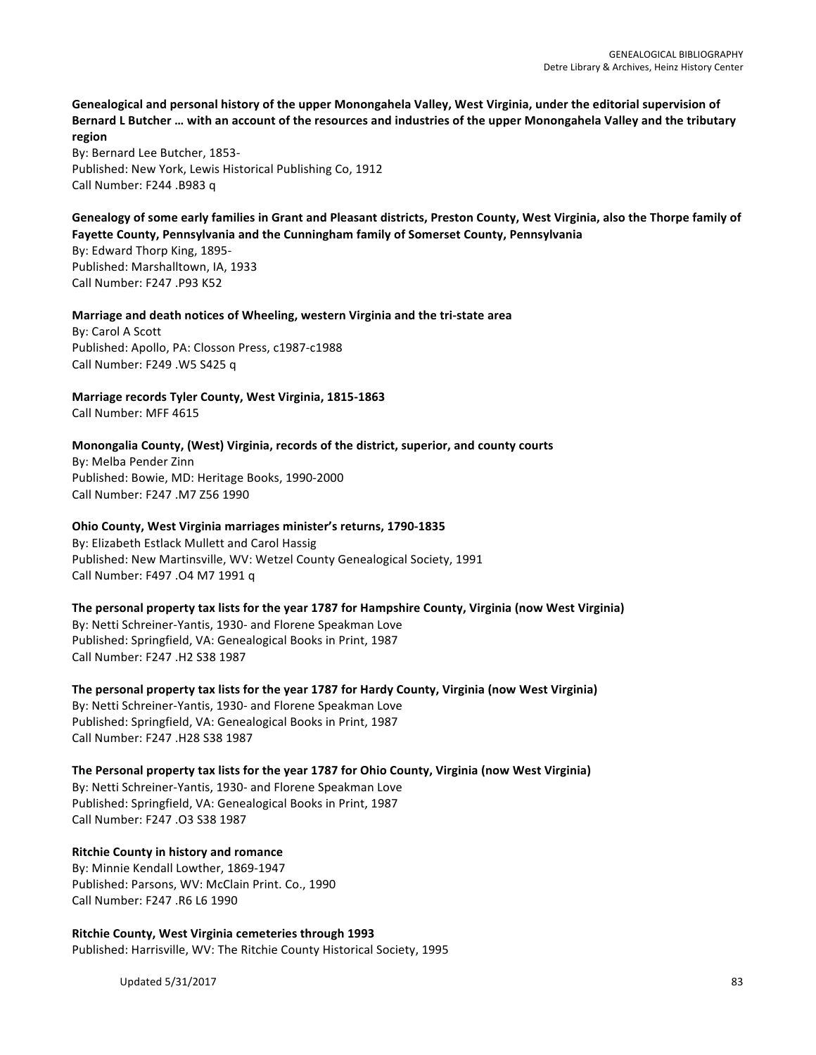Genealogical and personal history of the upper Monongahela Valley, West Virginia, under the editorial supervision of Bernard L Butcher ... with an account of the resources and industries of the upper Monongahela Valley and the tributary **region**

By: Bernard Lee Butcher, 1853-Published: New York, Lewis Historical Publishing Co, 1912 Call Number: F244 .B983 q

Genealogy of some early families in Grant and Pleasant districts, Preston County, West Virginia, also the Thorpe family of Fayette County, Pennsylvania and the Cunningham family of Somerset County, Pennsylvania

By: Edward Thorp King, 1895-Published: Marshalltown, IA, 1933 Call Number: F247 .P93 K52

**Marriage and death notices of Wheeling, western Virginia and the tri-state area** By: Carol A Scott Published: Apollo, PA: Closson Press, c1987-c1988

Call Number: F249 .W5 S425 q

**Marriage records Tyler County, West Virginia, 1815-1863** Call Number: MFF 4615

Monongalia County, (West) Virginia, records of the district, superior, and county courts

By: Melba Pender Zinn Published: Bowie, MD: Heritage Books, 1990-2000 Call Number: F247 .M7 Z56 1990

#### **Ohio County, West Virginia marriages minister's returns, 1790-1835**

By: Elizabeth Estlack Mullett and Carol Hassig Published: New Martinsville, WV: Wetzel County Genealogical Society, 1991 Call Number: F497 .04 M7 1991 q

The personal property tax lists for the year 1787 for Hampshire County, Virginia (now West Virginia) By: Netti Schreiner-Yantis, 1930- and Florene Speakman Love Published: Springfield, VA: Genealogical Books in Print, 1987 Call Number: F247 .H2 S38 1987

The personal property tax lists for the year 1787 for Hardy County, Virginia (now West Virginia) By: Netti Schreiner-Yantis, 1930- and Florene Speakman Love Published: Springfield, VA: Genealogical Books in Print, 1987 Call Number: F247 .H28 S38 1987

The Personal property tax lists for the year 1787 for Ohio County, Virginia (now West Virginia) By: Netti Schreiner-Yantis, 1930- and Florene Speakman Love Published: Springfield, VA: Genealogical Books in Print, 1987 Call Number: F247 .O3 S38 1987

**Ritchie County in history and romance** By: Minnie Kendall Lowther, 1869-1947 Published: Parsons, WV: McClain Print. Co., 1990 Call Number: F247 .R6 L6 1990

**Ritchie County, West Virginia cemeteries through 1993** Published: Harrisville, WV: The Ritchie County Historical Society, 1995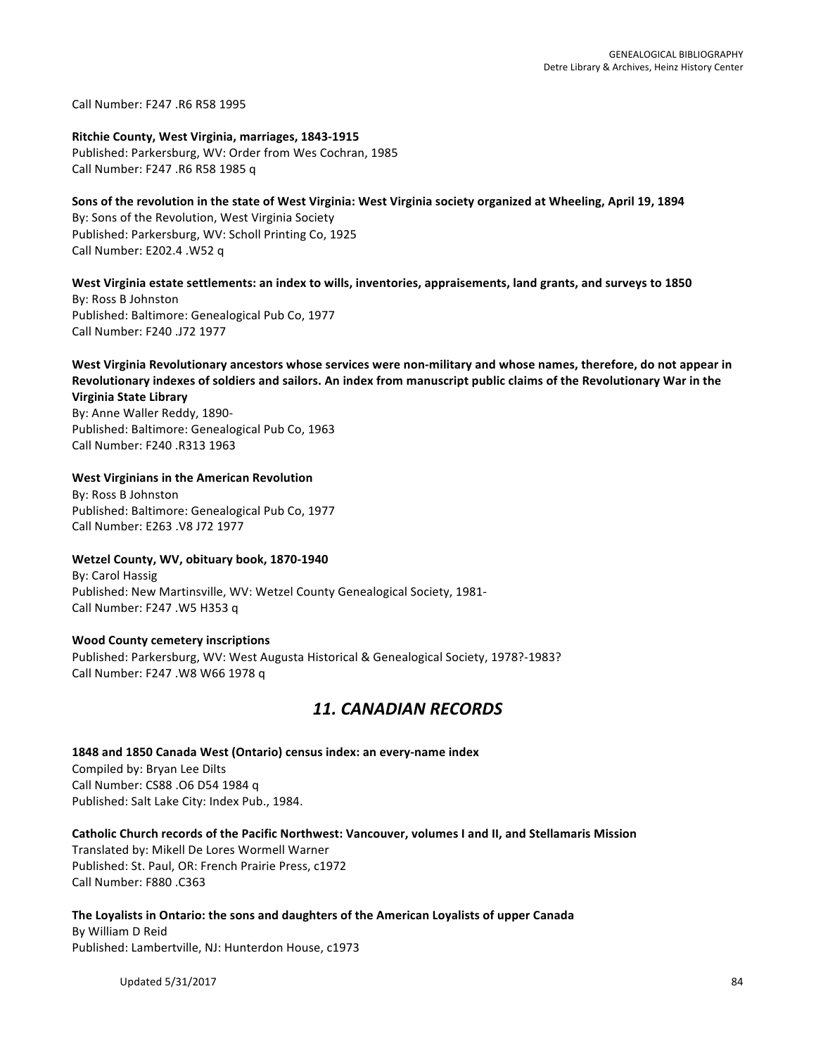Call Number: F247 .R6 R58 1995

#### **Ritchie County, West Virginia, marriages, 1843-1915**

Published: Parkersburg, WV: Order from Wes Cochran, 1985 Call Number: F247 .R6 R58 1985 q

## Sons of the revolution in the state of West Virginia: West Virginia society organized at Wheeling, April 19, 1894

By: Sons of the Revolution, West Virginia Society Published: Parkersburg, WV: Scholl Printing Co, 1925 Call Number: E202.4 .W52 q

#### West Virginia estate settlements: an index to wills, inventories, appraisements, land grants, and surveys to 1850

By: Ross B Johnston Published: Baltimore: Genealogical Pub Co, 1977 Call Number: F240 .J72 1977

#### West Virginia Revolutionary ancestors whose services were non-military and whose names, therefore, do not appear in Revolutionary indexes of soldiers and sailors. An index from manuscript public claims of the Revolutionary War in the **Virginia State Library**

By: Anne Waller Reddy, 1890-Published: Baltimore: Genealogical Pub Co, 1963 Call Number: F240 .R313 1963

#### **West Virginians in the American Revolution**

By: Ross B Johnston Published: Baltimore: Genealogical Pub Co, 1977 Call Number: E263 .V8 J72 1977

#### Wetzel County, WV, obituary book, 1870-1940

By: Carol Hassig Published: New Martinsville, WV: Wetzel County Genealogical Society, 1981-Call Number: F247 .W5 H353 q

#### **Wood County cemetery inscriptions**

Published: Parkersburg, WV: West Augusta Historical & Genealogical Society, 1978?-1983? Call Number: F247 .W8 W66 1978 q

## *11. CANADIAN RECORDS*

#### **1848 and 1850 Canada West (Ontario) census index: an every-name index** Compiled by: Bryan Lee Dilts Call Number: CS88 .O6 D54 1984 q Published: Salt Lake City: Index Pub., 1984.

#### Catholic Church records of the Pacific Northwest: Vancouver, volumes I and II, and Stellamaris Mission Translated by: Mikell De Lores Wormell Warner Published: St. Paul, OR: French Prairie Press, c1972

Call Number: F880 .C363

#### The Loyalists in Ontario: the sons and daughters of the American Loyalists of upper Canada

By William D Reid Published: Lambertville, NJ: Hunterdon House, c1973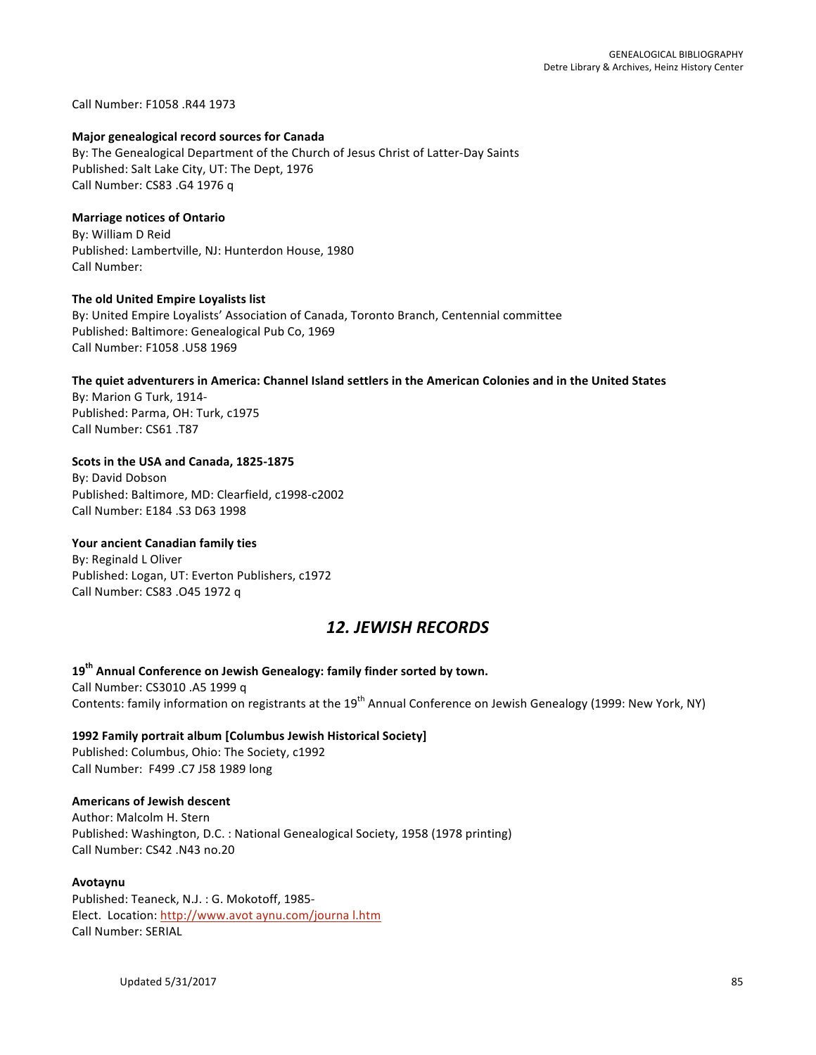Call Number: F1058 .R44 1973

#### **Major genealogical record sources for Canada**

By: The Genealogical Department of the Church of Jesus Christ of Latter-Day Saints Published: Salt Lake City, UT: The Dept, 1976 Call Number: CS83 .G4 1976 q

#### **Marriage notices of Ontario**

By: William D Reid Published: Lambertville, NJ: Hunterdon House, 1980 Call Number:

#### **The old United Empire Loyalists list**

By: United Empire Loyalists' Association of Canada, Toronto Branch, Centennial committee Published: Baltimore: Genealogical Pub Co, 1969 Call Number: F1058 .U58 1969

## The quiet adventurers in America: Channel Island settlers in the American Colonies and in the United States

By: Marion G Turk, 1914-Published: Parma, OH: Turk, c1975 Call Number: CS61 .T87

#### Scots in the USA and Canada, 1825-1875

By: David Dobson Published: Baltimore, MD: Clearfield, c1998-c2002 Call Number: E184 .S3 D63 1998

#### **Your ancient Canadian family ties**

By: Reginald L Oliver Published: Logan, UT: Everton Publishers, c1972 Call Number: CS83 .045 1972 q

## *12. JEWISH RECORDS*

### 19<sup>th</sup> Annual Conference on Jewish Genealogy: family finder sorted by town. Call Number: CS3010 .A5 1999 q Contents: family information on registrants at the  $19^{th}$  Annual Conference on Jewish Genealogy (1999: New York, NY)

### **1992 Family portrait album [Columbus Jewish Historical Society]** Published: Columbus, Ohio: The Society, c1992 Call Number: F499 .C7 J58 1989 long

#### **Americans of Jewish descent**

Author: Malcolm H. Stern Published: Washington, D.C. : National Genealogical Society, 1958 (1978 printing) Call Number: CS42 .N43 no.20

#### **Avotaynu**

Published: Teaneck, N.J.: G. Mokotoff, 1985-Elect. Location: http://www.avot aynu.com/journa l.htm Call Number: SERIAL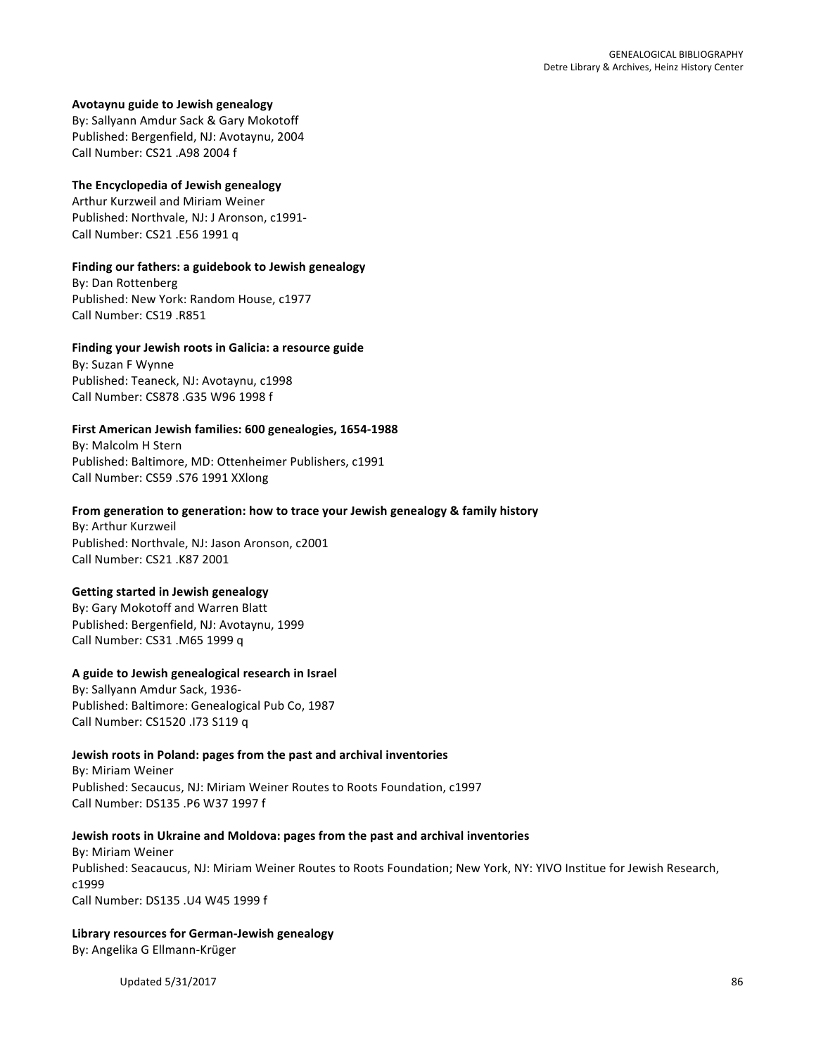#### **Avotaynu guide to Jewish genealogy**

By: Sallyann Amdur Sack & Gary Mokotoff Published: Bergenfield, NJ: Avotaynu, 2004 Call Number: CS21 .A98 2004 f 

#### **The Encyclopedia of Jewish genealogy**

Arthur Kurzweil and Miriam Weiner Published: Northvale, NJ: J Aronson, c1991-Call Number: CS21 .E56 1991 q

#### Finding our fathers: a guidebook to Jewish genealogy

By: Dan Rottenberg Published: New York: Random House, c1977 Call Number: CS19 .R851

## Finding your Jewish roots in Galicia: a resource guide

By: Suzan F Wynne Published: Teaneck, NJ: Avotaynu, c1998 Call Number: CS878 .G35 W96 1998 f

#### First American Jewish families: 600 genealogies, 1654-1988

By: Malcolm H Stern Published: Baltimore, MD: Ottenheimer Publishers, c1991 Call Number: CS59 .S76 1991 XXlong

#### From generation to generation: how to trace your Jewish genealogy & family history

By: Arthur Kurzweil Published: Northvale, NJ: Jason Aronson, c2001 Call Number: CS21 .K87 2001

#### **Getting started in Jewish genealogy**

By: Gary Mokotoff and Warren Blatt Published: Bergenfield, NJ: Avotaynu, 1999 Call Number: CS31 .M65 1999 q

#### A guide to Jewish genealogical research in Israel

By: Sallyann Amdur Sack, 1936-Published: Baltimore: Genealogical Pub Co, 1987 Call Number: CS1520 .173 S119 q

#### **Jewish roots in Poland: pages from the past and archival inventories**

By: Miriam Weiner Published: Secaucus, NJ: Miriam Weiner Routes to Roots Foundation, c1997 Call Number: DS135 .P6 W37 1997 f

#### **Jewish roots in Ukraine and Moldova: pages from the past and archival inventories**

**By: Miriam Weiner** Published: Seacaucus, NJ: Miriam Weiner Routes to Roots Foundation; New York, NY: YIVO Institue for Jewish Research, c1999 Call Number: DS135 .U4 W45 1999 f

## **Library resources for German-Jewish genealogy** By: Angelika G Ellmann-Krüger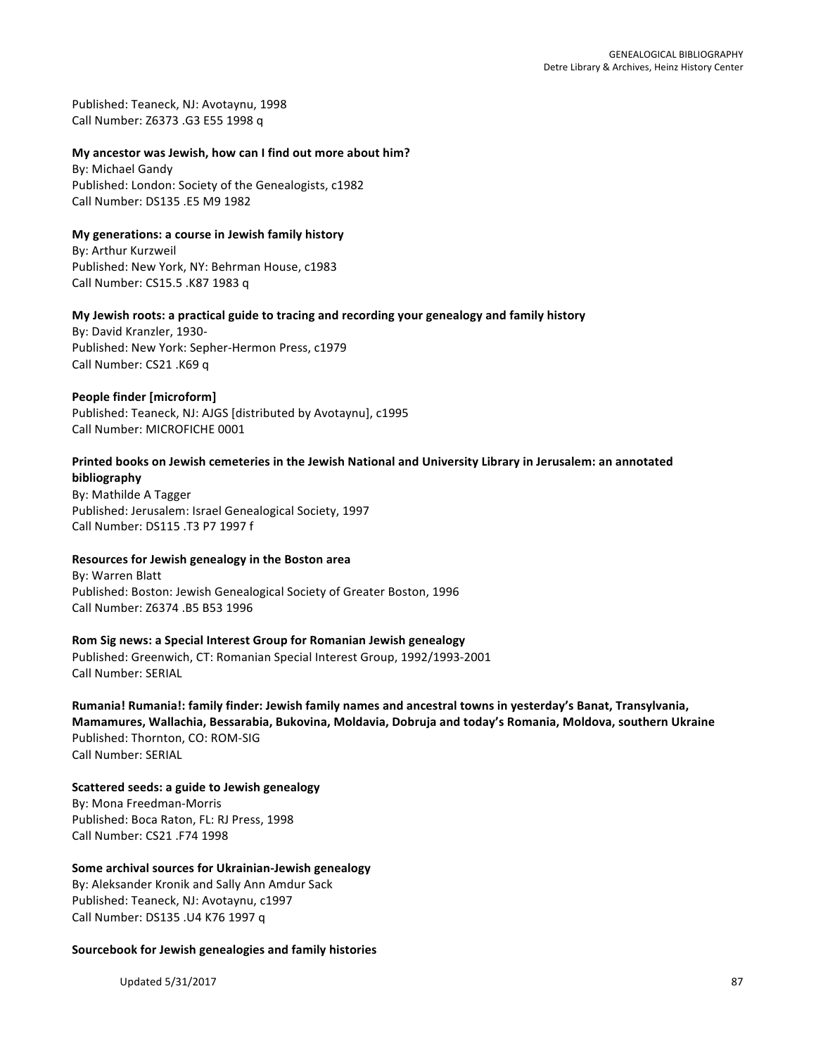Published: Teaneck, NJ: Avotaynu, 1998 Call Number: Z6373 .G3 E55 1998 q

#### My ancestor was Jewish, how can I find out more about him?

By: Michael Gandy Published: London: Society of the Genealogists, c1982 Call Number: DS135 .E5 M9 1982

#### **My generations: a course in Jewish family history**

By: Arthur Kurzweil Published: New York, NY: Behrman House, c1983 Call Number: CS15.5 .K87 1983 q

#### My Jewish roots: a practical guide to tracing and recording your genealogy and family history

By: David Kranzler, 1930-Published: New York: Sepher-Hermon Press, c1979 Call Number: CS21 .K69 q

#### **People finder [microform]**

Published: Teaneck, NJ: AJGS [distributed by Avotaynu], c1995 Call Number: MICROFICHE 0001

#### Printed books on Jewish cemeteries in the Jewish National and University Library in Jerusalem: an annotated **bibliography**

By: Mathilde A Tagger Published: Jerusalem: Israel Genealogical Society, 1997 Call Number: DS115 .T3 P7 1997 f

#### **Resources for Jewish genealogy in the Boston area**

By: Warren Blatt Published: Boston: Jewish Genealogical Society of Greater Boston, 1996 Call Number: Z6374 .B5 B53 1996

#### **Rom Sig news: a Special Interest Group for Romanian Jewish genealogy**

Published: Greenwich, CT: Romanian Special Interest Group, 1992/1993-2001 Call Number: SERIAL

Rumania! Rumania!: family finder: Jewish family names and ancestral towns in yesterday's Banat, Transylvania, Mamamures, Wallachia, Bessarabia, Bukovina, Moldavia, Dobruja and today's Romania, Moldova, southern Ukraine Published: Thornton, CO: ROM-SIG Call Number: SERIAL

**Scattered seeds: a guide to Jewish genealogy** By: Mona Freedman-Morris Published: Boca Raton, FL: RJ Press, 1998 Call Number: CS21 .F74 1998

#### **Some archival sources for Ukrainian-Jewish genealogy**

By: Aleksander Kronik and Sally Ann Amdur Sack Published: Teaneck, NJ: Avotaynu, c1997 Call Number: DS135 .U4 K76 1997 q

#### **Sourcebook for Jewish genealogies and family histories**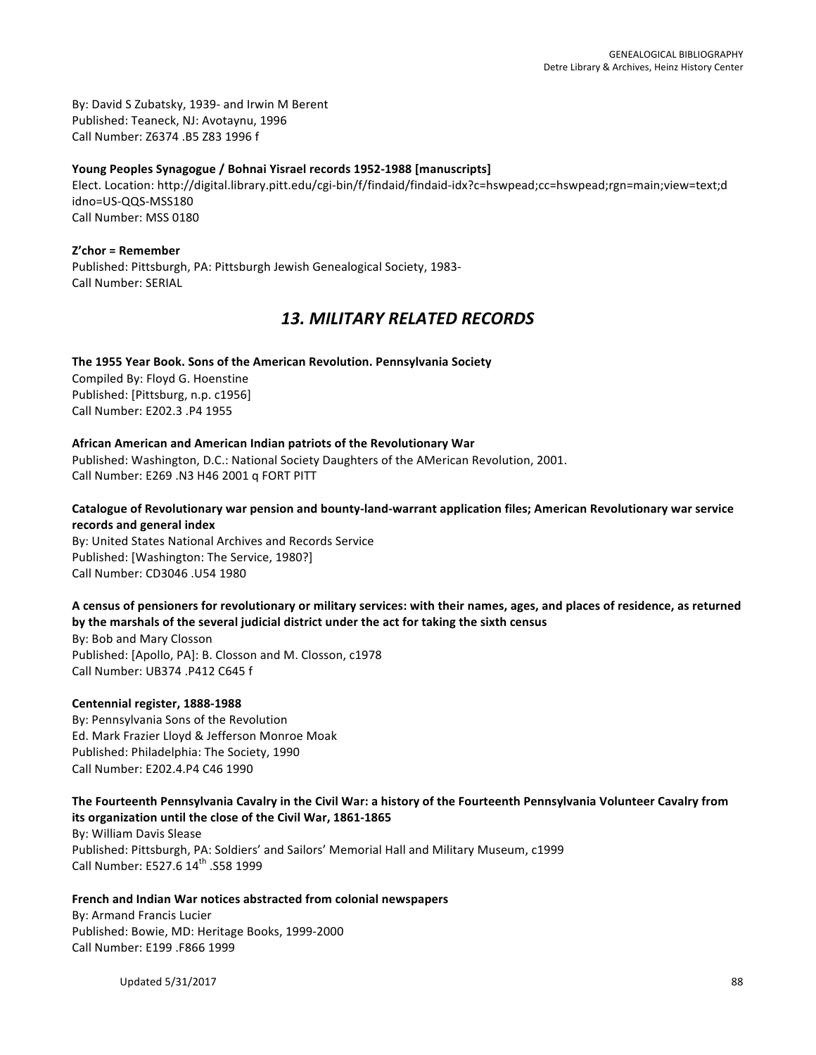By: David S Zubatsky, 1939- and Irwin M Berent Published: Teaneck, NJ: Avotaynu, 1996 Call Number: Z6374 .B5 Z83 1996 f

#### Young Peoples Synagogue / Bohnai Yisrael records 1952-1988 [manuscripts]

Elect. Location: http://digital.library.pitt.edu/cgi-bin/f/findaid/findaid-idx?c=hswpead;cc=hswpead;rgn=main;view=text;d idno=US-QQS-MSS180 Call Number: MSS 0180

**Z'chor = Remember** Published: Pittsburgh, PA: Pittsburgh Jewish Genealogical Society, 1983-Call Number: SERIAL

## *13. MILITARY RELATED RECORDS*

#### The 1955 Year Book. Sons of the American Revolution. Pennsylvania Society

Compiled By: Floyd G. Hoenstine Published: [Pittsburg, n.p. c1956] Call Number: E202.3 .P4 1955

#### **African American and American Indian patriots of the Revolutionary War**

Published: Washington, D.C.: National Society Daughters of the AMerican Revolution, 2001. Call Number: E269 .N3 H46 2001 q FORT PITT

#### Catalogue of Revolutionary war pension and bounty-land-warrant application files; American Revolutionary war service **records and general index**

By: United States National Archives and Records Service Published: [Washington: The Service, 1980?] Call Number: CD3046 .U54 1980

#### A census of pensioners for revolutionary or military services: with their names, ages, and places of residence, as returned by the marshals of the several judicial district under the act for taking the sixth census

By: Bob and Mary Closson Published: [Apollo, PA]: B. Closson and M. Closson, c1978 Call Number: UB374 .P412 C645 f

#### **Centennial register, 1888-1988**

By: Pennsylvania Sons of the Revolution Ed. Mark Frazier Lloyd & Jefferson Monroe Moak Published: Philadelphia: The Society, 1990 Call Number: E202.4.P4 C46 1990

#### The Fourteenth Pennsylvania Cavalry in the Civil War: a history of the Fourteenth Pennsylvania Volunteer Cavalry from its organization until the close of the Civil War, 1861-1865

By: William Davis Slease Published: Pittsburgh, PA: Soldiers' and Sailors' Memorial Hall and Military Museum, c1999 Call Number: E527.6 14<sup>th</sup> .S58 1999

#### French and Indian War notices abstracted from colonial newspapers

By: Armand Francis Lucier Published: Bowie, MD: Heritage Books, 1999-2000 Call Number: E199 .F866 1999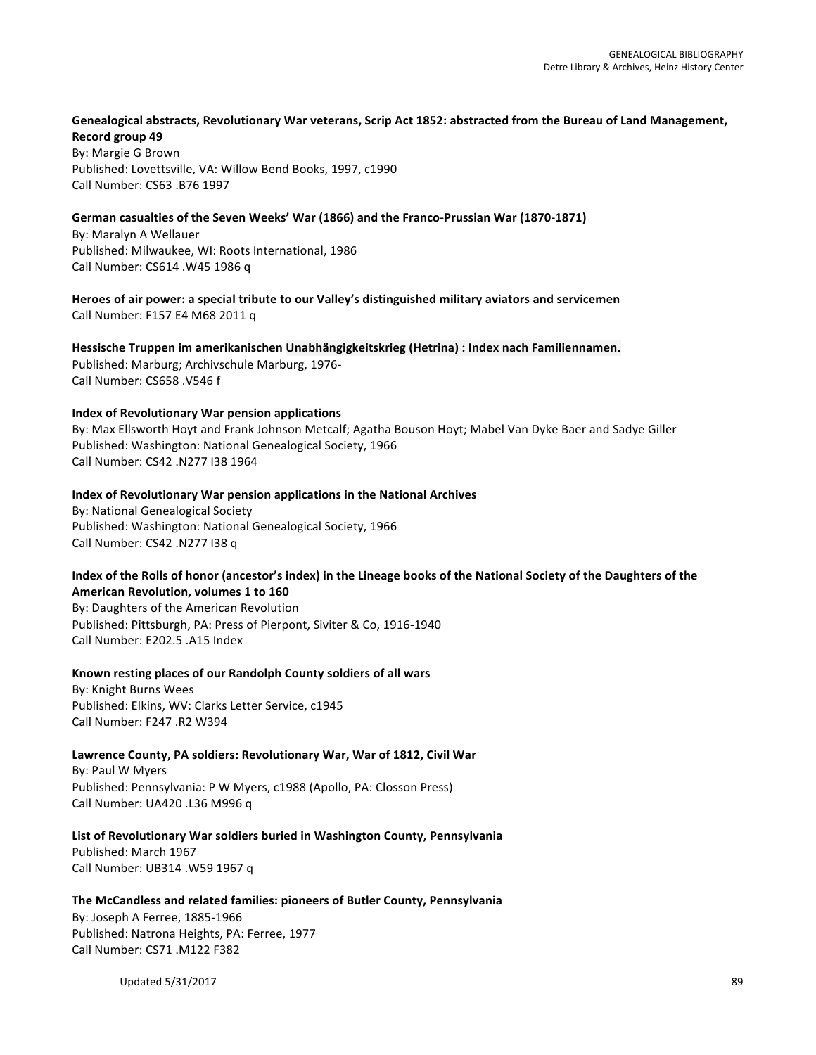#### Genealogical abstracts, Revolutionary War veterans, Scrip Act 1852: abstracted from the Bureau of Land Management, **Record group 49**

By: Margie G Brown Published: Lovettsville, VA: Willow Bend Books, 1997, c1990 Call Number: CS63 .B76 1997

#### German casualties of the Seven Weeks' War (1866) and the Franco-Prussian War (1870-1871)

By: Maralyn A Wellauer Published: Milwaukee, WI: Roots International, 1986 Call Number: CS614 .W45 1986 q

Heroes of air power: a special tribute to our Valley's distinguished military aviators and servicemen Call Number: F157 E4 M68 2011 q

Hessische Truppen im amerikanischen Unabhängigkeitskrieg (Hetrina) : Index nach Familiennamen. Published: Marburg; Archivschule Marburg, 1976-Call Number: CS658 .V546 f

#### **Index of Revolutionary War pension applications**

By: Max Ellsworth Hoyt and Frank Johnson Metcalf; Agatha Bouson Hoyt; Mabel Van Dyke Baer and Sadye Giller Published: Washington: National Genealogical Society, 1966 Call Number: CS42 .N277 I38 1964

## **Index of Revolutionary War pension applications in the National Archives**

By: National Genealogical Society Published: Washington: National Genealogical Society, 1966 Call Number: CS42 .N277 I38 q

### Index of the Rolls of honor (ancestor's index) in the Lineage books of the National Society of the Daughters of the **American Revolution, volumes 1 to 160**

By: Daughters of the American Revolution Published: Pittsburgh, PA: Press of Pierpont, Siviter & Co, 1916-1940 Call Number: E202.5 .A15 Index

#### Known resting places of our Randolph County soldiers of all wars

By: Knight Burns Wees Published: Elkins, WV: Clarks Letter Service, c1945 Call Number: F247 .R2 W394

#### Lawrence County, PA soldiers: Revolutionary War, War of 1812, Civil War

By: Paul W Myers Published: Pennsylvania: P W Myers, c1988 (Apollo, PA: Closson Press) Call Number: UA420 .L36 M996 q

# List of Revolutionary War soldiers buried in Washington County, Pennsylvania

Published: March 1967 Call Number: UB314 .W59 1967 q

#### The McCandless and related families: pioneers of Butler County, Pennsylvania

By: Joseph A Ferree, 1885-1966 Published: Natrona Heights, PA: Ferree, 1977 Call Number: CS71 .M122 F382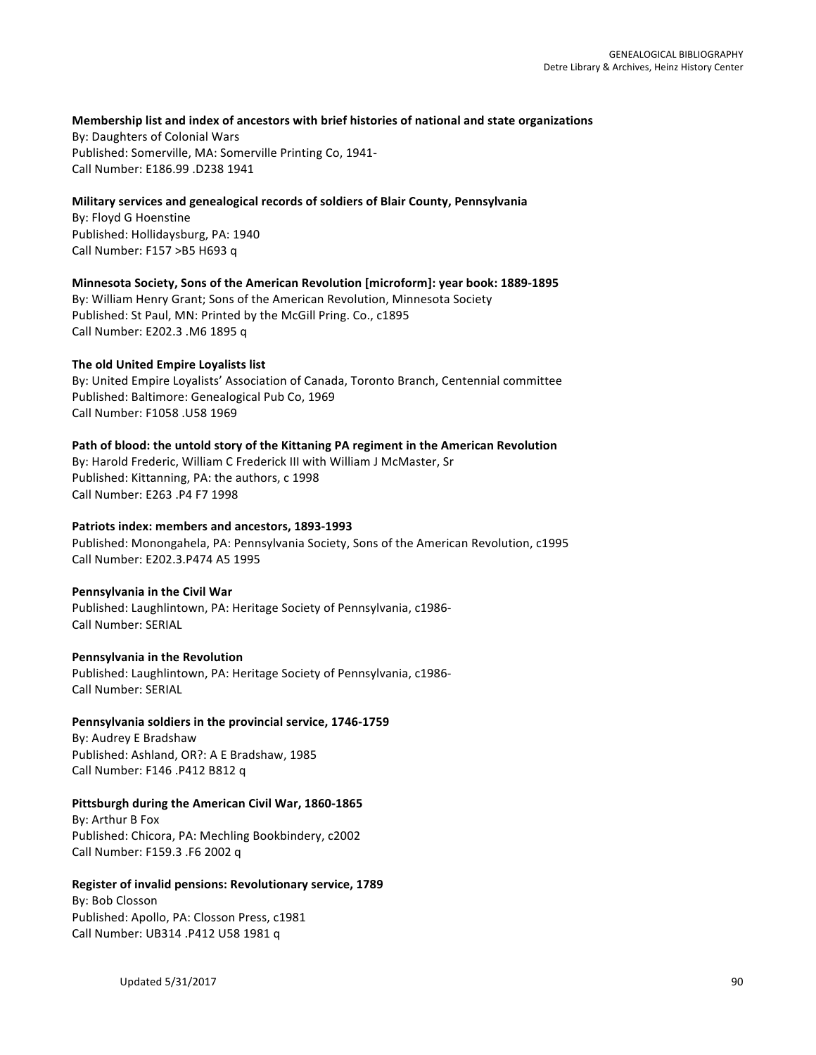#### Membership list and index of ancestors with brief histories of national and state organizations

By: Daughters of Colonial Wars Published: Somerville, MA: Somerville Printing Co, 1941-Call Number: E186.99 .D238 1941

#### Military services and genealogical records of soldiers of Blair County, Pennsylvania

By: Floyd G Hoenstine Published: Hollidaysburg, PA: 1940 Call Number: F157 >B5 H693 q

#### **Minnesota Society, Sons of the American Revolution [microform]: year book: 1889-1895**

By: William Henry Grant; Sons of the American Revolution, Minnesota Society Published: St Paul, MN: Printed by the McGill Pring. Co., c1895 Call Number: E202.3 .M6 1895 q

#### **The old United Empire Loyalists list**

By: United Empire Loyalists' Association of Canada, Toronto Branch, Centennial committee Published: Baltimore: Genealogical Pub Co, 1969 Call Number: F1058 .U58 1969

#### Path of blood: the untold story of the Kittaning PA regiment in the American Revolution

By: Harold Frederic, William C Frederick III with William J McMaster, Sr Published: Kittanning, PA: the authors, c 1998 Call Number: E263 .P4 F7 1998

#### Patriots index: members and ancestors, 1893-1993

Published: Monongahela, PA: Pennsylvania Society, Sons of the American Revolution, c1995 Call Number: E202.3.P474 A5 1995

#### **Pennsylvania in the Civil War**

Published: Laughlintown, PA: Heritage Society of Pennsylvania, c1986-Call Number: SERIAL

#### **Pennsylvania in the Revolution**

Published: Laughlintown, PA: Heritage Society of Pennsylvania, c1986-Call Number: SERIAL

#### Pennsylvania soldiers in the provincial service, 1746-1759

By: Audrey E Bradshaw Published: Ashland, OR?: A E Bradshaw, 1985 Call Number: F146 .P412 B812 q

#### Pittsburgh during the American Civil War, 1860-1865

By: Arthur B Fox Published: Chicora, PA: Mechling Bookbindery, c2002 Call Number: F159.3 .F6 2002 q

#### **Register of invalid pensions: Revolutionary service, 1789**

By: Bob Closson Published: Apollo, PA: Closson Press, c1981 Call Number: UB314 .P412 U58 1981 q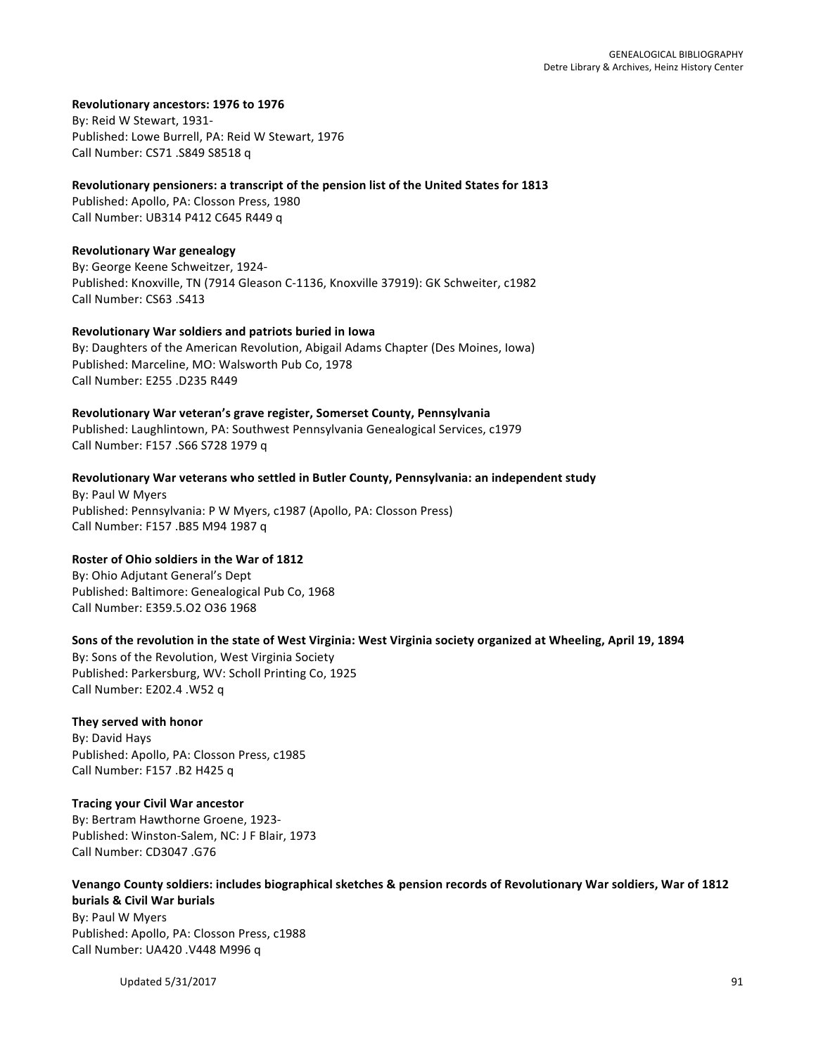## **Revolutionary ancestors: 1976 to 1976**

By: Reid W Stewart, 1931-Published: Lowe Burrell, PA: Reid W Stewart, 1976 Call Number: CS71 .S849 S8518 q

### **Revolutionary pensioners: a transcript of the pension list of the United States for 1813**

Published: Apollo, PA: Closson Press, 1980 Call Number: UB314 P412 C645 R449 q

#### **Revolutionary War genealogy**

By: George Keene Schweitzer, 1924-Published: Knoxville, TN (7914 Gleason C-1136, Knoxville 37919): GK Schweiter, c1982 Call Number: CS63 .S413

### **Revolutionary War soldiers and patriots buried in Iowa**

By: Daughters of the American Revolution, Abigail Adams Chapter (Des Moines, Iowa) Published: Marceline, MO: Walsworth Pub Co, 1978 Call Number: E255 .D235 R449

#### Revolutionary War veteran's grave register, Somerset County, Pennsylvania

Published: Laughlintown, PA: Southwest Pennsylvania Genealogical Services, c1979 Call Number: F157 .S66 S728 1979 q

## Revolutionary War veterans who settled in Butler County, Pennsylvania: an independent study

By: Paul W Myers Published: Pennsylvania: P W Myers, c1987 (Apollo, PA: Closson Press) Call Number: F157 .B85 M94 1987 q

## **Roster of Ohio soldiers in the War of 1812**

By: Ohio Adjutant General's Dept Published: Baltimore: Genealogical Pub Co, 1968 Call Number: E359.5.O2 O36 1968

## Sons of the revolution in the state of West Virginia: West Virginia society organized at Wheeling, April 19, 1894

By: Sons of the Revolution, West Virginia Society Published: Parkersburg, WV: Scholl Printing Co, 1925 Call Number: E202.4 .W52 q

## **They served with honor**

By: David Hays Published: Apollo, PA: Closson Press, c1985 Call Number: F157 .B2 H425 q

#### **Tracing your Civil War ancestor**

By: Bertram Hawthorne Groene, 1923-Published: Winston-Salem, NC: J F Blair, 1973 Call Number: CD3047 .G76

#### Venango County soldiers: includes biographical sketches & pension records of Revolutionary War soldiers, War of 1812 **burials & Civil War burials** By: Paul W Myers Published: Apollo, PA: Closson Press, c1988 Call Number: UA420 .V448 M996 q